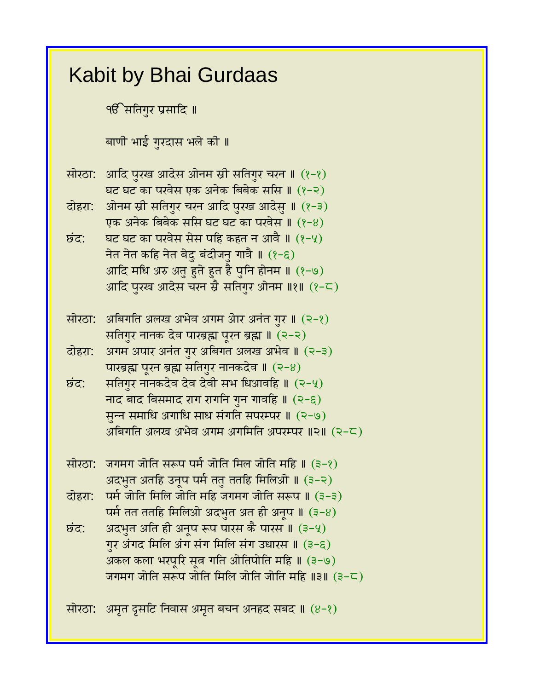## Kabit by Bhai Gurdaas <u>९</u>6 सतिगुर प्रसादि ॥ बाणी भाई गुरदास भले की ॥ सोरठा: आदि पुरख आदेस ओनम स्री सतिगुर चरन ॥ (१-१) घट घट का परवेस एक अनेक बिबेक ससि ॥ (१-२) दोहरा: ओनम स्री सतिगुर चरन आदि पुरख आदेसु ॥ (१-३) एक अनेक बिबेक ससि घट घट का परवेस ॥ (१-४)  $\overline{\mathbf{b}}$ द्र: घट घट का परवेस सेस पहि कहत न आवै ॥  $(2-\mathcal{Y})$ नेत नेत कहि नेत बेदु बंदीजनु गावै ॥  $(2-\epsilon)$ आदि मधि अरु अतु हुते हुत है पुनि होनम ॥ (१-७) आदि पुरख आदेस चरन स्रै सतिगुर ओनम ॥१॥ (१-८) सोरठा: अबिगति अलख अभेव अगम ओर अनंत गुर ॥ (२-१) सतिगुर नानक देव पारब्रह्म पूरन ब्रह्म ॥ (२-२) दोहरा: अगम अपार अनंत गुर अबिगत अलख अभेव ॥ (२-३) पारब्रह्म पूरन ब्रह्म सतिगुर नानकदेव ॥  $(2-8)$  $\overline{\mathbf{b}}$ द: सतिगुर नानकदेव देव देवी सभ धिआवहि ॥ (२-५) नाद बाद बिसमाद राग रागनि गुन गावहि ॥  $(2-\epsilon)$ सून्न समाधि अगाधि साध संगति सपरम्पर ॥ (२-७) अबिगति अलख अभेव अगम अगमिति अपरम्पर ॥२॥ (२-८) सोरठा: जगमग जोति सरूप पर्म जोति मिल जोति महि ॥ (३-१) अदभुत अतहि उनूप पर्म ततु ततहि मिलिओ ॥ (३-२) दोहरा: पर्म जोति मिलि जोति महि जगमग जोति सरूप ॥ (३-३) पर्म तत ततहि मिलिओ अदभुत अत ही अनूप ॥  $(3-8)$  $\vec{b}$ द्रः अदभुत अति ही अनूप रूप पारस कै पारस ॥  $(3-4)$ गुर अंगद मिलि अंग संग मिलि संग उधारस ॥ (३-६) अकल कला भरपूरि सूत्र गति ओतिपोति महि ॥ (३-७) जगमग जोति सरूप जोति मिलि जोति जोति महि $\parallel$ ३ $\parallel$  (३-८) सोरठा: अमृत दृसटि निवास अमृत बचन अनहद सबद  $\parallel$  (8-?)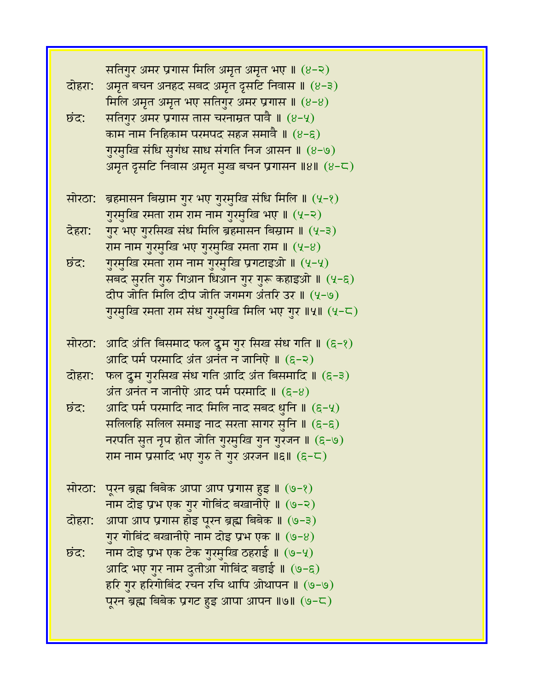| दोहरा:<br>छंद: | सतिगुर अमर प्रगास मिलि अमृत अमृत भए ॥ (४-२)<br>अमृत बचन अनहद सबद अमृत द्रसटि निवास ॥ (४-३)<br>मिलि अमृत अमृत भए सतिगुर अमर प्रगास ॥ (8-8)<br>सतिगुर अमर प्रगास तास चरनाम्रत पावै ॥ (8-५)<br>काम नाम निहिकाम परमपद सहज समावै ॥ (४-६)<br>गुरमुखि संधि सुगंध साध संगति निज आसन ॥ (४-७) |
|----------------|-------------------------------------------------------------------------------------------------------------------------------------------------------------------------------------------------------------------------------------------------------------------------------------|
|                | अमृत दृसटि निवास अमृत मुख बचन प्रगासन ॥४॥ (४-८)                                                                                                                                                                                                                                     |
| सोरठा:         | ब्रहमासन बिस्राम गुर भए गुरमुखि संधि मिलि ॥ (५-१)<br>गुरमुखि रमता राम राम नाम गुरमुखि भए ॥ (५-२)                                                                                                                                                                                    |
| देहरा:         | गुर भए गुरसिख संध मिलि ब्रहमासन बिस्राम ॥ (५-३)                                                                                                                                                                                                                                     |
|                | राम नाम गुरमुखि भए गुरमुखि रमता राम ॥ (५-४)                                                                                                                                                                                                                                         |
| छंद:           | गुरमुखि रमता राम नाम गुरमुखि प्रगटाइओ ॥ (५-५)                                                                                                                                                                                                                                       |
|                | सबद सुरति गुरु गिआन धिआन गुर गुरू कहाइओ ॥ (५-६)                                                                                                                                                                                                                                     |
|                | दीप जोति मिलि दीप जोति जगमग अंतरि उर ॥ (५-७)                                                                                                                                                                                                                                        |
|                | गुरमुखि रमता राम संध गुरमुखि मिलि भए गुर ॥५॥ (५-८)                                                                                                                                                                                                                                  |
| सोरठा:         | आदि अंति बिसमाद फल दूम गुर सिख संध गति ॥ (६-१)<br>आदि पर्म परमादि अंत अनंत न जानिऐ ॥ (६-२)                                                                                                                                                                                          |
| दोहरा:         | फल दूम गुरसिख संध गति आदि अंत बिसमादि ॥ (६-३)                                                                                                                                                                                                                                       |
|                | अंत अनंत न जानीऐ आद पर्म परमादि ॥ (६-४)                                                                                                                                                                                                                                             |
| छंद:           | आदि पर्म परमादि नाद मिलि नाद सबद धुनि ॥ (६-५)                                                                                                                                                                                                                                       |
|                | सलिलहि सलिल समाइ नाद सरता सागर सुनि ॥ (६-६)                                                                                                                                                                                                                                         |
|                | नरपति सुत नृप होत जोति गुरमुखि गुन गुरजन ॥ (६-७)                                                                                                                                                                                                                                    |
|                | राम नाम प्रसादि भए गुरु ते गुर अरजन ॥६॥ (६−८)                                                                                                                                                                                                                                       |
|                | सोरठा: पूरन ब्रह्म बिबेक आपा आप प्रगास हुइ ॥ (७-१)                                                                                                                                                                                                                                  |
|                | नाम दोइ प्रभ एक गुर गोबिंद बखानीऐ ॥ (७-२)                                                                                                                                                                                                                                           |
|                | दोहरा: आपा आप प्रगास होइ पूरन ब्रह्म बिबेक ॥ (७-३)                                                                                                                                                                                                                                  |
|                | गुर गोबिंद बखानीऐ नाम दोइ प्रभ एक ॥ (७-४)                                                                                                                                                                                                                                           |
| छंद:           | नाम दोइ प्रभ एक टेक गुरमुखि ठहराई ॥ (७−५)                                                                                                                                                                                                                                           |
|                | आदि भए गुर नाम दुतीआ गोबिंद बडाई ॥ (७-६)                                                                                                                                                                                                                                            |
|                | हरि गुर हरिगोबिंद रचन रचि थापि ओथापन ॥ (७−७)                                                                                                                                                                                                                                        |
|                | पूरन ब्रह्म बिबेक प्रगट हुइ आपा आपन ॥७॥ (७-८)                                                                                                                                                                                                                                       |
|                |                                                                                                                                                                                                                                                                                     |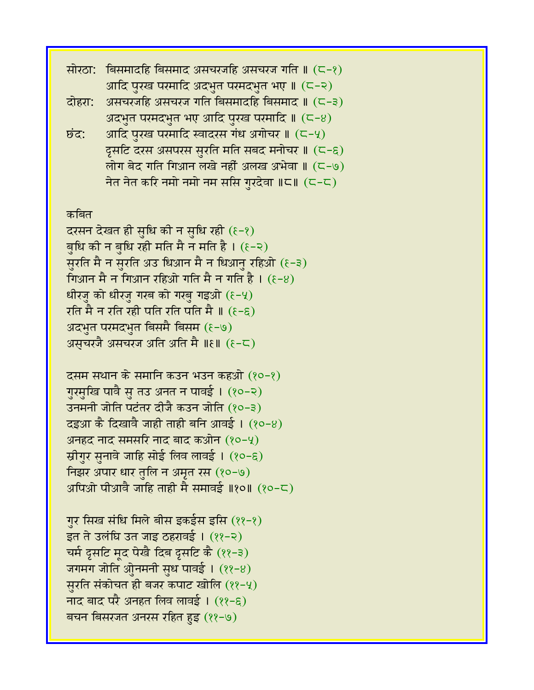| सोरठा:                                           | क्सिमादहि बिसमाद असचरजहि असचरज गति ॥ (८−१)                |  |
|--------------------------------------------------|-----------------------------------------------------------|--|
|                                                  | आदि पुरख परमादि अदभुत परमदभुत भए ॥ (८-२)                  |  |
| दोहरा:                                           | असचरजहि असचरज गति बिसमादहि बिसमाद ॥ (८-३)                 |  |
|                                                  | अदभुत परमदभुत भए आदि पुरख परमादि $\parallel$ ( $\sim$ -8) |  |
| छंद:                                             | आदि पुरख परमादि स्वादरस गंध अगोचर ॥ (८-५)                 |  |
|                                                  | द्रसटि दरस असपरस सुरति मति सबद मनोचर ॥ (८-६)              |  |
|                                                  | लोग बेद गति गिआन लखे नहीं अलख अभेवा ॥ (८-७)               |  |
|                                                  | नेत नेत करि नमो नमो नम ससि गुरदेवा ॥८॥ (८-८)              |  |
|                                                  |                                                           |  |
| कबित                                             |                                                           |  |
| दरसन देखत ही सुधि की न सुधि रही (१-१)            |                                                           |  |
| बुधि की न बुधि रही मति मै न मति है। (१-२)        |                                                           |  |
| सुरति मै न सुरति अउ धिआन मै न धिआनु रहिओ (६-३)   |                                                           |  |
| गिआन मै न गिआन रहिओ गति मै न गति है। $(\xi - 8)$ |                                                           |  |
| धीरजु को धीरजु गरब को गरबु गइओ (६-५)             |                                                           |  |
| रति मै न रति रही पति रति पति मै ॥ (६-६)          |                                                           |  |

- अदभुत परमदभुत बिसमै बिसम (१-७)
- असचरजै असचरज अति अति मै ॥ $\epsilon \parallel (\epsilon-\zeta)$

दसम सथान के समानि कउन भउन कहओ (१०-१) गुरमुखि पावै सु तउ अनत न पावई । (१०-२) उनमनी जोति पटंतर दीजै कउन जोति (१०-३)  $\overline{a}$ द्धआ कै दिखावै जाही ताही बनि आवई। (१०-४) अनहद नाद समसरि नाद बाद कओन  $(80 - 4)$ स्रीगुर सुनावे जाहि सोई लिव लावई । (१०-६) निझर अपार धार तुलि न अमृत रस (१०-७) अपिओ पीआवै जाहि ताही मै समावई ॥१०॥  $(20 - \zeta)$ 

गुर सिख संधि मिले बीस इकईस इसि (११-१) इत ते उलंधि उत जाइ ठहरावई । (११-२) चर्म दूसटि मृद पेखै दिब दूसटि कै (११-३) जगमग जोति ओुनमनी सुध पावई। (११-8) सुरति संकोचत ही बजर कपाट खोलि (११-५) नाद बाद परै अनहत लिव लावई ।  $(22-\epsilon)$ बचन बिसरजत अनरस रहित हुइ (११-७)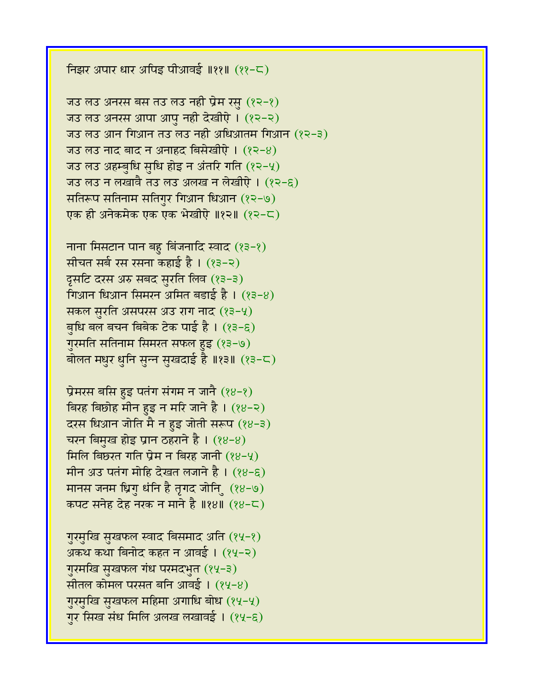**निझर अपार धार अपिड़ पीआवई ॥११॥**  $(22-\zeta)$ 

जउ लउ अनरस बस तउ लउ नहीं प्रेम रसु  $(82-8)$ जउ लउ अनरस आपा आपु नही देखीऐ। (१२-२) जउ लउ आन गिआन तउ लउ नही अधिआतम गिआन (१२-३) ज़उ लउ नाद बाद न अनाहद बिसेखीऐ।  $(22-8)$ जउ लउ अहम्बुधि सुधि होइ न अंतरि गति  $(22-4)$ जउ लउ न लखावै तउ लउ अलख न लेखीऐ । (१२-६) सतिरूप सतिनाम सतिगुर गिआन धिआन (१२-७) एक ही अनेकमेक एक एक भेखीऐ ॥१२॥ (१२-८)

नाना मिसटान पान बहु बिंजनादि स्वाद (१३-१) सीचत सर्ब रस रसना कहाई है। (१३-२)  $546$  दरस अरु सबद सुरति लिव (१३-३) गिआन धिआन सिमरन अमित बड़ाई है।  $(33-8)$ सकल सुरति असपरस अउ राग नाद (१३-५) बुधि बल बचन बिबेक टेक पाई है।  $(23-5)$ गुरमति सतिनाम सिमरत सफल हुइ (१३-७) बोलत मधुर धुनि सुन्न सुखदाई है ॥१३॥ (१३-८)

प्रेमरस बसि हुइ पतंग संगम न जानै  $(88-8)$ बिरह बिछोह मीन हुइ न मरि जाने है।  $(88-2)$ दरस धिआन जोति मै न हुइ जोती सरूप (१४-३) चरन बिमुख होइ प्रान ठहराने है ।  $(88-8)$ मिलि बिछरत गति प्रेम न बिरह जानी  $(28-9)$ मीन अउ पतंग मोहि देखत लजाने है ।  $(88-6)$ मानस जनम धिगु धंनि है तृगद जोनि (१४-७) कपट सनेह देह नख़ न माने है ॥१४॥ (१४-८)

गुरमुखि सुखफल स्वाद बिसमाद अति (१५-१) अकथ कथा बिनोद कहत न आवई। (१५-२) गुरमखि सुखफल गंध परमदभुत (१५-३) सीतल कोमल परसत बनि आवई ।  $(84-8)$ गुरमुखि सुखफल महिमा अगाधि बोध (१५-५) गुर सिख संध मिलि अलख लखावई। (१५-६)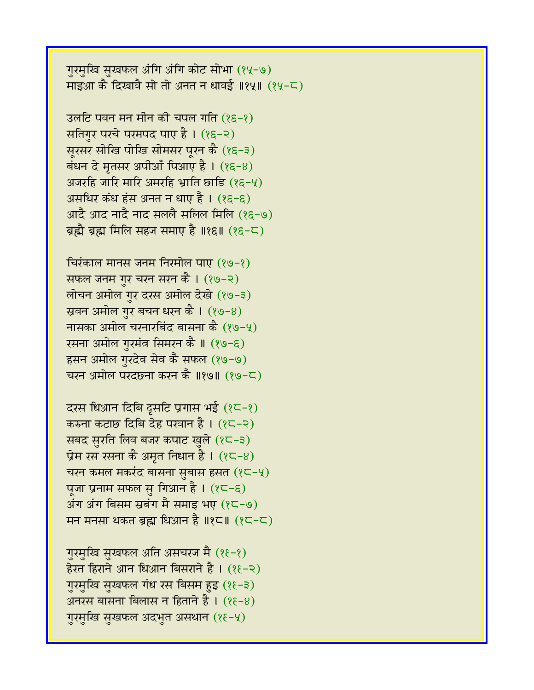गुरमुखि सुखफल अंगि अंगि कोट सोभा (१५-७) माइआ कै दिखावै सो तो अनत न धावई ॥१५॥ (१५-८)

उलटि पवन मन मीन की चपल गति  $(85-8)$ सतिगुर परचे परमपद पाए है। (१६-२) सूरसर सोखि पोखि सोमसर पूरन कै (१६-३) बंधन दे मृतसर अपीआँ पिआए है।  $(85-8)$ अजरहि जारि मारि अमरहि भ्राति छाडि  $(85-4)$ असथिर कंध हंस अनत न धाए है ।  $(85-6)$ आदै आद नादै नाद सललै सलिल मिलि (१६-७) ब्रह्मै ब्रह्म मिलि सहज समाए है ॥१६॥  $(85-5)$ 

चिरंकाल मानस जनम निरमोल पाए  $(89-8)$ सफल जनम गुर चरन सरन कै । (१७-२) लोचन अमोल गुर दरस अमोल देखे (१७-३) स्रवन अमोल गुर बचन धरन कै।  $(89-8)$ नासका अमोल चरनारबिंद बासना कै  $(89-4)$ रसना अमोल गुरमंत्र सिमरन कै ॥ (१७-६) हसन अमोल गुरदेव सेव कै सफल (१७-७) चरन अमोल परदछना करन कै ॥१७॥  $(29-5)$ 

दरस धिआन दिबि दूसटि प्रगास भई  $(2\zeta - 2)$ करुना कटाछ दिबि देह परवान है।  $(25-2)$ सबद सरति लिव बजर कपाट खुले  $(8-3)$ प्रेम रस रसना कै अमृत निधान है।  $(8\zeta - 8)$ चरन कमल मकरंद बासना सुबास हसत  $(8C - 4)$ पूजा प्रनाम सफल सु गिआन है। (१८-६) अंग अंग बिसम स्रबंग मै समाइ भए  $(25-9)$ मन मनसा थकत ब्रह्म धिआन है ॥१८॥ (१८-८)

गुरमुखि सुखफल अति असचरज मै (१६-१) हेरत हिराने आन धिआन बिसराने है ।  $(85-8)$ गुरमुखि सुखफल गंध रस बिसम हुइ (१६-३) अनरस बासना बिलास न हिताने है ।  $(85-8)$ गुरमुखि सुखफल अदभुत असथान (१६-५)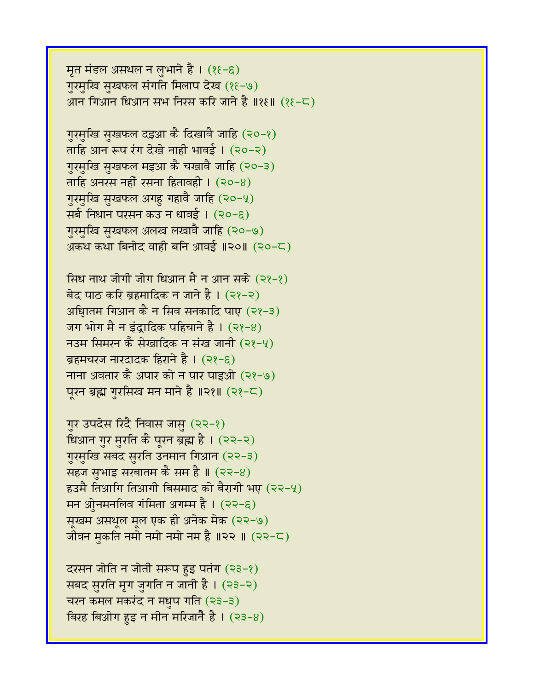मृत मंडल असथल न लुभाने है। (१६-६) गुरमुखि सुखफल संगति मिलाप देख (१६-७) आन गिआन धिआन सभ निरस करि जाने है ॥१६॥ (१६-८)

गुरमुखि सुखफल दइआ़ कै दिखावै जाहि (२०-१) ताहि आन रूप रंग देखे नाही भावई। (२०-२) गुरमुखि सुखफल मइआ कै चखावै जाहि (२०-३) ताहि अनरस नहीं रसना हितावही ।  $(20-8)$ गुरमुखि सुखफल अगहु गहावै जाहि (२०-५) सर्ब निधान परसन कउ न धावई । (२०-६) गुरमुखि सुखफल अलख लखावै जाहि (२०-७) अकथ कथा बिनोद वाही बनि आवई ॥२०॥ (२०-८)

सिंध नाथ जोगी जोग धिआन मै न आन सके (२१-१) बेद पाठ करि ब्रहमादिक न जाने है। (२१-२) अधिातम गिआन कै न सिव सनकादि पाए (२१-३) जग भोग मै न इंदादिक पहिचाने है।  $(22-8)$ नउम सिमरन कै सेखादिक न संख जानी  $(22-4)$ ब्रहमचरज नारदादक हिराने है । (२१-६) नाना अवतार कै अपार को न पार पाइओ (२१-७) पूरन ब्रह्म गुरसिख मन माने है ॥२१॥ (२१-८)

गुर उपदेस रिंदै निवास जासु (२२-१) धिआन गुर मुरति कै पूरन ब्रह्म है। (२२-२) गुरमुखि सबद सुरति उनमान गिआन (२२-३) सहज सुभाइ सरबातम कै सम है ॥  $(22-8)$ हउमै तिआगि तिआगी बिसमाद को बैरागी भए (२२-५) मन ओुनमनलिव गंमिता अगम्म है।  $(22-\epsilon)$ सूखम असथूल मूल एक ही अनेक मेक (२२-७) जीवन मुकति नमो नमो नमो नम $\frac{3}{6}$  ॥२२ ॥ (२२-८)

दरसन जोति न जोती सरूप हुइ पतंग  $(23-2)$ सबद सुरति मृग जुगति न जानी है। (२३-२) चरन कमल मकरंद न मधुप गति (२३-३) बिरह बिओग हुइ न मीन मरिजाने है।  $(23-8)$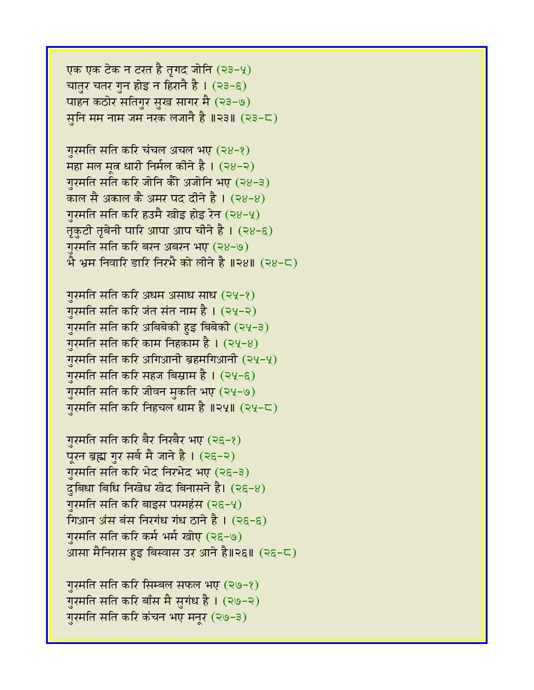आसा मैनिरास हुइ बिस्वास उर आने है॥२६॥ (२६-८) गुरमति सति करि सिम्बल सफल भए (२७-१) गुरमति सति करि बाँस मै सुगंध है। (२७-२) गुरमति सति करि कंचन भए मनुर (२७-३)

गुरमति सति करि बैर निखैर भए (२६-१) पूरन ब्रह्म गुर सर्ब मै जाने है। (२६-२) गुरमति सति करि भेद निरभेद भए (२६-३)  $\zeta$ बिधा बिधि निखेध खेद बिनासने है। (२६-४) गरमति सति करि बाइस परमहंस  $(2\xi-\gamma)$ गिआन अंस बंस निरगंध गंध ठाने है ।  $(2\xi-\xi)$ गुरमति सति करि कर्म भर्म खोए (२६-७)

गुरमति सति करि अधम असाध साध (२५-१) गुरमति सति करि जंत संत नाम है । (२५-२) गुरमति सति करि अबिबेकी हुइ बिबेकी (२५-३) गुरमति सति करि काम निहकाम है ।  $(24-8)$ गुरमति सति करि अगिआनी ब्रहमगिआनी (२५-५) गुरमति सति करि सहज बिस्राम है । (२५-६) गुरमति सति करि जीवन मुकति भए (२५-७) गुरमति सति करि निहचल धाम है ॥२५॥ (२५-८)

गुरमति सति करि चंचल अचल भए (२४-१) महा मल मृत धारी निर्मल कीने है।  $(28-2)$ गुरमति सति करि जोनि कैी अजोनि भए (२४-३) काल सै अकाल कै अमर पद दीने है। (२४-४) गुरमति सति करि हउमै खोइ होइ रेन (२४-५) तृकुटी तृबेनी पारि आपा आप चीने है । (२४-६) गुरमति सति करि बरन अबरन भए (२४-७)  $\hat{P}$  भ्रम निवारि डारि निरभै को लीने है ॥२४॥ (२४-८)

एक एक टेक न टरत है तृगद जोनि (२३-५) चातुर चतर गुन होइ न हिरानै है।  $(23-6)$ पाहन कठोर सतिगुर सुख सागर मै (२३-७) सूनि मम नाम जम नरक लजानै है ॥२३॥  $(23-5)$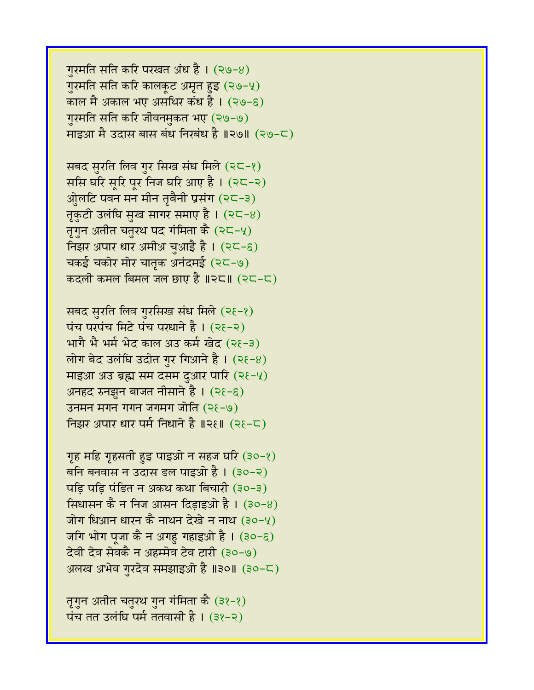गुरमति सति करि परखत अंध है। (२७-४) गुरमति सति करि कालकूट अमृत हुइ (२७-५) काल मै अकाल भए असथिर कंध है।  $(29-6)$ गुरमति सति करि जीवनमुकत भए (२७-७) माइआ मै उदास बास बंध निखंध है ॥२७॥ (२७-८)

सबद सुरति लिव गुर सिख संध मिले (२८-१) ससि घरि सूरि पूर निज घरि आए है।  $(2C-2)$ ओुलटि पवन मन मीन तृबैनी प्रसंग (२८-३) तृकुटी उलंघि सुख सागर समाए है।  $(25-8)$ तृगुन अतीत चतुरथ पद गंमिता कै (२८-५) निझर अपार धार अमीअ चुआई है।  $(25-6)$ चकई चकोर मोर चातृक अनंदमई (२८-७) कदली कमल बिमल जल छाए है $\parallel$ २८ $\parallel$  (२८-८)

सबद सुरति लिव गुरसिख संध मिले (२१-१)  $\overline{u}$ च परंपच मिटे पंच परधाने है। (२१-२) भागै भै भर्म भेद काल अउ कर्म खेद (२१-३) लोग बेद उलंघि उदोत गुर गिआने है।  $(2\xi-8)$ माइआ अउ ब्रह्म सम दसम दुआर पारि (२१-५) अनहद रुनझुन बाजत नीसाने है। (२१-६) उनमन मगन गगन जगमग जोति  $(2\xi - 9)$ निझर अपार धार पर्म निधाने है ॥२१॥  $($ २१-८)

गृह महि गृहसती हुइ पाइओ न सहज घरि (३०-१) बनि बनवास न उदास डल पाइओ है । (३०-२) पड़ि पड़ि पंडित न अकथ कथा बिचारी (३०-३) सिधासन कै न निज आसन दिडाइओ है । (३०-४) जोग धिआन धारन कै नाथन देखे न नाथ (३०-५) जगि भोग पूजा कै न अगह गहाइओ है ।  $(30-6)$ देवी देव सेवकै न अहम्मेव टेव टारी (३०-७) अलख अभेव गुरदेव समझाइओ है ॥३०॥ (३०-८)

तृगुन अतीत चतुरथ गुन गंमिता कै (३१-१) पंच तत उलंघि पर्म ततवासी है।  $(38-2)$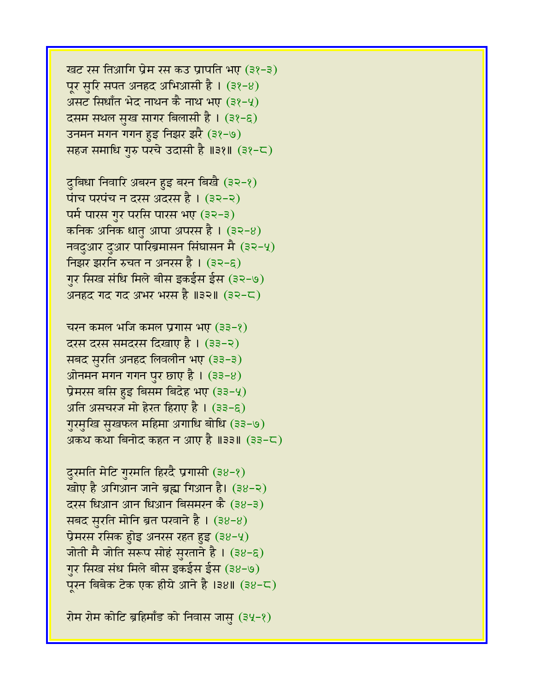खट रस तिआगि प्रेम रस कउ प्रापति भए (३१-३) पूर सुरि सपत अनहद अभिआसी है ।  $(32-8)$ असट सिधाँत भेद नाथन कै नाथ भए (३१-५) दसम सथल सुख सागर बिलासी है। (३१-६) उनमन मगन गगन हुइ निझर झरै (३१-७) सहज समाधि गरु परचे उदासी है ॥३१॥ (३१-८)

दुबिधा निवारि अबरन हुइ बरन बिखै (३२-१) पांच परपंच न दरस अदरस है । (३२-२) पर्म पारस गुर परसि पारस भए (३२-३) कनिक अनिक धातु आपा अपरस है । (३२-४)  $\overline{\mathsf{q}}$ वदुआर दुआर पारिब्रमासन सिंघासन मै (३२-५) निझर झरनि रुचत न अनरस है । (३२-६) गुर सिख संधि मिले बीस इकईस ईस (३२-७) अनहद गद गद अभर भरस है ॥३२॥  $(32-\mathsf{C})$ 

चरन कमल भजि कमल प्रगास भए (३३-१) दरस दरस समदरस दिखाए है । (३३-२) सबद सुरति अनहद लिवलीन भए (३३-३)  $\overline{\mathfrak{M}}$ नमन मगन पुर छाए है। (३३-४) प्रेमरस बसि हुइ बिसम बिदेह भए (३३-५) अति असचरज मो हेरत हिराए है ।  $(33-6)$ गुरमुखि सुखफल महिमा अगाधि बोधि (३३-७) अकथ कथा बिनोद कहत न आए है ॥३३॥ (३३-८)

दुरमति मेटि गुरमति हिरदै प्रगासी (३४-१) खोए है अगिआन जाने ब्रह्म गिआन है। (३४-२) दरस धिआन आन धिआन बिसमरन कै (३४-३) सबद सुरति मोनि ब्रत परवाने है।  $(38-8)$ प्रेमरस रसिक होइ अनरस रहत हुइ (३४-५) जोती मै जोति सरूप सोहं सुरताने है।  $(38-6)$ गुर सिख संध मिले बीस इकईस ईस (३४-७)  $\frac{1}{2}$ एरन बिबेक टेक एक हीये आने है ।३४॥ (३४-८)

रोम रोम कोटि ब्रहिमाँड को निवास जास  $(34-8)$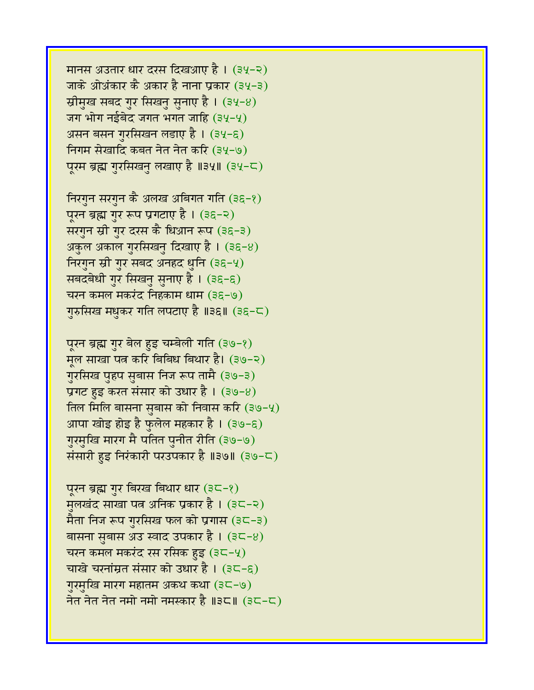पूरन ब्रह्म गुर बिरख बिथार धार (३८-१) मुलखंद साखा पत्न अनिक प्रकार है। (३८-२) मैता निज रूप गुरसिख फल को प्रगास  $(3C-3)$ बासना सुबास अउ स्वाद उपकार है। (३८-४) चरन कमल मकरंद रस रसिक हुइ (३८-५) चाखे चरनांम्रत संसार को उधार है।  $(3C-\epsilon)$ गुरमुखि मारग महातम अकथ कथा (३८-७) नेत नेत नेत नमो नमो नमस्कार है ॥३८॥ (३८-८)

पूरन ब्रह्म गुर बेल हुइ चम्बेली गति (३७-१) मूल साखा पत्न करि बिबिध बिथार है। (३७-२) गुरसिख पुहप सुबास निज रूप तामै (३७-३) प्रगट हुइ करत संसार को उधार है। (३७-४) तिल मिलि बासना सुबास को निवास करि (३७-५) आपा खोइ होइ है फुलेल महकार है । (३७-६) गुरमुखि मारग मै पतित पुनीत रीति (३७-७) संसारी हुइ निरंकारी परउपकार है ॥३७॥ (३७-८)

निरगुन सरगुन कै अलख अबिगत गति (३६-१) पूरन ब्रह्म गुर रूप प्रगटाए है । (३६-२) सरगुन स्री गुर दरस कै धिआन रूप (३६-३) अकुल अकाल गुरसिखनु दिखाए है । (३६-४) निरगुन स्री गुर सबद अनहद धुनि (३६-५) सबदबेधी गुर सिखनु सुनाए है। (३६-६) चरन कमल मकरंद निहकाम धाम (३६-७) गुरुसिख मधुकर गति लपटाए है ॥३६॥ (३६-८)

मानस अउतार धार दरस दिखआए है । (३५-२) जाके ओअंकार कै अकार है नाना प्रकार (३५-३) स्रीमुख सबद गुर सिखनु सुनाए है। (३५-४) जग भोग नईबेद जगत भगत जाहि  $(34-4)$ असन बसन गुरसिखन लडाए है । (३५-६) निगम सेखादि कबत नेत नेत करि (३५-७) पूरम ब्रह्म गुरसिखनु लखाए है ॥३५॥ (३५-८)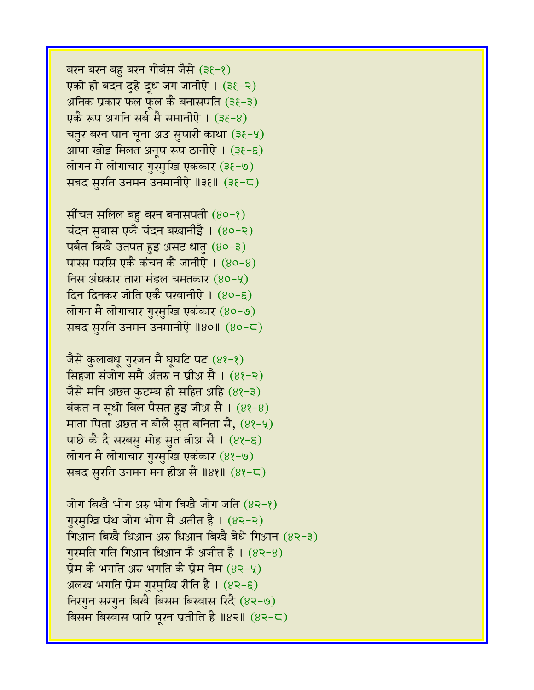बरन बरन बहु बरन गोबंस जैसे (३१-१) एको ही बदन दुहे दूध जग जानीऐ। (३६-२) अनिक प्रकार फल फल कै बनासपति (३ $\xi$ -३) एकै रूप अगनि सर्ब मै समानीऐ । (३६-४) चतुर बरन पान चूना अउ सुपारी काथा (३ $\xi$ -५) आपा खोइ मिलत अनूप रूप ठानीऐ । (३६-६) लोगन मै लोगाचार गुरमुखि एकंकार (३६-७) सबद सुरति उनमन उनमानीऐ ॥३६॥ (३६-८)

सौंचत सलिल बहु बरन बनासपती  $(80-8)$ चंदन सुबास एकै चंदन बखानीईै। (४०-२) पर्वत बिखै उतपत हुइ असट धातु (४०-३) पारस परसि एकै कंचन कै जानीऐ ।  $(80-8)$ निस अंधकार तारा मंडल चमतकार  $(80 - 4)$ दिन दिनकर जोति एकै परवानीऐ। (४०-६) लोगन मै लोगाचार गुरमुखि एकंकार (४०-७) सबद सुरति उनमन उनमानीऐ ॥४०॥ (४०-८)

जैसे कुलाबधू गुरजन मै घूघटि पट (४१-१) सिंहजा संजोग समै अंतरु न प्रीअ सै ।  $(89-2)$ जैसे मनि अछत कुटम्ब ही सहित अहि (४१-३) बंकत न सूधो बिल पैसत हुइ जीअ सै ।  $(82-8)$ माता पिता अछत न बोलै सुत बनिता सै,  $(8\ell-\frac{1}{2})$ पाछे कै दै सरबसु मोह सुत त्नीअ सै ।  $(83-6)$ लोगन मै लोगाचार गुरमुखि एकंकार (४१-७) सबद सुरति उनमन मन हीअ सै ॥४१॥ (४१-८)

जोग बिखै भोग अरु भोग बिखै जोग जति  $(8\lambda - 8)$ गुरमुखि पंथ जोग भोग सै अतीत है। (४२-२) गिआन बिखै धिआन अरु धिआन बिखै बेधे गिआन (४२-३) गरमति गति गिआन धिआन कै अजीत है।  $(82-8)$ प्रेम कै भगति अरु भगति कै प्रेम नेम (४२-५) अलख भगति प्रेम गुरमुखि रीति है । (४२-६) निरगुन सरगुन बिखै बिसम बिस्वास रिदै (४२-७) बिसम बिस्वास पारि पूरन प्रतीति है ॥४२॥  $(8$ २-८)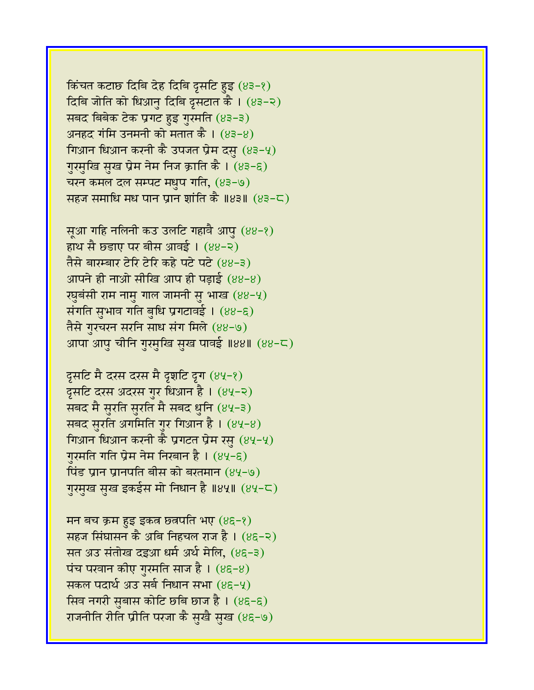किंचत कटाछ दिबि देह दिबि द्रसटि हुइ  $(83-8)$ दिबि जोति को धिआनु दिबि दृसटात कै। (४३-२) सबद बिबेक टेक प्रगट हुइ गुरमति (४३-३) अनहद गंमि उनमनी को मतात कै ।  $(83-8)$ गिआन धिआन करनी कै उपजत प्रेम दसु  $(83-4)$ गुरमुखि सुख प्रेम नेम निज क्राति कै । (४३-६) चरन कमल दल सम्पट मधुप गति,  $(83-9)$ सहज समाधि मध पान प्रान शांति कै ॥४३॥  $(83-5)$ 

सूआ गहि नलिनी कउ उलटि गहावै आपु (४४-१) हाथ सै छडाए पर बीस आवई। (४४-२) तैसे बारम्बार टेरि टेरि कहे पटे पटे (४४-३) आपने ही नाओ सीखि आप ही पडाई  $(88-8)$ रघुबंसी राम नामु गाल जामनी सु भाख  $(88-4)$ संगति सुभाव गति बुधि प्रगटावई। (88-8) तैसे गुरचरन सरनि साध संग मिले (४४-७) आपा आपु चीनि गुरमुखि सुख पावई ॥४४॥ (४४-८)

दूसटि मै दरस दरस मै दृशटि दृग  $(84-8)$ दूसटि दरस अंदरस गुर धिआन है । (४५-२) सबद मै सुरति सुरति मै सबद धुनि (४५-३) सबद सुरति अगमिति गुर गिआन है ।  $(84-8)$ गिआन धिआन करनी कै प्रगटत प्रेम रसु  $(84-4)$ ग़रमति गति प्रेम नेम निरबान है।  $(84-6)$ *tis प्रान प्रानपति बीस को बरतमान (४५-७)* गुरमुख सुख इकईस मो निधान है ॥४५॥ (४५-८)

मन बच क्रम हुइ इकत छतपति भए  $(8\xi - \xi)$ सहज सिंघासन कै अबि निहचल राज है ।  $(8)$ –२) सत अउ संतोख दइआ धर्म अर्थ मेलि, (४६-३) पंच परवान कीए गुरमति साज है।  $(8\xi - 8)$ सकल पदार्थ अउ सर्ब निधान सभा (४९-५) सिव नगरी सुबास कोटि छबि छाज है।  $(8\xi - \xi)$ राजनीति रीति प्रीति परजा कै सुखै सुख (४६-७)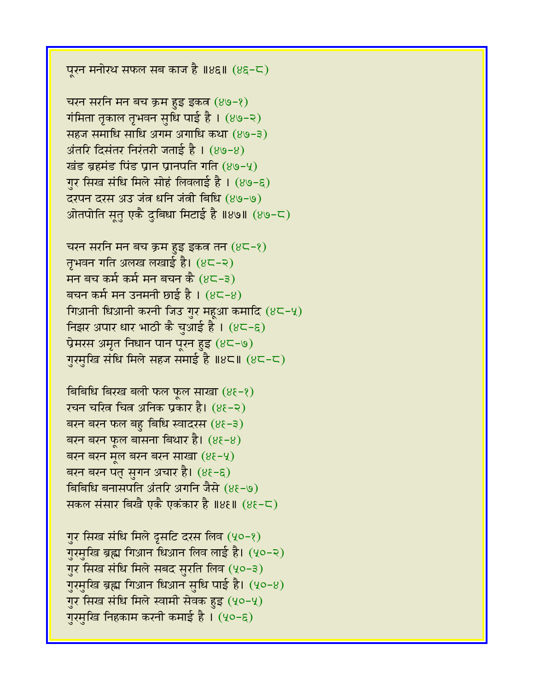पूरन मनोरथ सफल सब काज है ॥४६॥  $(85-\sqrt{2})$ 

चरन सरनि मन बच क्रम हुइ इकत  $(89-8)$ गंमिता तृकाल तृभवन सृधि पाई है।  $(89-2)$ सहज समाधि साधि अगम अगाधि कथा (४७-३)  $\overline{\mathcal{A}}$ तरि दिसंतर निरंतरी जताई है। (४७-४) खंड ब्रहमंड पिंड प्रान प्रानपति गति  $(89-4)$ गुर सिख संधि मिले सोहं लिवलाई है । (४७-६) दरपन दरस अउ जंत धनि जंत्री बिधि (४७-७) आेतपोति सत एकै दुबिधा मिटाई है ॥४७॥  $(89-5)$ 

चरन सरनि मन बच क्रम हुइ इकत तन  $(8C-\ell)$ तृभवन गति अलख लखाई है। (४८-२) मन बच कर्म कर्म मन बचन कै  $(8C-3)$ बचन कर्म मन उनमनी छाई है।  $(85-8)$ गिआनी धिआनी करनी जिउ गुर महूआ कमादि  $(8C - 4)$ निझर अपार धार भाठी कै चुआई है।  $(8\epsilon - \epsilon)$ प्रेमरस अमृत निधान पान पूरन हुइ  $(85-9)$ गुरमुखि संधि मिले सहज समाई है ॥४८॥  $(8C-<)$ 

बिबिधि बिरख बली फल फूल साखा  $(8\xi - \xi)$ रचन चरित्र चित्र अनिक प्रकार है। (४६-२) बरन बरन फल बहु बिधि स्वादरस  $(8\xi - \xi)$ बरन बरन फुल बासना बिथार है।  $(8\xi - 8)$ बरन बरन मूल बरन बरन साखा  $(8\xi-\gamma)$ बरन बरन पतु सुगन अचार है।  $(8\xi - \xi)$ बिबिधि बनासपति अंतरि अगनि जैसे (४६-७) सकल संसार बिखै एकै एकंकार है ॥४६॥ (४६-८)

गुर सिख संधि मिले दूसटि दरस लिव (५०-१) गुरमुखि ब्रह्म गिआन धिआन लिव लाई है। (५०-२) गुर सिख संधि मिले सबद सुरति लिव (५०-३) गुरमुखि ब्रह्म गिआन धिआन सुधि पाई है। (५०-४) गुर सिख संधि मिले स्वामी सेवक हुइ (५०-५) गुरमुखि निहकाम करनी कमाई है। (५०-६)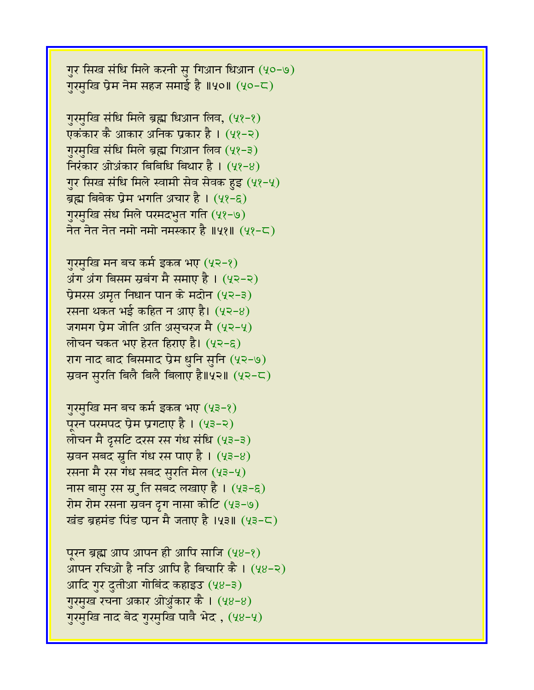गुर सिख संधि मिले करनी सु गिआन धिआन (५०-७) गुरमुखि प्रेम नेम सहज समाई है ॥५०॥  $(40-5)$ 

गुरमुखि संधि मिले ब्रह्म धिआन लिव, (५१-१) एकंकार कै आकार अनिक प्रकार है । (५१-२) गुरमुखि संधि मिले ब्रह्म गिआन लिव (५१-३) निरंकार ओअंकार बिबिधि बिथार है।  $(48-8)$ गुर सिख संधि मिले स्वामी सेव सेवक हुइ (५१-५) ब्रह्म बिबेक प्रेम भगति अचार है। (५१-६) गुरमुखि संध मिले परमदभुत गति (५१-७) नेत नेत नेत नमो नमो नमस्कार है ॥५१॥ (५१-८)

गुरमुखि मन बच कर्म इकत्र भए (५२-१)  $\overline{a}$ यंग बिसम स्रबंग मै समाए है। (५२-२)  $\vec{v}$ मरस अमृत निधान पान के मदोन (५२-३) रसना थकत भई कहित न आए है। (५२-४) जगमग प्रेम जोति अति असचरज मै (५२-५) लोचन चकत भए हेरत हिराए है।  $(42-6)$ राग नाद बाद बिसमाद प्रेम धुनि सुनि (५२-७) स्रवन सुरति बिलै बिलै बिलाए है॥५२॥ (५२-८)

गुरमुखि मन बच कर्म इकत्र भए (५३-१) पूरन परमपद प्रेम प्रगटाए है।  $(43-2)$ लोचन मै दुसटि दरस रस गंध संधि (५३-३) स्रवन सबद सृति गंध रस पाए है।  $(43-8)$ रसना मै रस गंध सबद सुरति मेल (५३-५) नास बासु रस स्रुति सबद लखाए है। (५३-६) रोम रोम रसना स्रवन दुग नासा कोटि (५३-७) खंड ब्रहमंड पिंड पान मै जताए है। पुरु॥  $(43-5)$ 

पुरन ब्रह्म आप आपन ही आपि साजि  $(48-2)$ आपन रचिओ है नउि आपि है बिचारि कै ।  $(48-2)$ आदि गुर दुतीआ गोबिंद कहाइउ (५४-३) गुरमुख रचना अकार ओअुंकार कै । (५४-४) गुरमुखि नाद बेद गुरमुखि पावै भेद, (५४-५)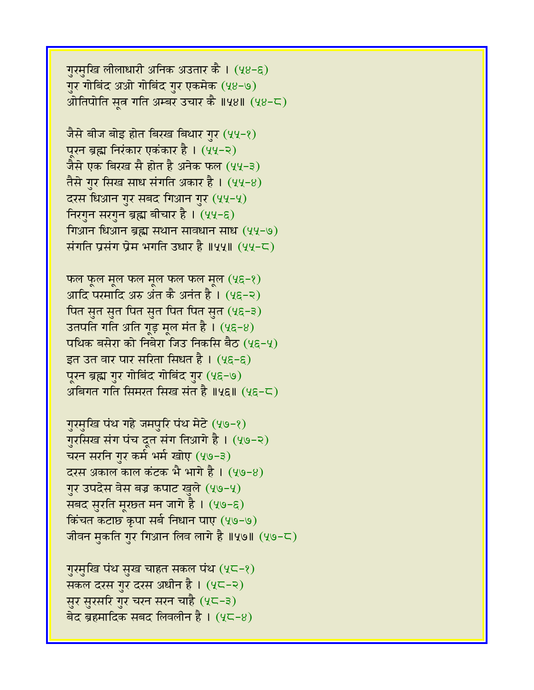गुरमुखि लीलाधारी अनिक अउतार कै। (५४-६) गुर गोबिंद अओ गोबिंद गुर एकमेक (५४-७) ओतिपोति सत्न गति अम्बर उचार कै ॥५४॥ (५४-८)

जैसे बीज बोइ होत बिरख बिथार गुर (५५-१) पुरन ब्रह्म निरंकार एकंकार है। (५५-२) जैसे एक बिरख सै होत है अनेक फल (५५-३) तैसे गुर सिख साध संगति अकार है ।  $(44-8)$ दरस धिआन गुर सबद गिआन गुर (५५-५) निरगुन सरगुन ब्रह्म बीचार है । (५५-६) गिआन धिआन ब्रह्म सथान सावधान साध $(44-9)$ संगति प्रसंग प्रेम भगति उधार है ॥५५॥  $(44-5)$ 

फल फूल मूल फल मूल फल फल मूल  $(4\xi - \xi)$ आदि परमादि अरु अंत कै अनंत है।  $(4\xi - 2)$ पित सुत सुत पित सुत पित पित सुत (५६-३) उतपति गति अति गूड़ मूल मंत है।  $(4\xi - 8)$ पथिक बसेरा को निबेरा जिउ निकसि बैठ (५६-५) इत उत वार पार सरिता सिधत है ।  $(4\xi - \xi)$ पूरन ब्रह्म गुर गोबिंद गोबिंद गुर (५६-७) अबिगत गति सिमरत सिख संत है ॥५६॥ (५६-८)

गुरमुखि पंथ गहे जमपुरि पंथ मेटे (५७-१) गुरसिख संग पंच दूत संग तिआगे है । (५७-२) चरन सरनि गुर कर्म भर्म खोए (५७-३) दरस अकाल काल कंटक भै भागे है ।  $(40-8)$ गुर उपदेस वेस बज्र कपाट खुले (५७-५) सबद सुरति मूरछत मन जागे है। (५७-६) किंचत कटाछ कृपा सर्ब निधान पाए (५७-७) जीवन मुकति गुर गिआन लिव लागे है ॥५७॥ (५७-८)

गुरमुखि पंथ सुख चाहत सकल पंथ (५८-१) सकल दरस गुर दरस अधीन है। (५८-२) सुर सुरसरि गुर चरन सरन चाहै (५८-३) बेद ब्रहमादिक सबद लिवलीन है।  $(4C-8)$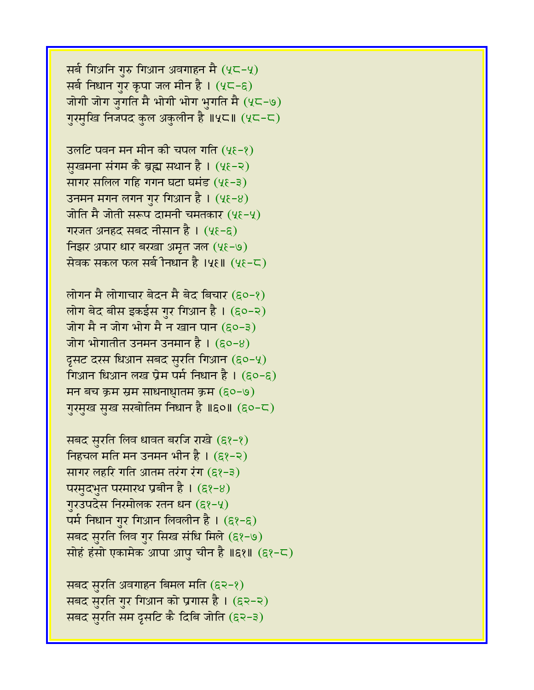सर्ब गिअनि गुरु गिआन अवगाहन मै $(2<sup>2</sup> - 4)$ सर्ब निधान गुर कृपा जल मीन है ।  $(4C-\epsilon)$ जोगी जोग जुगति मै भोगी भोग भुगति मै $(4C-9)$ गुरमुखि निजपद कुल अकुलीन है ॥५⊂॥ (५⊂-८)

उलटि पवन मन मीन की चपल गति (५६-१) सुखमना संगम कै ब्रह्म सथान है। (५६-२) सागर सलिल गहि गगन घटा घमंड  $(4\xi - \xi)$ उनमन मगन लगन गुर गिआन है ।  $(4\xi-8)$ जोति मै जोती सरूप दामनी चमतकार (५९-५) गरजत अनहद सबद नीसान है। (५६-६) निझर अपार धार बरखा अमृत जल  $(4\xi - 9)$ सेवक सकल फल सर्ब निधान है ।५६॥ (५६-८)

लोगन मै लोगाचार बेदन मै बेद बिचार (६०-१) लोग बेद बीस इकईस गुर गिआन है । (६०-२) जोग मै न जोग भोग मै न खान पान  $(50-3)$ जोग भोगातीत उनमन उनमान है।  $(60-8)$ दृसट दरस धिआन सबद सुरति गिआन (६०-५) गिआन धिआन लख प्रेम पर्म निधान है।  $(50-5)$ मन बच क्रम स्रम साधनाधातम क्रम  $(50-9)$ गुरमुख सुख सरबोतिम निधान है ॥६०॥ (६०-८)

सबद सुरति लिव धावत बरजि राखे (६१-१) निहचल मति मन उनमन भीन है।  $(8? - 8)$ सागर लहरि गति आतम तरंग रंग  $(8) - 3$ ) परमुदभुत परमारथ प्रबीन है।  $(8,8-8)$ गुरउपदेस निरमोलक रतन धन  $(g\} - \gamma)$ पर्म निधान गुर गिआन लिवलीन है ।  $(8,2-6)$ सबद सुरति लिव गुर सिख संधि मिले (६१-७) सोहं हंसो एकामेक आपा आपु चीन है ॥६१॥  $(8^{9}-\zeta)$ 

सबद सुरति अवगाहन बिमल मति (६२-१) सबद सुरति गुर गिआन को प्रगास है ।  $(5 - 2)$ सबद सरति सम द्रसटि कै दिबि जोति (६२-३)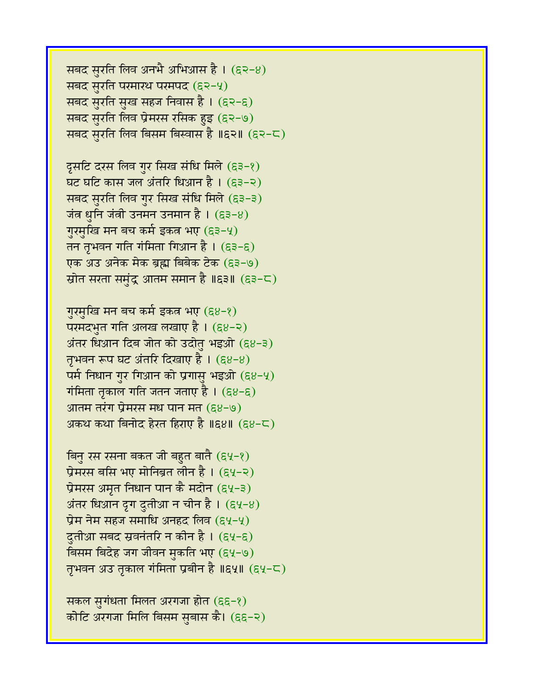सबद सुरति लिव अनभै अभिआस है।  $(52-8)$ सबद सुरति परमारथ परमपद (६२-५) सबद सुरति सुख सहज निवास है। (६२-६) सबद सुरति लिव प्रेमरस रसिक हुइ (६२-७) सबद सुरति लिव बिसम बिस्वास है ॥६२॥ (६२-८)

दूसटि दरस लिव गुर सिख संधि मिले (६३-१) घट घटि कास जल अंतरि धिआन है । (६३-२) सबद सुरति लिव गुर सिख संधि मिले (६३-३) जंत्र धुनि जंत्री उनमन उनमान है।  $($ ६३-४) गुरमुखि मन बच कर्म इकत्र भए (६३-५) तन तृभवन गति गंमिता गिआन है।  $($ ६३-६) एक अउ अनेक मेक ब्रह्म बिबेक टेक (६३-७) स्रोत सरता समंद्र आतम समान है ॥६३॥ (६३-८)

गुरमुखि मन बच कर्म इकत्र भए (६४-१) परमदभुत गति अलख लखाए है।  $(68-2)$ अंतर धिआन दिब जोत को उदोतु भइओ  $(88-3)$ तृभवन रूप घट अंतरि दिखाए है ।  $(g8-8)$ पर्म निधान गुर गिआन को प्रगासु भइओ  $(88-4)$ गंमिता तृकाल गति जतन जताए है ।  $(g_8 - g)$ आतम तरंग प्रेमरस मध पान मत  $(g_8-9)$ अकथ कथा बिनोद हेरत हिराए है ॥६४॥  $($ ६४-८)

बिनु रस रसना बकत जी बहुत बातै (६५-१) प्रेमरस बसि भए मोनिब्रत लीन है। (६५-२) प्रेमरस अमृत निधान पान कै मदोन (६५-३)  $\dot{\mathcal{A}}$ तर धिआन दृग दुतीआ न चीन है। (६५-४) प्रेम नेम सहज समाधि अनहद लिव (६५-५) दुतीआ सबद स्रवनंतरि न कीन है । (६५-६) विसम बिदेह जग जीवन मुकति भए (६५-७) तृभवन अउ तृकाल गंमिता प्रबीन है ॥६५॥ (६५-८)

सकल सुगंधता मिलत अरगजा होत (६६-१) कोटि अरगजा मिलि बिसम सुबास कै। (६६-२)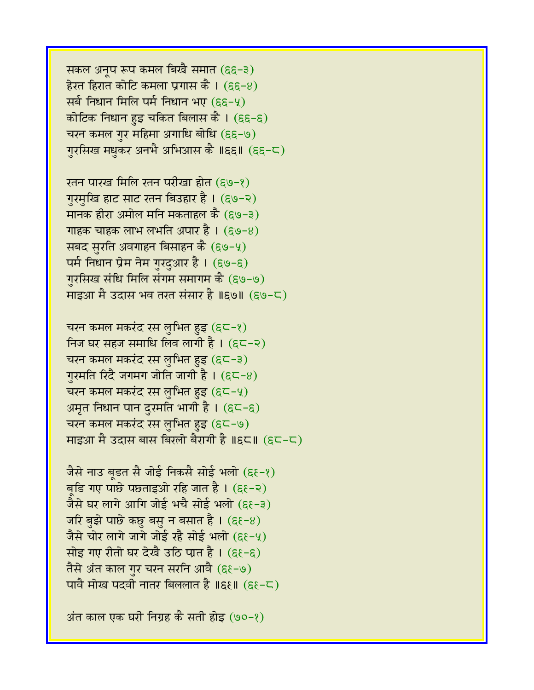सकल अनूप रूप कमल बिखै समात (६६-३) हेरत हिरात कोटि कमला प्रगास कै । (६६-४) सर्ब निधान मिलि पर्म निधान भए (६६-५) कोटिक निधान हुइ चकित बिलास कै ।  $(\epsilon \epsilon - \epsilon)$ चरन कमल गुर महिमा अगाधि बोधि (६६-७) गुरसिख मधुकर अनभै अभिआस कै ॥६६॥ (६६-८)

रतन पारख मिलि रतन परीखा होत (६७-१) गुरमुखि हाट साट रतन बिउहार है । (६७-२) मानक हीरा अमोल मनि मकताहल कै (६७-३) गाहक चाहक लाभ लभति अपार है।  $(\epsilon \vartheta - 8)$ सबद सुरति अवगाहन बिसाहन कै  $(\epsilon \Theta - 4)$ पर्म निधान प्रेम नेम गुरदुआर है । (६७-६) गुरसिख संधि मिलि संगम समागम कै (६७-७) माइआ मै उदास भव तरत संसार है ॥६७॥ (६७-८)

चरन कमल मकरंद रस लुभित हुइ (६८-१) निज घर सहज समाधि लिव लागी है ।  $(\epsilon \in \mathbb{R})$ चरन कमल मकरंद रस लुभित हुइ (६८-३) गुरमति रिंदै जगमग जोति जागी है।  $($ ह $\subset$ -8) चरन कमल मकरंद रस लुभित हुइ  $(\epsilon - 4)$ अमृत निधान पान दुरमति भागी है। (६८-६) चरन कमल मकरंद रस लुभित हुइ (६८-७) माइआ मै उदास बास बिरलो बैरागी है ॥६८॥  $(65-5)$ 

जैसे नाउ बूडत सै जोई निकसै सोई भलो (ह $\xi$ -१) बडि गए पाछे पछताइओ रहि जात है।  $( \varepsilon \varepsilon - \varepsilon)$ जैसे घर लागे आगि जोई भचै सोई भलो  $(\epsilon \epsilon - \epsilon)$ जरि बुझे पाछे कछु बसु न बसात है।  $(\epsilon \epsilon - 8)$ जैसे चोर लागे जागे जोई रहै सोई भलो  $(\varepsilon \epsilon - 4)$ सोइ गए रीतो घर देखै उठि पात है।  $( \varepsilon \varepsilon - \varepsilon)$ तैसे अंत काल गुर चरन सरनि आवै (६१-७) पावै मोख पदवी नातर बिललात है ॥६६॥  $(56-\zeta)$ 

अंत काल एक घरी निग्रह कै सती होइ (७०-१)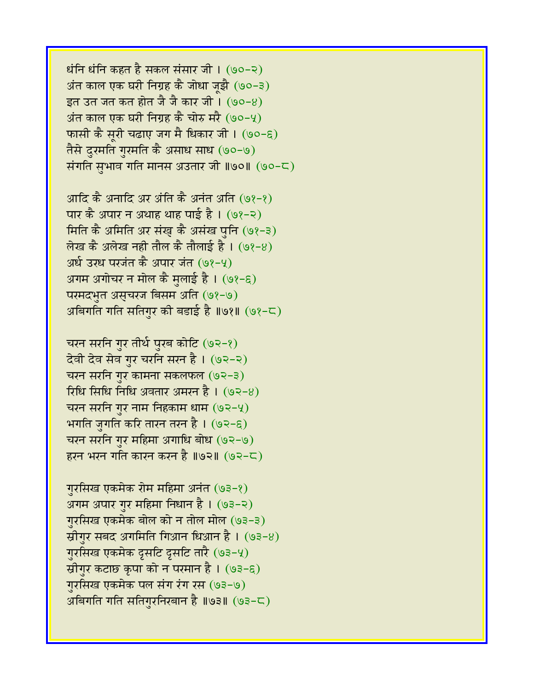$B$ धंनि धंनि कहत है सकल संसार जी।  $(90-2)$ अंत काल एक घरी निग्रह कै जोधा ज़झै (७०-३)  $56$  उत जत कत होत जै जै कार जी। (७०-४) अंत काल एक घरी निग्रह कै चोरु मरै (७०-५) फासी कै सूरी चढाए जग मै धिकार जी । (७०-६) तैसे दुरमति गुरमति कै असाध साध (७०-७) संगति सुभाव गति मानस अउतार जी ॥७०॥ (७०-८)

आदि कै अनादि अर अंति कै अनंत अति (७१-१) पार कै अपार न अथाह थाह पाई है। (७१-२) मिति कै अमिति अर संख् कै असंख पुनि (७१-३) लेख कै अलेख नही तौल कै तौलाई है।  $(98-8)$ अर्ध उरध परजंत कै अपार जंत (७१-५) अगम अगोचर न मोल कै मुलाई है। (७१-६) परमदभुत असुचरज बिसम अति (७१-७) अबिगति गति सतिगुर की बडाई है ॥७१॥ (७१-८)

चरन सरनि गुर तीर्थ पुरब कोटि (७२-१) देवी देव सेव गुर चरनि सरन है। (७२-२) चरन सरनि गुर कामना सकलफल  $(92-3)$ रिधि सिधि निधि अवतार अमरन है ।  $(92-8)$ चरन सरनि गुर नाम निहकाम धाम  $(92-4)$ भगति जुगति करि तारन तरन है।  $(92-6)$ चरन सरनि गुर महिमा अगाधि बोध (७२-७) हरन भरन गति कारन करन है ॥७२॥ (७२-८)

गुरसिख एकमेक रोम महिमा अनंत (७३-१) अगम अपार गुर महिमा निधान है। (७३-२) गुरसिख एकमेक बोल को न तोल मोल (७३-३) स्रीगुर सबद अगमिति गिआन धिआन है ।  $(93-8)$ गुरसिख एकमेक दृसटि दृसटि तारै (७३-५) स्रीगुर कटाछ कृपा को न परमान है। (७३-६) गुरसिख एकमेक पल संग रंग रस (७३-७) अबिगति गति सतिगुरनिरबान है ॥७३॥ (७३-८)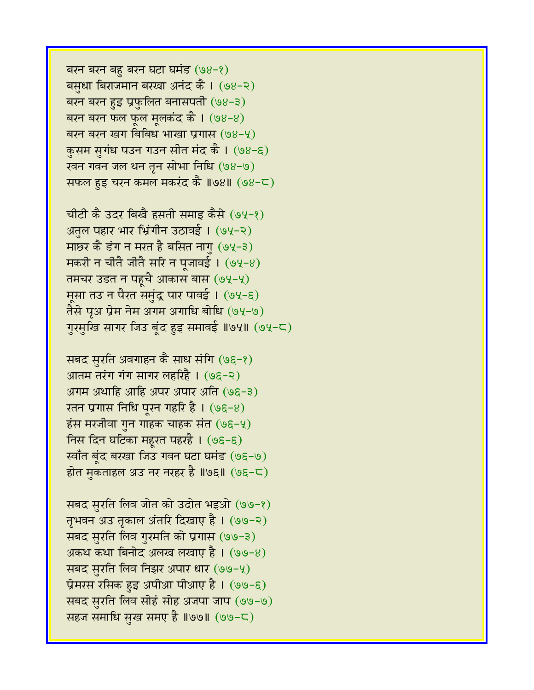बरन बरन बहु बरन घटा घमंड  $(98-2)$ बसुधा बिराजमान बरखा अनंद कै । (७४-२) बरन बरन हुइ प्रफुलित बनासपती  $(98-3)$ बरन बरन फल फूल मूलकंद कै।  $(98-8)$ बरन बरन खग बिबिध भाखा प्रगास (७४-५) कुसम सुगंध पउन गउन सीत मंद कै । (७४-६) रवन गवन जल थन तृन सोभा निधि (७४-७) सफल हुइ चरन कमल मकरंद कै ॥७४॥  $(98-\mathsf{C})$ 

चीटी कै उदर बिखै हसती समाइ कैसे (७५-१) अतुल पहार भार भ्रिंगीन उठावई। (७५-२) माछर कै डंग न मरत है बसित नागु (७५-३) मकरी न चीतै जीतै सरि न पूजावई ।  $(94-8)$ तमचर उडत न पहुचै आकास बास (७५-५) मूसा तउ न पैरत समुंद्र पार पावई । (७५-६) तैसे पृअ प्रेम नेम अगम अगाधि बोधि (७५-७) गुरमुखि सागर जिउ बूंद हुइ समावई ॥७५॥ (७५-८)

सबद सुरति अवगाहन कै साध संगि (७६-१) आतम तरंग गंग सागर लहरिहै । (७६-२) अगम अथाहि आहि अपर अपार अति (७६-३) रतन प्रगास निधि पूरन गहरि है। (७६-४) हंस मरजीवा गुन गाहक चाहक संत $(96-4)$ निस दिन घटिका महूरत पहरहै। (७६-६) स्वाँत बूंद बरखा जिउ गवन घटा घमंड (७६-७) होत मुकताहल अउ नर नरहर है ॥७६॥ (७६-८)

सबद सुरति लिव जोत को उदोत भइओ (७७-१) तृभवन अउ तृकाल अंतरि दिखाए है । (७७-२) सबद सुरति लिव गुरमति को प्रगास (७७-३) अकथ कथा बिनोद अलख लखाए है ।  $(99-8)$ सबद सुरति लिव निझर अपार धार (७७-५) प्रेमरस रसिक हुइ अपीआ पीआए है। (७७-६) सबद सुरति लिव सोहं सोह अजपा जाप (७७-७) सहज समाधि सुख समए है ॥७७॥ (७७-८)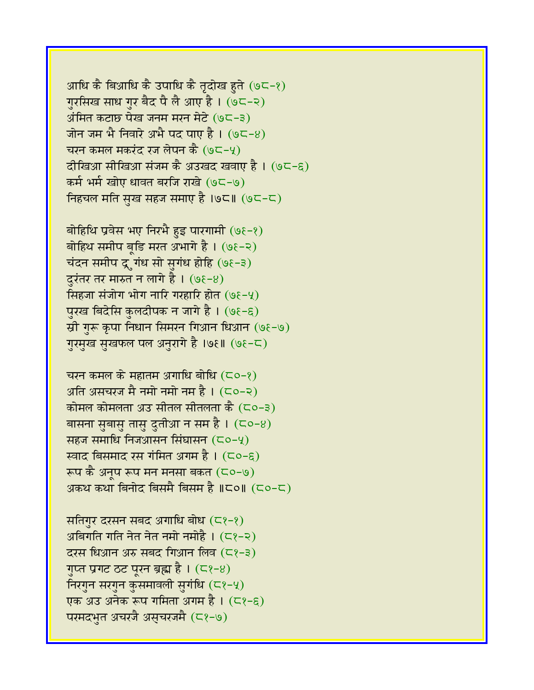आधि कै बिआधि कै उपाधि कै तृदोख हुते (७८-१) गुरसिख साध गुर बैद पै लै आए है। (७८-२) अंमित कटाछ पेख जनम मरन मेटे (७८-३) जोन जम भै निवारे अभै पद पाए है ।  $(95-8)$ चरन कमल मकरंद रज लेपन कै  $(95-4)$ दीखिआ सीखिआ संजम कै अउखद खवाए है । (७८-६) कर्म भर्म खोए धावत बरजि राखे (७८-७) निहचल मति सुख सहज समाए है ।७८॥ (७८-८)

बोहिथि प्रवेस भए निरभै हुइ पारगामी  $(9\xi - \xi)$ बोहिथ समीप बृडि मरत अभागे है । (७६-२) चंदन समीप द्रूगंध सो सुगंध होहि (७ $\xi$ -३) दुरंतर तर मारुत न लागे है।  $(9\xi - 8)$ सिंहजा संजोग भोग नारि गरहारि होत  $(9\xi - 4)$ पुरख बिदेसि कुलदीपक न जागे है। (७१-६) स्री गुरू कृपा निधान सिमरन गिआन धिआन (७१-७) गुरमुख सुखफल पल अनुरागे है ।७६॥ (७६-८)

चरन कमल के महातम अगाधि बोधि  $(50-8)$ अति असचरज मै नमो नमो नम है ।  $($ ८०-२) कोमल कोमलता अउ सीतल सीतलता कै  $($ ८०-३) बासना सुबासु तासु दुतीआ न सम है।  $($  Co-8) सहज समाधि निजआसन सिंघासन  $($  $\epsilon$ o- $\gamma$ ) स्वाद बिसमाद रस गंमित अगम है।  $(50-6)$ रूप कै अनूप रूप मन मनसा बकत  $($ ⊂०-७) अकथ कथा बिनोद बिसमै बिसम है ॥८०॥ (८०-८)

सतिगुर दरसन सबद अगाधि बोध  $(2\epsilon)$ अबिगति गति नेत नेत नमो नमोहै।  $( \subset \rangle - \infty)$  $\overline{c}$ रस धिआन अरु सबंद गिआन लिव  $(\overline{c}$  (2)-3) गुप्त प्रगट ठट पूरन ब्रह्म है।  $( \zeta_2 e_8 )$ निरगुन सरगुन कुसमावली सुगंधि (८१-५) एक अउ अनेक रूप गमिता अगम है । (८१-९) परमदभुत अचरजै असुचरजमै (८१-७)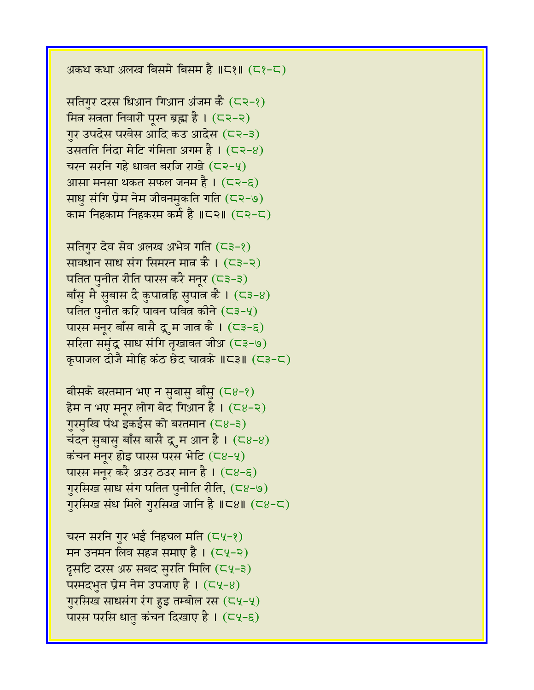अकथ कथा अलख बिसमे बिसम है ॥८१॥ (८१-८)

सतिगुर दरस धिआन गिआन अंजम कै  $(22-8)$ मित्र सत्रता निवारी पूरन ब्रह्म है।  $($ ८२-२) गुर उपदेस परवेस आदि कउ आदेस (८२-३) उसतति निंदा मेटि गंमिता अगम है।  $(5, 2-8)$ चरन सरनि गहे धावत बरजि राखे  $(52-4)$ आसा मनसा थकत सफल जनम है।  $($  $\subset$ २-६) साधु संगि प्रेम नेम जीवनमुकति गति (८२-७) काम निहकाम निहकरम कर्म है ॥८२॥ (८२-८)

सतिगुर देव सेव अलख अभेव गति  $($ ८३-१) सावधान साध संग सिमरन मात्र कै ।  $(53-2)$ पतित पुनीत रीति पारस करै मनूर  $($  < 3-3) बाँसु मै सुबास दै कुपात्रहि सुपात्र कै ।  $($ ८३-४) पतित पुनीत करि पावन पवित्र कीने  $($  < 3-4) पारस मनूर बाँस बासै द्र्म जात्र कै ।  $($ ८३-६) सरिता समुंद्र साध संगि तृखावत जीअ (८३-७) कपाजल दीजै मोहि कंठ छेद चात्रके ॥८३॥ (८३-८)

बीसके बरतमान भए न सुबासु बाँसु  $(28-8)$ हेम न भए मनूर लोग बेद गिआन है।  $($ ८४-२) गुरमुखि पंथ इकईस को बरतमान (८४-३) चंदन सुबासु बाँस बासै द्रूम आन है।  $( \text{C}8-8)$ कंचन मनुर होइ पारस परस भेटि (८४-५) पारस मनूर करै अउर ठउर मान है ।  $(28-6)$ गुरसिख साध संग पतित पुनीति रीति,  $(58-9)$ गुरसिख संध मिले गुरसिख जानि है ॥८४॥ (८४-८)

चरन सरनि गुर भई निहचल मति  $(\subset \vee \rightarrow)$ मन उनमन लिव सहज समाए है।  $(54-2)$ दूसटि दरस अरु सबद सुरति मिलि  $(4-3)$ परमदभुत प्रेम नेम उपजाए है।  $($  $\text{Cy-8})$ गुरसिख साधसंग रंग हुइ तम्बोल रस  $(\subset\vee,\rightarrow\vee)$ पारस परसि धात कंचन दिखाए है।  $($ ८५-९)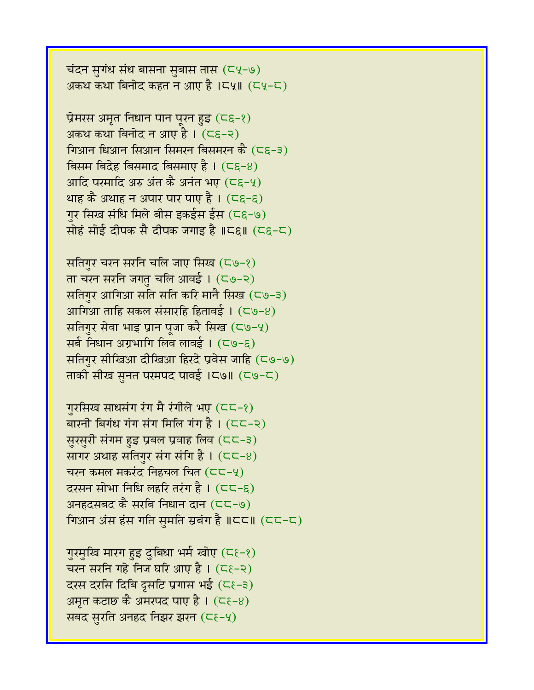चंदन सुगंध संध बासना सुबास तास (८५-७) अकथ कथा बिनोद कहत न आए है ।८५॥  $(Cy - C)$ 

प्रेमरस अमृत निधान पान पूरन हुइ  $( \varsigma \epsilon - 2)$ अकथ कथा बिनोद न आए है।  $(5\varepsilon - 2)$ गिआन धिआन सिआन सिमरन बिसमरन कै $(C_{\epsilon-3})$ बिसम बिदेह बिसमाद बिसमाए है।  $(5\varepsilon - 8)$ आदि परमादि अरु अंत कै अनंत भए  $(5\varepsilon - 4)$ थाह कै अथाह न अपार पार पाए है।  $( \overline{c} \varepsilon - \varepsilon)$ गुर सिख संधि मिले बीस इकईस ईस (८६-७) सोहं सोई दीपक सै दीपक जगाइ है ॥८६॥ (८६-८)

सतिगर चरन सरनि चलि जाए सिख  $(59-8)$ ता चरन सरनि जगतु चलि आवई । (८७-२) सतिगुर आगिआ सति सति करि मानै सिख  $($ ८७-३) आगिआ ताहि सकल संसारहि हितावई ।  $( \subset \cup -8)$ सतिगुर सेवा भाइ प्रान पूजा करै सिख  $($ ८७-५) सर्ब निधान अग्रभागि लिव लावई । (८७-६) सतिगुर सीखिआ दीखिआ हिरदे प्रवेस जाहि (८७-७) ताकी सीख स़नत परमपद पावई ।८७॥ (८७-८)

गुरसिख साधसंग रंग मै रंगीले भए (८८-१) बारनी बिगंध गंग संग मिलि गंग है।  $(\text{CC-} \text{=} 2)$ सुरसुरी संगम हुइ प्रबल प्रवाह लिव (८८-३) सागर अथाह सतिगुर संग संगि है।  $(52-8)$ चरन कमल मकरंद निहचल चित  $(CC-\gamma)$ दरसन सोभा निधि लहरि तरंग है।  $(\subset \subset -\epsilon)$ अनहदसबद कै सरबि निधान दान  $(55-7)$ गिआन अंस हंस गति सुमति स्रबंग है  $\parallel$ ८८ $\parallel$  (८८-८)

गुरमुखि मारग हुइ दुबिधा भर्म खोए (८१-१) चरन सरनि गहे निज घरि आए है।  $(56-2)$ दरस दरसि दिबि द्रसटि प्रगास भई (८६-३) अमृत कटाछ कै अमरपद पाए है ।  $($ ⊂ $\varepsilon$ −8) सबद सुरति अनहद निझर झरन (८६-५)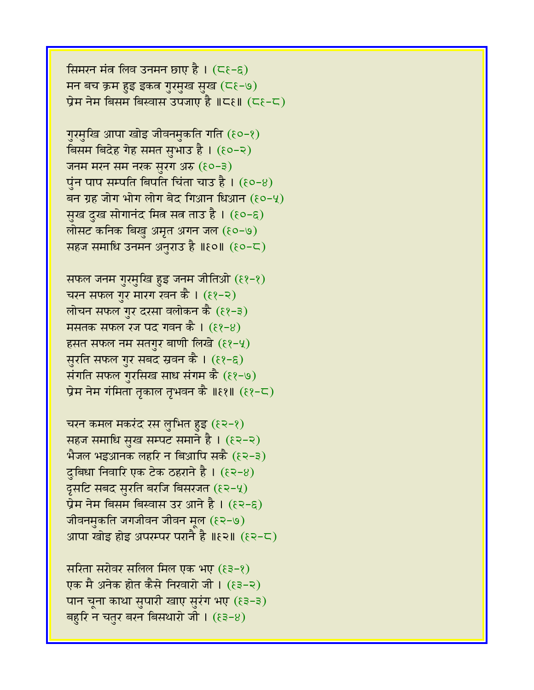सिमरन मंत्र लिव उनमन छाए है।  $( \zeta \xi - \xi )$ मन बच क्रम हुइ इकत्र गुरमुख सुख (८६-७) प्रेम नेम बिसम बिस्वास उपजाए है ॥८६॥  $($ ८१-८)

गुरमुखि आपा खोइ जीवनमुकति गति (६०-१) विसम बिदेह गेह समत सुभाउ है। (१०-२) जनम मरन सम नरक सुरग अरु  $(80-3)$ पुंन पाप सम्पति बिपति चिंता चाउ है।  $($  $e$ ०- $8)$ बन ग्रह जोग भोग लोग बेद गिआन धिआन  $(80-9)$ सुख दुख सोगानंद मित्र सत्र ताउ है। (१०-६) लोसट कनिक बिखु अमृत अगन जल  $(80-9)$ सहज समाधि उनमन अनुराउ है ॥१०॥ (१०-८)

सफल जनम गुरमुखि हुइ जनम जीतिओ (११-१) चरन सफल गुर मारग रवन कै ।  $(8-2)$ लोचन सफल गुर दरसा वलोकन कै  $(8-3)$ मसतक सफल रज पद गवन कै ।  $(8-8)$ हसत सफल नम सतगुर बाणी लिखे  $(89-4)$ सुरति सफल गुर सबद स्रवन कै । (११-६) संगति सफल गुरसिख साध संगम कै (११-७) प्रेम नेम गंमिता तृकाल तृभवन कै ॥११॥ (११-८)

चरन कमल मकरंद रस लुभित हुइ  $(82-8)$ सहज समाधि सुख सम्पट समाने है । (१२-२) भैजल भइआनक लहरि न बिआपि सकै  $(52-3)$ दुबिधा निवारि एक टेक ठहराने है ।  $(82-8)$ दृसटि सबद सुरति बरजि बिसरजत (१२-५)  $\vec{y}$ म नेम बिसम बिस्वास उर आने है । (१२-६) जीवनमुकति जगजीवन जीवन मूल (१२-७) आपा खोइ होइ अपरम्पर परानै है ॥ $\epsilon$ २॥  $(\epsilon$ २-८)

सरिता सरोवर सलिल मिल एक भए  $(83-8)$ एक मै अनेक होत कैसे निखारो जी । (६३-२) पान चूना काथा सुपारी खाए सुरंग भए (६३-३) बहुरि न चतुर बरन बिसथारो जी।  $(83-8)$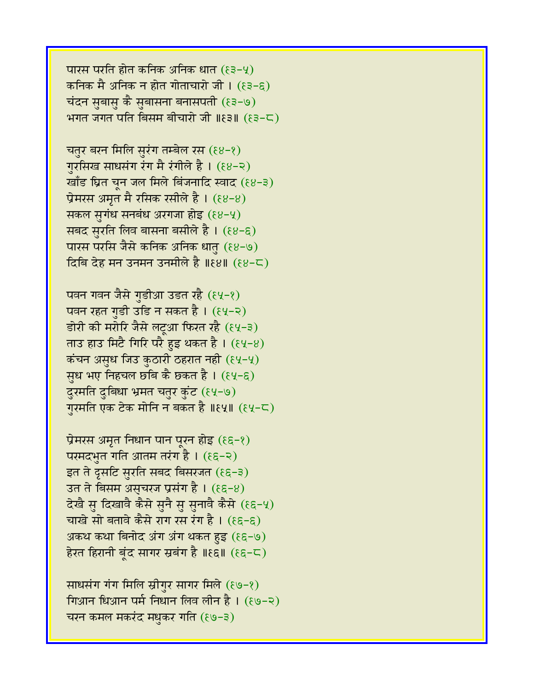पारस परति होत कनिक अनिक धात  $(83-4)$ कनिक मै अनिक न होत गोताचारो जी ।  $(83-8)$ चंदन सुबास कै सुबासना बनासपती (१३-७) भगत जगत पति बिसम बीचारो जी  $\lVert \xi \rangle$ । ( $\xi \in \mathbb{C}$ )

चतुर बरन मिलि सुरंग तम्बेल रस (६४-१) गुरसिख साधसंग रंग मै रंगीले है। (६४-२) खाँड घ्रित चून जल मिले बिंजनादि स्वाद (६४-३) प्रेमरस अमृत मै रसिक रसीले है ।  $(88-8)$ सकल सुगंध सनबंध अरगजा होइ  $(88-4)$ सबद सुरति लिव बासना बसीले है । (६४-६) पारस परसि जैसे कनिक अनिक धातु (१४-७) दिबि देह मन उनमन उनमीले है ॥ $89$ ॥  $(88-5)$ 

पवन गवन जैसे गुडीआ उडत रहै (६५-१) पवन रहत गुडी उडि न सकत है । (६५-२) डोरी की मरोरि जैसे लटूआ फिरत रहै (६५-३) ताउ हाउ मिटै गिरि परै हुइ थकत है ।  $(84-8)$ कंचन असुध जिउ कुठारी ठहरात नही  $(\xi\psi-\psi)$ सूध भए निहचल छबि कै छकत है।  $(84-6)$ दुरमति दुबिधा भ्रमत चतुर कुंट (६५-७) गुरमति एक टेक मोनि न बकत है ॥६५॥ (६५-८)

प्रेमरस अमृत निधान पान पूरन होइ  $(\epsilon \epsilon - \epsilon)$ परमदभुत गति आतम तरंग है ।  $(\epsilon \epsilon - \epsilon)$ इत ते द्रुसटि सुरति सबद बिसरजत (९६-३) उत ते बिसम असूचरज प्रसंग है। (९६-४) देखै स दिखावै कैसे सनै स सनावै कैसे (१६-५) चाखे सो बतावे कैसे राग रस रंग है।  $(\epsilon \epsilon - \epsilon)$ अकथ कथा बिनोद अंग अंग थकत हुइ (९६-७) हेरत हिरानी बुंद सागर स्रबंग है ॥ $\mathcal{E}$ ६॥ ( $\mathcal{E}$ ६-८)

साधसंग गंग मिलि स्रीगुर सागर मिले (९७-१) गिआन धिआन पर्म निधान लिव लीन है । (१७-२) चरन कमल मकरंद मधकर गति (१७-३)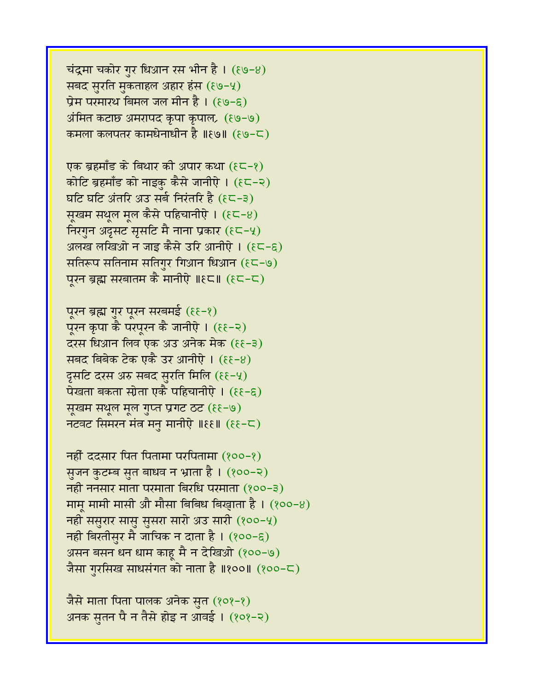जैसे माता पिता पालक अनेक सुत (१०१-१) अनक सुतन पै न तैसे होइ न आवई । (१०१-२)

 $\overline{a}$ नहीं ददसार पित पितामा परपितामा (१००-१) सुजन कुटम्ब सुत बाधव न भ्राता है। (१००-२)  $\overline{a}$ नही ननसार माता परमाता बिरधि परमाता (१००-३) माम् मामी मासी औ मौसा बिबिध बिखाता है।  $(800-8)$ नही ससुरार सासु सुसरा सारो अउ सारी (१००-५) नही बिरतीसुर मै जाचिक न दाता है ।  $(800 - \xi)$ असन बसन धन धाम काहू मै न देखिओ (१००-७) जैसा गुरसिख साधसंगत को नाता है ॥१००॥ (१००-८)

पूरन ब्रह्म गुर पूरन सरबमई (६६-१) पूरन कृपा कै परपूरन कै जानीऐ । (११-२) दरस धिआन लिव एक अउ अनेक मेक (६६–३) सबद बिबेक टेक एकै उर आनीऐ ।  $(\mathcal{E}\{-8)$ दूसटि दरस अरु सबद सुरति मिलि  $(\xi\xi-\gamma)$ पेखता बकता स्ग्रेता एकै पहिचानीऐ ।  $(\xi\xi-\xi)$ सूखम सथूल मूल गुप्त प्रगट ठट (६६-७) नटवट सिमरन मंत्र मनु मानीएे ॥ $\mathfrak{F}(\xi) = \mathfrak{F}(\xi) - \mathfrak{F}(\xi)$ 

एक ब्रहमाँड के बिथार की अपार कथा  $(\epsilon \in -\epsilon)$ कोटि ब्रहमाँड को नाइकु कैसे जानीऐ । (१८-२) घटि घटि अंतरि अउ सर्ब निरंतरि है (१८-३) सूखम सथुल मूल कैसे पहिचानीऐ ।  $(\epsilon \zeta - 8)$ निरगुन अदृसट सृसटि मै नाना प्रकार  $(\epsilon \in -\gamma)$ अलख लखिओ न जाइ कैसे उरि आनीऐ । (हट-ह) सतिरूप सतिनाम सतिगुर गिआन धिआन (६८-७) पुरन ब्रह्म सरबातम कै मानीऐ ॥१८॥ (१८-८)

चंद्रमा चकोर गुर धिआन रस भीन है।  $(89-8)$ सबद सुरति मुकताहल अहार हंस (६७-५) प्रेम परमारथ बिमल जल मीन है। (९७-६) अंमित कटाछ अमरापद कृपा कृपाल (६७-७) कमला कलपतर कामधेनाधीन है ॥६७॥ (६७-८)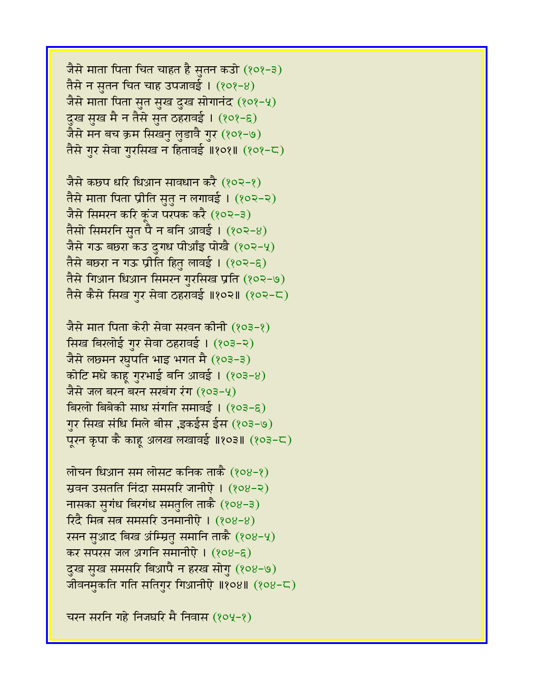जैसे माता पिता चित चाहत है सुतन कउो (१०१-३) तैसे न स़तन चित चाह उपजावई ।  $(808-8)$ जैसे माता पिता सुत सुख दुख सोगानंद (१०१-५) दुख सुख मै न तैसे सुत ठहरावई । (१०१-६) जैसे मन बच क्रम सिखनु लुडावै गुर (१०१-७) तैसे गुर सेवा गुरसिख न हितावई ॥१०१॥ (१०१-८)

जैसे कछप धरि धिआन सावधान करै (१०२-१) तैसे माता पिता प्रीति सुतु न लगावई। (१०२-२) जैसे सिमरन करि कुंज परपक करै (१०२-३) तैसो सिमरनि सुत पै न बनि आवई ।  $(802-8)$ जैसे गऊ बछरा कउ दुगध पीआँइ पोखै (१०२-५) तैसे बछरा न गऊ प्रीति हितु लावई । (१०२-६) तैसे गिआन धिआन सिमरन गुरसिख प्रति (१०२-७) तैसे कैसे सिख गुर सेवा ठहरावई ॥१०२॥ (१०२-८)

जैसे मात पिता केरी सेवा सरवन कीनी (१०३-१) सिख बिरलोई गुर सेवा ठहरावई। (१०३-२) जैसे लछमन रघुपति भाइ भगत मै (१०३-३) कोटि मधे काहू गुरभाई बनि आवई।  $(803-8)$ जैसे जल बरन बरन सरबंग रंग (१०३-५) बिरलो बिबेकी साध संगति समावई । (१०३-६) गुर सिख संधि मिले बीस ,इकईस ईस (१०३-७) पूरन कृपा कै काहू अलख लखावई ॥१०३॥ (१०३-८)

लोचन धिआन सम लोसट कनिक ताकै (१०४-१) स्रवन उसतति निंदा समसरि जानीऐ । (१०४-२) नासका सुगंध बिरगंध समतुलि ताकै (१०४-३)  $\int \vec{\mathcal{R}} \cdot \vec{\mathcal{R}}$  सित्र सत समसरि उनमानीऐ ।  $(808-8)$ रसन सुआद बिख अंम्म्रित समानि ताकै (१०४-५) कर सपरस जल अगनि समानीऐ । (१०४-६) दुख सुख समसरि बिआपै न हरख सोगु (१०४-७) जीवनमुकति गति सतिगुर गिआनीऐ ॥१०४॥ (१०४-८)

चरन सरनि गहे निजघरि मै निवास (१०५-१)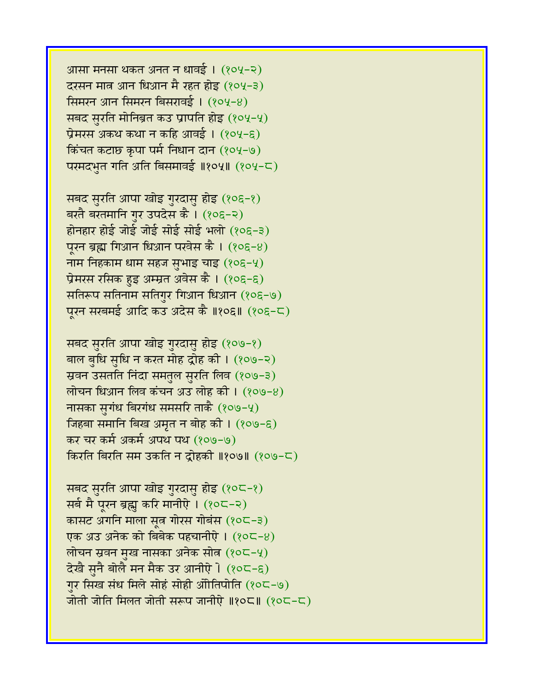आसा मनसा थकत अनत न धावई । (१०५-२) दरसन मात्र आन धिआन मै रहत होइ (१०५-३) सिमरन आन सिमरन बिसरावई। (१०५-४) सबद सुरति मोनिब्रत कउ प्रापति होइ (१०५-५) प्रेमरस अकथ कथा न कहि आवई ।  $(804-6)$ किंचत कटाछ कृपा पर्म निधान दान (१०५-७) परमदभुत गति अति बिसमावई ॥१०५॥ (१०५-८)

सबद सुरति आपा खोइ गुरदासु होइ (१०६-१) बरतै बरतमानि गर उपदेस कै। (१०६-२) होनहार होई जोई जोई सोई सोई भलो (१०६-३) पूरन ब्रह्म गिआन धिआन परवेस कै । (१०६-४) नाम निहकाम धाम सहज सुभाइ चाइ  $(80E - 4)$ प्रेमरस रसिक हुइ अम्म्रत अवेस कै । (१०६-६) सतिरूप सतिनाम सतिगुर गिआन धिआन (१०६-७) पूरन सरबमई आदि कउ अदेस कै ॥१०६॥ (१०६-८)

सबद सुरति आपा खोइ गुरदासु होइ (१०७-१) बाल बुधि सुधि न करत मोह द्रोह की। (१०७-२) स्रवन उसतति निंदा समतुल सुरति लिव (१०७-३) लोचन धिआन लिव कंचन अउ लोह की ।  $(809-8)$ नासका सुगंध बिरगंध समसरि ताकै (१०७-५) जिहबा समानि बिख अमृत न बोह की । (१०७-६) कर चर कर्म अकर्म अपथ पथ (१०७-७) किरति बिरति सम उकति न दोहकी ॥१०७॥ (१०७-८)

सबद सुरति आपा खोइ गुरदासु होइ (१०८-१) सर्ब मै पूरन ब्रह्म करि मानीऐ । (१०८-२) कासट अगनि माला सूत्र गोरस गोबंस (१०८-३) एक अउ अनेक को बिबेक पहचानीऐ। (१०८-४) लोचन स्रवन मुख नासका अनेक सोत  $(80C - 4)$ देखै सुनै बोलै मन मैक उर आनीऐ । (१०८-६) गुर सिख संध मिले सोहं सोही ओोतिपोति (१०८-७) जोती जोति मिलत जोती सरूप जानीऐ ॥१०८॥  $(20<sup>2</sup>-C)$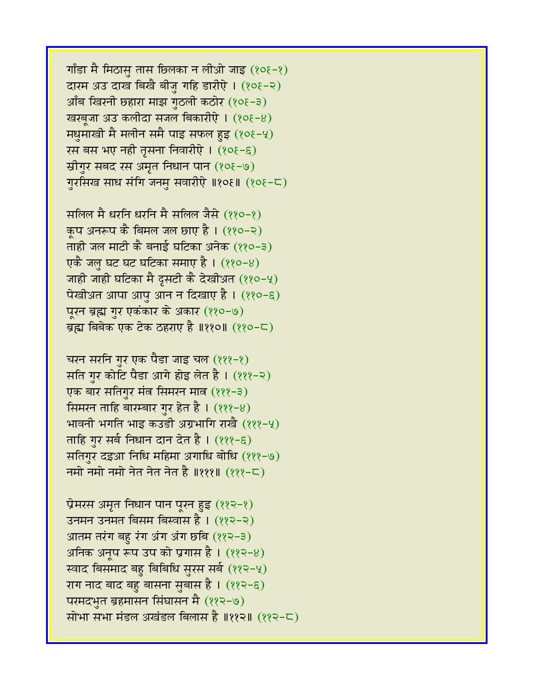गाँडा मै मिठासु तास छिलका न लीओ जाइ  $(808-8)$ दारम अउ दाख बिखै बीजु गहि डारीऐ । (१०६-२) आँब खिरनी छहारा माझ गुठली कठोर (१०६-३) खरबूजा अउ कलीदा सजल बिकारीएे । (१०६-४) मधुमाखी मै मलीन समै पाइ सफल हुइ  $(808-4)$ रस बस भए नही तृसना निवारीऐ । (१०६-६) स्रीगुर सबद रस अमृत निधान पान (१०६-७) गुरसिख साध संगि जनमु सवारीऐ ॥१०६॥ (१०६-८)

सलिल मै धरनि धरनि मै सलिल जैसे (११०-१) कुप अनरूप कै बिमल जल छाए है ।  $(88 - 8)$ ताही जल माटी कै बनाई घटिका अनेक (११०-३) एकै जल घट घट घटिका समाए है ।  $(880-8)$ जाही जाही घटिका मै दसटी कै देखीअत (११०-५) पेखीअत आपा आपु आन न दिखाए है। (११०-६) पूरन ब्रह्म गुर एकंकार के अकार (११०-७) ब्रह्म बिबेक एक टेक ठहराए है ॥११०॥ (११०-८)

चरन सरनि गुर एक पैडा जाइ चल (१११-१) सति गुर कोटि पैडा आगे होइ लेत है। (१११-२) एक बार सतिगुर मंत्र सिमरन मात्र (१११-३) सिमरन ताहि बारम्बार गुर हेत है ।  $(222-8)$ भावनी भगति भाइ कउडी अग्रभागि राखै (१११-५) ताहि गुर सर्ब निधान दान देत है । (१११-६) सतिगुर दइआ निधि महिमा अगाधि बोधि (१११-७) नमो नमो नमो नेत नेत नेत है ॥१११॥  $(222 - 5)$ 

प्रेमरस अमृत निधान पान पूरन हुइ (११२-१) उनमन उनमत बिसम बिस्वास है । (११२-२) आतम तरंग बहु रंग अंग अंग छबि (११२-३) अनिक अनूप रूप उप को प्रगास है।  $(22-8)$ रवाद बिसमाद बहु बिबिधि सुरस सर्ब (११२-५) राग नाद बाद बहु बासना सुबास है । (११२-६) परमदभुत ब्रहमासन सिंघासन मै (११२-७) सोभा सभा मंडल अखंडल बिलास है ॥११२॥ (११२-८)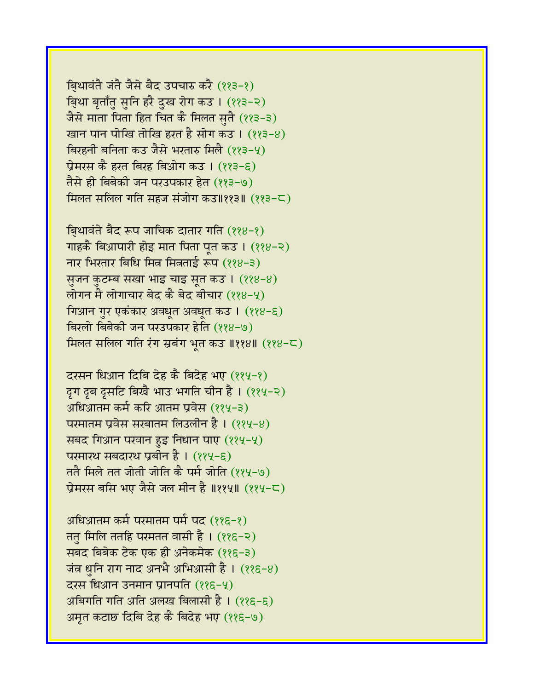बिथावंते जंते जैसे बैद उपचारु करै (११३-१) बिथा बृताँत सनि हरै दुख रोग कउ । (११३-२) जैसे माता पिता हित चित कै मिलत सतै (११३-३) खान पान पोखि तोखि हरत है सोग कउ । (११३-४) बिरहनी बनिता कउ जैसे भरतारु मिलै (११३-५) प्रेमरस कै हरत बिरह बिओग कउ । (११३-६) तैसे ही बिबेकी जन परउपकार हेत (११३-७) मिलत सलिल गति सहज संजोग कउ॥११३॥ (११३-८)

बि़थावंते बैद रूप जाचिक दातार गति (११४-१) गाहकै बिआपारी होइ मात पिता पत कउ।  $(228-2)$ नार भिरतार बिधि मित्र मित्रताई रूप  $(28-3)$ सूजन कुटम्ब सखा भाइ चाइ सूत कउ । (११४-४) लोगन मै लोगाचार बेद कै बेद बीचार  $(228-4)$ गिआन गुर एकंकार अवधुत अवधुत कउ । (११४-६) बिरलो बिबेकी जन परउपकार हेति (११४-७) मिलत सलिल गति रंग स्रबंग भूत कउ ॥११४॥ (११४-८)

दरसन धिआन दिबि देह कै बिदेह भए (११५-१) दृग दृब दृसटि बिखै भाउ भगति चीन है। (११५-२) अधिआतम कर्म करि आतम प्रवेस (११५-३) परमातम प्रवेस सरबातम लिउलीन है। (११५-४) सबद गिआन परवान हुइ निधान पाए (११५-५) परमारथ सबदारथ प्रबीन है । (११५-९) ततै मिले तत जोती जोति कै पर्म जोति (११५-७) प्रेमरस बसि भए जैसे जल मीन है ॥११५॥ (११५-८)

अधिआतम कर्म परमातम पर्म पद (११६-१) ततु मिलि ततहि परमतत वासी है ।  $(225-2)$ सबद बिबेक टेक एक ही अनेकमेक (११६-३) जंत्र धुनि राग नाद अनभै अभिआसी है ।  $(225-8)$ दरस धिआन उनमान प्रानपति (११६-५) अबिगति गति अति अलख बिलासी है। (११६-६) अमृत कटाछ दिबि देह कै बिदेह भए (११६-७)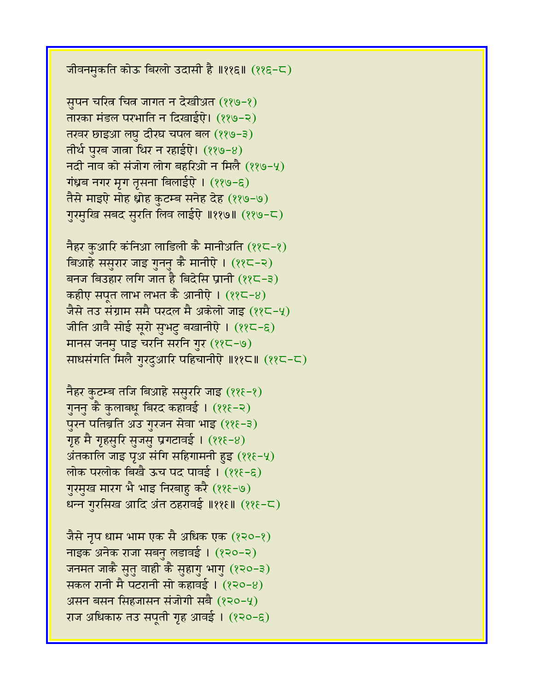जीवनमुकति कोऊ बिरलो उदासी है ॥११६॥ (११६-८)

सुपन चरित्न चित्न जागत न देखीअत (११७-१) तारका मंडल परभाति न दिखाईऐ। (११७-२) तखर छाइआ लघु दीरघ चपल बल (११७-३) तीर्थ पुरब जाता थिर न रहाईऐ।  $(889-8)$ नदी नाव को संजोग लोग बहरिओ न मिलै  $(229-4)$ गंध्रब नगर मृग तृसना बिलाईऐ । (११७-६) तैसे माइऐ मोह ध्रोह कुटम्ब सनेह देह (११७-७) गुरमुखि सबद सुरति लिव लाईऐ ॥११७॥ (११७-८)

नैहर कुआरि कंनिआ लाडिली कै मानीअति (११८-१) विआहे ससुरार जाइ गुननु कै मानीऐ । (११८-२) बनज बिउहार लगि जात है बिदेसि प्रानी  $(22-3)$ कहीए सपूत लाभ लभत कै आनीऐ ।  $(22-8)$ जैसे तउ संग्राम समै परदल मै अकेलो जाइ (११८-५) जीति आवै सोई सूरो सुभटु बखानीऐ । (११८-६) मानस जनमु पाइ चरनि सरनि गुर (११८-७) साधसंगति मिलै गुरदुआरि पहिचानीऐ ॥११८॥ (११८-८)

```
नैहर कुटम्ब तजि बिआहे ससुररि जाइ (११६-१)
गुननु कै कुलाबधू बिरद कहावई । (११६-२)
पुरन पतिब्रति अउ गुरजन सेवा भाइ (११६-३)
गृह मै गृहसुरि सुजसु प्रगटावई । (225-8)अंतकालि जाइ पूअ संगि सहिगामनी हुइ (22\epsilon - 4)लोक परलोक बिखै ऊच पद पावई । (११६-६)
गुरमुख मारग भै भाइ निरबाहु करै (११६-७)
धन्न गुरसिख आदि अंत ठहरावई ॥११६॥ (११६-८)
```
जैसे नृप धाम भाम एक सै अधिक एक  $(8,0-8)$ नाइक अनेक राजा सबन लडावई। (१२०-२) जनमत जाकै सुतु वाही कै सुहागु भागु (१२०-३) सकल रानी मै पटरानी सो कहावई ।  $(820-8)$ असन बसन सिंहजासन संजोगी सबै  $(220-4)$ राज अधिकारु तउ सपूती गृह आवई । (१२०-६)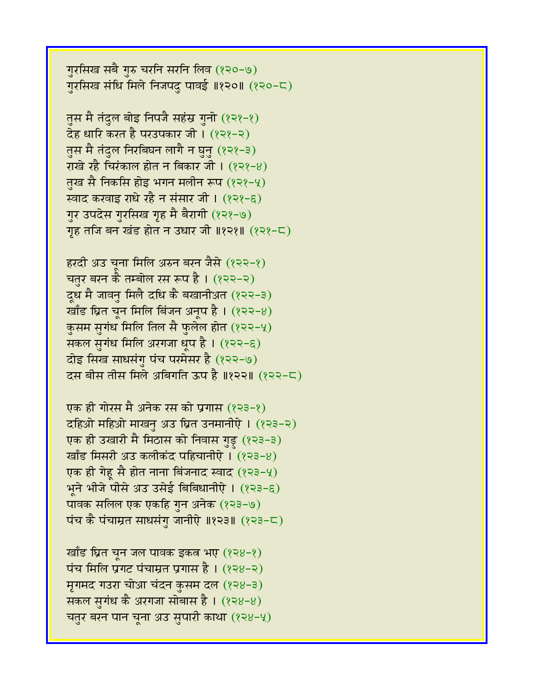खाँड घ्रित चून जल पावक इकत्र भए  $(828-8)$ पंच मिलि प्रगट पंचाम्रत प्रगास है ।  $(828-2)$ मृगमद गउरा चोआ चंदन कुसम दल (१२४-३) सकल सुगंध कै अरगजा सोबास है। (१२४-४) चतुर बरन पान चूना अउ सुपारी काथा  $(828-9)$ 

एक ही गोरस मै अनेक रस को प्रगास (१२३-१) दहिओ महिओ माखनु अउ घ्रित उनमानीऐ । (१२३-२) एक ही उखारी मै मिठास को निवास गुड़ (१२३-३) खाँड मिसरी अउ कलीकंद पहिचानीऐ। (१२३-४) एक ही गेहू सै होत नाना बिंजनाद स्वाद (१२३-५) भूने भीजे पीसे अउ उसेई बिबिधानीऐ । (१२३-६) पावक सलिल एक एकहि गुन अनेक (१२३-७) पंच कै पंचाम्रत साधसंगु जानीऐ ॥१२३॥  $(223-5)$ 

हरदी अउ चुना मिलि अरुन बरन जैसे (१२२-१) चतुर बरन कै तम्बोल रस रूप है ।  $(222-2)$ दूध मै जावनु मिलै दधि कै बखानीअत (१२२-३) खाँड घ्रित चून मिलि बिंजन अनूप है।  $(822-8)$ कुसम सुगंध मिलि तिल सै फुलेल होत (१२२-५) सकल सुगंध मिलि अरगजा धूप है।  $(222-6)$ दोइ सिख साधसंगु पंच परमेसर है (१२२-७) दस बीस तीस मिले अबिगति ऊप है ॥१२२॥ (१२२-८)

तुस मै तंदुल बोइ निपजै सहंस्र गुनो (१२१-१) देह धारि करत है परउपकार जी। (१२१-२) तुस मै तंदुल निरबिघन लागै न घुनु (१२१-३) राखे रहै चिरंकाल होत न बिकार जी।  $(828-8)$ तुख सै निकसि होइ भगन मलीन रूप (१२१-५) स्वाद करवाइ राधे रहै न संसार जी । (१२१-६) गुर उपदेस गुरसिख गृह मै बैरागी (१२१-७) गृह तजि बन खंड होत न उधार जी ॥१२१॥ (१२१-८)

गुरसिख सबै गुरु चरनि सरनि लिव (१२०-७) गुरसिख संधि मिले निजपदु पावई ॥१२०॥ (१२०-८)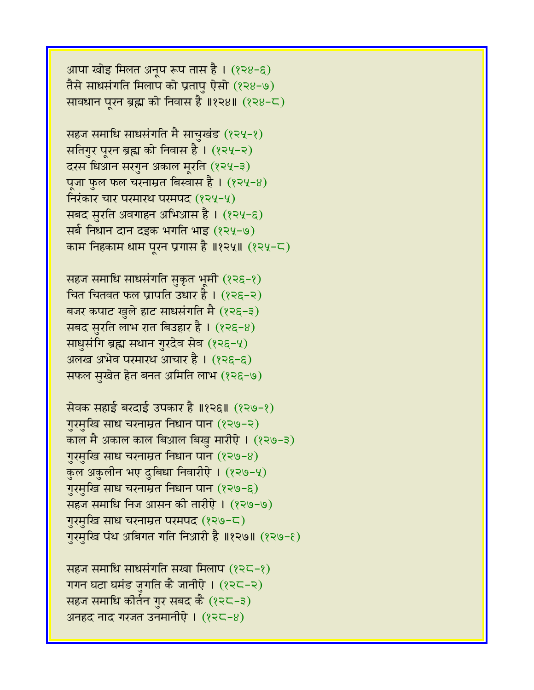आपा खोइ मिलत अनूप रूप तास है । (१२४-६) तैसे साधसंगति मिलाप को प्रतापु ऐसो  $(828-9)$ सावधान पूरन ब्रह्म को निवास है ॥१२४॥ (१२४-८)

सहज समाधि साधसंगति मै साचुखंड (१२५-१) सतिगुर पूरन ब्रह्म को निवास है। (१२५-२) दरस धिआन सरगुन अकाल मूरति (१२५-३) पूजा फुल फल चरनाम्रत बिस्वास है ।  $(824-8)$ निरंकार चार परमारथ परमपद  $(224-4)$ सबद सुरति अवगाहन अभिआस है । (१२५-६) सर्ब निधान दान दइक भगति भाइ (१२५-७) काम निहकाम धाम पूरन प्रगास है ॥१२५॥ (१२५-८)

सहज समाधि साधसंगति सुकृत भूमी (१२६-१) चित चितवत फल प्रापति उधार है।  $(226-2)$ बजर कपाट खुले हाट साधसंगति मै (१२६-३) सबद सुरति लाभ रात बिउहार है। (१२६-४) साधुसंगि ब्रह्म सथान गुरदेव सेव (१२६-५) अलख अभेव परमारथ आचार है। (१२६-६) सफल स़खेत हेत बनत अमिति लाभ (१२६-७)

सेवक सहाई बरदाई उपकार है ॥१२६॥ (१२७-१) गुरमुखि साध चरनाम्रत निधान पान (१२७-२) काल मै अकाल काल बिआल बिखु मारीऐ । (१२७-३) ग़रमुखि साध चरनाम्रत निधान पान  $(829-8)$ कुल अकुलीन भए दुबिधा निवारीऐ । (१२७-५) गुरमुखि साध चरनाम्रत निधान पान (१२७-६) सहज समाधि निज आसन की तारीऐ। (१२७-७) गुरमुखि साध चरनाम्रत परमपद (१२७-८) गुरमुखि पंथ अबिगत गति निआरी है ॥१२७॥ (१२७-६)

सहज समाधि साधसंगति सखा मिलाप (१२८-१) गगन घटा घमंड जुगति कै जानीऐ । (१२८-२) सहज समाधि कीर्तन गुर सबद कै (१२८-३) अनहद नाद गरजत उनमानीएे ।  $(225-8)$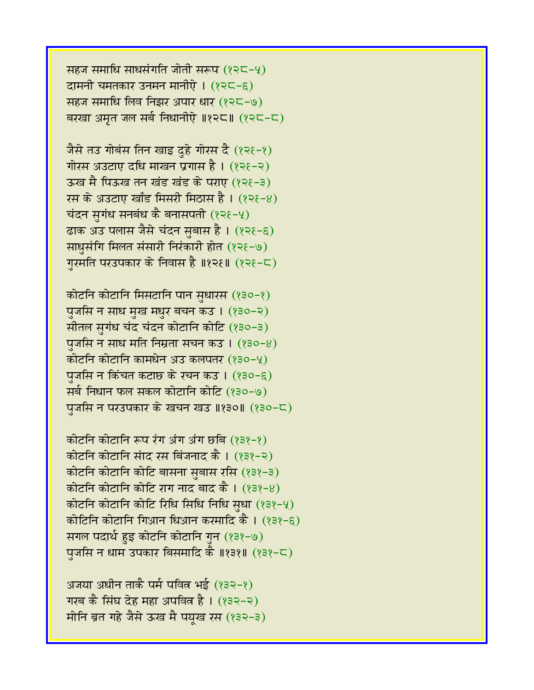सहज समाधि साधसंगति जोती सरूप  $(225-4)$ दामनी चमतकार उनमन मानीऐ।  $(225-6)$ सहज समाधि लिव निझर अपार धार (१२८-७) बरखा अमृत जल सर्ब निधानीऐ ॥१२८॥ (१२८-८)

जैसे तउ गोबंस तिन खाइ दुहे गोरस दै (१२६-१) गोरस अउटाए दधि माखन प्रगास है।  $(225-2)$ ऊख मै पिऊख तन खंड खंड के पराए (१२१-३) रस के अउटाए खाँड मिसरी मिठास है। (१२१-४) चंदन सगंध सनबंध कै बनासपती  $(225-4)$ ढाक अउ पलास जैसे चंदन सुबास है । (१२१-६) साधुसंगि मिलत संसारी निरंकारी होत (१२१-७) गुरमति परउपकार के निवास है ॥१२६॥ (१२६-८)

कोटनि कोटानि मिसटानि पान सुधारस (१३०-१) पुजसि न साध मुख मधुर बचन कउ । (१३०-२) सीतल सुगंध चंद चंदन कोटानि कोटि (१३०-३) पुजसि न साध मति निम्रता सचन कउ ।  $(830-8)$ कोटनि कोटानि कामधेन अउ कलपतर (१३०-५) पंजसि न किंचत कटाछ के रचन कउ। (१३०-६) सर्ब निधान फल सकल कोटानि कोटि (१३०-७) पुजसि न परउपकार के खचन खउ ॥१३०॥ (१३०-८)

कोटनि कोटानि रूप रंग अंग अंग छबि (१३१-१) कोटनि कोटानि संाद रस बिंजनाद कै। (१३१-२) कोटनि कोटानि कोटि बासना सुबास रसि (१३१-३) कोटनि कोटानि कोटि राग नाद बाद कै।  $(838-8)$ कोटनि कोटानि कोटि रिधि सिधि निधि सधा  $(232-4)$ कोटिनि कोटानि गिआन धिआन करमादि कै । (१३१-६) सगल पदार्थ हुइ कोटनि कोटानि गुन (१३१-७) पुजसि न धाम उपकार बिसमादि कै ॥१३१॥ (१३१-८)

अजया अधीन ताकै पर्म पवित्र भई (१३२-१) गरब कै सिंघ देह महा अपवित्न है। (१३२-२) मोनि ब्रत गहे जैसे ऊख मै पयुख रस (१३२-३)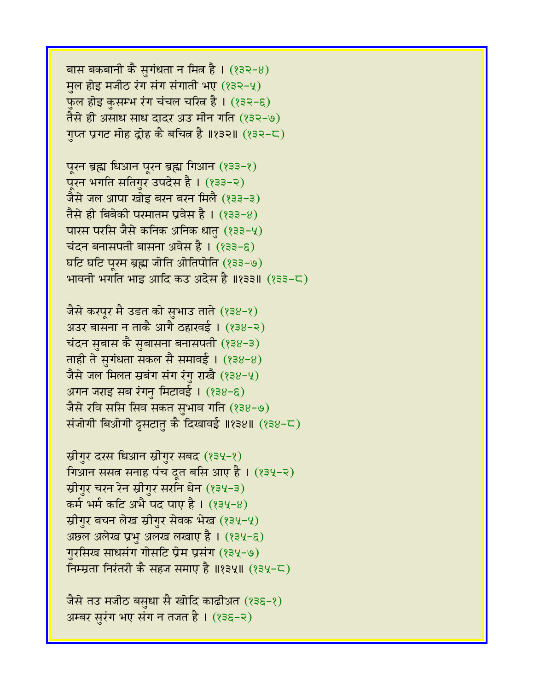```
बास बकबानी कै सुगंधता न मित्र है। (832-8)मूल होइ मजीठ रंग संग संगाती भए (232-4)फुल होइ कुसम्भ रंग चंचल चरित्न है। (१३२-६)
तैसे ही असाध साध दादर अउ मीन गति (१३२-७)
गुप्त प्रगट मोह द्रोह कै बचित्र है ॥१३२॥ (१३२-८)
```
पूरन ब्रह्म धिआन पूरन ब्रह्म गिआन (१३३-१) पूरन भगति सतिगुर उपदेस है । (१३३-२) जैसे जल आपा खोइ बरन बरन मिलै (१३३-३) तैसे ही बिबेकी परमातम प्रवेस है।  $(233-8)$ पारस परसि जैसे कनिक अनिक धातु (१३३-५) चंदन बनासपती बासना अवेस है।  $(233-6)$ घटि घटि परम ब्रह्म जोति ओतिपोति (१३३-७) भावनी भगति भाइ आदि कउ अदेस है ॥१३३॥ (१३३-८)

जैसे करपूर मै उडत को सुभाउ ताते (१३४-१) अउर बासना न ताकै आगै ठहारवई ।  $(238-2)$ चंदन सुबास कै सुबासना बनासपती (१३४-३) ताही ते सुगंधता सकल सै समावई। (१३४-४) जैसे जल मिलत स्रबंग संग रंगु राखै  $(238-4)$ अगन जराइ सब रंगनु मिटावई। (१३४-६) जैसे रवि ससि सिव सकत सुभाव गति (१३४-७) संजोगी बिओगी दृसटातु कै दिखावई ॥१३४॥ (१३४-८)

```
स्रीगुर दरस धिआन स्रीगुर सबद (१३५-१)
गिआन ससत्र सनाह पंच दूत बसि आए है । (१३५-२)
स्रीगुर चरन रेन स्रीगुर सरनि धेन (१३५-३)
\overline{AB} भर्म कटि अभै पद पाए है। (१३५-४)
स्रीगुर बचन लेख स्रीगुर सेवक भेख (१३५-५)
अछल अलेख प्रभु अलख लखाए है । (१३५-६)
गुरसिख साधसंग गोसटि प्रेम प्रसंग (१३५-७)
निम्म्रता निरंतरी कै सहज समाए है ॥१३५॥ (१३५-८)
```

```
जैसे तउ मजीठ बसुधा सै खोदि काढीअत (१३६-१)
अम्बर सुरंग भए संग न तजत है । (१३६-२)
```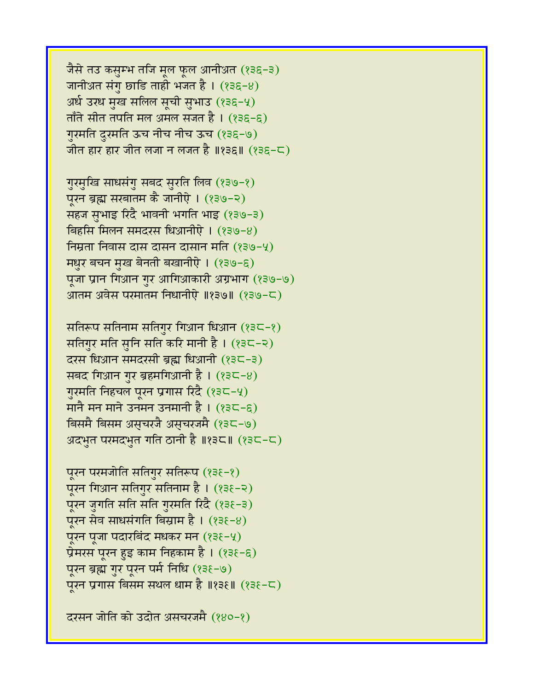जैसे तउ कसुम्भ तजि मूल फूल आनीअत (१३६-३) जानीअ़त संगु छाडि ताही भजत है।  $(236-8)$ अर्ध उरध मुख सलिल सूची सुभाउ (१३६-५) ताँते सीत तपति मल अमल सजत है ।  $(236-6)$ गुरमति दुरमति ऊच नीच नीच ऊच (१३६-७) जीत हार हार जीत लजा न लजत है ॥१३६॥  $($ १३६-८)

गुरमुखि साधसंगु सबद सुरति लिव (१३७-१) पूरन ब्रह्म सरबातम कै जानीऐ । (१३७-२) सहज सुभाइ रिदै भावनी भगति भाइ (१३७-३) बिहसि मिलन समदरस धिआनीऐ ।  $(239-8)$ निम्रता निवास दास दासन दासान मति (१३७-५) मधुर बचन मुख बेनती बखानीऐ । (१३७-६) पूजा प्रान गिआन गुर आगिआकारी अग्रभाग (१३७-७) आतम अवेस परमातम निधानीऐ ॥१३७॥ (१३७-८)

सतिरूप सतिनाम सतिगुर गिआन धिआन  $(23C-2)$ सतिगुर मति सुनि सति करि मानी है।  $(33C-2)$ दरस धिआन समदरसी ब्रह्म धिआनी (१३८-३) सबद गिआन गुर ब्रहमगिआनी है।  $(235-8)$ गुरमति निहचल पूरन प्रगास रिंदै (१३८-५) मानै मन माने उनमन उनमानी है ।  $(335-6)$ विसमै बिसम अस्चरजै अस्चरजमै (१३८-७) अदभुत परमदभुत गति ठानी है ॥१३८॥ (१३८-८)

पूरन परमजोति सतिगुर सतिरूप (१३६-१) पूरन गिआन सतिगुर सतिनाम है । (१३६-२) पूरन जुगति सति सति गुरमति रिदै (१३६-३) पूरन सेव साधसंगति बिस्राम है ।  $(838-8)$ पूरन पूजा पदारबिंद मधकर मन (१३६-५) प्रेमरस पूरन हुइ काम निहकाम है। (१३६-६) पूरन ब्रह्म गुर पूरन पर्म निधि (१३६-७) पूरन प्रगास बिसम सथल धाम है ॥१३६॥ (१३६-८)

दरसन जोति को उदोत असचरजमै (१४०-१)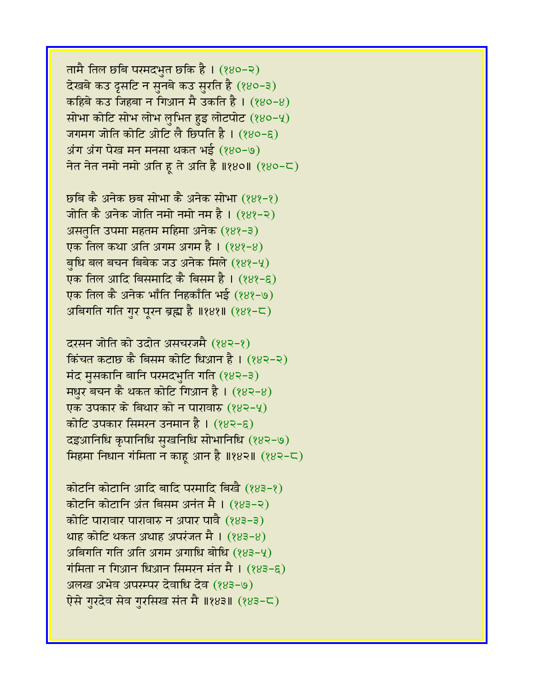तामै तिल छबि परमदभुत छकि है। (१४०-२) देखबे कउ दृसटि न सुनबे कउ सुरति है (१४०-३) कहिबे कउ जिहबा न गिआन मै उकति है।  $(880-8)$ सोभा कोटि सोभ लोभ लुभित हुइ लोटपोट  $(880-9)$ जगमग जोति कोटि ओटि लै छिपति है।  $(880-6)$  $31\pi$  अंग पेख मन मनसा थकत भई (१४०-७) नेत नेत नमो नमो अति हू ते अति है ॥१४०॥  $(880 - 5)$ 

छबि कै अनेक छब सोभा कै अनेक सोभा (१४१-१) जोति कै अनेक जोति नमो नमो नम है।  $(889-2)$ असतति उपमा महतम महिमा अनेक  $(889-3)$ एक तिल कथा अति अगम अगम है।  $(88,-8)$ बंधि बल बचन बिबेक जउ अनेक मिले  $(889-4)$ एक तिल आदि बिसमादि कै बिसम है । (१४१-९) एक तिल कै अनेक भाँति निहकाँति भई (१४१-७) अबिगति गति गुर पूरन ब्रह्म है ॥१४१॥ (१४१-८)

दरसन जोति को उदोत असचरजमै (१४२-१) किंचत कटाछ कै बिसम कोटि धिआन है। (१४२-२) मंद मुसकानि बानि परमदभुति गति (१४२-३) मधुर बचन कै थकत कोटि गिआन है।  $(883-8)$ एक उपकार के बिथार को न पारावारु  $(882-9)$ कोटि उपकार सिमरन उनमान है।  $(882-6)$ दइआनिधि कृपानिधि सुखनिधि सोभानिधि (१४२-७) मिहमा निधान गंमिता न काह आन है ॥१४२॥  $(882-\sqrt{2})$ 

कोटनि कोटानि आदि बादि परमादि बिखै (१४३-१) कोटनि कोटानि अंत बिसम अनंत मै । (१४३-२) कोटि पारावार पारावारु न अपार पावै  $(883-3)$ थाह कोटि थकत अथाह अपरंजत मै । (१४३-४) अबिगति गति अति अगम अगाधि बोधि  $(283-4)$ गंमिता न गिआन धिआन सिमरन मंत मै ।  $(883-6)$ अलख अभेव अपरम्पर देवाधि देव (१४३-७) ऐसे गुरदेव सेव गुरसिख संत मै ॥१४३॥ (१४३-८)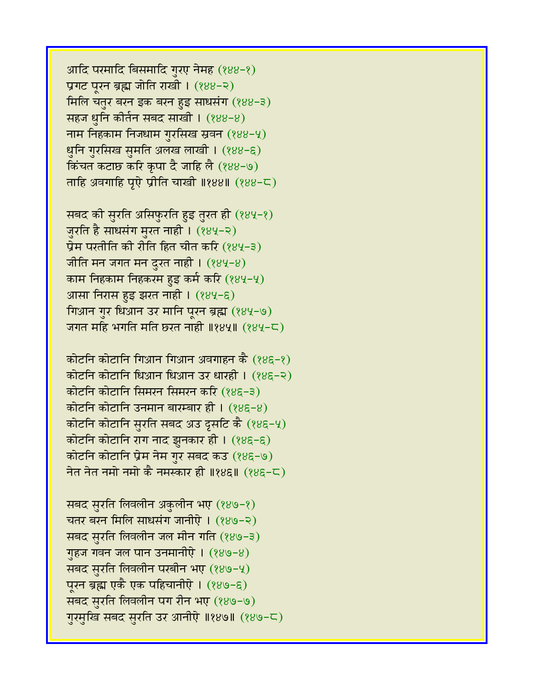आदि परमादि बिसमादि गुरए नेमह (१४४-१) प्रगट पूरन ब्रह्म जोति राखी। (१४४-२) मिलि चतुर बरन इक बरन हुइ साधसंग (१४४-३) सहज धुनि कीर्तन सबद साखी।  $(888-8)$ नाम निहकाम निजधाम गुरसिख स्रवन (१४४-५) धुनि गुरसिख सुमति अलख लाखी । (१४४-६) किंचत कटाछ करि कृपा दै जाहि लै (१४४-७) ताहि अवगाहि पूऐ प्रीति चाखी ॥१४४॥  $(888 - C)$ 

सबद की सुरति असिफुरति हुइ तुरत ही (१४५-१) जुरति है साधसंग मुरत नाही । (१४५-२) प्रेम परतीति की रीति हित चीत करि  $(884-3)$ जीति मन जगत मन दुरत नाही ।  $(884-8)$ काम निहकाम निहकरम हुइ कर्म करि (१४५-५) आसा निरास हुइ झरत नाही । (१४५-६) गिआन गुर धिआन उर मानि पूरन ब्रह्म (१४५-७) जगत महि भगति मति छरत नाही ॥१४५॥  $(284-\zeta)$ 

कोटनि कोटानि गिआन गिआन अवगाहन कै (१४६-१) कोटनि कोटानि धिआन धिआन उर धारही। (१४६-२) कोटनि कोटानि सिमरन सिमरन करि (१४६-३) कोटनि कोटानि उनमान बारम्बार ही ।  $(88E-8)$ कोटनि कोटानि सुरति सबद अउ दृसटि कै (१४६-५) कोटनि कोटानि राग नाद झुनकार ही । (१४६-६) कोटनि कोटानि प्रेम नेम गुर सबद कउ (१४६-७) नेत नेत नमो नमो कै नमस्कार ही ॥१४६॥  $(285-5)$ 

सबद सुरति लिवलीन अकुलीन भए (१४७-१) चतर बरन मिलि साधसंग जानीऐ। (१४७-२) सबद सुरति लिवलीन जल मीन गति (१४७-३) गृहज गवन जल पान उनमानीऐ ।  $(889-8)$ सबद सुरति लिवलीन परबीन भए (१४७-५) पूरन ब्रह्म एकै एक पहिचानीऐ । (१४७-६) सबद सुरति लिवलीन पग रीन भए (१४७-७) गुरमुखि सबद सुरति उर आनीऐ ॥१४७॥ (१४७-८)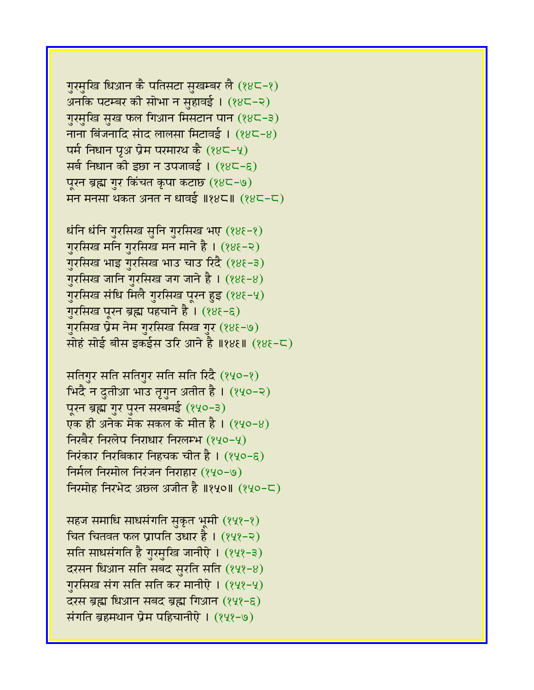गुरमुखि धिआन कै पतिसटा सुखम्बर लै (१४८-१) अनकि पटम्बर की सोभा न सहावई। (१४८-२) गुरमुखि सुख फल गिआन मिसटान पान (१४८-३) नाना बिंजनादि संाद लालसा मिटावई ।  $(88-8)$ पर्म निधान पृथ प्रेम परमारथ कै  $(88-4)$ सर्ब निधान की इछा न उपजावई । (१४८-६) पूरन ब्रह्म गुर किंचत कृपा कटाछ (१४८-७) मन मनसा थकत अनत न धावई ॥१४८॥ (१४८-८)

धंनि धंनि गुरसिख सुनि गुरसिख भए (१४६-१) गुरसिख मनि गुरसिख मन माने है। (१४६-२) गुरसिख भाइ गुरसिख भाउ चाउ रिंदै (१४६-३) गुरसिख जानि गुरसिख जग जाने है । (१४६-४) गुरसिख संधि मिलै गुरसिख पूरन हुइ (१४६-५) गुरसिख पूरन ब्रह्म पहचाने है । (१४६-६) गुरसिख प्रेम नेम गुरसिख सिख गुर (१४६-७) सोहं सोई बीस इकईस उरि आने है ॥१४६॥ (१४६-८)

सतिगुर सति सतिगुर सति सति रिदै (१५०-१) <u>भिंदै न दुतीआ भाउ तृगुन अतीत है । (१५</u>०-२) पूरन ब्रह्म गुर पुरन सरबमई (१५०-३) एक ही अनेक मेक सकल के मीत है। (१५०-४) fiरबैर निरलेप निराधार निरलम्भ (१५०-५) निरंकार निरबिकार निहचक चीत है। (१५०-९) fina find a find in red in red in the find in the find in the find in the find in the find in the find in the  $(n+1)$ निरमोह निरभेद अछल अजीत है ॥१५०॥ (१५०-८)

सहज समाधि साधसंगति सुकृत भूमी (१५१-१) चित चितवत फल प्रापति उधार है।  $(222 - 2)$ सति साधसंगति है गुरमुखि जानीऐ । (१५१-३) दरसन धिआन सति सबद सुरति सति  $(848-8)$ गुरसिख संग सति सति कर मानीऐ । (१५१-५) दरस ब्रह्म धिआन सबद ब्रह्म गिआन (१५१-६) संगति ब्रहमथान प्रेम पहिचानीऐ । (१५१-७)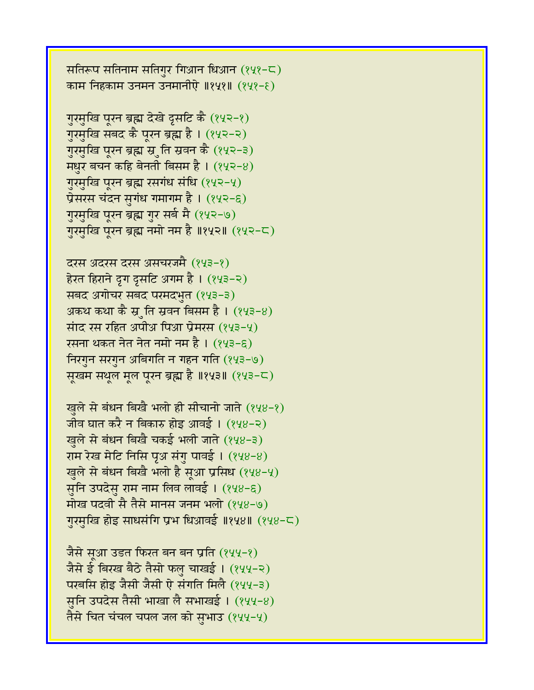सतिरूप सतिनाम सतिगुर गिआन धिआन  $(242 - 5)$ काम निहकाम उनमन उनमानीऐ ॥१५१॥ (१५१-९)

गुरमुखि पूरन ब्रह्म देखे दृसटि कै (१५२-१) गुरमुखि सबद कै पूरन ब्रह्म है । (१५२-२) गुरमुखि पूरन ब्रह्म स्रुति स्रवन कै (१५२-३) मधुर बचन कहि बेनती बिसम है।  $(242-8)$ गुरमुखि पूरन ब्रह्म रसगंध संधि (१५२-५) प्रेसरस चंदन सुगंध गमागम है । (१५२-६) गुरमुखि पूरन ब्रह्म गुर सर्ब मै (१५२-७) गुरमुखि पूरन ब्रह्म नमो नम है ॥१५२॥ (१५२-८)

दरस अंदरस दरस असंचरजमै (१५३-१) हेरत हिराने द्रग द्रसटि अगम है । (१५३-२) सबद अगोचर सबद परमदभुत (१५३-३) अकथ कथा कै स्रुति स्रवन बिसम है ।  $(843-8)$ सांद रस रहित अपीअ पिआ प्रेमरस  $(243-4)$ रसना थकत नेत नेत नमो नम है। (१५३-६) निरगुन सरगुन अबिगति न गहन गति (१५३-७) सूखम सथूल मूल पूरन ब्रह्म है ॥१५३॥ (१५३-८)

खुले से बंधन बिखै भलो ही सीचानो जाते (१५४-१) जीव घात करै न बिकारु होइ आवई ।  $(248-2)$ खुले से बंधन बिखै चकई भली जाते (१५४-३) राम रेख मेटि निसि पृअ संगु पावई । (१५४-४) खुले से बंधन बिखै भलो है सूआ प्रसिध (१५४-५) सुनि उपदेसु राम नाम लिव लावई । (१५४-६) मोख पदवी सै तैसे मानस जनम भलो (१५४-७) गुरमुखि होइ साधसंगि प्रभ धिआवई ॥१५४॥ (१५४-८)

जैसे सूआ उडत फिरत बन बन प्रति (१५५-१) जैसे ई बिरख बैठे तैसो फलु चाखई। (१५५-२) परबसि होइ जैसी जैसी ऐ संगति मिलै (१५५-३) सुनि उपदेस तैसी भाखा लै सभाखई । (१५५-४) तैसे चित चंचल चपल जल को सभाउ (१५५-५)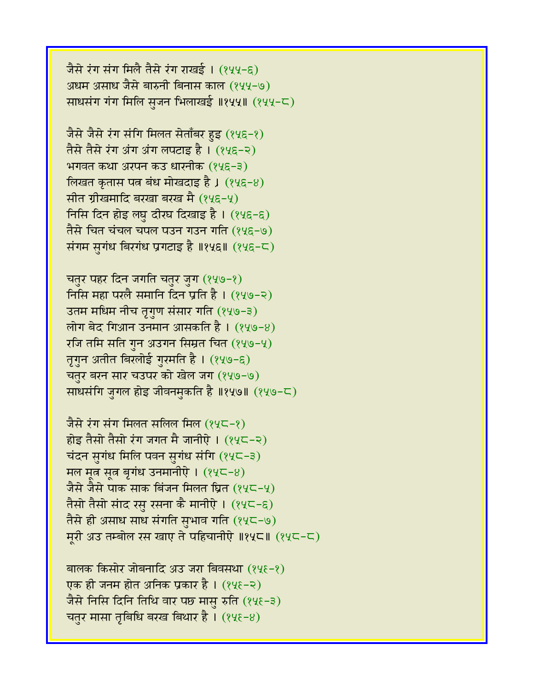जैसे रंग संग मिलै तैसे रंग राखई । (१५५-६) अधम असाध जैसे बारुनी बिनास काल (१५५-७) साधसंग गंग मिलि सजन भिलाखई ॥१५५॥ (१५५-८)

जैसे जैसे रंग संगि मिलत सेताँबर हुइ (१५६-१) तैसे तैसे रंग अंग अंग लपटाड है । (१५६-२) भगवत कथा अरपन कउ धारनीक (१५६-३) लिखत कृतास पत्न बंध मोखदाइ है ।  $(845-8)$ सीत ग्रीखमादि बरखा बरख मै (१५६-५) निसि दिन होइ लघु दीरघ दिखाइ है।  $(245-6)$ तैसे चित चंचल चपल पउन गउन गति (१५६-७) संगम सुगंध बिरगंध प्रगटाइ है ॥१५६॥ (१५६-८)

चतुर पहर दिन जगति चतुर जुग (१५७-१) निसि महा परलै समानि दिन प्रति है। (१५७-२) उतम मधिम नीच तृगुण संसार गति (१५७-३) लोग बेद गिआन उनमान आसकति है । (१५७-४)  $\tau$ जि तमि सति गुन अउगन सिम्रत चित (१५७-५) तृगुन अतीत बिरलोई गुरमति है । (१५७-६) चतुर बरन सार चउपर को खेल जग (१५७-७) साधसंगि जुगल होइ जीवनमुकति है ॥१५७॥ (१५७-८)

जैसे रंग संग मिलत सलिल मिल (१५८-१) होइ तैसो तैसो रंग जगत मै जानीऐ ।  $(24C-2)$ चंदन सुगंध मिलि पवन सुगंध संगि  $(24C-3)$ मल मूत्र सूत्र बृगंध उनमानीऐ ।  $(24C-8)$ जैसे जैसे पाक साक बिंजन मिलत घ्रित (१५८-५) तैसो तैसो संाद रसु रसना कै मानीऐ । (१५८-६) तैसे ही असाध साध संगति सुभाव गति (१५८-७) मुरी अउ तम्बोल रस खाए ते पहिचानीऐ ॥१५८॥ (१५८-८)

बालक किसोर जोबनादि अउ जरा बिवसथा (१५६-१) एक ही जनम होत अनिक प्रकार है । (१५६-२) जैसे निसि दिनि तिथि वार पछ मासु रुति (१५६-३) चतुर मासा तृबिधि बरख बिथार है ।  $(2\ell - 8)$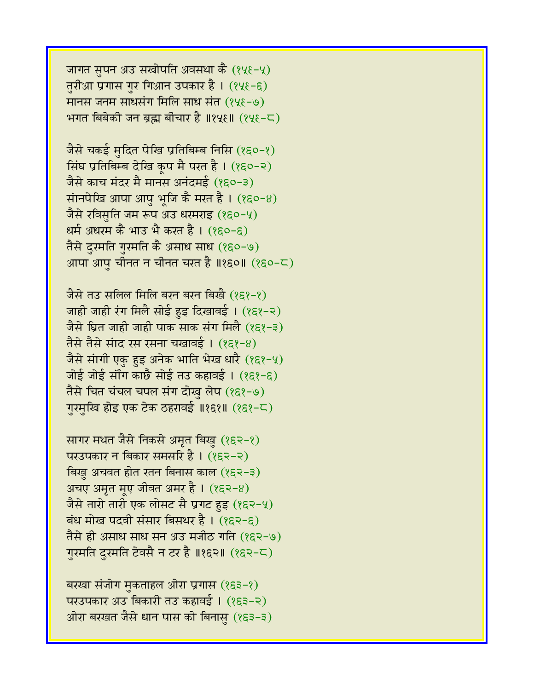जागत सुपन अउ सखोपति अवसथा कै (१५६-५) तुरीआ प्रगास गुर गिआन उपकार है। (१५६-६) मानस जनम साधसंग मिलि साध संत (१५६-७) भगत बिबेकी जन ब्रह्म बीचार है ॥१५६॥ (१५६-८)

जैसे चकई मुदित पेखि प्रतिबिम्ब निसि  $(850-8)$ सिंघ प्रतिबिम्ब देखि कूप मै परत है। (१६०-२) जैसे काच मंदर मै मानस अनंदमई (१६०-३) सांनपेखि आपा आपु भूजि कै मरत है।  $(850-8)$ जैसे रविसुति जम रूप अउ धरमराइ (१६०-५) धर्म अधरम कै भाउ भै करत है । (१६०-६) तैसे दुरमति गुरमति कै असाध साध (१६०-७) आपा आपु चीनत न चीनत चरत है ॥१६०॥ (१६०-८)

जैसे तउ सलिल मिलि बरन बरन बिखै (१६१-१) जाही जाही रंग मिलै सोई हुइ दिखावई । (१६१-२) जैसे घ्रित जाही जाही पाक साक संग मिलै (१६१-३) तैसे तैसे सांद रस रसना चखावई। (१६१-४) जैसे सांगी एकु हुइ अनेक भाति भेख धारै (१६१-५) जोई जोई सौंग काछै सोई तउ कहावई ।  $(85^2-5)$ तैसे चित चंचल चपल संग दोख लेप (१६१-७) गुरमुखि होइ एक टेक ठहरावई ॥१६१॥ (१६१-८)

सागर मथत जैसे निकसे अमृत बिखु (१६२-१) परउपकार न बिकार समसरि है । (१६२-२) बिखु अचवत होत रतन बिनास काल (१६२-३) अचए अमृत मूए जीवत अमर है।  $(852-8)$ जैसे तारो तारी एक लोसट सै प्रगट हुइ (१६२-५) बंध मोख पदवी संसार बिसथर है।  $(852-6)$ तैसे ही असाध साध सन अउ मजीठ गति (१६२-७) ग़रमति दुरमति टेवसै न टर है ॥१६२॥ (१६२-८)

बरखा संजोग मुकताहल ओरा प्रगास (१६३-१) परउपकार अउ बिकारी तउ कहावई। (१६३-२) ओरा बरखत जैसे धान पास को बिनासु (१६३-३)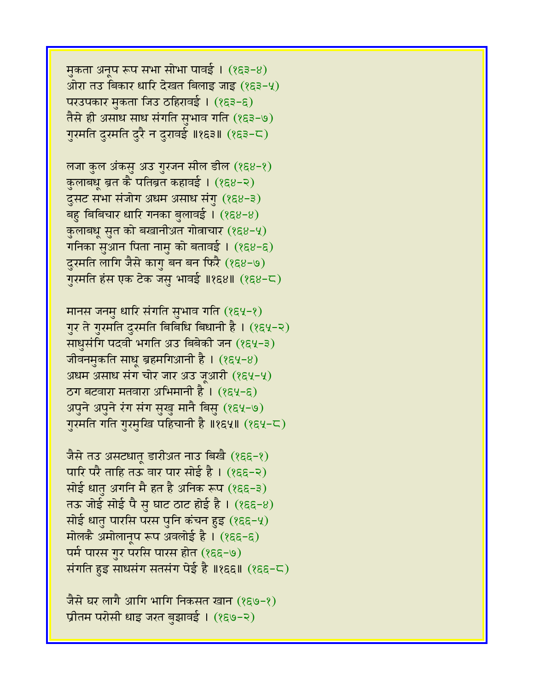मुकता अनूप रूप सभा सोभा पावई । (१६३-४) ओरा तउ बिकार धारि देखत बिलाइ जाइ (१६३-५) परउपकार मुकता जिउ ठहिरावई। (१६३-६) तैसे ही असाध साध संगति सुभाव गति (१६३-७) गुरमति दुरमति दुरै न दुरावई ॥१६३॥ (१६३-८)

लजा कुल अंकसु अउ गुरजन सील डील (१६४-१) कुलाबधू ब्रत कै पतिब्रत कहावई । (१६४-२) दुसट सभा संजोग अधम असाध संगु (१६४-३) बहु बिबिचार धारि गनका बुलावई। (१६४-४) कुलाबधू सुत को बखानीअत गोत्नाचार (१६४-५) गनिका सुआन पिता नामु को बतावई ।  $(88-6)$ दुरमति लागि जैसे कागु बन बन फिरै (१६४-७) गुरमति हंस एक टेक जसु भावई ॥१६४॥ (१६४-८)

मानस जनमु धारि संगति सुभाव गति (१६५-१) गुर ते गुरमति दुरमति बिबिधि बिधानी है। (१६५-२) साधुसंगि पदवी भगति अउ बिबेकी जन (१६५-३) जीवनमुकति साधू ब्रहमगिआनी है । (१६५-४) अधम असाध संग चोर जार अउ जूआरी (१६५-५)  $T$ ठग बटवारा मतवारा अभिमानी है ।  $(854-6)$ अपुने अपुने रंग संग सुखु मानै बिसु (१६५-७) गुरमति गति गुरमुखि पहिचानी है ॥१६५॥ (१६५-८)

जैसे तउ असटधातू डारीअत नाउ बिखै (१६६-१) पारि परै ताहि तऊ वार पार सोई है।  $(855-2)$ सोई धातु अगनि मै हत है अनिक रूप (१६६-३) तऊ जोई सोई पै सु घाट ठाट होई है। (१६६-४) सोई धातु पारसि परस पुनि कंचन हुइ (१६६-५) मोलकै अमोलानुप रूप अवलोई है । (१६६-६) पर्म पारस गुर परसि पारस होत (१६६-७) संगति हुइ साधसंग सतसंग पेई है ॥१६६॥  $($ १६६-८)

जैसे घर लागै आगि भागि निकसत खान (१६७-१) प्रीतम परोसी धाइ जरत बुझावई । (१६७-२)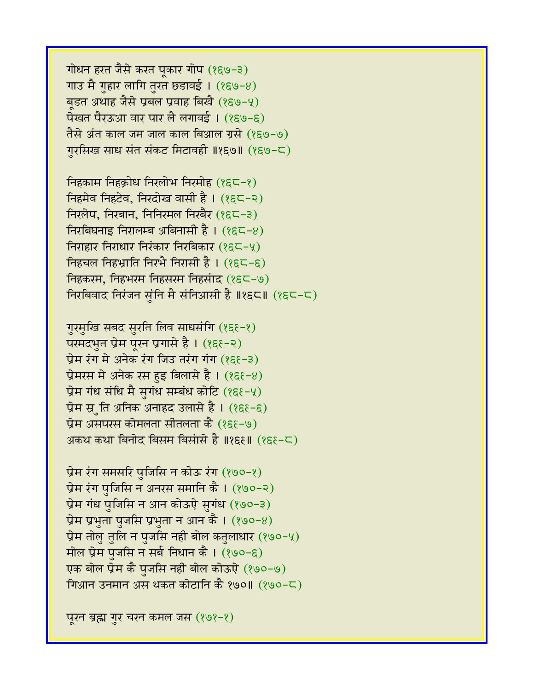गोधन हरत जैसे करत पूकार गोप (१६७-३) गाउ मै गुहार लागि तुरत छडावई ।  $(859-8)$ बड़त अथाह जैसे प्रबल प्रवाह बिखै (१६७-५) पेखत पैरऊआ वार पार लै लगावई । (१६७-६) तैसे अंत काल जम जाल काल बिआल ग्रसे (१६७-७) गरसिख साध संत संकट मिटावही ॥१६७॥ (१६७-८)

निहकाम निहक्रोध निरलोभ निरमोह (१६८-१) निहमेव निहटेव, निरदोख वासी है। (१६८-२) निरलेप, निरबान, निनिरमल निरबैर (१६८-३)  $f$ निरबिघनाइ निरालम्ब अबिनासी है। (१६८-४) निराहार निराधार निरंकार निरबिकार (१६८-५) निहचल निहभ्राति निरभै निरासी है।  $(8\varepsilon\zeta-\varepsilon)$ निहकरम, निहभरम निहसरम निहसंाद (१६८-७) निरबिवाद निरंजन सुंनि मै संनिआसी है ॥१६८॥ (१६८-८)

गुरमुखि सबद सुरति लिव साधसंगि (१६६-१) परमदभुत प्रेम पूरन प्रगासे है। (१६१-२) प्रेम रंग में अनेक रंग जिउ तरंग गंग  $(8\xi - 3)$ प्रेमरस मे अनेक रस हुइ बिलासे है।  $(8\xi - 8)$ प्रेम गंध संधि मै सुगंध सम्बंध कोटि  $(8\xi - 4)$ प्रेम स्र्ति अनिक अनाहद उलासे है ।  $(8\xi - \xi)$ प्रेम असपरस कोमलता सीतलता कै (१६१-७) अकथ कथा बिनोद बिसम बिसंासे है ॥१६६॥ (१६६-८)

प्रेम रंग समसरि पुजिसि न कोऊ रंग  $(890-8)$ प्रेम रंग पुजिसि न अनरस समानि कै । (१७०-२) प्रेम गंध पुजिसि न आन कोऊऐ सुगंध (१७०-३) प्रेम प्रभुता पुजसि प्रभुता न आन कै ।  $(890-8)$ प्रेम तोलु तुलि न पुजसि नही बोल कतुलाधार (१७०-५) मोल प्रेम पुजसि न सर्ब निधान कै ।  $(800-6)$ एक बोल प्रेम कै पुजसि नही बोल कोऊऐ (१७०-७) गिआन उनमान अस थकत कोटानि कै १७०॥ (१७०-८)

पूरन ब्रह्म गुर चरन कमल जस  $(8, 9, -8)$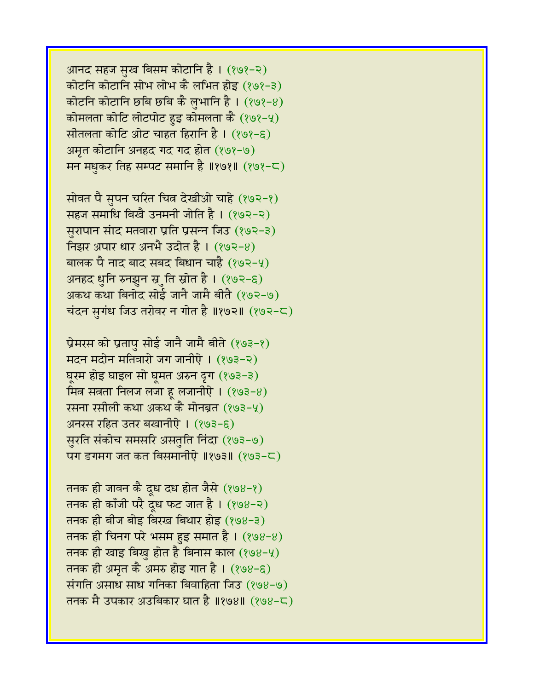आनद सहज सुख बिसम कोटानि है। (१७१-२) कोटनि कोटानि सोभ लोभ कै लभित होइ (१७१-३) कोटनि कोटानि छबि छबि कै लभानि है।  $(898-8)$ कोमलता कोटि लोटपोट हुइ कोमलता कै  $(898-4)$ सीतलता कोटि ओट चाहत हिरानि है।  $(898-6)$ अमृत कोटानि अनहद गद गद होत (१७१-७) मन मधुकर तिह सम्पट समानि है ॥१७१॥ (१७१-८)

सोवत पै सुपन चरित चित्र देखीओ चाहे (१७२-१) सहज समाधि बिखै उनमनी जोति है । (१७२-२) सुरापान सांद मतवारा प्रति प्रसन्न जिउ (१७२-३) निझर अपार धार अनभै उदोत है।  $(892-8)$ बालक पै नाद बाद सबद बिधान चाहै (१७२-५) अनहद धुनि रुनझुन स्रुति स्रोत है। (१७२-६) अकथ कथा बिनोद सोई जानै जामै बीतै (१७२-७) चंदन सुगंध जिउ तरोवर न गोत है ॥१७२॥  $(892-5)$ 

प्रेमरस को प्रतापु सोई जानै जामै बीते (१७३-१) मदन मदोन मतिवारो जग जानीऐ। (१७३-२) घूरम होइ घाइल सो घूमत अरुन दृग (१७३-३) मित्र सत्रता निलज लजा हु लजानीऐ $1$  (१७३-8) रसना रसीली कथा अकथ कै मोनब्रत (१७३-५) अनरस रहित उतर बखानीऐ । (१७३-६) सुरति संकोच समसरि असतुति निंदा (१७३-७)  $\overline{u}$ ग डगमग जत कत बिसमानीऐ ॥१७३॥ (१७३-८)

तनक ही जावन कै दूध दध होत जैसे (१७४-१) तनक ही काँजी परै दूध फट जात है। (१७४-२) तनक ही बीज बोइ बिरख बिथार होइ (१७४-३) तनक ही चिनग परे भसम हुइ समात है ।  $(898-8)$ तनक ही खाइ बिख होत है बिनास काल  $(898-4)$ तनक ही अमृत कै अमरु होइ गात है।  $(898-6)$ संगति असाध साध गनिका बिवाहिता जिउ (१७४-७) तनक मै उपकार अउबिकार घात है ॥१७४॥ (१७४-८)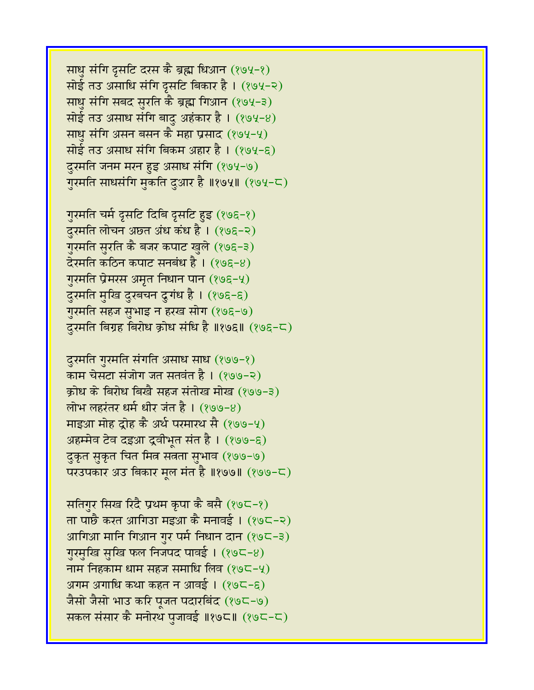साधु संगि दूसटि दरस कै ब्रह्म धिआन (१७५-१) सोई तउ असाधि संगि दुसटि बिकार है। (१७५-२) साधु संगि सबद सुरति कै ब्रह्म गिआन (१७५-३) सोई तउ असाध संगि बादु अहंकार है।  $(894-8)$ साधु संगि असन बसन कै महा प्रसाद (१७५-५) सोई तउ असाध संगि बिकम अहार है। (१७५-६) दुरमति जनम मरन हुइ असाध संगि (१७५-७) गुरमति साधसंगि मुकति दुआर है ॥१७५॥ (१७५-८)

गुरमति चर्म द्रुसटि दिबि द्रुसटि हुइ (१७६-१) दुरमति लोचन अछ्त अंध कंध है। (१७६-२) गुरमति सुरति कै बजर कपाट खुले (१७६-३) देरमति कठिन कपाट सनबंध है। (१७६-४) गुरमति प्रेमरस अमृत निधान पान (१७६-५) दुरमति मुखि दुरबचन दुगंध है। (१७६-६) गुरमति सहज सुभाइ न हरख सोग (१७६-७) दुरमति बिग्रह बिरोध क्रोध संधि है ॥१७६॥ (१७६-८)

दुरमति गुरमति संगति असाध साध (१७७-१) काम चेसटा संजोग जत सतवंत है। (१७७-२) क्रोध के बिरोध बिखै सहज संतोख मोख (१७७-३) लोभ लहरंतर धर्म धीर जंत है। (१७७-४) माइआ मोह द्रोह कै अर्थ परमारथ सै (१७७-५) अहम्मेव टेव दइआ द्रवीभूत संत है। (१७७-६) दुकृत सुकृत चित मित्र सत्रता सुभाव (१७७-७) परउपकार अउ बिकार मूल मंत है ॥१७७॥ (१७७-८)

सतिगुर सिख रिंदै प्रथम कृपा कै बसै (१७८-१) ता पाछै करत आगिउा मइआ कै मनावई । (१७८-२) आगिआ मानि गिआन गुर पर्म निधान दान (१७८-३) गुरमुखि सुखि फल निजपद पावई। (१७८-४) नाम निहकाम धाम सहज समाधि लिव  $(89C - 4)$ अगम अगाधि कथा कहत न आवई । (१७८-६) जैसो जैसो भाउ करि पूजत पदारबिंद (१७८-७) सकल संसार कै मनोरथ पूजावई ॥१७८॥ (१७८-८)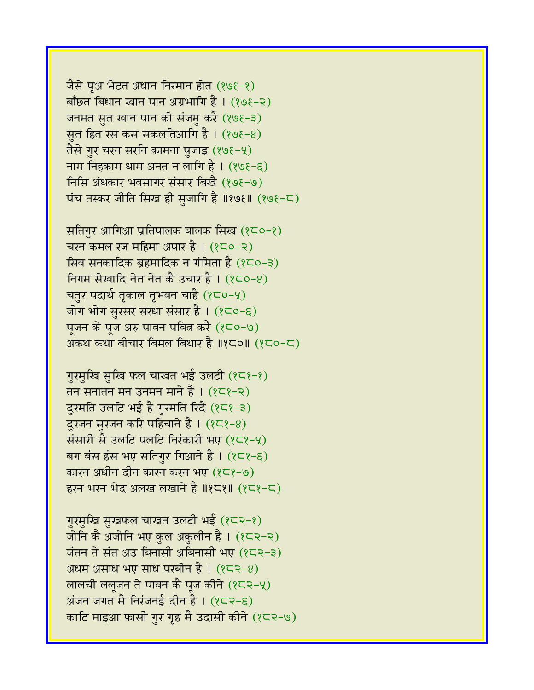जैसे पूअ भेटत अधान निरमान होत (१७६-१) बाँछत बिधान खान पान अग्रभागि है।  $(898-2)$ जनमत सुत खान पान को संजमु करै (१७१-३) सूत हित रस कस सकलतिआगि है।  $(898-8)$ तैसे गुर चरन सरनि कामना पुजाइ (१७६-५) नाम निहकाम धाम अनत न लागि है।  $(898-6)$ निसि अंधकार भवसागर संसार बिखै (१७६-७) पंच तस्कर जीति सिख ही सुजागि है ॥१७६॥ (१७६-८)

सतिगुर आगिआ प्रतिपालक बालक सिख (१८०-१) चरन कमल रज महिमा अपार है।  $(2C-2)$ सिव सनकादिक ब्रहमादिक न गंमिता है  $(8C-3)$ निगम सेखादि नेत नेत कै उचार है।  $(8C - 8)$ चतुर पदार्थ तृकाल तृभवन चाहै (१८०-५) जोग भोग सुरसर सरधा संसार है । (१८०-६) पूजन के पूज अरु पावन पवित्न करै (१८०-७) अकथ कथा बीचार बिमल बिथार है ॥१८०॥  $(2C_0-C)$ 

गुरमुखि सुखि फल चाखत भई उलटी (१८१-१) तन सनातन मन उनमन माने है।  $(25)$ -२) दुरमति उलटि भई है गुरमति रिंदै (१८१-३) दुरजन सुरजन करि पहिचाने है ।  $(8\epsilon\sqrt{8}-8)$ संसारी सै उलटि पलटि निरंकारी भए (१८१-५) बग बंस हंस भए सतिगुर गिआने है।  $(8\epsilon^2-\epsilon)$ कारन अधीन दीन कारन करन भए (१८१-७) हरन भरन भेद अलख लखाने है ॥१८१॥ (१८१-८)

गुरमुखि सुखफल चाखत उलटी भई (१८२-१) जोनि कै अजोनि भए कुल अकुलीन है । (१८२-२) जंतन ते संत अउ बिनासी अबिनासी भए (१८२-३) अधम असाध भए साध परबीन है।  $(82-8)$ लालची ललूजन ते पावन कै पूज कीने  $(2\epsilon 2-y)$  $\overline{\mathcal{A}}$ जंजन जगत मै निरंजनई दीन है।  $(2\overline{\varsigma} - \overline{\varsigma})$ काटि माइआ फासी गर गृह मै उदासी कीने (१८२-७)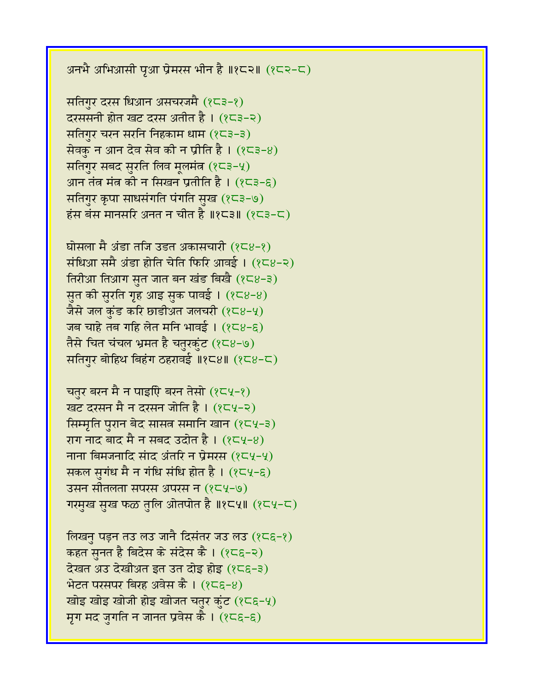अनभै अभिआसी पृआ प्रेमरस भीन है ॥१८२॥ (१८२-८)

सतिगुर दरस धिआन असचरजमै (१८३-१) दरससनी होत खट दरस अतीत है।  $(25-2)$ सतिगुर चरन सरनि निहकाम धाम $(253-3)$ सेवक़ न आन देव सेव की न प्रीति है।  $(823-8)$ सतिगुर सबद सुरति लिव मूलमंत  $(8-5-4)$ आन तंत्र मंत्र की न सिखन प्रतीति है।  $(2\overline{5}-\overline{5})$ सतिगुर कृपा साधसंगति पंगति सुख (१८३-७) हंस बंस मानसरि अनत न चीत है ॥१८३॥  $(2\overline{5}-\overline{5})$ 

घोसला मै अंडा तजि उडत अकासचारी  $(8\sqrt{8}-8)$ संधिआ समै अंडा होति चेति फिरि आवई।  $(258-2)$ तिरीआ तिआग सुत जात बन खंड बिखै  $(8\sqrt{8}-3)$ सुत की सुरति गृह आइ सुक पावई। (१८४-४) जैसे जल कुंड करि छाडीअत जलचरी  $(8\epsilon 8-4)$ जब चाहे तब गहि लेत मनि भावई।  $(258-6)$ तैसे चित चंचल भ्रमत है चतुरकुंट (१८४-७) सतिगुर बोहिथ बिहंग ठहरावई ॥१८४॥ (१८४-८)

चतुर बरन मै न पाइएि बरन तेसो  $(2\epsilon 4-2)$ खट दरसन मै न दरसन जोति है । (१८५-२) सिम्मृति पुरान बेद सासत समानि खान (१८५-३) राग नाद बाद मै न सबद उदोत है ।  $(2\epsilon 4-8)$ नाना बिमजनादि संाद अंतरि न प्रेमरस  $(2\epsilon 4-4)$ सकल सुगंध मै न गंधि संधि होत है।  $(8\epsilon\mathsf{Y}-8)$ उसन सीतलता संपरस अपरस न (१८५-७) गरमुख सुख फळ तुलि ओतपोत है ॥१८५॥ (१८५-८)

लिखनु पड़न तउ लउ जानै दिसंतर जउ लउ  $(8\epsilon\epsilon-\epsilon)$ कहत स़नत है बिदेस के संदेस कै । (१८६-२)  $\vec{a}$ खत अउ देखीअत इत उत दोइ होइ (१८६-३) भेटत परसपर बिरह अवेस कै ।  $(856-8)$ खोइ खोइ खोजी होइ खोजत चतुर कुंट (१८६-५) मृग मद जुगति न जानत प्रवेस कै $(25\varepsilon - \varepsilon)$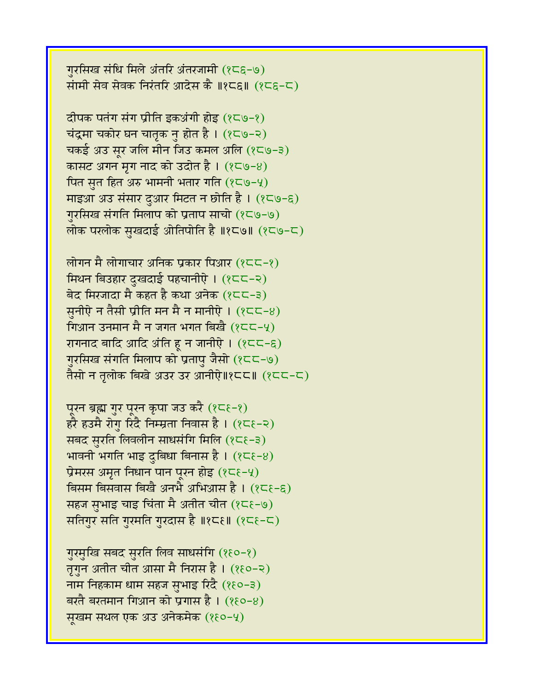गुरसिख संधि मिले अंतरि अंतरजामी (१८६-७) सामी सेव सेवक निरंतरि आदेस कै ॥१८६॥  $(25\varepsilon - 5)$ 

दीपक पतंग संग प्रीति इकअंगी होइ (१८७-१) चंद्रमा चकोर घन चातृक नु होत है ।  $(8\zeta\omega - z)$ चकई अउ सुर जलि मीन जिउ कमल अलि (१८७-३) कासट अगन मृग नाद को उदोत है।  $(8\zeta \cdot 8)$ पित सुत हित अरु भामनी भतार गति  $(8\zeta\zeta - 4)$ माइआ अउ संसार दुआर मिटत न छोति है । (१८७-६) गुरसिख संगति मिलाप को प्रताप साचो (१८७-७) लोक परलोक सुखदाई ओतिपोति है ॥१८७॥ (१८७-८)

लोगन मै लोगाचार अनिक प्रकार पिआर (१८८-१) मिथन बिउहार दुखदाई पहचानीऐ । (१८८-२) बेद मिरजादा मै कहत है कथा अनेक  $(25-3)$ सुनीऐ न तैसी प्रीति मन मै न मानीऐ ।  $(255-8)$ गिआन उनमान मै न जगत भगत बिखै  $(25-4)$ रागनाद बादि आदि अंति हू न जानीऐ।  $(2C-\epsilon)$ गुरसिख संगति मिलाप को प्रतापु जैसो (१८८-७) तैसो न तलोक बिखे अउर उर आनीऐ॥१८८॥ (१८८-८)

पूरन ब्रह्म गुर पूरन कृपा जउ करै (१८६-१) हरै हउमै रोगु रिंदै निम्म्रता निवास है ।  $(2\zeta - z)$ सबद सुरति लिवलीन साधसंगि मिलि (१८६-३) भावनी भगति भाइ दुबिधा बिनास है।  $(85e-8)$ प्रेमरस अमृत निधान पान पूरन होइ  $(85-4)$ बिसम बिसवास बिखै अनभै अभिआस है ।  $(25\varepsilon - \varepsilon)$ सहज सभाइ चाइ चिंता मै अतीत चीत  $(25e-9)$ सतिगुर सति गुरमति गुरदास है ॥१८६॥ (१८६-८)

गुरमुखि सबद सुरति लिव साधसंगि (१६०-१) तृगुन अतीत चीत आसा मै निरास है। (१६०-२) नाम निहकाम धाम सहज सुभाइ रिंदै (१६०-३) बरतै बरतमान गिआन को प्रगास है ।  $(880-8)$ सखम सथल एक अउ अनेकमेक (१६०-५)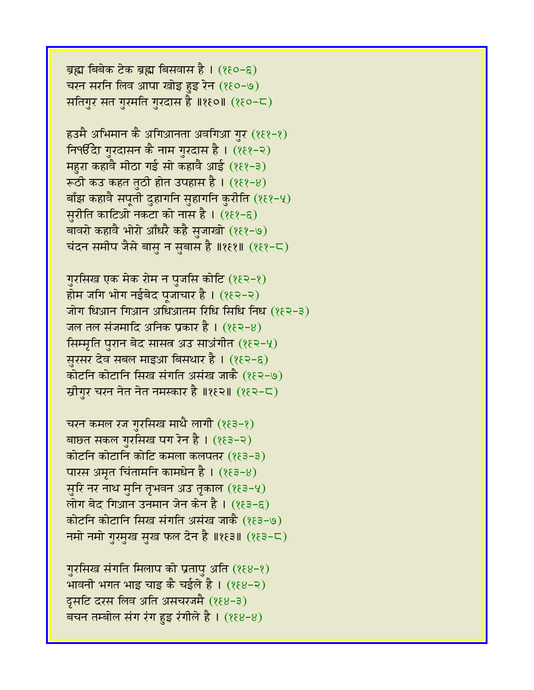ब्रह्म बिबेक टेक ब्रह्म बिसवास है। (१६०-६) चरन सरनि लिव आपा खोइ हुइ रेन (१६०-७) सतिगुर सत गुरमति गुरदास है ॥१६०॥ (१६०-८)

हउमै अभिमान कै अगिआनता अवगिआ गुर (१६१-१) <u>निपर्</u>छित गुरदासन कै नाम गुरदास है। (१६१-२) महुरा कहावै मीठा गई सो कहावै आई (१६१-३) रूठी कउ कहत तुठी होत उपहास है । (१६१-४) बाँझ कहावै सपूती दुहागनि सुहागनि कुरीति (१६१-५) सरीति काटिओ नकटा को नास है।  $(889-6)$ बावरो कहावै भोरो आँधरै कहै सुजाखो (१६१-७) चंदन समीप जैसे बासु न सुबास है ॥१६१॥ (१६१-८)

गुरसिख एक मेक रोम न पुजसि कोटि (१६२-१) होम जगि भोग नईबेद पूजाचार है। (१६२-२) जोग धिआन गिआन अधिआतम रिधि सिधि निध (१६२-३) जल तल संजमादि अनिक प्रकार है।  $(882-8)$ सिम्मृति पुरान बेद सासत अउ साअंगीत (१६२-५) सुरसर देव सबल माइआ बिसथार है । (१६२-६) कोटनि कोटानि सिख संगति असंख जाकै (१६२-७) स्रीगुर चरन नेत नेत नमस्कार है ॥१६२॥ (१६२-८)

चरन कमल रज गुरसिख माथै लागी  $(85-8)$ बाछत सकल गुरसिख पग रेन है। (१६३-२) कोटनि कोटानि कोटि कमला कलपतर (१६३-३) पारस अमृत चिंतामनि कामधेन है।  $(85-8)$ सुरि नर नाथ मुनि तृभवन अउ तृकाल (१६३-५) लोग बेद गिआन उनमान जेन केन है।  $(253-6)$ कोटनि कोटानि सिख संगति असंख जाकै (१६३-७) नमो नमो गुरमुख सुख फल देन है ॥१६३॥ (१६३-८)

गुरसिख संगति मिलाप को प्रतापु अति (१६४-१) भावनी भगत भाइ चाइ कै चईले है । (१६४-२) दूसटि दरस लिव अति असचरजमै (१६४-३) बचन तम्बोल संग रंग हुइ रंगीले है।  $(88-8)$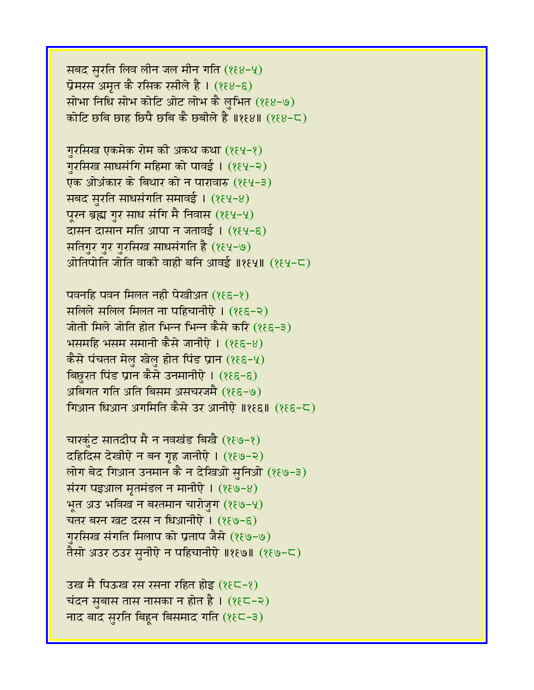सबद सुरति लिव लीन जल मीन गति  $(888-4)$ प्रेमरस अमृत कै रसिक रसीले है ।  $(888-6)$ सोभा निधि सोभ कोटि ओट लोभ कै लभित  $(888-9)$ कोटि छबि छाह छिपै छबि कै छबीले है ॥१६४॥  $(888-5)$ 

गुरसिख एकमेक रोम की अकथ कथा (१६५-१) गुरसिख साधसंगि महिमा को पावई। (१६५-२) एक ओअंकार के बिथार को न पारावारु (१६५-३) सबद सुरति साधसंगति समावई। (१६५-४) पूरन ब्रह्म गुर साध संगि मै निवास (१६५-५) दासन दासान मति आपा न जतावई । (१६५-६) सतिगुर गुर गुरसिख साधसंगति है (१६५-७) ओतिपोति जोति वाकी वाही बनि आवई ॥१६५॥  $($ १६५-८)

पवनहि पवन मिलत नही पेखीअत (१६६-१) सलिले सलिल मिलत ना पहिचानीऐ । (१६६-२) जोती मिले जोति होत भिन्न भिन्न कैसे करि (१६६-३)  $\overline{B}$ भसमहि भसम समानी कैसे जानीऐ । (१६६-४) कैसे पंचतत मेलु खेलु होत पिंड प्रान (१ $\mathcal{E}$ ६–५) बिछरत पिंड प्रान कैसे उनमानीऐ । (१६६-६) अबिगत गति अति बिसम असचरजमै (१६६-७) गिआन धिआन अगमिति कैसे उर आनीऐ ॥१६६॥ (१६६-८)

चारकंट सातदीप मै न नवखंड बिखै (१६७-१) दहिदिस देखीऐ न बन गृह जानीऐ । (१६७-२) लोग बेद गिआन उनमान कै न देखिओ सुनिओ (१६७-३) संरंग पइआल मृतमंडल न मानीऐ।  $(889-8)$ भत अउ भविख न बरतमान चारोजुग (१९७-५) चतर बरन खट दरस न धिआनीऐ ।  $(889-6)$ गरसिख संगति मिलाप को प्रताप जैसे (१६७-७) तैसो अउर ठउर स़नीऐ न पहिचानीऐ ॥१६७॥ (१६७-८)

उख मै पिऊख रस रसना रहित होइ (१६८-१) चंदन सुबास तास नासका न होत है।  $($ १६८-२) नाद बाद सुरति बिहुन बिसमाद गति (१९८-३)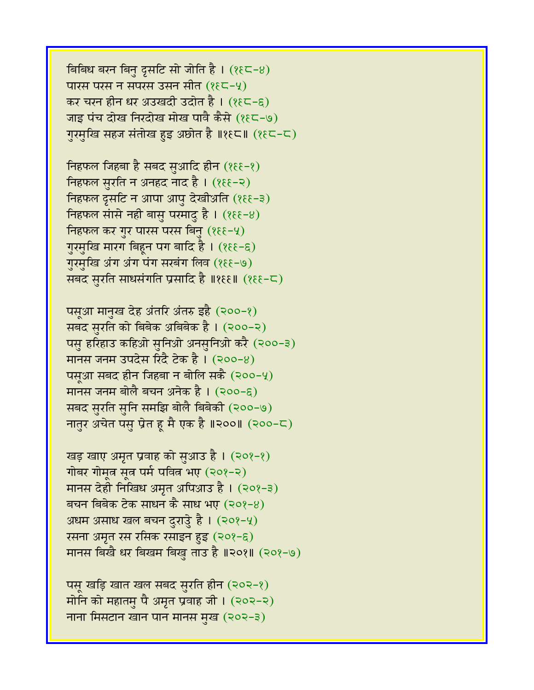बिबिध बरन बिनु दृसटि सो जोति है ।  $(8 \epsilon\mathsf{C}\text{-}8)$ पारस परस न संपरस उसन सीत  $(8\xi\zeta-\zeta)$ कर चरन हीन धर अउखदी उदोत है। (१६८-६) जाइ पंच दोख निरदोख मोख पावै कैसे (१६८-७) गुरमुखि सहज संतोख हुइ अछोत है ॥१६८॥ (१६८-८)

निहफल जिहबा है सबद सुआदि हीन  $($ १६१-१) निहफल सुरति न अनहद नाद है। (१६६-२) निहफल दृसटि न आपा आपु देखीअति (१६६-३) निहफल सांसे नही बासु परमादु है।  $($ १६१-४) निहफल कर गुर पारस परस बिनु  $(8\epsilon - 4)$ गुरमुखि मारग बिहून पग बादि है। (१६६-६) गुरमुखि अंग अंग पंग सरबंग लिव (१६६-७) सबद सुरति साधसंगति प्रसादि है ॥१६६॥ (१६६-८)

पसूआ मानुख देह अंतरि अंतरु इहै (२००-१) सबद सुरति को बिबेक अबिबेक है। (२००-२) पसु हरिहाउ कहिओ सुनिओ अनसुनिओ करै (२००-३) मानस जनम उपदेस रिंदै टेक है ।  $(200-8)$ पस्आ सबद हीन जिहबा न बोलि सकै (२००-५) मानस जनम बोलै बचन अनेक है ।  $(200-6)$ सबद सुरति सुनि समझि बोलै बिबेकी (२००-७) नातुर अचेत पसु प्रेत हू मै एक है ॥२००॥ (२००-८)

खड़ खाए अमृत प्रवाह को सुआउ है। (२०१-१) गोबर गोमूल सूल पर्म पवित्र भए (२०१-२) मानस देही निखिध अमृत अपिआउ है। (२०१-३) बचन बिबेक टेक साधन कै साध भए (२०१-४) अधम असाध खल बचन दुराउु है ।  $(208-4)$ रसना अमृत रस रसिक रसाइन हुइ (२०१-६) मानस बिखै धर बिखम बिखु ताउ है ॥२०१॥ (२०१-७)

पसू खड़ि खात खल सबद सुरति हीन (२०२-१) मोनि को महातमु पै अमृत प्रवाह जी। (२०२-२) नाना मिसटान खान पान मानस मुख (२०२-३)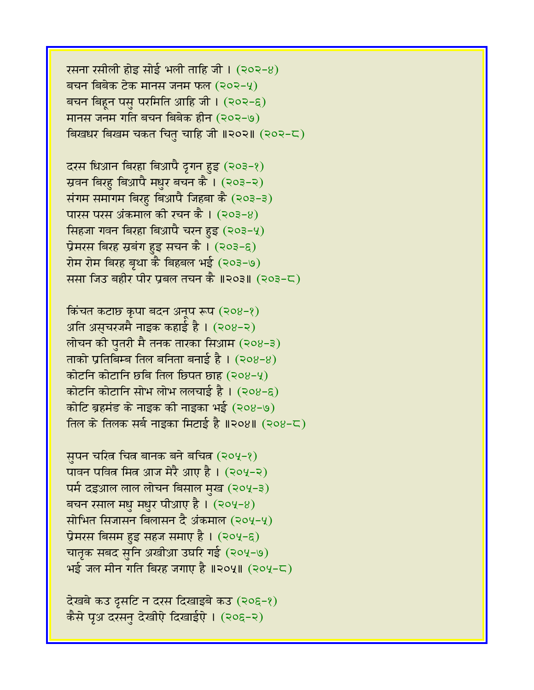रसना रसीली होइ सोई भली ताहि जी।  $(202-8)$ बचन बिबेक टेक मानस जनम फल (२०२-५) बचन बिहन पस परमिति आहि जी।  $(202-6)$ मानस जनम गति बचन बिबेक हीन (२०२-७) बिखधर बिखम चकत चितु चाहि जी ॥२०२॥ (२०२-८)

दरस धिआन बिरहा बिआपै द्रगन हुइ (२०३-१) स्रवन बिरहु बिआपै मधुर बचन कै । (२०३-२) संगम समागम बिरहु बिआपै जिहबा कै (२०३-३) पारस परस अंकमाल की रचन कै ।  $(203-8)$ सिंहजा गवन बिरहा बिआपै चरन हुइ (२०३-५) प्रेमरस बिरह स्रबंग हुइ सचन कै।  $(203-6)$ रोम रोम बिरह बृथा कै बिहबल भई (२०३-७) ससा जिउ बहीर पीर प्रबल तचन कै ॥२०३॥ (२०३-८)

किंचत कटाछ कृपा बदन अनुप रूप (२०४-१) अति असचरजमै नाइक कहाई है।  $(208-2)$ लोचन की पुतरी मै तनक तारका सिआम (२०४-३) ताको प्रतिबिम्ब तिल बनिता बनाई है ।  $(208-8)$ कोटनि कोटानि छबि तिल छिपत छाह (२०४-५) कोटनि कोटानि सोभ लोभ ललचाई है ।  $(208-6)$ कोटि ब्रहमंड के नाइक की नाइका भई (२०४-७) तिल के तिलक सर्ब नाइका मिटाई है ॥२०४॥ (२०४-८)

सुपन चरित्र चित्र बानक बने बचित्र (२०५-१) पावन पवित्र मित्र आज मेरै आए है। (२०५-२) पर्म दइआल लाल लोचन बिसाल मुख (२०५-३) बचन रसाल मधु मधुर पीआए है।  $(204-8)$ सोभित सिजासन बिलासन दै अंकमाल (२०५-५) प्रेमरस बिसम हुइ सहज समाए है ।  $(204-6)$ चातृक सबद सृनि अखीआ उघरि गई (२०५-७)  $B$ क्ष्र जल मीन गति बिरह जगाए है ॥२०५॥ (२०५-८)

देखबे कउ दृसटि न दरस दिखाइबे कउ (२०६-१) कैसे पृअ दरसन देखीऐ दिखाईऐ। (२०६-२)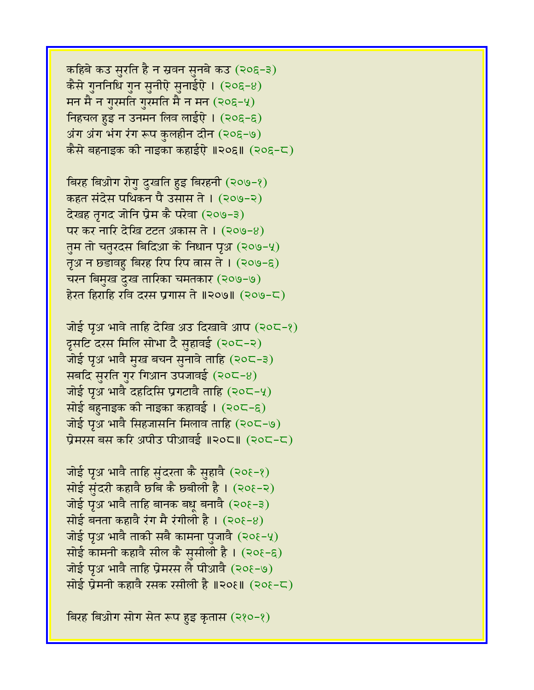कहिबे कउ सुरति है न स्रवन सुनबे कउ (२०६-३) कैसे गुननिधि गुन सुनीऐ सुनाईऐ ।  $(205-8)$ मन मै न गुरमति गुरमति मै न मन  $(20\xi-\gamma)$ निहचल हुइ न उनमन लिव लाईऐ।  $(205-6)$ अंग अंग भंग रंग रूप कुलहीन दीन (२०६-७) कैसे बहनाइक की नाइका कहाईऐ ॥२०६॥ (२०६-८)

विरह बिओग रोगु दुखति हुइ बिरहनी (२०७-१) कहत संदेस पथिकन पै उसास ते । (२०७-२) देखह तृगद जोनि प्रेम कै परेवा (२०७-३) पर कर नारि देखि टटत अकास ते । (२०७-४) तुम तो चतुरदस बिदिआ के निधान पृथ (२०७-५) तृअ न छड़ावहु बिरह रिप रिप त्नास ते ।  $(209-8)$ चरन बिमुख दुख तारिका चमतकार (२०७-७) हेरत हिराहि रवि दरस प्रगास ते ॥२०७॥ (२०७-८)

जोई पृथ भावे ताहि देखि अउ दिखावे आप  $(30C-8)$ दूसटि दरस मिलि सोभा दै सुहावई (२०८-२) जोई पृअ भावै मुख बचन सुनावे ताहि (२०८-३) सबदि सुरति गुर गिआन उपजावई  $(20C-8)$ जोई पूअ भावै दहदिसि प्रगटावै ताहि (२०८-५) सोई बहुनाइक की नाइका कहावई । (२०८-६) जोई पृअ भावै सिहजासनि मिलाव ताहि (२०८-७) प्रेमरस बस करि अपीउ पीआवई ॥२०८॥ (२०८-८)

जोई पृअ भावै ताहि सुंदरता कै सुहावै (२०१-१) सोई सुंदरी कहावै छबि कै छबीली है। (२०१-२) जोई पृथ भावै ताहि बानक बधू बनावै (२० $\xi$ -३) सोई बनता कहावै रंग मै रंगीली है।  $(20\xi-8)$ जोई पृथ भावै ताकी सबै कामना पुजावै (२०१-५) सोई कामनी कहावै सील कै सुसीली है।  $(20\xi - \xi)$ जोई पृअ भावै ताहि प्रेमरस लै पीआवै (२०१-७) सोई प्रेमनी कहावै रसक रसीली है ॥२०६॥ (२०१-८)

बिरह बिओग सोग सेत रूप हुइ कृतास (२१०-१)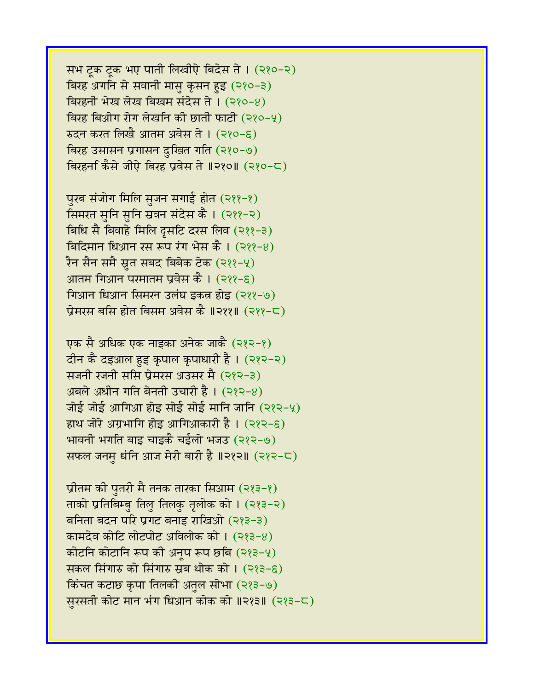सभ ट्रक ट्रक भए पाती लिखीऐ बिदेस ते । (२१०-२) बिरह अगनि से सवानी मासु कृसन हुइ (२१०-३) बिरहनी भेख लेख बिखम संदेस ते । (२१०-४) बिरह बिओग रोग लेखनि की छाती फाटी  $(220-4)$  $x$ दन करत लिखै आतम अवेस ते । (२१०-६) बिरह उसासन प्रगासन दुखित गति (२१०-७) विरहर्ना कैसे जीऐ बिरह प्रवेस ते ॥२१०॥ (२१०-८)

पुरब संजोग मिलि सुजन सगाई होत (२११-१) सिमरत सनि सनि स्रवन संदेस कै । (२११-२) बिधि सै बिवाहे मिलि द्रसटि दरस लिव (२११-३) बिदिमान धिआन रस रूप रंग भेस कै।  $(222-8)$ रैन सैन समै स्रुत सबद बिबेक टेक (२११-५) आतम गिआन परमातम प्रवेस कै ।  $(322 - 8)$ गिआन धिआन सिमरन उलंघ इकत्र होइ (२११-७) प्रेमरस बसि होत बिसम अवेस कै ॥२११॥ (२११-८)

एक सै अधिक एक नाइका अनेक जाकै (२१२-१) दीन कै दइआल हुइ कृपाल कृपाधारी है। (२१२-२) सजनी रजनी ससि प्रेमरस अउसर मै (२१२-३) अबले अधीन गति बेनती उचारी है।  $(382-8)$ जोई जोई आगिआ होइ सोई सोई मानि जानि (२१२-५) हाथ जोरे अग्रभागि होइ आगिआकारी है।  $(222-\epsilon)$ भावनी भगति बाइ चाइकै चईलो भजउ (२१२-७) सफल जनम धंनि आज मेरी बारी है ॥२१२॥ (२१२-८)

प्रीतम की पुतरी मै तनक तारका सिआम (२१३-१) ताको प्रतिबिम्ब तिल तिलक तृलोक को । (२१३-२) बनिता बदन परि प्रगट बनाइ राखिओ (२१३-३) कामदेव कोटि लोटपोट अविलोक को ।  $(383-8)$ कोटनि कोटानि रूप की अनुप रूप छबि (२१३-५) सकल सिंगारु को सिंगारु स्रब थोक को ।  $(223-6)$ किंचत कटाछ कृपा तिलकी अतुल सोभा (२१३-७) सुरसती कोट मान भंग धिआन कोक को ॥२१३॥ (२१३-८)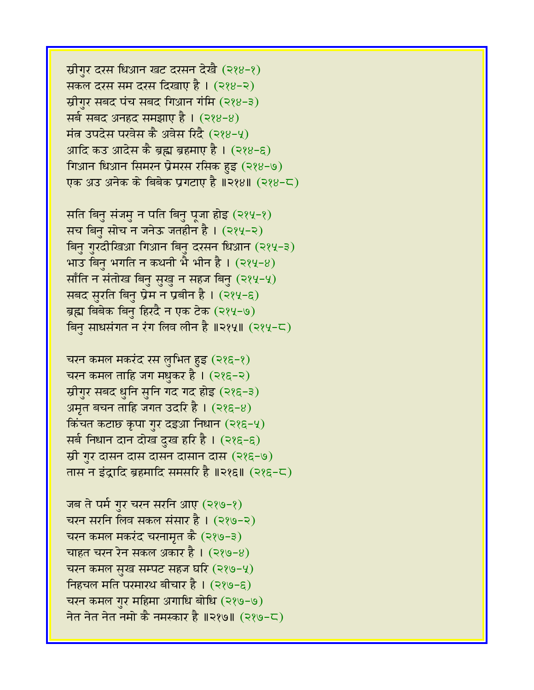स्रीगुर दरस धिआन खट दरसन देखै (२१४-१) सकल दरस सम दरस दिखाए है । (२१४-२) स्रीगर सबद पंच सबद गिआन गंमि (२१४-३) सर्व सबद अनहद समझाए है । (२१४-४) मंत्र उपदेस परवेस कै अवेस रिंदै (२१४-५) आदि कउ आदेस कै ब्रह्म ब्रहमाए है।  $(288-6)$ गिआन धिआन सिमरन प्रेमरस रसिक हुइ (२१४-७) एक अउ अनेक के बिबेक प्रगटाए है ॥२१४॥ (२१४-८)

सति बिनु संजमु न पति बिनु पूजा होइ (२१५-१) सच बिनु सोच न जनेऊ जतहीन है। (२१५-२) बिनु गुरदीखिआ गिआन बिनु दरसन धिआन (२१५-३) भाउ बिनु भगति न कथनी भै भीन है।  $(284-8)$ साँति न संतोख बिनु सुखु न सहज बिनु (२१५-५) सबद सुरति बिनु प्रेम न प्रबीन है । (२१५-६) ब्रह्म बिबेक बिनु हिरदै न एक टेक (२१५-७) बिन साधसंगत न रंग लिव लीन है ॥२१५॥ (२१५-८)

चरन कमल मकरंद रस लुभित हुइ (२१६-१) चरन कमल ताहि जग मधुकर है।  $(225-2)$ स्रीगुर सबद धुनि सुनि गद गद होइ (२१६-३) अमृत बचन ताहि जगत उदरि है ।  $(225-8)$ किंचत कटाछ कृपा गुर दइआ निधान (२१६-५) सर्ब निधान दान दोख दुख हरि है । (२१६-६) स्री गुर दासन दास दासन दासा (२१६-७) तास न इंद्रादि ब्रहमादि समसरि है ॥२१६॥ (२१६-८)

जब ते पर्म गुर चरन सरनि आए (२१७-१) चरन सरनि लिव सकल संसार है । (२१७-२) चरन कमल मकरंद चरनामृत कै (२१७-३) चाहत चरन रेन सकल अकार है।  $(389-8)$ चरन कमल सुख सम्पट सहज घरि  $(289-4)$ निहचल मति परमारथ बीचार है। (२१७-६) चरन कमल गुर महिमा अगाधि बोधि (२१७-७) नेत नेत नेत नमो कै नमस्कार है ॥२१७॥ (२१७-८)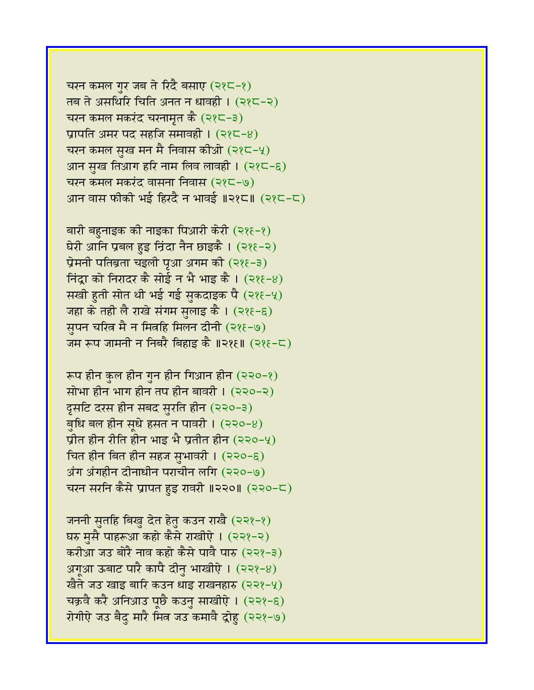चरन कमल गुर जब ते रिंदै बसाए  $(225-2)$ तब ते असथिरि चिति अनत न धावही ।  $(225-2)$ चरन कमल मकरंद चरनामृत कै (२१८-३) प्रापति अमर पद सहजि समावही ।  $(225-8)$ चरन कमल सुख मन मै निवास कीओ  $(22-4)$ आन सुख तिआग हरि नाम लिव लावही । (२१८-६) चरन कमल मकरंद वासना निवास (२१८-७) आन वास फीकी भई हिरदै न भावई ॥२१८॥ (२१८-८)

बारी बहुनाइक की नाइका पिआरी केरी (२१६-१) घेरी आनि प्रबल हुइ निंदा नैन छाइकै । (२१६-२) प्रेमनी पतिब्रता चइली पृआ अगम की (२१६-३) निंदा को निरादर कै सोई न भै भाइ कै।  $(388-8)$ सखी हुती सोत थी भई गई सुकदाइक पै (२१६-५) जहा के तही लै राखे संगम सुलाइ कै । (२१६-६) सुपन चरित्न मै न मित्रहि मिलन दीनी (२१६-७) जम रूप जामनी न निबरै बिहाइ कै ॥२१६॥  $(225-5)$ 

रूप हीन कुल हीन गुन हीन गिआन हीन  $(220-2)$ सोभा हीन भाग हीन तप हीन बावरी ।  $(220-2)$ दूसटि दरस हीन सबद सुरति हीन (२२०-३) बुधि बल हीन सूधे हसत न पावरी ।  $(220-8)$ प्रीत हीन रीति हीन भाइ भै प्रतीत हीन (२२०-५) चित हीन बित हीन सहज सभावरी ।  $(220-8)$  $3$ ग अंगहीन दीनाधीन पराचीन लगि (२२०-७) चरन सरनि कैसे प्रापत हुइ रावरी ॥२२०॥ (२२०-८)

जननी सुतहि बिखु देत हेतु कउन राखै (२२१-१) घरु मुसै पाहरूआ कहो कैसे राखीऐ । (२२१-२) करीआ जउ बोरै नाव कहो कैसे पावै पारु (२२१-३) अगूआ ऊबाट पारै कापै दीनु भाखीऐ।  $(222-8)$ खैते जउ खाइ बारि कउन धाइ राखनहारु (२२१-५) चक्रवै करै अनिआउ पूछै कउनु साखीऐ । (२२१-६) रोगीऐ जउ बैद मारै मित्र जउ कमावै द्रोह (२२१-७)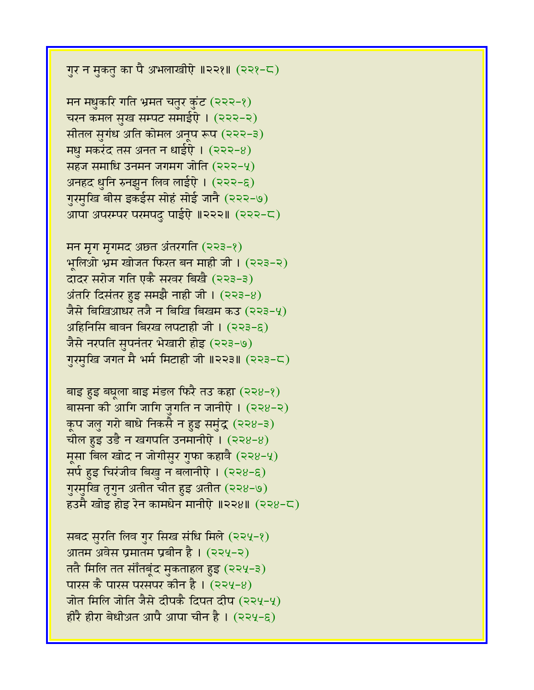गुर न मुकतु का पै अभलाखीऐ ॥२२१॥ (२२१-८)

मन मधुकरि गति भ्रमत चतुर कुंट (२२२-१) चरन कमल सुख सम्पट समाईऐ । (२२२-२) सीतल सुगंध अति कोमल अनूप रूप (२२२-३) **मधु मकरंद तस अनत न धाईऐ। (२२२-8)** सहज समाधि उनमन जगमग जोति  $(222-y)$ अनहद धुनि रुनझुन लिव लाईऐ । (२२२-६) गुरमुखि बीस इकईस सोहं सोई जानै (२२२-७) आपा अपरम्पर परमपदु पाईऐ ॥२२२॥ (२२२-८)

मन मृग मृगमद अछत अंतरगति (२२३-१) भलिओ भ्रम खोजत फिरत बन माही जी। (२२३-२) दादर सरोज गति एकै सरवर बिखै (२२३-३) अंतरि दिसंतर हुइ समझै नाही जी।  $(223-8)$ जैसे बिखिआधर तजै न बिखि बिखम कउ (२२३-५)  $\overline{\text{R}}$ हिनिसि बावन बिरख लपटाही जी। (२२३-६) जैसे नरपति सुपनंतर भेखारी होइ (२२३-७) गुरमुखि जगत मै भर्म मिटाही जी ॥२२३॥ (२२३-८)

बाइ हुइ बघुला बाइ मंडल फिरै तउ कहा (२२४-१) बासना की आगि जागि जुगति न जानीऐ। (२२४-२) कूप जलु गरो बाधे निकसै न हुइ समुंद्र (२२४-३) चील हुइ उडै न खगपति उनमानीऐ ।  $(228-8)$ मुसा बिल खोद न जोगीसुर गुफा कहावै (२२४-५) सर्प हुइ चिरंजीव बिखु न बलानीऐ । (२२४-६) गुरमुखि तृगुन अतीत चीत हुइ अतीत (२२४-७)  $53$ मै खोड़ होड़ रेन कामधेन मानीऐ ॥२२४॥ (२२४-८)

सबद सुरति लिव गुर सिख संधि मिले (२२५-१) आतम अवेस प्रमातम प्रबीन है ।  $(224-2)$ ततै मिलि तत सौंतबूंद मुकताहल हुइ (२२५-३) पारस कै पारस परसपर कीन है ।  $(224-8)$ जोत मिलि जोति जैसे दीपकै दिपत दीप (२२५-५) होरै हीरा बेधीअत आपै आपा चीन है। (२२५-६)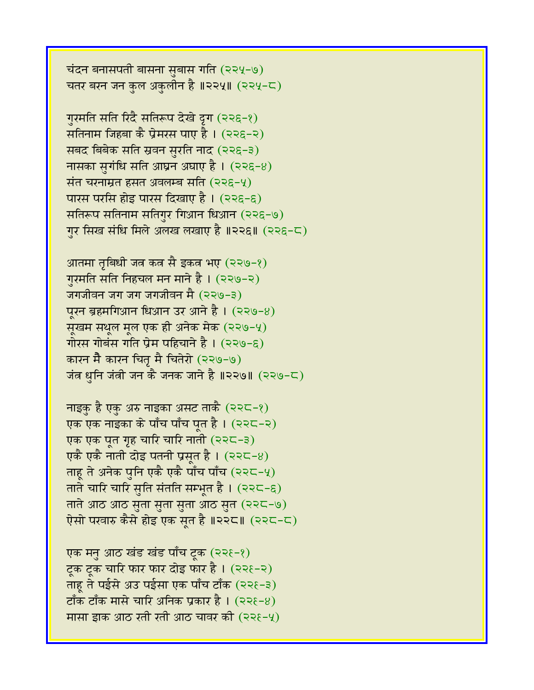एक मनु आठ खंड खंड पाँच टुक (२२१-१) टुक टुक चारि फार फार दोइ फार है।  $(226-2)$ ताहू ते पईसे अउ पईसा एक पाँच टाँक (२२१-३) टाँक टाँक मासे चारि अनिक प्रकार है।  $(225-8)$ मासा इाक आठ रती रती आठ चावर की  $(22\xi-\gamma)$ 

नाइकु है एकु अरु नाइका असट ताकै (२२८-१) एक एक नाइका के पाँच पाँच पूत है। (२२८-२) एक एक पूत गृह चारि चारि नाती (२२८-३) एकै एकै नाती दोइ पतनी प्रसृत है।  $(225-8)$ ताहू ते अनेक पुनि एकै एकै पाँच पाँच (२२८-५) ताते चारि चारि सुति संतति सम्भूत है। (२२८-६) ताते आठ आठ सुता सुता सुता आठ सुत (२२८-७) ऐसो परवारु कैसे होइ एक सृत है ॥२२८॥ (२२८-८)

गुरमति सति निहचल मन माने है । (२२७-२) जगजीवन जग जग जगजीवन मै (२२७-३) पूरन ब्रहमगिआन धिआन उर आने है ।  $($ २२७-४) सूखम सथूल मूल एक ही अनेक मेक (२२७-५) गोरस गोबंस गति प्रेम पहिचाने है ।  $(229-6)$ कारन मैै कारन चितृ मै चितेरो (२२७-७) जंत्र धुनि जंत्री जन कै जनक जाने है ॥२२७॥ (२२७-८)

आतमा तृबिधी जत्र कत्र सै इकत्र भए (२२७-१)

गुरमति सति रिदै सतिरूप देखे दृग (२२६-१) सतिनाम जिहूबा कै प्रेमरस पाए है । (२२६-२) सबद बिबेक सति स्रवन सुरति नाद (२२६-३) नासका सुगंधि सति आघ्रन अघाए है ।  $(226-8)$ संत चरनाम्रत हसत अवलम्ब सति (२२६-५) पारस परसि होइ पारस दिखाए है । (२२६-६) सतिरूप सतिनाम सतिगुर गिआन धिआन (२२६-७) गुर सिख संधि मिले अलख लखाए है ॥२२६॥ (२२६-८)

चंदन बनासपती बासना सुबास गति (२२५-७) चतर बरन जन कुल अकुलीन है ॥२२५॥ (२२५-८)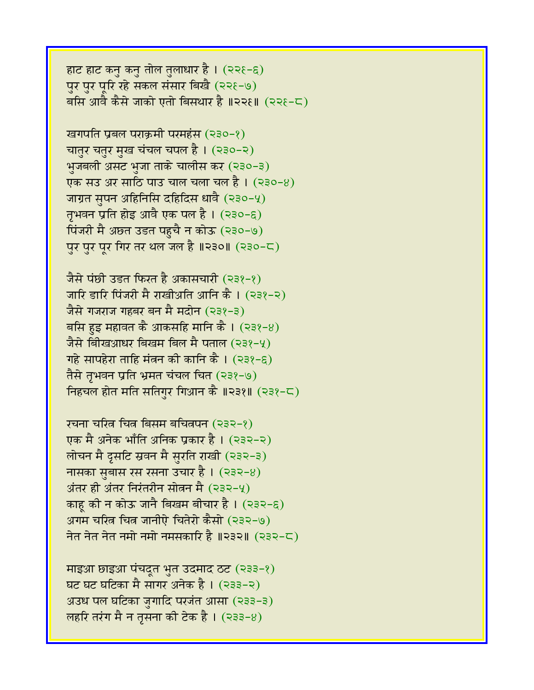माइआ छाइआ पंचदूत भुत उदमाद ठट (२३३-१) घट घट घटिका मै सागर अनेक है । (२३३-२) अउध पल घटिका जुगादि परजंत आसा (२३३-३) लहरि तरंग मै न तृसना की टेक है।  $(333-8)$ 

रचना चरित्र चित्र बिसम बचितपन (२३२-१) एक मै अनेक भाँति अनिक प्रकार है। (२३२-२) लोचन मै द्रुसटि स्रवन मै सुरति राखी (२३२-३) नासका सुबास रस रसना उचार है ।  $($ २३२-४) अंतर ही अंतर निरंतरीन सोतन मै $(232-4)$ काह की न कोऊ जानै बिखम बीचार है।  $(232-6)$ अगम चरित्र चित्र जानीऐ चितेरो कैसो (२३२-७) नेत नेत नेत नमो नमो नमसकारि है ॥२३२॥ (२३२-८)

जैसे पंछी उड़त फिरत है अकासचारी (२३१-१) जारि डारि पिंजरी मै राखीअति आनि कै। (२३१-२) जैसे गजराज गहबर बन मै मदोन (२३१-३) बसि हुइ महावत कै आकसहि मानि कै।  $(238-8)$ जैसे बिखिआधर बिखम बिल मै पताल (२३१-५) गहे सापहेरा ताहि मंत्रन की कानि कै ।  $(338-6)$ तैसे तृभवन प्रति भ्रमत चंचल चित (२३१-७) निहचल होत मति सतिगर गिआन कै ॥२३१॥ (२३१-८)

खगपति प्रबल पराक्रमी परमहंस (२३०-१) चातुर चतुर मुख चंचल चपल है। (२३०-२) भुजबली असट भुजा ताके चालीस कर (२३०-३) एक संउ अर साठि पाउ चाल चला चल है। (२३०-8) जाग्रत सुपन अहिनिसि दहिदिस धावै (२३०-५) तृभवन प्रति होइ आवै एक पल है ।  $($ २३०-६) पिंजरी मै अछ्त उडत पहुचै न कोऊ (२३०-७) पुर पुर पूर गिर तर थल जल है ॥२३०॥ (२३०-८)

हाट हाट कनु कनु तोल तुलाधार है ।  $(226-6)$ पर पर परि रहे सकल संसार बिखै (२२१-७) बसि आवै कैसे जाको एतो बिसथार है ॥२२१॥ (२२१-८)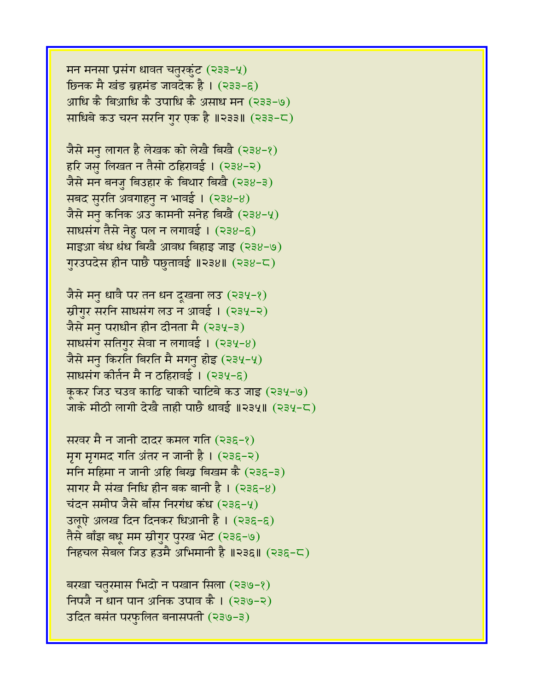मन मनसा प्रसंग धावत चतुरकुंट (२३३-५) ष्ठिनक मै खंड ब्रहमंड जावदेक है। (२३३-६) आधि कै बिआधि कै उपाधि कै असाध मन (२३३-७) साधिबे कउ चरन सरनि गुर एक है ॥२३३॥ (२३३-८)

जैसे मनु लागत है लेखक को लेखै बिखै (२३४-१) हरि जसु लिखत न तैसो ठहिरावई । (२३४-२) जैसे मन बनजु बिउहार के बिथार बिखै (२३४-३) सबद सुरति अवगाहनु न भावई। (२३४-४) जैसे मन कनिक अउ कामनी सनेह बिखै (२३४-५) साधसंग तैसे नेहु पल न लगावई। (२३४-६) माइआ बंध धंध बिखै आवध बिहाइ जाइ (२३४-७) गुरउपदेस हीन पाछै पछतावई ॥२३४॥ (२३४-८)

जैसे मनु धावै पर तन धन दूखना लउ (२३५-१) स्रीगुर सरनि साधसंग लउ न आवई । (२३५-२) जैसे मनु पराधीन हीन दीनता मै (२३५-३) साधसंग सतिगुर सेवा न लगावई ।  $(234-8)$ जैसे मनु किरति बिरति मै मगनु होइ (२३५-५) साधसंग कीर्तन मै न ठहिरावई । (२३५-६) कुकर जिउ चउव काढि चाकी चाटिबे कउ जाइ (२३५-७) जाके मीठी लागी देखै ताही पाछै धावई ॥२३५॥ (२३५-८)

सरवर मै न जानी दादर कमल गति (२३६-१) मृग मृगमद गति अंतर न जानी है।  $(236-2)$  $\overline{H}$ मनि महिमा न जानी अहि बिख्र बिखम कै (२३६-३) सागर मै संख निधि हीन बक बानी है। (२३६-४) चंदन समीप जैसे बाँस निरगंध कंध (२३६-५) उलुऐ अलख दिन दिनकर धिआनी है । (२३६-६) तैसे बाँझ बधू मम स्रीगुर पुरख भेट (२३६-७) निहचल सेबल जिउ हउमै अभिमानी है ॥२३६॥ (२३६-८)

बरखा चतुरमास भिदो न पखान सिला (२३७-१) निपजै न धान पान अनिक उपाव कै। (२३७-२) उदित बसंत परफुलित बनासपती (२३७-३)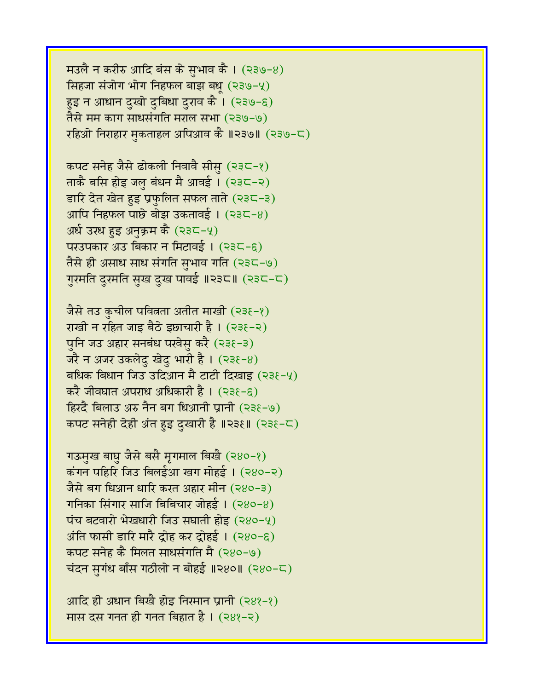मउलै न करीरु आदि बंस के सुभाव कै।  $($ २३७-४) सिंहजा संजोग भोग निहफल बाझ बध (२३७-५) हुइ न आधान दुखो दुबिधा दुराव कै । (२३७-६) तैसे मम काग साधसंगति मराल सभा (२३७-७) रहिओ निराहार मुकताहल अपिआव कै ॥२३७॥ (२३७-८)

कपट सनेह जैसे ढोकली निवावै सीसु (२३८-१) ताकै बसि होइ जलु बंधन मै आवई । (२३८-२) डारि देत खेत हुइ प्रफुलित सफल ताते (२३८-३) आपि निहफल पाछे बोझ उकतावई।  $(235-8)$ अर्ध उरध हुइ अनुक्रम कै (२३८-५) परउपकार अउ बिकार न मिटावई। (२३८-६) तैसे ही असाध साध संगति सुभाव गति (२३८-७) गुरमति दुरमति सुख दुख पावई ॥२३८॥ (२३८-८)

जैसे तउ कुचील पवित्रता अतीत माखी (२३१-१) राखी न रहित जाइ बैठे इछाचारी है। (२३६-२) पुनि जउ अहार सनबंध परवेसु करै (२३६-३) जरै न अजर उकलेदु खेदु भारी है।  $(238-8)$ बधिक बिधान जिउ उदिआन मै टाटी दिखाइ (२३१-५) करै जीवघात अपराध अधिकारी है । (२३६-६)  $f$ हिरदै बिलाउ अरु नैन बग धिआनी प्रानी (२३६-७) कपट सनेही देही अंत हुइ दुखारी है ॥२३१॥ (२३१-८)

गऊमुख बाघु जैसे बसै मृगमाल बिखै (२४०-१) कंगन पहिरि जिउ बिलईआ खग मोहई। (२४०-२) जैसे बग धिआन धारि करत अहार मीन (२४०-३) गनिका सिंगार साजि बिबिचार जोहई।  $(280-8)$ पंच बटवारो भेखधारी जिउ सघाती होइ (२४०-५)  $\overline{\mathcal{A}}$ ति फासी डारि मारै द्रोह कर द्रोहई । (२४०-६) कपट सनेह कै मिलत साधसंगति मै (२४०-७) चंदन सुगंध बाँस गठीलो न बोहई ॥२४०॥  $($ २४०-८)

आदि ही अधान बिखै होइ निरमान प्रानी (२४१-१) मास दस गनत ही गनत बिहात है।  $(288-2)$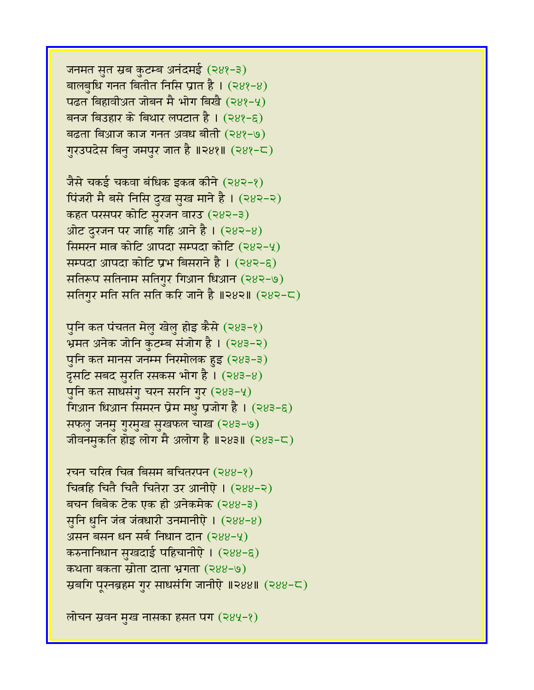लोचन स्रवन मुख नासका हसत पंग (२४५-१)

रचन चरित्र चित्र बिसम बचितरपन (२४४-१) चित्रहि चितै चितै चितेरा उर आनीऐ । (२४४-२) बचन बिबेक टेक एक ही अनेकमेक (२४४-३) सुनि धुनि जंत्र जंतधारी उनमानीऐ । (२४४-४) असन बसन धन सर्ब निधान दान (२४४-५) करुनानिधान सुखदाई पहिचानीऐ। (२४४-६) कथता बकता स्रोता दाता भ्रगता (२४४-७) स्रबगि पूरनब्रहम गुर साधसंगि जानीऐ ॥२४४॥ (२४४-८)

पनि कत पंचतत मेल खेल होइ कैसे (२४३-१) भ्रमत अनेक जोनि कुटम्ब संजोग है। (२४३-२) पुनि कत मानस जनम्म निरमोलक हुइ (२४३-३) दूसटि सबद सुरति रसकस भोग है।  $(283-8)$ पुनि कत साधसंगु चरन सरनि गुर (२४३-५) गिआन धिआन सिमरन प्रेम मधु प्रजोग है ।  $(283-6)$ सफलु जनमु गुरमुख सुखफल चाख (२४३-७) जीवनमुकति होइ लोग मै अलोग है ॥२४३॥ (२४३-८)

जैसे चकई चकवा बंधिक इकत्र कीने (२४२-१) पिंजरी मै बसे निसि दुख सुख माने है। (२४२-२) कहत परसपर कोटि सुरजन वारउ (२४२-३) ओट दुरजन पर जाहि गहि आने है।  $(282-8)$ सिमरन मात्र कोटि आपदा सम्पदा कोटि (२४२-५) सम्पदा आपदा कोटि प्रभ बिसराने है । (२४२-६) सतिरूप सतिनाम सतिगुर गिआन धिआन (२४२-७) सतिगुर मति सति सति करि जाने है ॥२४२॥ (२४२-८)

जनमत सुत स्रब कुटम्ब अनंदमई (२४१-३) बालबधि गनत बितीत निसि प्रात है।  $(288-8)$ पढत बिहावीअत जोबन मै भोग बिखै (२४१-५) बनज बिउहार के बिथार लपटात है ।  $(288-6)$ बढता बिआज काज गनत अवध बीती (२४१-७) गुरउपदेस बिनु जमपुर जात है ॥२४१॥ (२४१-८)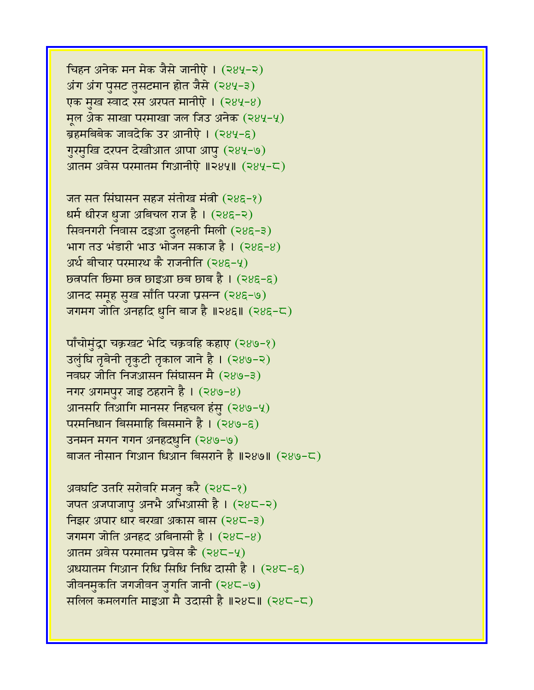चिहन अनेक मन मेक जैसे जानीऐ। (२४५-२) अंग अंग पुसट तुसटमान होत जैसे (२४५-३) एक मुख स्वाद रस अरपत मानीऐ। (२४५-४) मूल अेक साखा परमाखा जल जिउ अनेक (२४५-५) ब्रहमबिबेक जावदेकि उर आनीऐ। (२४५-६) गुरमुखि दरपन देखीआत आपा आपू (२४५-७) आतम अवेस परमातम गिआनीऐ ॥२४५॥ (२४५-८)

जत सत सिंघासन सहज संतोख मंत्री (२४६-१) धर्म धीरज धूजा अबिचल राज है। (२४६-२) सिवनगरी निवास दइआ दुलहनी मिली (२४६-३) भाग तउ भंडारी भाउ भोजन सकाज है।  $(28\xi - 8)$ अर्थ बीचार परमारथ कै राजनीति (२४६-५)  $\overline{b}$ व्रपति छिमा छन छाइआ छ्व छाब है। (२४६-६) आनद समूह सुख साँति परजा प्रसन्न (२४६-७) जगमग जोति अनहदि धुनि बाज है ॥२४६॥  $(285-\sqrt{2})$ 

पाँचोमुंद्रा चक्रखट भेदि चक्रवहि कहाए (२४७-१) उलुंघि तृबेनी तृकुटी तृकाल जाने है। (२४७-२) नवघर जीति निजआसन सिंघासन मै (२४७-३) नगर अगमपुर जाइ ठहराने है।  $(289-8)$ आनसरि तिआगि मानसर निहचल हंसु (२४७-५)  $\overline{u}$ परमनिधान बिसमाहि बिसमाने है । (२४७-६) उनमन मगन गगन अनहदधुनि (२४७-७) बाजत नीसान गिआन धिआन बिसराने है ॥२४७॥ (२४७-८)

अवघटि उतरि सरोवरि मजनु करै (२४८-१) जपत अजपाजापु अनभै अभिआसी है। (२४८-२) निझर अपार धार बरखा अकास बास (२४८-३) जगमग जोति अनहद अबिनासी है ।  $(28\zeta - 8)$ आतम अवेस परमातम प्रवेस कै $(28\zeta - 4)$ अधयातम गिआन रिधि सिधि निधि दासी है ।  $(28\zeta - \xi)$ जीवनमुकति जगजीवन जुगति जानी (२४८-७) सलिल कमलगति माइआ मै उदासी है ॥२४८॥ (२४८-८)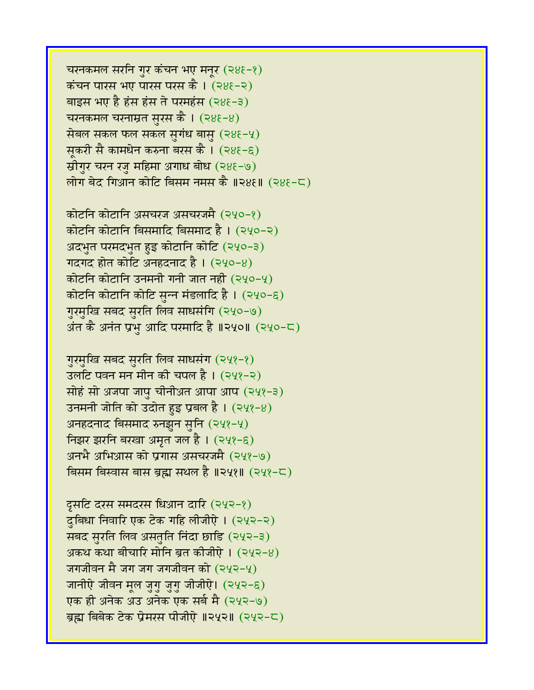चरनकमल सरनि गुर कंचन भए मनूर (२४६-१) कंचन पारस भए पारस परस कै । (२४६-२) बाइस भए है हंस हंस ते परमहंस (२४६-३) चरनकमल चरनाम्रत सुरस कै।  $(28\xi - 8)$ सेबल सकल फल सकल सुगंध बासु  $(288-4)$ सूकरी सै कामधेन करुना बरस कै । (२४६-६) स्रीगुर चरन रजु महिमा अगाध बोध (२४६-७) लोग बेद गिआन कोटि बिसम नमस कै ॥२४६॥ (२४६-८)

कोटनि कोटानि असचरज असचरजमै (२५०-१) कोटनि कोटानि बिसमादि बिसमाद है । (२५०-२) अदभुत परमदभुत हुइ कोटानि कोटि (२५०-३) गदगद होत कोटि अनहदनाद है।  $(240-8)$ कोटनि कोटानि उनमनी गनी जात नही (२५०-५) कोटनि कोटानि कोटि सुन्न मंडलादि है। (२५०-६) गुरमुखि सबद सुरति लिव साधसंगि (२५०-७) अंत कै अनंत प्रभ आदि परमादि है ॥२५०॥ (२५०-८)

गुरमुखि सबद सुरति लिव साधसंग (२५१-१) उलटि पवन मन मीन की चपल है।  $(242-2)$ सोहं सो अजपा जाप चीनीअत आपा आप (२५१-३) उनमनी जोति को उदोत हुइ प्रबल है ।  $(242-8)$ अनहदनाद बिसमाद रुनझून सुनि (२५१-५) त्तिझर झरनि बरखा अमृत जल है। (२५१-६) अनभै अभिआस को प्रगास असचरजमै (२५१-७) बिसम बिस्वास बास ब्रह्म सथल है ॥२५१॥ (२५१-८)

दूसटि दरस समदरस धिआन दारि (२५२-१) दुबिधा निवारि एक टेक गहि लीजीऐ। (२५२-२) सबद सुरति लिव असतुति निंदा छाडि (२५२-३) अकथ कथा बीचारि मोनि ब्रत कीजीऐ।  $(242-8)$ जगजीवन मै जग जग जगजीवन को  $(242-4)$ जानीऐ जीवन मूल जुगु जुगु जीजीऐ। (२५२-६) एक ही अनेक अउ अनेक एक सर्ब मै (२५२-७) ब्रह्म बिबेक टेक प्रेमरस पीजीऐ ॥२५२॥ (२५२-८)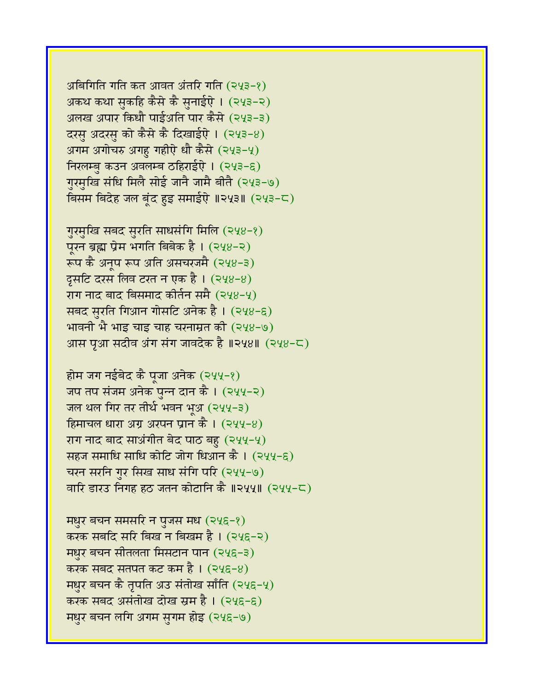अबिगिति गति कत आवत अंतरि गति (२५३-१) अकथ कथा सकहि कैसे कै सनाईऐ । (२५३-२) अलख अपार किधौ पाईअति पार कैसे (२५३-३) दरसु अदरसु को कैसे कै दिखाईऐ। (२५३-४) अगम अगोचरु अगह गहीऐ धौ कैसे  $(243-4)$ निरलम्बु कउन अवलम्ब ठहिराईऐ। (२५३-६) गुरमुखि संधि मिलै सोई जानै जामै बीतै (२५३-७) विसम बिदेह जल बूंद हुइ समाईऐ ॥२५३॥ (२५३-८)

गुरमुखि सबद सुरति साधसंगि मिलि (२५४-१) पूरन ब्रह्म प्रेम भगति बिबेक है। (२५४-२) रूप कै अनूप रूप अति असचरजमै (२५४-३) दुसटि दरस लिव टरत न एक है ।  $(248-8)$ राग नाद बाद बिसमाद कीर्तन समै (२५४-५) सबद सुरति गिआन गोसटि अनेक है ।  $(248-6)$ भावनी भै भाइ चाइ चाह चरनाम्रत की  $(248-9)$ आस पूआ सदीव अंग संग जावदेक है ॥२५४॥ (२५४-८)

होम जग नईबेद कै पूजा अनेक (२५५-१) जप तप संजम अनेक पुन्न दान कै । (२५५-२) जल थल गिर तर तीर्थ भवन भूअ (२५५-३) हिमाचल धारा अंग्र अरपन प्रान कै ।  $(244-8)$ राग नाद बाद साअंगीत बेद पाठ बहु (२५५-५) सहज समाधि साधि कोटि जोग धिआन कै । (२५५-९) चरन सरनि गुर सिख साध संगि परि (२५५-७) वारि डारउ निगह हठ जतन कोटानि कै ॥२५५॥ (२५५-८)

मधुर बचन समसरि न पुजस मध  $(245-2)$ करक सबदि सरि बिख न बिखम है । (२५६-२) **मधुर बचन सीतलता मिसटान पान (२५६-३)** करक सबद सतपत कट कम है ।  $(24\xi-8)$ मधुर बचन कै तृपति अउ संतोख साँति (२५६-५) करक सबद असंतोख दोख स्रम है। (२५६-६) मधुर बचन लगि अगम सुगम होइ (२५६-७)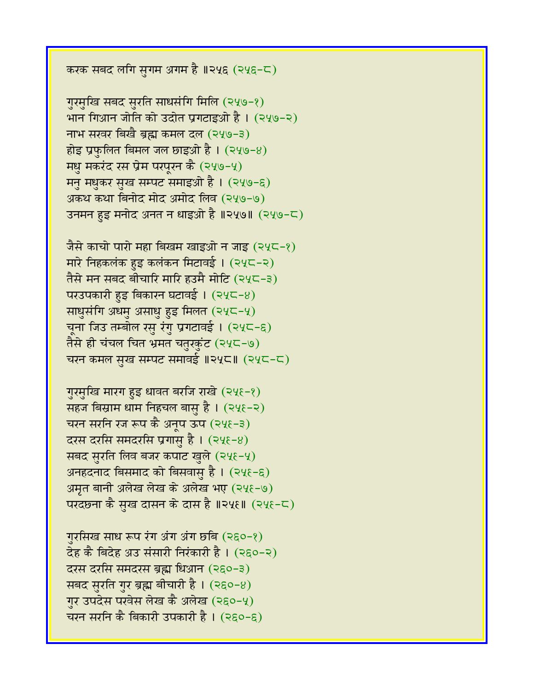करक सबद लगि सुगम अगम है ॥२५६ (२५६-८)

गुरमुखि सबद सुरति साधसंगि मिलि (२५७-१) भान गिआन जोति को उदोत प्रगटाइओ है। (२५७-२) नाभ सरवर बिखै ब्रह्म कमल दल (२५७-३) होइ प्रफुलित बिमल जल छाइओ है।  $(249-8)$ मधु मकरंद रस प्रेम परपूरन कै (२५७-५) मनु मधुकर सुख सम्पट समाइओ है । (२५७-६) अकथ कथा बिनोद मोद अमोद लिव (२५७-७) उनमन हुइ मनोद अनत न धाइओ है ॥२५७॥ (२५७-८)

जैसे काचो पारो महा बिखम खाइओ न जाइ (२५८-१) मारे निहकलंक हुइ कलंकन मिटावई। (२५८-२) तैसे मन सबद बीचारि मारि हउमै मोटि (२५८-३) परउपकारी हुइ बिकारन घटावई।  $(245-8)$ साधुसंगि अधमु असाधु हुइ मिलत (२५८-५) चूना जिउ तम्बोल रसु रंगु प्रगटावई । (२५८-६) तैसे ही चंचल चित भ्रमत चतुरकुंट (२५८-७) चरन कमल सुख सम्पट समावई ॥२५८॥ (२५८-८)

गुरमुखि मारग हुइ धावत बरजि राखे (२५६-१) सहज बिस्राम धाम निहचल बासु है ।  $(24 \epsilon - 2)$ चरन सरनि रज रूप कै अनूप ऊप (२५६-३) दरस दरसि समंदरसि प्रगासु है। (२५९-४) सबद सुरति लिव बजर कपाट खुले (२५६-५) अनहदनाद बिसमाद को बिसवासु है। (२५६-६) अमृत बानी अलेख लेख के अलेख भए (२५६-७) परदछना कै सुख दासन के दास है ॥२५६॥ (२५६-८)

गुरसिख साध रूप रंग अंग अंग छबि (२६०-१) देह कै बिदेह अउ संसारी निरंकारी है। (२६०-२) दरस दरसि समदरस ब्रह्म धिआन (२६०-३) सबद सुरति गुर ब्रह्म बीचारी है। (२६०-४) गुर उपदेस परवेस लेख कै अलेख (२६०-५) चरन सरनि कै बिकारी उपकारी है । (२६०-६)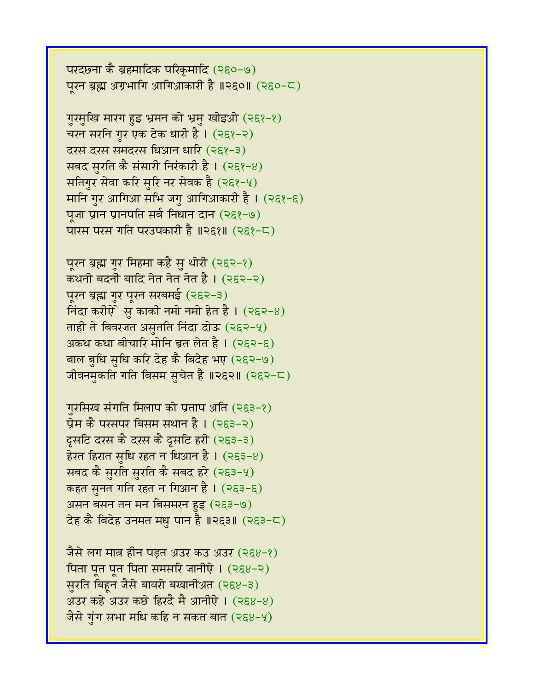परदछना कै ब्रहमादिक परिकृमादि (२६०-७) परन ब्रह्म अग्रभागि आगिआकारी है ॥२६०॥ (२६०-८)

गुरमुखि मारग हुइ भ्रमन को भ्रमु खोइओ (२६१-१) चरन सरनि गुर एक टेक धारी है। (२६१-२) दरस दरस समदरस धिआन धारि (२६१-३) सबद सुरति कै संसारी निरंकारी है ।  $(253-8)$ सतिगुर सेवा करि सुरि नर सेवक है (२६१-५) मानि गुर आगिआ सभि जगु आगिआकारी है । (२६१-६) पूजा प्रान प्रानपति सर्ब निधान दान (२६१-७) पारस परस गति परउपकारी है ॥२६१॥ (२६१-८)

पूरन ब्रह्म गुर मिहमा कहै सु थोरी (२६२-१) कथनी बदनी बादि नेत नेत नेत है। (२९२-२) पूरन ब्रह्म गुर पूरन सरबमई (२६२-३) निंदा करीऐे सु काकी नमो नमो हेत है।  $(252-8)$ ताही ते बिवरजत असुतति निंदा दोऊ (२६२-५) अकथ कथा बीचारि मोनि ब्रत लेत है। (२६२-६) बाल बुधि सुधि करि देह कै बिदेह भए (२६२-७) जीवनमुकति गति बिसम सुचेत है ॥२६२॥ (२६२-८)

```
गुरसिख संगति मिलाप को प्रताप अति (२६३-१)
प्रेम कै परसपर बिसम सथान है । (253-2)दुसटि दरस कै दरस कै दुसटि हरी (२६३-३)
हेरत हिरात सृधि रहत न धिआन है । (२६३-४)
सबद कै सुरति सुरति कै सबद हरे (२६३-५)
कहत सुनत गति रहत न गिआन है। (२६३-६)
असन बसन तन मन बिसमरन हुइ (२६३-७)
देह कै बिदेह उनमत मधु पान है ॥२६३॥ (२६३-८)
```
जैसे लग मात्र हीन पड़त अउर कउ अउर (२६४-१) पिता पूत पूत पिता समसरि जानीऐ ।  $(268-2)$ सुरति बिहून जैसे बावरो बखानीअत (२६४-३) अउर कहे अउर कछे हिरदै मै आनीऐ ।  $(268-8)$ जैसे गुंग सभा मधि कहि न सकत बात (२६४-५)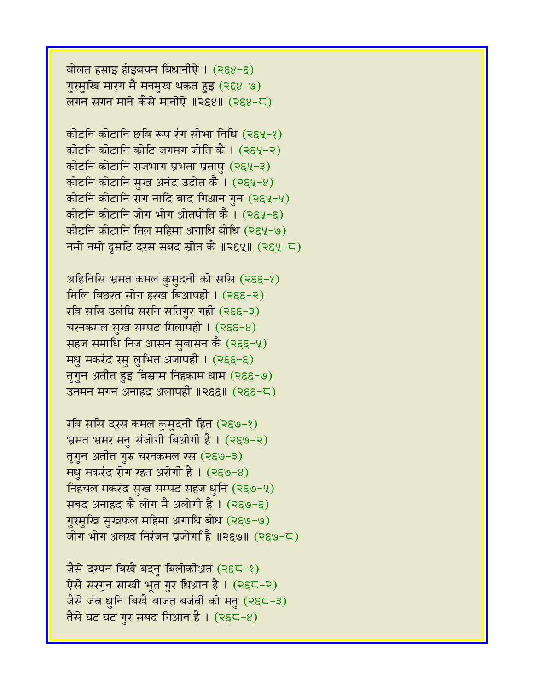बोलत हसाइ होइबचन बिधानीएे ।  $(268-6)$ गुरमुखि मारग मै मनमुख थकत हुइ (२६४-७) लगन सगन माने कैसे मानीऐ ॥२६४॥ (२६४-८)

कोटनि कोटानि छबि रूप रंग सोभा निधि (२६५-१) कोटनि कोटानि कोटि जगमग जोति कै। (२९५-२) कोटनि कोटानि राजभाग प्रभता प्रतापु (२६५-३) कोटनि कोटानि सुख अनंद उदोत कै।  $(2\xi/2)$ कोटनि कोटानि राग नादि बाद गिआन गुन (२६५-५) कोटनि कोटानि जोग भोग ओतपोति कै।  $(2\epsilon \sqrt{2}-\epsilon)$ कोटनि कोटानि तिल महिमा अगाधि बोधि (२६५-७) नमो नमो दसटि दरस सबद स्रोत कै ॥२६५॥ (२६५-८)

अहिनिसि भ्रमत कमल कुमुदनी को ससि (२६६-१) मिलि बिछरत सोग हरख बिआपही ।  $(266-2)$ रवि ससि उलंघि सरनि सतिगुर गही (२६६-३) चरनकमल सुख सम्पट मिलापही ।  $(255-8)$ सहज समाधि निज आसन सुबासन कै  $(266-4)$ मधु मकरंद रसु लुभित अजापही । (२६६-६) तृगुन अतीत हुइ बिस्राम निहकाम धाम (२६६-७) उनमन मगन अनाहद अलापही ॥२६६॥ (२६६-८)

रवि ससि दरस कमल कुमुदनी हित (२६७-१) भ्रमत भ्रमर मन संजोगी बिओगी है। (२६७-२) तृगुन अतीत गुरु चरनकमल रस (२६७-३)  $H_2$  मकरंद रोग रहत अरोगी है। (२६७-४) निहचल मकरंद सुख सम्पट सहज धुनि (२६७-५) सबद अनाहद कै लोग मै अलोगी है। (२६७-६) गुरमुखि सुखफल महिमा अगाधि बोध (२९७-७) जोग भोग अलख निरंजन प्रजोगईि ॥२६७॥ (२६७-८)

जैसे दरपन बिखै बदनु बिलोकीअत (२६८-१) ऐसे सरगुन साखी भूत गुर धिआन है । (२६८-२) जैसे जंत्र धुनि बिखै बाजत बजंती को मनु (२६८-३) तैसे घट घट गुर सबद गिआन है । (२६८-४)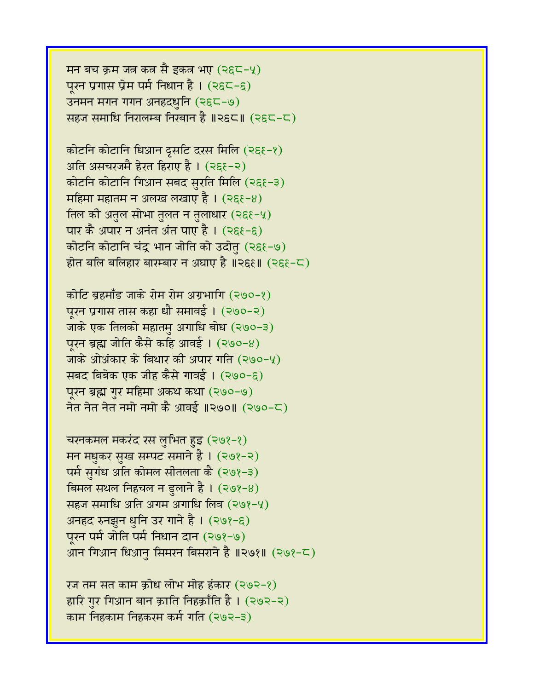```
मन बच क्रम जत्र कत्र सै इकत्र भए (२६८-५)
पुरन प्रगास प्रेम पर्म निधान है। (2\xi\zeta-\xi)उनमन मगन गगन अनहदधुनि (२६८-७)
सहज समाधि निरालम्ब निरबान है ॥२६८॥ (२६८-८)
```
कोटनि कोटानि धिआन द्रसटि दरस मिलि (२६९-१) अति असचरजमै हेरत हिराए है। (२६६-२) कोटनि कोटानि गिआन सबद सुरति मिलि (२६१-३) महिमा महातम न अलख लखाए है ।  $(255-8)$ तिल की अतुल सोभा तुलत न तुलाधार (२६९-५) पार कै अपार न अनंत अंत पाए है। (२६१-६) कोटनि कोटानि चंद्र भान जोति को उदोतु (२६१-७) होत बलि बलिहार बारम्बार न अघाए है ॥२६६॥ (२६६-८)

कोटि ब्रहमाँड जाके रोम रोम अग्रभागि (२७०-१) पुरन प्रगास तास कहा धौ समावई । (२७०-२) जाके एक तिलको महातम् अगाधि बोध (२७०-३) पूरन ब्रह्म जोति कैसे कहि आवई ।  $(290-8)$ जाके ओअंकार के बिथार की अपार गति (२७०-५) सबद बिबेक एक जीह कैसे गावई। (२७०-६) पूरन ब्रह्म गुर महिमा अकथ कथा (२७०-७) नेत नेत नेत नमो नमो कै आवई ॥२७०॥ (२७०-८)

चरनकमल मकरंद रस लुभित हुइ (२७१-१) मन मधुकर सुख सम्पट समाने है । (२७१-२) पर्म सुगंध अति कोमल सीतलता कै (२७१-३) बिमल सथल निहचल न डुलाने है ।  $(298-8)$ सहज समाधि अति अगम अगाधि लिव  $(208-4)$ अनहद रुनझुन धुनि उर गाने है । (२७१-६) पूरन पर्म जोति पर्म निधान दान (२७१-७) आन गिआन धिआनु सिमरन बिसराने है ॥२७१॥ (२७१-८)

रज तम सत काम क्रोध लोभ मोह हंकार (२७२-१) हारि गर गिआन बान क्राति निहक्राँति है। (२७२-२) काम निहकाम निहकरम कर्म गति (२७२-३)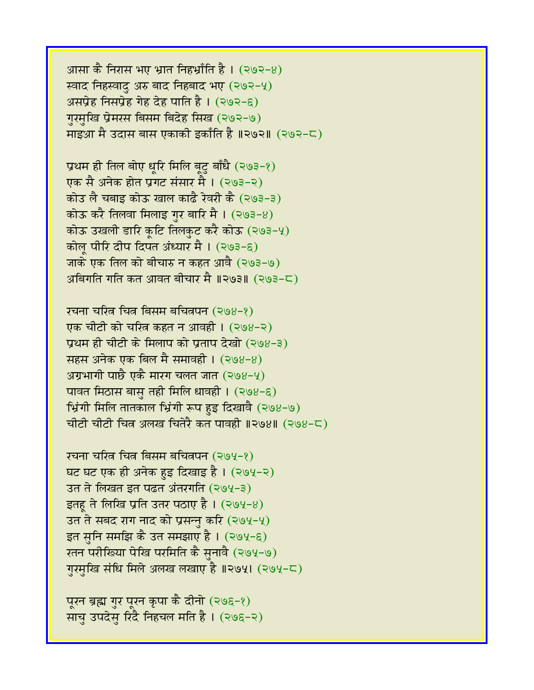आ़सा कै निरास भए भ्रात निहभ्राँति है ।  $(292-8)$ स्वाद निहस्वाद अरु बाद निहबाद भए (२७२-५) असप्रेह निसप्रेह गेह देह पाति है।  $(292-6)$ गुरमुखि प्रेमरस बिसम बिदेह सिख (२७२-७) माइआ मै उदास बास एकाकी इकाँति है ॥२७२॥ (२७२-८)

प्रथम ही तिल बोए धूरि मिलि बूटु बाँधै (२७३-१) एक सै अनेक होत प्रगट संसार मै । (२७३-२) कोउ लै चबाइ कोऊ खाल काढै रेवरी कै (२७३-३) कोऊ करै तिलवा मिलाइ गर बारि मै।  $(293-8)$ कोऊ उखली डारि कूटि तिलकुट करै कोऊ (२७३-५) कोल पीरि दीप दिपत अंध्यार मै। (२७३-६) जाके एक तिल को बीचारु न कहत आवै (२७३-७) अबिगति गति कत आवत बीचार मै ॥२७३॥ (२७३-८)

रचना चरित्न चित्न बिसम बचित्नपन (२७४-१) एक चीटी को चरित्र कहत न आवही। (२७४-२) प्रथम ही चीटी के मिलाप को प्रताप देखो (२७४-३) सहस अनेक एक बिल मै समावही ।  $(398-8)$ अग्रभागी पाछै एकै मारग चलत जात (२७४-५) पावत मिठास बासु तही मिलि धावही । (२७४-६) भ्रिंगी मिलि तातकाल भ्रिंगी रूप हुइ दिखावै (२७४-७) चीटी चीटी चित्र अलख चितेरै कत पावही ॥२७४॥ (२७४-८)

रचना चरित्न चित्न बिसम बचित्नपन (२७५-१) घट घट एक ही अनेक हुइ दिखाइ है। (२७५-२) उत ते लिखत इत पढत अंतरगति (२७५-३) इतहू ते लिखि प्रति उतर पठाए है। (२७५-४) उत ते सबद राग नाद को प्रसन्नु करि (२७५-५) इत सुनि समझि कै उत समझाए है ।  $(294-6)$ रतन परीखिया पेखि परमिति कै सुनावै (२७५-७) गुरमुखि संधि मिले अलख लखाए है ॥२७५। (२७५-८)

पूरन ब्रह्म गुर पूरन कृपा कै दीनो (२७६-१) साचु उपदेसु रिंदै निहचल मति है। (२७६-२)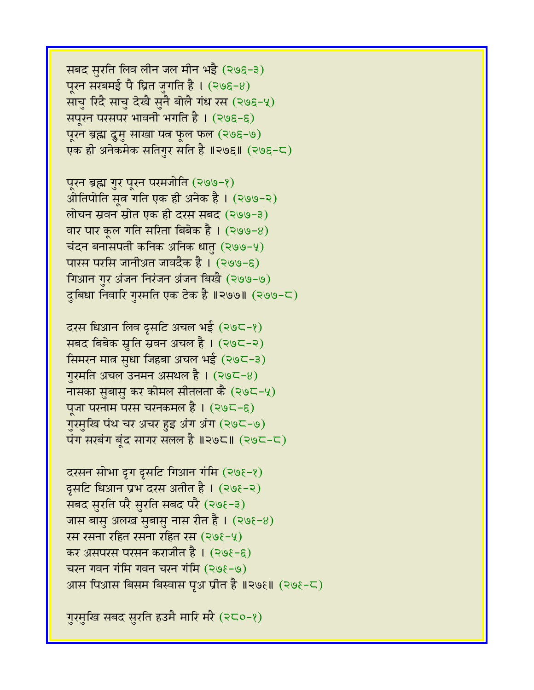गुरमुखि सबद सुरति हउमै मारि मरै (२८०-१)

दरसन सोभा दृग दृसटि गिआन गंमि (२७६-१) दूसटि धिआन प्रभ दरस अतीत है । (२७६-२) सबद सुरति परै सुरति सबद परै (२७६-३) जास बासु अलख सुबासु नास रीत है।  $(298-8)$ रस रसना रहित रसना रहित रस  $(2\Theta_{\epsilon}-4)$ कर असपरस परसन कराजीत है। (२७६-६) चरन गवन गंमि गवन चरन गंमि (२७ $\xi$ -७) आस पिआस बिसम बिस्वास पृथ प्रीत है ॥२७६॥ (२७६-८)

दरस धिआन लिव द्रसटि अचल भई (२७८-१) सबद बिबेक स्रुति स्रवन अचल है। (२७८-२) सिमरन मात्र सुधा जिहबा अचल भई (२७८-३) गुरमति अचल उनमन असथल है ।  $(295-8)$ नासका सुबासु कर कोमल सीतलता कै $(29C-4)$ पूजा परनाम परस चरनकमल है । (२७८-६) गुरमुखि पंथ चर अचर हुइ अंग अंग (२७८-७) पंग सरबंग बूंद सागर सलल है ॥२७८॥ (२७८-८)

पूरन ब्रह्म गुर पूरन परमजोति (२७७-१) ओतिपोति सूत्र गति एक ही अनेक है । (२७७-२) लोचन स्रवन स्रोत एक ही दरस सबद (२७७-३) वार पार कूल गति सरिता बिबेक है। (२७७-8) चंदन बनासपती कनिक अनिक धातु (२७७-५) पारस परसि जानीअत जावदैक है । (२७७-६) गिआन गुर अंजन निरंजन अंजन बिखै (२७७-७) दुबिधा निवारि गुरमति एक टेक है ॥२७७॥ (२७७-८)

सबद सुरति लिव लीन जल मीन भई (२७६-३) पूरन सरबमई पै घ्रित जुगति है।  $(298-8)$ साचु रिंदै साचु देखै सुनै बोलै गंध रस (२७६-५) सपूरन परसपर भावनी भगति है । (२७६-६) पूरन ब्रह्म द्रुमु साखा पत्न फूल फल (२७६-७) एक ही अनेकमेक सतिगुर सति है ॥२७६॥ (२७६-८)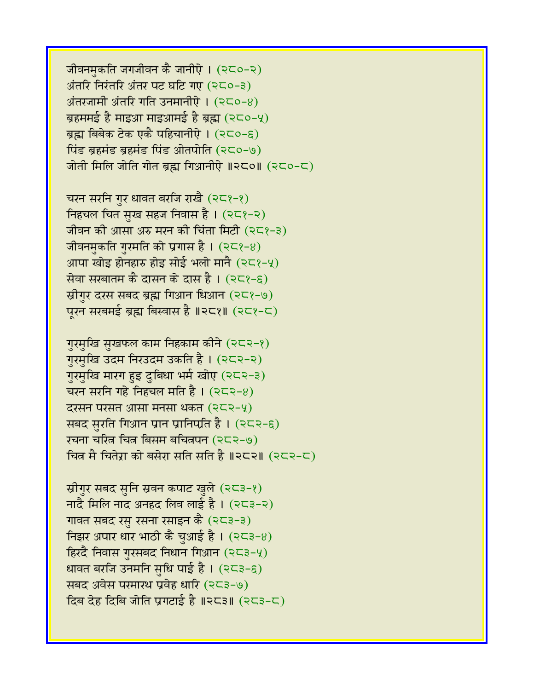जीवनमकति जगजीवन कै जानीऐ। (२८०-२) अंतरि निरंतरि अंतर पट घटि गए  $(250-3)$  $\overline{\mathcal{A}}$ तरंजामी अंतरि गति उनमानीऐ। (२८०-४) ब्रहममई है माइआ माइआमई है ब्रह्म (२८०-५) ब्रह्म बिबेक टेक एकै पहिचानीऐ। (२८०-६) पिंड ब्रहमंड ब्रहमंड पिंड ओतपोति (२८०-७) जोती मिलि जोति गोत ब्रह्म गिआनीऐ  $\parallel$ २८० $\parallel$  (२८०-८)

चरन सरनि गुर धावत बरजि राखै  $(2<8-8)$ निहचल चित सुख सहज निवास है।  $(25)$ -2) जीवन की आसा अरु मरन की चिंता मिटी (२८१-३) जीवनमुकति गुरमति को प्रगास है।  $(258-8)$ आपा खोड़ होनहारु होड़ सोई भलो मानै (२८१-५) सेवा सरबातम कै दासन के दास है।  $(258-6)$ स्रीगुर दरस सबद ब्रह्म गिआन धिआन (२८१-७) पूरन सरबमई ब्रह्म बिस्वास है ॥२८१॥ (२८१-८)

गुरमुखि सुखफल काम निहकाम कीने (२८२-१) गुरमुखि उदम निरउदम उकति है। (२८२-२) गुरमुखि मारग हुइ दुबिधा भर्म खोए (२८२-३) चरन सरनि गहे निहचल मति है।  $(252-8)$  $\overline{c}$ रसन परसत आसा मनसा थकत (२८२-५) सबद सुरति गिआन प्रान प्रानिप्प्रति है।  $(252-6)$ रचना चरित्र चित्र बिसम बचित्रपन (२८२-७) चित्र मै चितेरा को बसेरा सति सति है ॥२८२॥ (२८२-८)

स्रीगुर सबद सुनि स्रवन कपाट खुले (२८३-१) नांदै मिलि नांद अनहंद लिव लाई है। (२८३-२) गावत सबद रसु रसना रसाइन कै (२८३-३) निझर अपार धार भाठी कै चुआई है।  $(253-8)$ हिरदै निवास गुरसबद निधान गिआन  $(253-4)$ धावत बरजि उनमनि सुधि पाई है। (२८३-६) सबद अवेस परमारथ प्रवेह धारि (२८३-७)  $f$ दिब देह दिबि जोति प्रगटाई है ॥२८३॥ (२८३-८)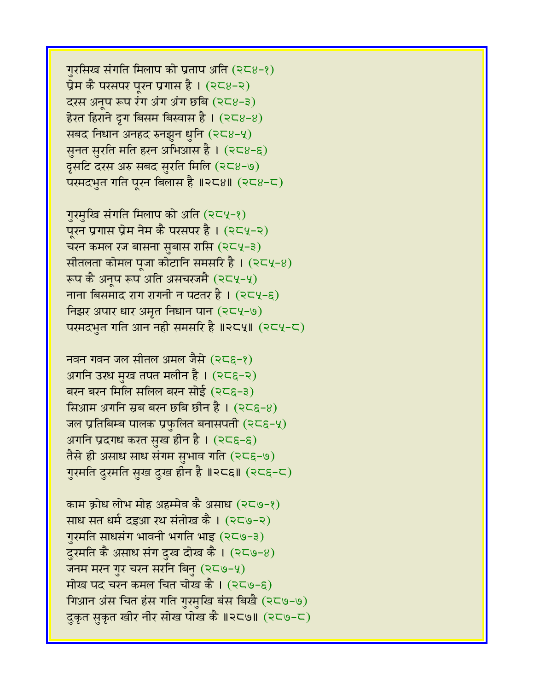काम क्रोध लोभ मोह अहम्मेव कै असाध (२८७-१) साध सत धर्म दइआ रथ संतोख कै । (२८७-२) गुरमति साधसंग भावनी भगति भाइ (२८७-३) दुरमति कै असाध संग दुख दोख कै। (२८७-४) जनम मरन गुर चरन सरनि बिन्  $(2C9-4)$ मोख पद चरन कमल चित चोख कै ।  $(2\zeta\phi-\xi)$ गिआन अंस चित हंस गति गुरमुखि बंस बिखै (२८७-७) दुकृत स़कृत खीर नीर सोख पोख कै ॥२८७॥ (२८७-८)

अगनि उरध मुख तपत मलीन है। (२८६-२) बरन बरन मिलि सलिल बरन सोई (२८६-३) सिआ़म अगनि स्रब बरन छबि छीन है। (२८६-४) जल प्रतिबिम्ब पालक प्रफुलित बनासपती (२८६-५) अगनि प्रदगध करत सुख हीन है। (२८६-६) तैसे ही असाध साध संगम सुभाव गति (२८६-७) गुरमति दुरमति सुख दुख हीन है ॥२८६॥ (२८६-८)

नवन गवन जल सीतल अमल जैसे  $(25\varepsilon-2)$ 

गुरमुखि संगति मिलाप को अति (२८५-१) पूरन प्रगास प्रेम नेम कै परसपर है । (२८५-२) चरन कमल रज बासना सुबास रासि (२८५-३) सीतलता कोमल पूजा कोटानि समसरि है।  $(254-8)$ रूप कै अनूप रूप अति असचरजमै (२८५-५) नाना बिसमाद राग रागनी न पटतर है।  $(254-6)$ निझर अपार धार अमृत निधान पान (२८५-७) परमदभुत गति आन नही समसरि है ॥२८५॥ (२८५-८)

गुरसिख संगति मिलाप को प्रताप अति  $(2<8-2)$ प्रेम कै परसपर पूरन प्रगास है।  $(258-2)$ दरस अनुप रूप रंग अंग अंग छबि  $(258-3)$ हेरत हिराने दृग बिसम बिस्वास है।  $(258-8)$ सबद निधान अनहद रुनझुन धुनि (२८४-५) सुनत सुरति मति हरन अभिआस है। (२८४-६) दूसटि दरस अरु सबद सुरति मिलि (२८४-७) परमदभुत गति पूरन बिलास है ॥२८४॥ (२८४-८)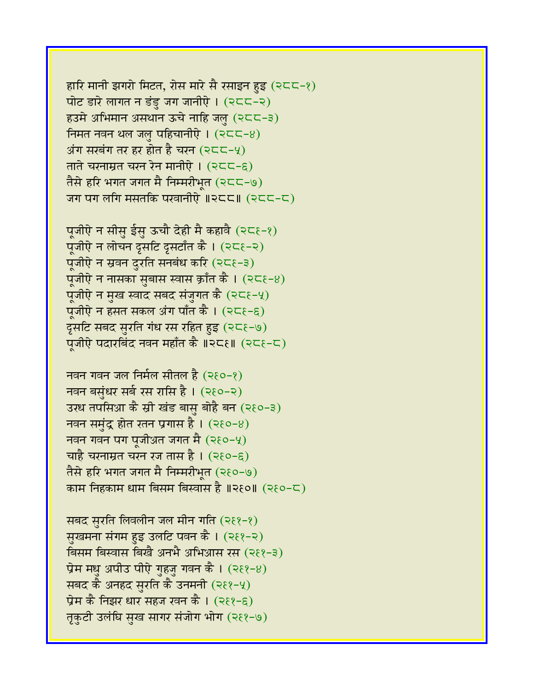सबद सुरति लिवलीन जल मीन गति (२६१-१) सुखमना संगम हुइ उलटि पवन कै । (२६१-२) बिसम बिस्वास बिखै अनभै अभिआस रस (२११-३) प्रेम मधु अपीउ पीऐ गुहजु गवन कै ।  $(2\xi - 8)$ सबद कै अनहद सुरति कै उनमनी (२११-५) प्रेम कै निझर धार सहज रवन कै । (२६१-६) तृकटी उलंघि सुख सागर संजोग भोग (२९१-७)

नवन बसुंधर सर्ब रस रासि है । (२६०-२) उरध तपसिआ कै स्री खंड बासु बोहै बन (२१०-३) नवन समुंद्र होत रतन प्रगास है ।  $($ २६०-४) नवन गवन पग पूजीअत जगत मै $($ २ $6$ -५ $)$ चाहै चरनाम्रत चरन रज तास है ।  $(2\epsilon)$ –६) तैसे हरि भगत जगत मै निम्मरीभूत (२६०-७) काम निहकाम धाम बिसम बिस्वास है ॥२१०॥ (२१०-८)

पूजीऐ न सीसु ईसु ऊचौ देही मै कहावै (२८६-१) पूंजीऐ न लोचन दृसटि दृसटाँत कै।  $(25\varepsilon-2)$ पूजीऐ न स्रवन दुरति सनबंध करि  $(25\varepsilon-3)$ पूजीऐ न नासका सुबास स्वास क्राँत कै ।  $(25\varepsilon - 8)$ पूजीऐ न मुख स्वाद सबद संजुगत कै (२८६-५) पूजीऐ न हसत सकल अंग पाँत कै। (२८६-६) दुसटि सबद सुरति गंध रस रहित हुइ (२८६-७) प्रजीऐ पदारबिंद नवन महाँत कै ॥२८१॥ (२८१-८)

नवन गवन जल निर्मल सीतल है (२१०-१)

हारि मानी झगरो मिटत, रोस मारे सै रसाइन हुइ (२८८-१) पोट डारे लागत न डंडु जग जानीऐ।  $(255-2)$ हउमे अभिमान असथान ऊचे नाहि जल (२८८-३) निमत नवन थल जल पहिचानीएे ।  $(2C<16)$ अंग सरबंग तर हर होत है चरन  $(2C-4)$ ताते चरनाम्रत चरन रेन मानीऐ ।  $(255-6)$ तैसे हरि भगत जगत मै निम्मरीभृत (२८८-७) जग पग लगि मसतकि परवानीऐ ॥२८८॥  $(2C5-C)$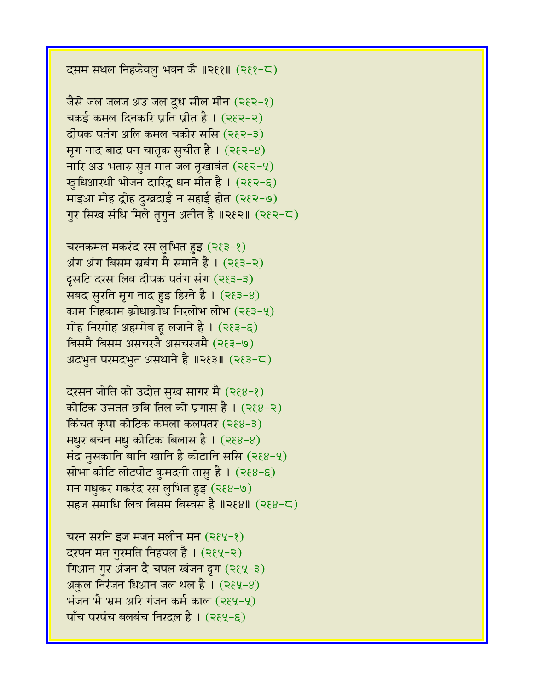दसम सथल निहकेवलु भवन कै ॥२६१॥ (२६१-८)

जैसे जल जलज अउ जल दुध सील मीन (२६२-१) चकई कमल दिनकरि प्रति प्रीत है। (२१२-२) दीपक पतंग अलि कमल चकोर ससि (२६२-३) मृग नाद बाद घन चातृक सुचीत है।  $(382-8)$ नारि अउ भतारु सुत मात जल तृखावंत (२ $\xi$ २-५) खुधिआरथी भोजन दारिंद्र धन मीत है। (२१२-६) माइआ मोह द्रोह दुखदाई न सहाई होत (२१२-७) गुर सिख संधि मिले तृगुन अतीत है ॥२६२॥ (२६२-८)

चरनकमल मकरंद रस लुभित हुइ (२ $83-2$ ) अंग अंग बिसम स्रबंग मै समाने है । (२१३-२) दूसटि दरस लिव दीपक पतंग संग (२९३-३) सबद सुरति मृग नाद हुइ हिरने है।  $(283-8)$ काम निहकाम क्रोधाक्रोध निरलोभ लोभ  $(253-4)$ मोह निरमोह अहम्मेव ह लजाने है।  $(35-6)$ बिसमै बिसम असचरजै असचरजमै (२९३-७) अदभुत परमदभुत असथाने है ॥२६३॥ (२६३-८)

दरसन जोति को उदोत सुख सागर मै (२६४-१) कोटिक उसतत छबि तिल को प्रगास है । (२६४-२)  $\overline{\text{A}}$ कंचत कृपा कोटिक कमला कलपतर (२ $8-3$ ) मधुर बचन मधु कोटिक बिलास है।  $(38-8)$ मंद मुसकानि बानि खानि है कोटानि ससि (२ $8-4$ ) सोभा कोटि लोटपोट कुमदनी तासु है। (२६४-६) मन मधुकर मकरंद रस लुभित हुइ (२६४-७) सहज समाधि लिव बिसम बिस्वस है ॥२६४॥ (२६४-८)

चरन सरनि इज मजन मलीन मन  $(284-8)$ दरपन मत ग़रमति निहचल है। (२६५-२) गिआन गुर अंजन दै चपल खंजन द्रग (२६५-३) अकुल निरंजन धिआन जल थल है।  $(2\xi 4-8)$ भंजन भै भ्रम अरि गंजन कर्म काल  $(284-4)$  $\nabla$ पाँच परपंच बलबंच निरदल है। (२६५-६)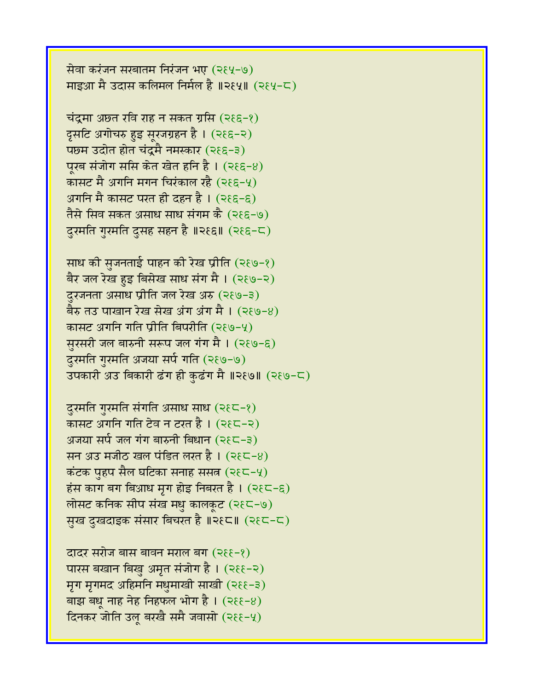माइआ मै उदास कलिमल निर्मल है ॥२६५॥ (२६५-८)

सेवा करंजन सरबातम निरंजन भए (२६५-७)

चंद्रमा अछत रवि राह न सकत ग्रसि (२ $\xi \in -\xi$ ) दृसटि अगोचरु हुइ सूरजग्रहन है। (२९६-२) पछम उदोत होत चंद्रमै नमस्कार (२९६-३) पूरब संजोग ससि केत खेत हनि है।  $(36-8)$ कासट मै अगनि मगन चिरंकाल रहै (२९६-५) अगनि मै कासट परत ही दहन है।  $(366-6)$ तैसे सिव सकत असाध साध संगम कै (२९६-७)

दुरमति गुरमति दुसह सहन है ॥२९६॥ (२९६-८)

साध की सुजनताई पाहन की रेख प्रीति (२६७-१) बैर जल रेख हुइ बिसेख साध संग मै । (२१७-२) दुरजनता असाध प्रीति जल रेख अरु (२९७-३) बैरु तउ पाखान रेख सेख अंग अंग मै ।  $($ २६७-४) कासट अगनि गति प्रीति बिपरीति (२९७-५) सुरसरी जल बारुनी सरूप जल गंग मै।  $($ २ $(9-6)$ दुरमति गुरमति अजया सर्प गति (२६७-७) उपकारी अउ बिकारी ढंग ही कुढंग मै ॥२६७॥ (२६७-८)

दुरमति गुरमति संगति असाध साध (२९८-१) कासट अगनि गति टेव न टरत है।  $(385-2)$ अजया सर्प जल गंग बारुनी बिधान  $(2\xi\zeta-\xi)$ सन अउ मजीठ खल पंडित लखत है। (२ $\xi \subset -8$ ) कंटक पुहप सैल घटिका सनाह ससत  $(2\xi\zeta-\zeta)$ हंस काग बग बिआध मृग होइ निबरत है।  $($ २ $\xi$ ८-६) लोसट कनिक सीप संख मधु कालकूट (२१८-७) सुख दुखदाइक संसार बिचरत है ॥२१८॥ (२१८-८)

दादर सरोज बास बावन मराल बंग (२६६-१) पारस बखान बिखु अमृत संजोग है। (२११-२) मृग मृगमद अहिमनि मधुमाखी साखी (२६६-३) बाझ बधू नाह नेह निहफल भोग है।  $(2\epsilon - 8)$ दिनकर जोति उल् बरखै समै जवासो (२६६-५)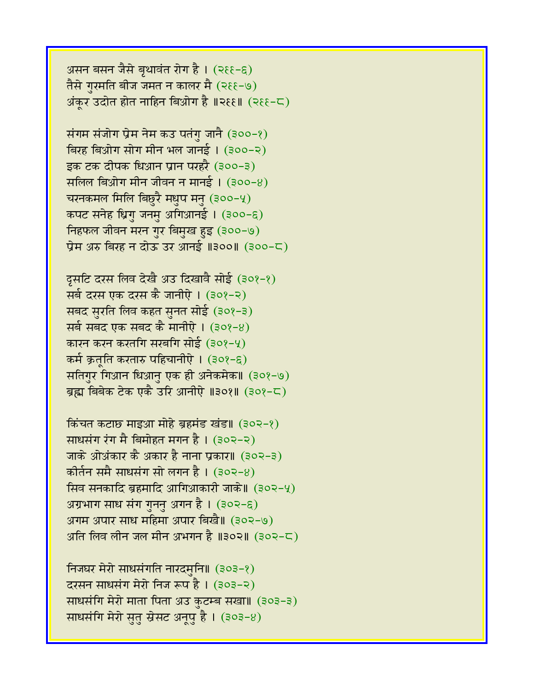असन बसन जैसे बृथावंत रोग है। (२६६-६) तैसे ग़रमति बीज जमत न कालर मै (२११-७) अंकुर उदोत होत नाहिन बिओग है ॥२६६॥  $($ २६६-८)

संगम संजोग प्रेम नेम कउ पतंगु जानै (३००-१) बिरह बिओग सोग मीन भल जानई। (३००-२) इक टक दीपक धिआन प्रान परहरै (३००-३) सलिल बिओग मीन जीवन न मानई ।  $(300-8)$ चरनकमल मिलि बिछुरै मधुप मनु (३००-५) कपट सनेह ध्रिगु जनमु अगिआनई। (३००-६) निहफल जीवन मरन गुर बिमुख हुइ (३००-७) प्रेम अरु बिरह न दोऊ उर आनई ॥३००॥ (३००-८)

दूसटि दरस लिव देखै अउ दिखावै सोई (३०१-१) सर्व दरस एक दरस कै जानीऐ। (३०१-२) सबद सुरति लिव कहत सुनत सोई (३०१-३) सर्ब सबद एक सबद कै मानीऐ । (३०१-४) कारन करन करतगि सरबगि सोई (३०१-५) कर्म क्रत् ति करतारु पहिचानीऐ । (३०१-६) सतिगुर गिआन धिआनु एक ही अनेकमेक॥ (३०१-७) ब्रह्म बिबेक टेक एकै उरि आनीऐ ॥३०१॥ (३०१-८)

किंचत कटाछ माइआ मोहे ब्रहमंड खंड॥ (३०२-१) साधसंग रंग मै बिमोहत मगन है। (३०२-२) जाके ओअंकार कै अकार है नाना प्रकार॥ (३०२-३) कोर्तन समै साधसंग सो लगन है। (३०२-४) सिव सनकादि ब्रहमादि आगिआकारी जाके॥ (३०२-५) अग्रभाग साध संग गुननु अगन है।  $(302-6)$ अगम अपार साध महिमा अपार बिखै॥ (३०२-७) अति लिव लीन जल मीन अभगन है ॥३०२॥ (३०२-८)

निजघर मेरो साधसंगति नारदमुनि॥ (३०३-१) दरसन साधसंग मेरो निज रूप है । (३०३-२) साधसंगि मेरो माता पिता अउ कुटम्ब सखा। (३०३-३) साधसंगि मेरो सुतु स्रेसट अनूपु है। (३०३-४)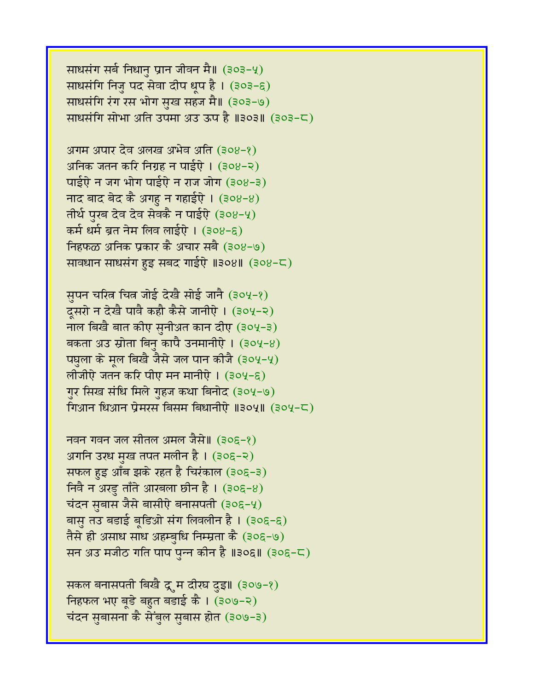साधसंग सर्ब निधानु प्रान जीवन मै। (३०३-५) साधसंगि निजु पद सेवा दीप धूप है। (३०३-६) साधसंगि रंग रस भोग सुख सहज मै॥ (३०३-७) साधसंगि सोभा अति उपमा अउ ऊप है ॥३०३॥ (३०३-८)

अगम अपार देव अलख अभेव अति (३०४-१) अनिक जतन करि निग्रह न पाईऐ । (३०४-२) पाईऐ न जग भोग पाईऐ न राज जोग (३०४-३) नाद बाद बेद कै अगहु न गहाईऐ।  $(308-8)$ तीर्थ पुरब देव देव सेवकै न पाईऐ (३०४-५) कर्म धर्म ब्रत नेम लिव लाईऐ । (३०४-६) निहफळ अनिक प्रकार कै अचार सबै (३०४-७) सावधान साधसंग हुइ सबद गाईऐ ॥३०४॥ (३०४-८)

सुपन चरित्र चित्र जोई देखै सोई जानै (३०५-१) दूसरो न देखै पावै कहौ कैसे जानीऐ । (३०५-२) नाल बिखै बात कीए सुनीअत कान दीए (३०५-३) बकता अउ स्रोता बिनु कापै उनमानीऐ ।  $(304-8)$ पघुला के मूल बिखै जैसे जल पान कीजै (३०५-५) लोजीऐ जतन करि पीए मन मानीऐ । (३०५-६) गुर सिख संधि मिले गुहज कथा बिनोद (३०५-७) गिआन धिआन प्रेमरस बिसम बिधानीऐ ॥३०५॥ (३०५-८)

नवन गवन जल सीतल अमल जैसे॥ (३०६-१) अगनि उरध मुख तपत मलीन है । (३०६-२) सफल हुइ आँब झके रहत है चिरंकाल (३०६-३)  $f$ निवै न अरडु ताँते आरबला छीन है। (३०६-४) चंदन सुबास जैसे बासीऐ बनासपती (३०६-५) बासु तउ बडाई बूडिओ संग लिवलीन है। (३०६-६) तैसे ही असाध साध अहम्बुधि निम्म्रता कै (३०६-७) सन अउ मजीठ गति पाप पुन्न कीन है ॥३०६॥ (३०६-८)

सकल बनासपती बिखै द्रू म दीरघ दुइ॥ (३०७-१) निहफल भए बूडे बहुत बडाई कै । (३०७-२) चंदन सुबासना कै सेंबुल सुबास होत (३०७-३)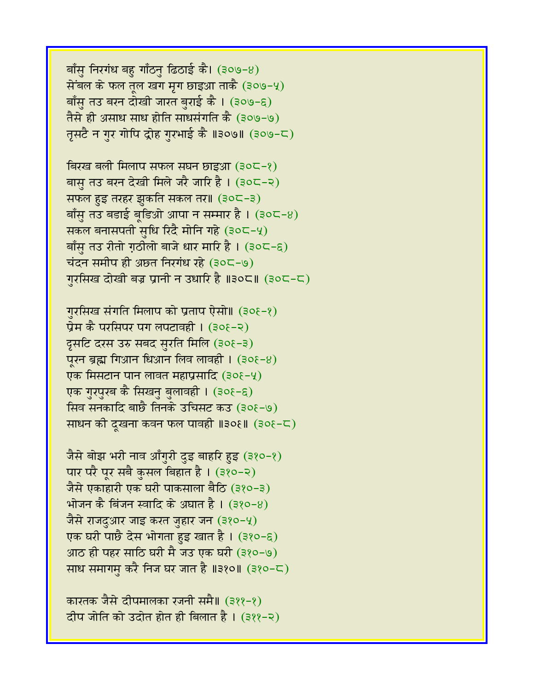बाँसु निरगंध बहु गाँठनु ढिठाई कै। (३०७-४) सेंबल के फल तुल खग मृग छाइआ ताकै (३०७-५) बाँसु तउ बरन दोखी जारत बुराई कै । (३०७-६) तैसे ही असाध साध होति साधसंगति कै (३०७-७) तृसटै न गुर गोपि द्रोह गुरभाई कै ॥३०७॥ (३०७-८)

बिरख बली मिलाप सफल संघन छाइआ (३०८-१) बास़ तउ बरन देखी मिले जरै जारि है । (३०८-२) सफल हुइ तरहर झुकति सकल तर॥ (३०८-३) बाँसु तउ बडाई ब्डिओ आपा न सम्मार है। (३०८-४) सकल बनासपती सुधि रिंदै मोनि गहे (३०८-५) बाँसु तउ रीतो गठीलो बाजे धार मारि है। (३०८-६)  $\vec{a}$ दन समीप ही अछत निरगंध रहे (३०८-७) गरसिख दोखी बज्र प्रानी न उधारि है ॥३०८॥ (३०८-८)

गुरसिख संगति मिलाप को प्रताप ऐसो॥ (३०६-१) प्रेम कै परसिपर पग लपटावही । (३०६-२) दूसटि दरस उरु सबद सुरति मिलि (३०६-३) पुरन ब्रह्म गिआन धिआन लिव लावही ।  $(30\xi - 8)$ एक मिसटान पान लावत महाप्रसादि (३०६-५) एक गुरपुरब कै सिखनु बुलावही । (३०१-६) सिव सनकादि बाछै तिनके उचिसट कउ (३०१-७) साधन की दूखना कवन फल पावही ॥३०६॥ (३०६-८)

जैसे बोझ भरी नाव आँगुरी दुइ बाहरि हुइ (३१०-१) पार परै पूर सबै कुसल बिहात है। (३१०-२) जैसे एकाहारी एक घरी पाकसाला बैठि (३१०-३) भोजन कै बिंजन स्वादि के अघात है।  $(380-8)$ जैसे राजदुआर जाइ करत जुहार जन (३१०-५) एक घरी पाछै देस भोगता हुइ खात है । (३१०-६) आठ ही पहर साठि घरी मै जउ एक घरी (३१०-७) साध समागमु करै निज घर जात है ॥३१०॥ (३१०-८)

कारतक जैसे दीपमालका रजनी समै॥ (३११-१) दीप जोति को उदोत होत ही बिलात है । (३११-२)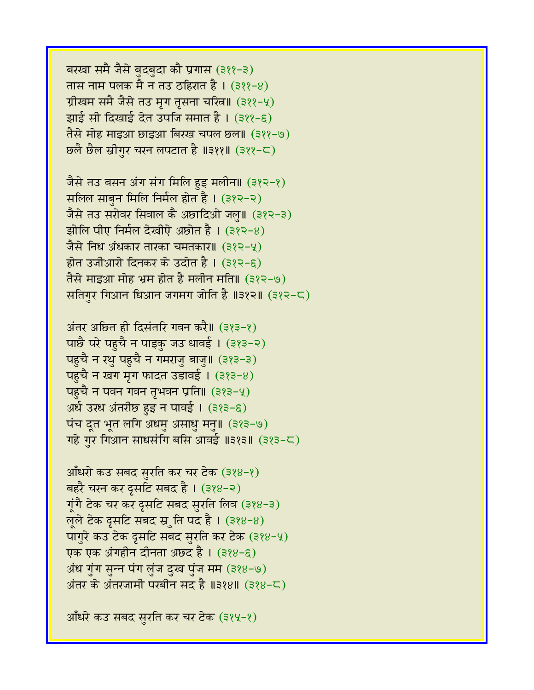बरखा समै जैसे बुदबुदा कौ प्रगास (३११-३) तास नाम पलक मै न तउ ठहिरात है । (३११–४) ग्रीखम समै जैसे तउ मृग तृसना चरित्न॥ (३११-५) झाई सी दिखाई देत उपजि समात है । (३११-६) तैसे मोह माइआ छाइआ बिरख चपल छल॥ (३११-७) छलै छैल स्रीगुर चरन लपटात है ॥३११॥ (३११-८)

जैसे तउ बसन अंग संग मिलि हुइ मलीन॥ (३१२-१) सलिल साबुन मिलि निर्मल होत है। (३१२-२) जैसे तउ सरोवर सिवाल कै अछादिओ जल्॥ (३१२-३) झोलि पीए निर्मल देखीऐ अछोत है। (३१२-४) जैसे निध अंधकार तारका चमतकार॥ (३१२-५) होत उजीआरो दिनकर के उदोत है । (३१२-६) तैसे माइआ मोह भ्रम होत है मलीन मति॥ (३१२-७) सतिगुर गिआन धिआन जगमग जोति है ॥३१२॥ (३१२-८)

अंतर अछित ही दिसंतरि गवन करै॥ (३१३-१) पाछै परे पहुचै न पाइकु जउ धावई। (३१३-२) पहुचै न रथु पहुचै न गमराजु बाजु॥ (३१३-३) पहुचै न खग मृग फादत उडावई। (३१३-४) पहुचै न पवन गवन तृभवन प्रति॥  $(323-4)$ अर्ध उरध अंतरीछ हुइ न पावई । (३१३-६) पंच दूत भूत लगि अधमु असाधु मनु॥ (३१३-७) गहे गुर गिआन साधसंगि बसि आवई ॥३१३॥  $(383-5)$ 

```
आँधरो कउ सबद सुरति कर चर टेक (३१४-१)
बहरै चरन कर दूसटि सबद है। (३१४-२)
\overline{\mathbf{u}}गै टेक चर कर दृसटि सबद सुरति लिव (३१४-३)
लूले टेक द्रसटि सबद स्र्ॉित पद है। (३१४-४)
पागुरे कउ टेक दृसटि सबद सुरति कर टेक (३१४-५)
एक एक अंगहीन दीनता अछ्द है। (३१४-६)
अंध गुंग सुन्न पंग लुंज दुख पुंज मम (३१४-७)
अंतर के अंतरजामी परबीन सद है ॥३१४॥ (३१४-८)
```
आँधरे कउ सबद सुरति कर चर टेक (३१५-१)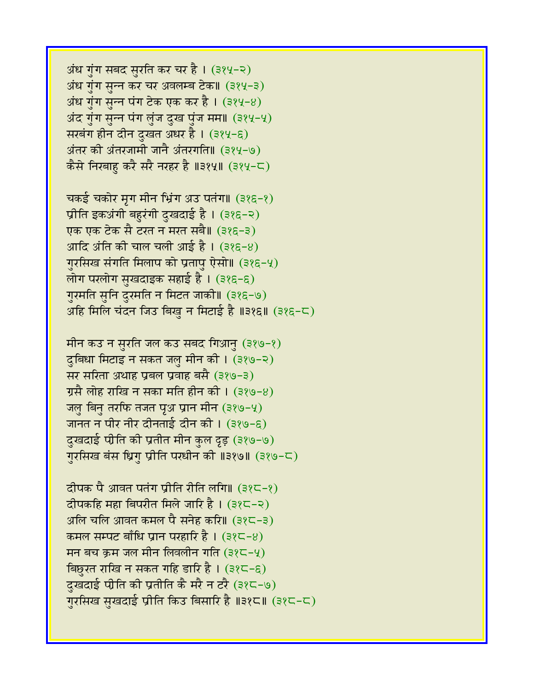अंध गुंग सबद सुरति कर चर है। (३१५-२) अंध गुंग सन्न कर चर अवलम्ब टेक॥ (३१५-३) अंध गुंग सुन्न पंग टेक एक कर है।  $(384-8)$ अंद गुंग सुन्न पंग लुंज दुख पुंज मम॥ (३१५-५) सरबंग हीन दीन दुखत अधर है । (३१५-६) अंतर की अंतरजामी जानै अंतरगति॥ (३१५-७) कैसे निरबाहु करै सरै नरहर है ॥३१५॥ (३१५-८)

चकई चकोर मृग मीन भ्रिंग अउ पतंग॥ (३१६-१) प्रीति इकअंगी बहुरंगी दुखदाई है। (३१६-२) एक एक टेक सै टरत न मरत सबै॥ (३१६-३) आदि अंति की चाल चली आई है।  $(325-8)$ गुरसिख संगति मिलाप को प्रतापु ऐसो॥ (३१६-५) लोग परलोग सुखदाइक सहाई है । (३१६-६) गुरमति सुनि दुरमति न मिटत जाकी॥ (३१६-७) अहि मिलि चंदन जिउ बिखु न मिटाई है ॥३१६॥ (३१६-८)

मीन कउ न सुरति जल कउ सबद गिआनु (३१७-१) दुबिधा मिटाइ न सकत जलु मीन की। (३१७-२) सर सरिता अथाह प्रबल प्रवाह बसै (३१७-३) ग्रसै लोह राखि न सका मति हीन की । (३१७-४) जलु बिनु तरफि तजत पृथ प्रान मीन (३१७-५) जानत न पीर नीर दीनताई दीन की। (३१७-६) दुखदाई पीति की प्रतीत मीन कुल दृड़ (३१७-७) गरसिख बंस ध्रिग प्रीति परधीन की ॥३१७॥ (३१७-८)

दीपक पै आवत पतंग प्रीति रीति लगि॥ (३१८-१) दीपकहि महा बिपरीत मिले जारि है। (३१८-२) अलि चलि आवत कमल पै सनेह करि॥ (३१८-३) कमल सम्पट बाँधि प्रान परहारि है।  $(325-8)$ मन बच क्रम जल मीन लिवलीन गति (३१८-५) बिछुरत राखि न सकत गहि डारि है।  $(325-6)$ दुखदाई पीति की प्रतीति कै मरै न टरै (३१८-७) गुरसिख सुखदाई प्रीति किउ बिसारि है ॥३१८॥ (३१८-८)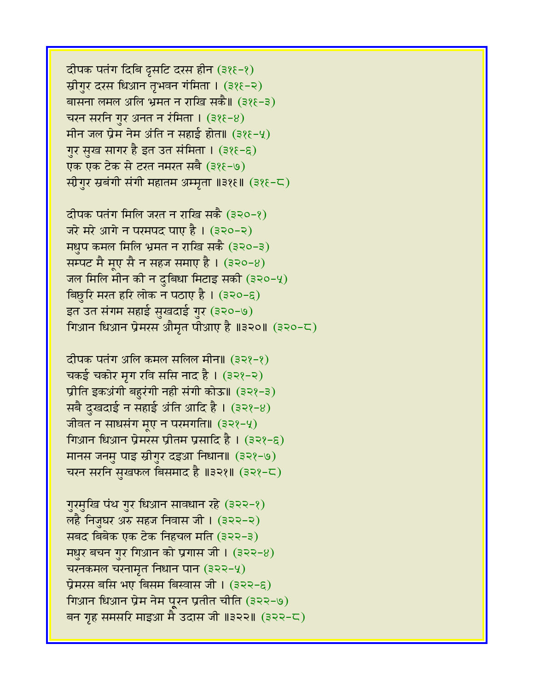दीपक पतंग दिबि दृसटि दरस हीन (३१६-१) स्रीगुर दरस धिआन तृभवन गंमिता । (३१६-२) बासना लमल अलि भ्रमत न राखि सकै॥ (३१६-३) चरन सरनि गुर अनत न रंमिता ।  $(326-8)$ मीन जल प्रेम नेम अंति न सहाई होत॥  $(325-9)$ गुर सुख सागर है इत उत संमिता । (३१६-६) एक एक टेक से टरत नमरत सबै (३१६-७) स्रीगुर स्रबंगी संगी महातम अम्मृता ॥३१६॥ (३१६-८)

दीपक पतंग मिलि जरत न राखि सकै (३२०-१) जरे मरे आगे न परमपद पाए है। (३२०-२) मधुप कमल मिलि भ्रमत न राखि सकै (३२०-३) सम्पट मै मूए सै न सहज समाए है।  $(320-8)$ जल मिलि मीन की न दुबिधा मिटाइ सकी (३२०-५) विछुरि मरत हरि लोक न पठाए है । (३२०-६) इत उत संगम सहाई सुखदाई गुर (३२०-७) गिआन धिआन प्रेमरस औमृत पीआए है $\parallel$ ॥३२०॥ (३२०-८)

दीपक पतंग अलि कमल सलिल मीन॥ (३२१-१) चकई चकोर मृग रवि ससि नाद है। (३२१-२) प्रीति इकअंगी बहुरंगी नही संगी कोऊ॥ (३२१-३) सबै दुखदाई न सहाई अंति आदि है ।  $(322-8)$ जीवत न साधसंग मूए न परमगति॥ (३२१-५) गिआन धिआन प्रेमरस प्रीतम प्रसादि है । (३२१-६) मानस जनमु पाइ स्रीगुर दइआ निधान॥ (३२१-७) चरन सरनि सुखफल बिसमाद है ॥३२१॥ (३२१-८)

गुरमुखि पंथ गुर धिआन सावधान रहे (३२२-१) लहै निजुघर अरु सहज निवास जी । (३२२-२) सबद बिबेक एक टेक निहचल मति (३२२-३) मधुर बचन गुर गिआन को प्रगास जी।  $(322-8)$ चरनकमल चरनामृत निधान पान  $(322-y)$ प्रेमरस बसि भए बिसम बिस्वास जी । (३२२-६) गिआन धिआन प्रेम नेम पूरन प्रतीत चीति (३२२-७) बन गृह समसरि माइआ मै उदास जी ॥३२२॥ (३२२-८)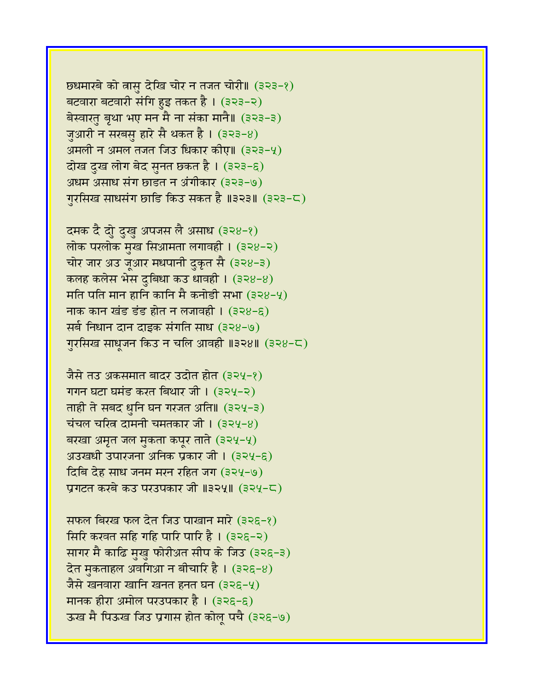$B$ ष्ठधमारबे को त्नासु देखि चोर न तजत चोरी॥ (३२३-१) बटवारा बटवारी संगि हुइ तकत है। (३२३-२) बेस्वारतु बृथा भए मन मै ना संका मानै॥ (३२३-३) जुआरी न सरबसु हारे सै थकत है । (३२३-४) अमली न अमल तजत जिउ धिकार कीए॥ (३२३-५) दोख दुख लोग बेद सुनत छकत है। (३२३-६) अधम असाध संग छाडत न अंगीकार (३२३-७) गुरसिख साधसंग छाडि किउ सकत है ॥३२३॥ (३२३-८)

दमक दै दोु दुखु अपजस लै असाध (३२४-१) लोक परलोक मुख सिआमता लगावही। (३२४-२) चोर जार अउ जुआर मधपानी दुकृत सै (३२४-३) कलह कलेस भेस दुबिधा कउ धावही ।  $(328-8)$ मति पति मान हानि कानि मै कनोडी सभा (३२४-५) नाक कान खंड डंड होत न लजावही ।  $(328-6)$ सर्ब निधान दान दाइक संगति साध (३२४-७) गुरसिख साधुजन किउ न चलि आवही ॥३२४॥ (३२४-८)

जैसे तउ अकसमात बादर उदोत होत (३२५-१) गगन घटा घमंड करत बिथार जी। (३२५-२) ताही ते सबद धुनि घन गरजत अति॥ (३२५-३) चंचल चरित्र दामनी चमतकार जी। (३२५-४) बरखा अमृत जल मुकता कपूर ताते (३२५-५) अउखधी उपारजना अनिक प्रकार जी। (३२५-६) दिबि देह साध जनम मरन रहित जग (३२५-७) प्रगटत करबे कउ परउपकार जी ॥३२५॥ (३२५-८)

सफल बिरख फल देत जिउ पाखान मारे (३२६-१) सिरि करवत सहि गहि पारि पारि है । (३२६-२) सागर मै काढि मुखु फोरीअत सीप के जिउ (३२६-३) देत मुकताहल अवगिआ न बीचारि है। (३२६-४) जैसे खनवारा खानि खनत हनत घन (३२६-५) मानक हीरा अमोल परउपकार है ।  $(326-6)$ ऊख मै पिऊख जिउ प्रगास होत कोल पचै (३२६-७)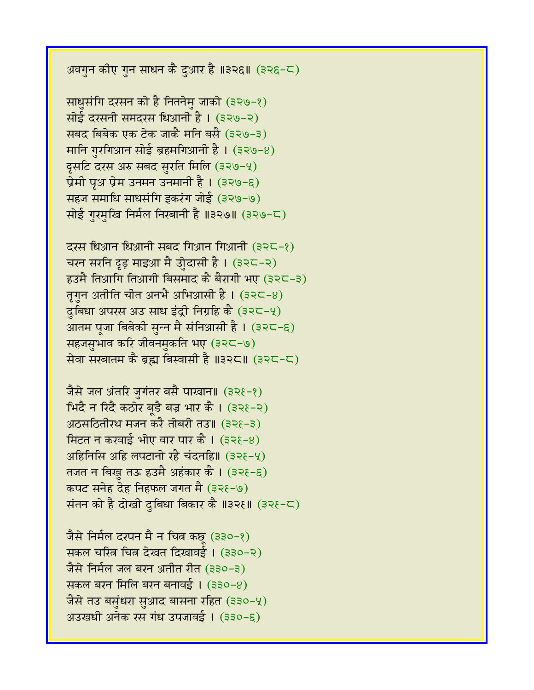अवगुन कीए गुन साधन कै दुआर है ॥३२६॥ (३२६-८)

साधुसंगि दरसन को है नितनेमु जाको (३२७-१) सोई दरसनी समदरस धिआनी है। (३२७-२) सबद बिबेक एक टेक जाकै मनि बसै (३२७-३) मानि गुरगिआन सोई ब्रहमगिआनी है।  $(329-8)$ दूसटि दरस अरु सबद सुरति मिलि (३२७-५) प्रेमी पृथ प्रेम उनमन उनमानी है।  $(329-6)$ सहज समाधि साधसंगि इकरंग जोई (३२७-७) सोई गरमखि निर्मल निरबानी है ॥३२७॥ (३२७-८)

 $\overline{c}$ रस धिआन धिआनी सबद गिआन गिआनी (३२८-१) चरन सरनि दृड़ माइआ मै उोुदासी है । (३२८-२)  $\overline{\mathsf{g}}$ हउमै तिआगि तिआगी बिसमाद कै बैरागी भए (३२८-३) तृगुन अतीति चीत अनभै अभिआसी है। (३२८-४) दुबिधा अपरस अउ साध इंद्री निग्रहि कै (३२८-५) आतम पूजा बिबेकी सून्न मै संनिआसी है। (३२८-६) सहजसुभाव करि जीवनमुकति भए (३२८-७) सेवा सरबातम कै ब्रह्म बिस्वासी है ॥३२८॥ (३२८-८)

जैसे जल अंतरि जुगंतर बसै पाखान॥ (३२१-१) मिंदै न रिंदै कठोर बड़ै बज्र भार कै । (३२१-२) अठसठितीरथ मजन करै तोबरी तउ॥ (३२१-३) मिटत न करवाई भोए वार पार कै। (३२१-४) अहिनिसि अहि लपटानो रहै चंदनहि॥ (३२ $\xi$ -५) तजत न बिखु तऊ हउमै अहंकार कै । (३२१-६) कपट सनेह देह निहफल जगत मै (३२१-७) संतन को है दोखी दबिधा बिकार कै ॥३२१॥ (३२१-८)

जैसे निर्मल दरपन मै न चित्र कछ (३३०-१) सकल चरित्न चित्न देखत दिखावई। (३३०-२) जैसे निर्मल जल बरन अतीत रीत (३३०-३) सकल बरन मिलि बरन बनावई । (३३०-४) जैसे तउ बसुंधरा सुआद बासना रहित (३३०-५) अउखधी अनेक रस गंध उपजावई। (३३०-६)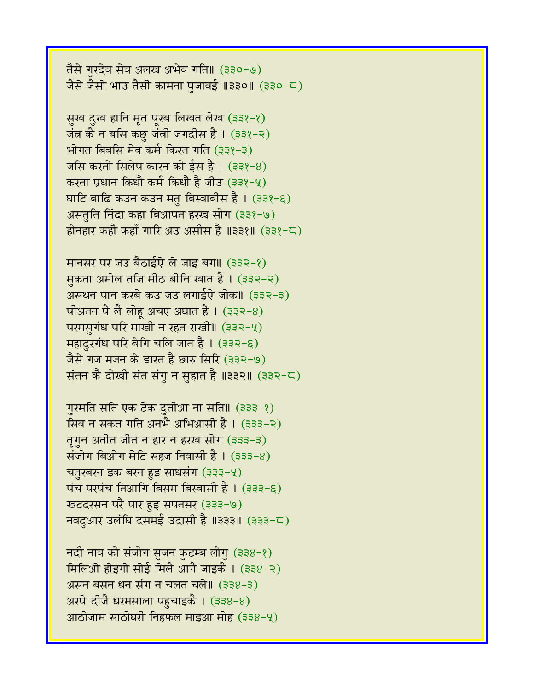तैसे गरदेव सेव अलख अभेव गति॥ (३३०-७) जैसे जैसो भाउ तैसी कामना पुजावई ॥३३०॥ (३३०-८)

सुख दुख हानि मृत पूरब लिखत लेख (३३१-१) जंत्र कै न बसि कछु जंत्री जगदीस है। (३३१-२) भोगत बिवसि मेव कर्म किरत गति (३३१-३) जसि करतो सिलेप कारन को ईस है। (३३१-४) करता प्रधान किधौ कर्म किधौ है जीउ (३३१-५) घाटि बाढि कउन कउन मतु बिस्वाबीस है।  $(332-6)$ असतृति निंदा कहा बिआपत हरख सोग (३३१-७) होनहार कहौ कहाँ गारि अउ असीस है ॥३३१॥ (३३१-८)

मानसर पर जउ बैठाईऐ ले जाइ बग॥ (३३२-१) मुकता अमोल तजि मीठ बीनि खात है। (३३२-२) असथन पान करबे कउ जउ लगाईऐ जोक॥ (३३२-३) पीअ़तन पै लै लोहू अचए अघात है। (३३२-४) परमसुगंध परि माखी न रहत राखी॥ (३३२-५) महादुरगंध परि बेगि चलि जात है।  $(332-6)$ जैसे गज मजन के डारत है छारु सिरि (३३२-७) संतन कै दोखी संत संगु न सुहात है ॥३३२॥ (३३२-८)

गुरमति सति एक टेक दुतीआ ना सति॥ (३३३-१) सिव न सकत गति अनभै अभिआसी है। (३३३-२) तृगुन अतीत जीत न हार न हरख सोग (३३३-३) संजोग बिओग मेटि सहज निवासी है। (३३३-४) चतुरबरन इक बरन हुइ साधसंग (३३३-५) गंच परपंच तिआगि बिसम बिस्वासी है। (३३३-६) खटदरसन परै पार हुइ सपतसर (३३३-७) नवदुआर उलंघि दसमई उदासी है ॥३३३॥ (३३३-८)

नदी नाव को संजोग सुजन कुटम्ब लोगु (३३४-१) मिलिओ होइगो सोई मिलै आगै जाइकै । (३३४-२) असन बसन धन संग न चलत चले॥ (३३४-३) अरपे दीजै धरमसाला पहुचाइकै ।  $(338-8)$ आठोजाम साठोघरी निहफल माइआ मोह (३३४-५)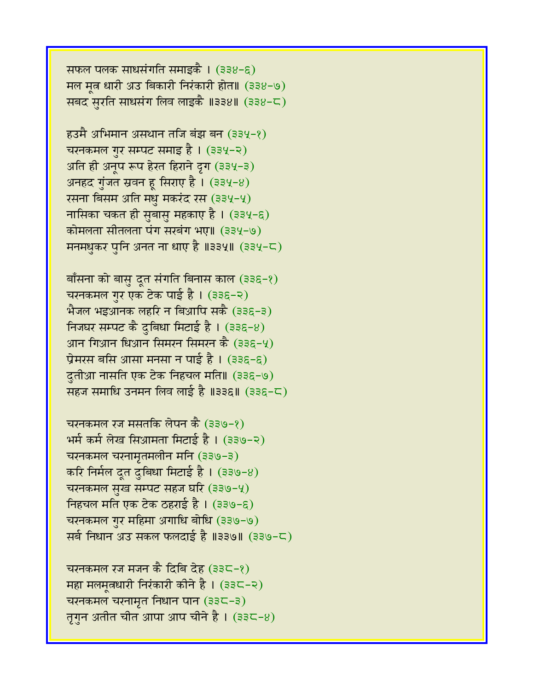सफल पलक साधसंगति समाइकै ।  $(338-6)$ मल मत धारी अउ बिकारी निरंकारी होत॥ (३३४-७) सबद सुरति साधसंग लिव लाइकै ॥३३४॥ (३३४-८)

हउमै अभिमान असथान तजि बंझ बन (३३५-१) चरनकमल गुर सम्पट समाइ है।  $(334-2)$  $3\pi$ ति ही अनुप रूप हेरत हिराने द्रग (३३५-३) अनहद गुंजत स्रवन हू सिराए है।  $(334-8)$ रसना बिसम अति मधु मकरंद रस (३३५-५) नासिका चकत ही सुबासु महकाए है । (३३५-६) कोमलता सीतलता पंग सरबंग भए॥ (३३५-७) मनमधुकर पुनि अनत ना धाए है ॥३३५॥ (३३५-८)

बाँसना को बासु दूत संगति बिनास काल (३३६-१) चरनकमल गुर एक टेक पाई है। (३३६-२) भैजल भइआनक लहरि न बिआपि सकै (३३६-३) निजघर सम्पट कै दुबिधा मिटाई है।  $(336-8)$ आन गिआन धिआन सिमरन सिमरन कै $(336-9)$ प्रेमरस बसि आसा मनसा न पाई है ।  $(336-6)$ दुतीआ नासति एक टेक निहचल मति॥ (३३६-७) सहज समाधि उनमन लिव लाई है ॥३३६॥ (३३६-८)

चरनकमल रज मसतकि लेपन कै (३३७-१)  $\overline{A}$ भर्म कर्म लेख सिआमता मिटाई है। (३३७-२) चरनकमल चरनामृतमलीन मनि (३३७-३) करि निर्मल दूत दुबिधा मिटाई है। (३३७-8) चरनकमल सुख सम्पट सहज घरि (३३७-५) निहचल मति एक टेक ठहराई है।  $(339-6)$ चरनकमल गुर महिमा अगाधि बोधि (३३७-७) सर्व निधान अउ सकल फलदाई है ॥३३७॥ (३३७-८)

चरनकमल रज मजन कै दिबि देह (३३८-१) महा मलमुत्रधारी निरंकारी कीने है ।  $(33< -2)$ चरनकमल चरनामृत निधान पान (३३८-३) तृगुन अतीत चीत आपा आप चीने है। (३३८-४)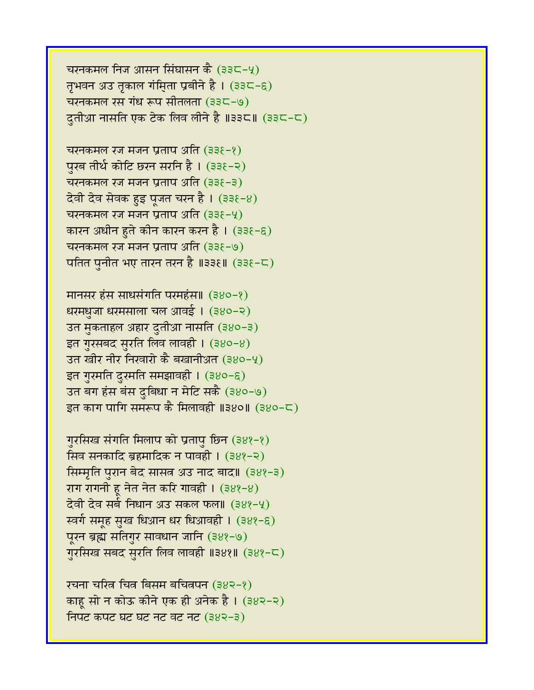चरनकमल निज आसन सिंघासन कै (३३८-५) तृभवन अउ तृकाल गंमिता प्रबीने है। (३३८-६) चरनकमल रस गंध रूप सीतलता (३३८-७) दुतीआ नासति एक टेक लिव लीने है ॥३३८॥ (३३८-८)

चरनकमल रज मजन प्रताप अति (३३ $\xi$ -१) पुरब तीर्थ कोटि छरन सरनि है। (३३६-२) चरनकमल रज मजन प्रताप अति  $(338-3)$ देवी देव सेवक हुइ पूजत चरन है । (३३६-४) चरनकमल रज मजन प्रताप अति $(338-9)$ कारन अधीन हुते कीन कारन करन है । (३३१-६) चरनकमल रज मजन प्रताप अति $(338-9)$ पतित पुनीत भए तारन तरन है ॥३३६॥ (३३६-८)

**मानसर हंस साधसंगति परमहंस॥ (३४०-१)** धरमधुजा धरमसाला चल आवई । (३४०-२) उत मुकताहल अहार दुतीआ नासति (३४०-३) इत गुरसबद सुरति लिव लावही । (३४०-४) उत खीर नीर निखारो कै बखानीअत (३४०-५) इत गुरमति दुरमति समझावही । (३४०-६) उत बग हंस बंस दुबिधा न मेटि सकै (३४०-७) इत काग पागि समरूप कै मिलावही ॥३४०॥ (३४०-८)

गुरसिख संगति मिलाप को प्रतापु छिन (३४१-१) सिव सनकादि ब्रहमादिक न पावही ।  $(388-2)$ सिम्मृति पुरान बेद सासत्र अउ नाद बाद॥ (३४१-३) राग रागनी हू नेत नेत करि गावही ।  $(388-8)$ देवी देव सर्ब निधान अउ सकल फल॥ (३४१-५) र्स्वर्ग समूह सुख धिआन धर धिआवही । (३४१-६) पूरन ब्रह्म सतिगुर सावधान जानि (३४१-७) गुरसिख सबद सुरति लिव लावही ॥३४१॥ (३४१-८)

रचना चरित्र चित्र बिसम बचित्रपन (३४२-१) काहू सो न कोऊ कीने एक ही अनेक है । (३४२-२) निपट कपट घट घट नट वट नट (३४२-३)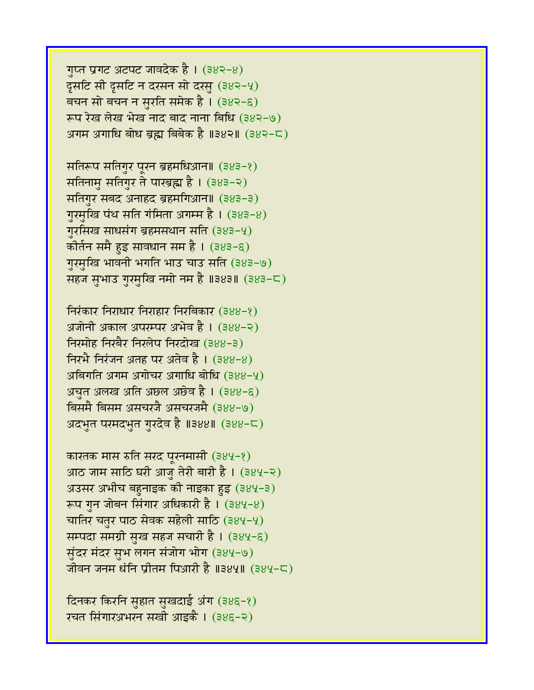गुप्त प्रगट अटपट जावदेक है।  $(382-8)$  $\overline{G}$ सटि सी दूसटि न दरसन सो दरसु (३४२-५) बचन सो बचन न सुरति समेक है। (३४२-६) रूप रेख लेख भेख नाद बाद नाना बिधि (३४२-७) अगम अगाधि बोध ब्रह्म बिबेक है ॥३४२॥ (३४२-८)

सतिरूप सतिगुर पुरन ब्रहमधिआन॥ (३४३-१) सतिनामु सतिगुर ते पारब्रह्म है। (३४३-२) सतिगुर सबद अनाहद ब्रहमगिआन॥ (383-3) ग़ुरमुखि पंथ सति गंमिता अगम्म है।  $(383-8)$ गुरसिख साधसंग ब्रहमसथान सति (383-4) कोर्तन समै हुइ सावधान सम है । (३४३-६) गुरमुखि भावनी भगति भाउ चाउ सति (३४३-७) सहज सभाउ गुरमुखि नमो नम है ॥३४३॥ (३४३-८)

 $f$ निरंकार निराधार निराहार निरबिकार (३४४-१) अजोनी अकाल अपरम्पर अभेव है। (३४४-२) निरमोह निरबैर निरलेप निरदोख (३४४-३) निरभै निरंजन अतह पर अतेव है । (३४४-४) अबिगति अगम अगोचर अगाधि बोधि (३४४-५) अचत अलख अति अछल अछेव है ।  $(388-6)$ बिसमै बिसम असचरजै असचरजमै (३४४-७) अदभुत परमदभुत गुरदेव है ॥३४४॥ (३४४-८)

कारतक मास रुति सरद पुरनमासी (384-१) आठ जाम साठि घरी आजु तेरी बारी है। (३४५-२) अउसर अभीच बहुनाइक की नाइका हुइ (३४५-३) रूप गुन जोबन सिंगार अधिकारी है।  $(384-8)$ चातिर चतुर पाठ सेवक सहेली साठि (384-4) सम्पदा समग्री सुख सहज सचारी है । (३४५-६) सुंदर मंदर सुभ लगन संजोग भोग (३४५-७) जीवन जनम धंनि प्रीतम पिआरी है ॥३४५॥ (३४५-८)

दिनकर किरनि सुहात सुखदाई अंग (३४६-१) रचत सिंगारअभरन सखी आइकै । (३४६-२)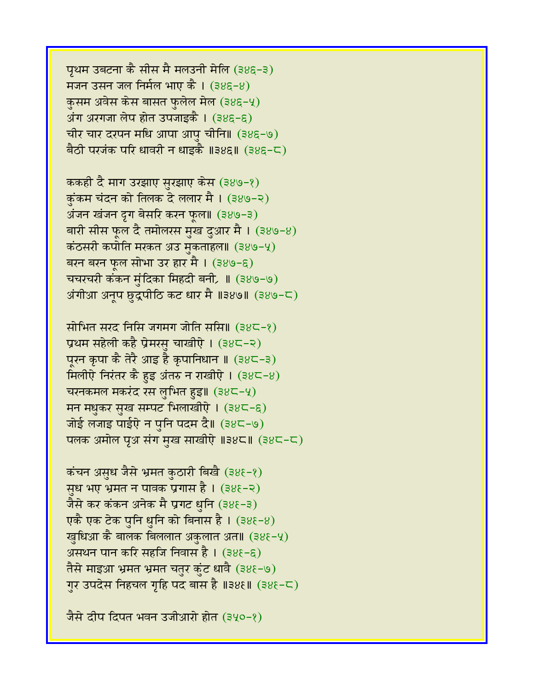पृथम उबटना कै सीस मै मलउनी मेलि (३४६-३) मजन उसन जल निर्मल भाए कै ।  $(385-8)$ कुसम अवेस केस बासत फुलेल मेल (३४६-५) अंग अरगजा लेप होत उपजाइकै ।  $(385-6)$ चीर चार दरपन मधि आपा आपु चीनि॥ (385-७) बैठी परजंक परि धावरी न धाइकै ॥३४६॥ (३४६-८)

ककही दै माग उरझाए सुरझाए केस (३४७-१) कुंकम चंदन को तिलक दे ललार मै । (३४७-२) अंजन खंजन द्रग बेसरि करन फुल॥ (३४७-३) बारी सीस फूल दै तमोलरस मुख दुआर मै । (३४७-४) कंठसरी कपोति मरकत अउ मुकताहल॥ (३४७-५) बरन बरन फूल सोभा उर हार मै । (३४७-६) चचरचरी कंकन मुंदिका मिहदी बनी, II (३४७-७) अंगीआ अनूप छुद्रपीठि कट धार मै ॥३४७॥ (३४७-८)

सोभित सरद निसि जगमग जोति ससि॥ (३४८-१) प्रथम सहेली कहै प्रेमरसु चाखीऐ । (३४८-२) पूरन कृपा कै तेरै आइ है कृपानिधान ॥ (३४८-३)  $\widehat{\mathbf{H}}$ लीऐ निरंतर कै हुइ अंतरु न राखीऐ। (३४८-४) चरनकमल मकरंद रस लुभित हुइ॥ (३४८-५) मन मधुकर सुख सम्पट भिलाखीऐ । (३४८-६) जोई लजाइ पाईऐ न पुनि पदम दै॥ (३४८-७) पलक अमोल पूअ संग मुख साखीऐ ॥३४८॥ (३४८-८)

कंचन असुध जैसे भ्रमत कुठारी बिखै (३४६-१) सुध भए भ्रमत न पावक प्रगास है। (३४६-२) जैसे कर कंकन अनेक मै प्रगट धनि (३४६-३) एकै एक टेक पुनि धुनि को बिनास है।  $(38\xi - 8)$ खुधिआ कै बालक बिललात अकुलात अत॥ (३४६-५) असथन पान करि सहजि निवास है। (३४६-६) तैसे माइआ भ्रमत भ्रमत चतुर कुंट धावै (३४६-७) गुर उपदेस निहचल गृहि पद बास है ॥३४६॥ (३४६-८)

जैसे दीप दिपत भवन उजीआरो होत (३५०-१)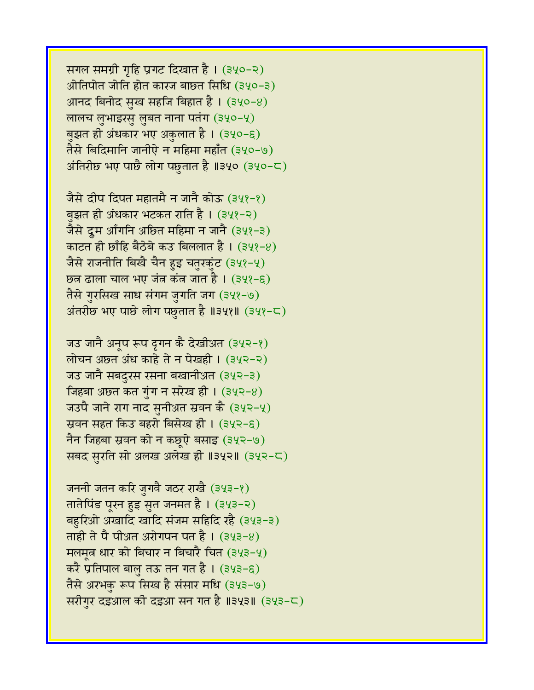सगल समग्री गृहि प्रगट दिखात है। (३५०-२) ओतिपोत जोति होत कारज बाछत सिधि (३५०-३) आनद बिनोद सुख सहजि बिहात है।  $(340-8)$ लालच लुभाइरसु लुबत नाना पतंग (३५०-५) बुझत ही अंधकार भए अकुलात है । (३५०-६) तैसे बिदिमानि जानीऐ न महिमा महाँत (३५०-७) अंतिरीछ भए पाछै लोग पछुतात है ॥३५० (३५०-८)

जैसे दीप दिपत महातमै न जानै कोऊ (३५१-१) बझत ही अंधकार भटकत राति है । (३५१-२) जैसे दूम आँगनि अछित महिमा न जानै (३५१-३) काटत ही छाँहि बैठेबे कउ बिललात है । (३५१-४) जैसे राजनीति बिखै चैन हुइ चतुरकुंट (३५१-५) छत्र ढाला चाल भए जंत कंत जात है। (३५१-६) तैसे गुरसिख साध संगम जुगति जग (३५१-७) अंतरीछ भए पाछे लोग पछुतात है ॥३५१॥ (३५१-८)

जउ जानै अनूप रूप दृगन कै देखीअत (३५२-१) लोचन अछत अंध काहे ते न पेखही । (३५२-२) जउ जानै सबदुरस रसना बखानीअत (३५२-३) जिहबा अछत कत गुंग न सरेख ही।  $(342-8)$ जउपै जाने राग नाद सुनीअत स्रवन कै (३५२-५) स्रवन सहत किउ बहरो बिसेख ही। (३५२-६) नैन जिहबा स्रवन को न कछुऐ बसाइ (३५२-७) सबद सुरति सो अलख अलेख ही ॥३५२॥ (३५२-८)

जननी जतन करि जुगवै जठर राखै (३५३-१) तातेपिंड पूरन हुइ सुत जनमत है। (३५३-२) बहुरिओ अखादि खादि संजम सहिदि रहै (३५३-३) ताही ते पै पीअ़त अरोगपन पत है । (३५३-४) मलमृत धार को बिचार न बिचारै चित (३५३-५) करै प्रतिपाल बालु तऊ तन गत है । (३५३-६) तैसे अरभकु रूप सिख है संसार मधि (३५३-७) सरीगुर दइआल की दइआ सन गत है ॥३५३॥ (३५३-८)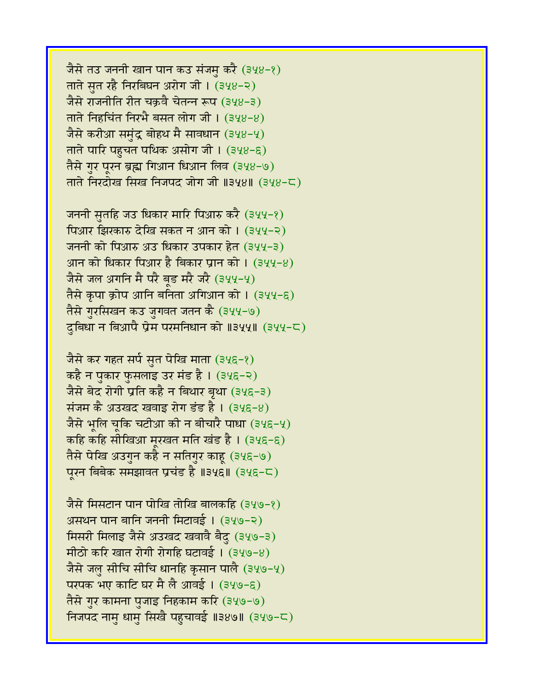जैसे तउ जननी खान पान कउ संजमु करै (३५४-१) ताते सत रहै निरबिघन अरोग जी। (३५४-२) जैसे राजनीति रीत चक्रवै चेतन्न रूप (३५४-३) ताते निहचिंत निरभै बसत लोग जी।  $(348-8)$ जैसे करीआ समुंद्र बोहथ मै सावधान (३५४-५) ताते पारि पहुचत पथिक असोग जी।  $(348-6)$ तैसे गुर पुरन ब्रह्म गिआन धिआन लिव (३५४-७) ताते निरदोख सिख निजपद जोग जी ॥३५४॥ (३५४-८)

जननी सुतहि जउ धिकार मारि पिआरु करै (३५५-१) पिआर झिरकारु देखि सकत न आन को । (३५५-२) जननी को पिआरु अउ धिकार उपकार हेत (३५५-३) आन को धिकार पिआर है बिकार प्रान को । (३५५-४) जैसे जल अगनि मै परै बड मरै जरै (३५५-५) तैसे कृपा क्रोप आनि बनिता अगिआन को । (३५५-६) तैसे गुरसिखन कउ जुगवत जतन कै (३५५-७) दुबिधा न बिआपै प्रेम परमनिधान को ॥३५५॥ (३५५-८)

जैसे कर गहत सर्प सुत पेखि माता (३५६-१) कहै न पुकार फुसलाइ उर मंड है । (३५६-२) जैसे बेद रोगी प्रति कहै न बिथार बृथा (३५६-३) संजम कै अउखद खवाइ रोग डंड है।  $(348-8)$ जैसे भूलि चूकि चटीआ की न बीचारै पाधा (३५६-५) कहि कहि सीखिआ मरखत मति खंड है। (३५६-६) तैसे पेखि अउगुन कहै न सतिगुर काह (३५६-७) पुरन बिबेक समझावत प्रचंड है ॥३५६॥ (३५६-८)

जैसे मिसटान पान पोखि तोखि बालकहि (३५७-१) असथन पान बानि जननी मिटावई। (३५७-२) मिसरी मिलाइ जैसे अउखद खवावै बैदु (३५७-३) मीठो करि खात रोगी रोगहि घटावई। (३५७-४) जैसे जलु सीचि सीचि धानहि कृसान पालै (३५७-५) परपक भए काटि घर मै लै आवई । (३५७-६) तैसे गुर कामना पुजाइ निहकाम करि (३५७-७) निजपद नाम धाम सिखै पहचावई ॥३४७॥ (३५७-८)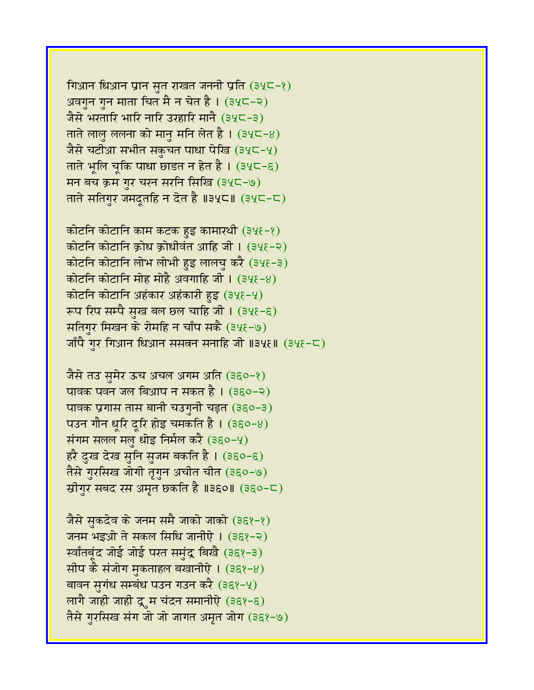गिआन धिआन प्रान सुत राखत जननी प्रति (३५८-१) अवगुन गुन माता चित मै न चेत है। (३५८-२) जैसे भरतारि भारि नारि उरहारि मानै (३५८-३) ताते लालु ललना को मानु मनि लेत है। (३५८-४) जैसे चटीआ सभीत सकुचत पाधा पेखि (३५८-५) ताते भूलि चूकि पाधा छाडत न हेत है। (३५८-६) मन बच क्रम गुर चरन सरनि सिखि (३५८-७) ताते सतिगुर जमदूतहि न देत है ॥३५८॥ (३५८-८)

कोटनि कोटानि काम कटक हुइ कामारथी (३५६-१) कोटनि कोटानि क्रोध क्रोधीवंत आहि जी। (३५६-२) कोटनि कोटानि लोभ लोभी हुइ लालचु करै (३५६-३) कोटनि कोटानि मोह मोहै अवगाहि जी। (३५६-४) कोटनि कोटानि अहंकार अहंकारी हुइ (३५६-५) रूप रिप सम्पै सुख बल छल चाहि जी।  $(34\xi - \xi)$ सतिगुर मिखन के रोमहि न चाँप सकै (३५६-७)  $\tilde{\mathcal{L}}$ जाँपै गुर गिआन धिआन ससतन सनाहि जी ॥३५६॥ (३५६-८)

जैसे तउ सुमेर ऊच अचल अगम अति (३६०-१) पावक पवन जल बिआप न सकत है । (३६०-२) पावक प्रगास तास बानी चउगुनी चड़त (३६०-३) पउन गौन धूरि दूरि होइ चमकति है। (३६०-४) संगम सलल मल धोइ निर्मल करै (३६०-५) हरै दुख देख सुनि सुजम बकति है। (३६०-६) तैसे गुरसिख जोगी तृगुन अचीत चीत (३६०-७) स्रीगुर सबद रस अमृत छकति है ॥३६०॥ (३६०-८)

जैसे सुकदेव के जनम समै जाको जाको (३६१-१) जनम भइओ ते सकल सिधि जानीऐ। (३६१-२) स्वाँतबूंद जोई जोई परत समुंद्र बिखै (३६१-३) सीप कै संजोग मुकताहल बखानीऐ ।  $(368-8)$ बावन सुगंध सम्बंध पउन गउन करै (३६१-५) लागै जाही जाही द्रुम चंदन समानीऐ (३६१-६) तैसे गुरसिख संग जो जो जागत अमृत जोग (३६१-७)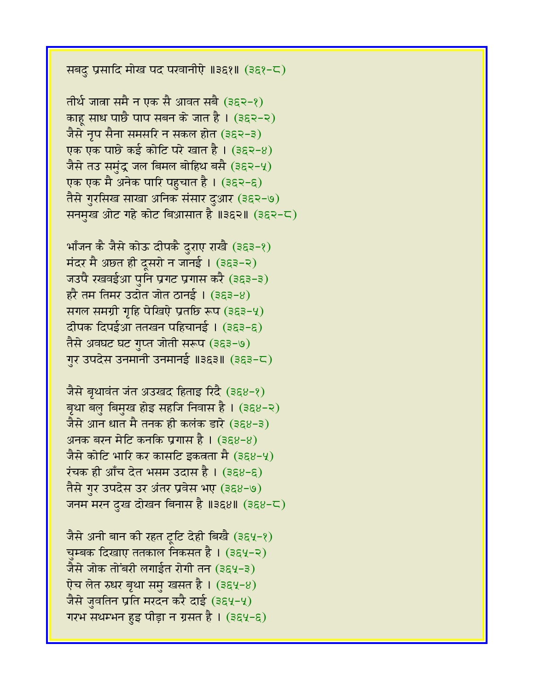सबदु प्रसादि मोख पद परवानीऐ ॥३६१॥ (३६१-८)

तीर्थ जात्रा समै न एक सै आवत सबै (३६२-१) काहू साध पाछै पाप सबन के जात है। (३६२-२) जैसे नृप सैना समसरि न सकल होत (३६२-३) एक एक पाछे कई कोटि परे खात है। (३६२-४) जैसे तउ समंद्र जल बिमल बोहिथ बसै (३६२-५) एक एक मै अनेक पारि पहुचात है । (३६२-६) तैसे गुरसिख साखा अनिक संसार दुआर (३६२-७) सनमुख ओट गहे कोट बिआसात है ॥३६२॥ (३६२-८)

भाँजन कै जैसे कोऊ दीपकै दुराए राखै (३६३-१) मंदर मै अछत ही दूसरो न जानई । (३६३-२) जउपै रखवईआ पनि प्रगट प्रगास करै (३६३-३)  $52$  तम तिमर उदोत जोत ठानई । (३६३-४) सगल समग्री गृहि पेखिएे प्रतछि रूप (३६३-५)  $d$ पक दिपईआ ततखन पहिचानई । (३६३-६) तैसे अवघट घट गुप्त जोती सरूप (३६३-७) गुर उपदेस उनमानी उनमानई ॥३६३॥ (३६३-८)

जैसे बृथावंत जंत अउखद हिताइ रिदै (३६४-१) बृथा बलु बिमुख होइ सहजि निवास है । (३६४-२) जैसे आन धात मै तनक ही कलंक डारे (३६४-३) अनक बरन मेटि कनकि प्रगास है। (३६४-४) जैसे कोटि भारि कर कासटि डकवता मै $(388-9)$ रंचक ही आँच देत भसम उदास है। (३६४-६) तैसे गुर उपदेस उर अंतर प्रवेस भए (३६४-७) जनम मरन दुख दोखन बिनास है ॥३६४॥ (३६४-८)

जैसे अनी बान की रहत ट्रिट देही बिखै (३६५-१) चुम्बक दिखाए ततकाल निकसत है। (३६५-२)  $\frac{1}{2}$ से जोक तोंबरी लगाईत रोगी तन (३६५-३) ऐच लेत रुधर बृथा समु खसत है ।  $(364-8)$ जैसे जुवतिन प्रति मरदन करै दाई (३६५-५) गरभ सथम्भन हुइ पीड़ा न ग्रसत है ।  $(364-6)$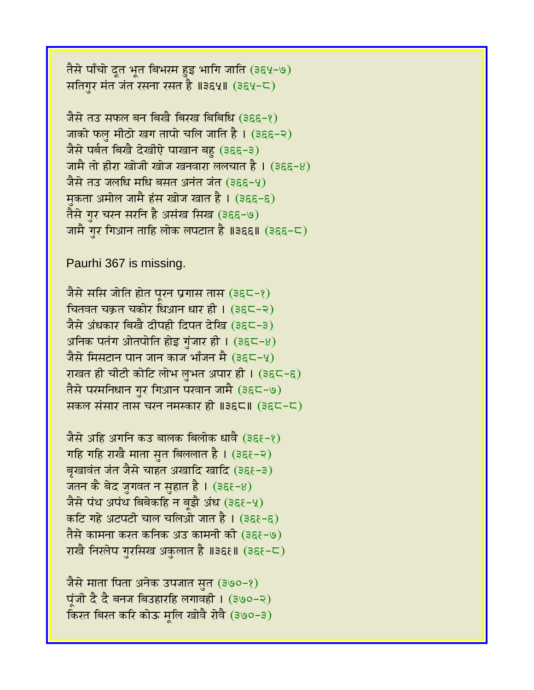तैसे पाँचो दूत भूत बिभरम हुइ भागि जाति (३६५-७) सतिगुर मंत जंत रसना रसत है ॥३६५॥ (३६५-८)

जैसे तउ सफल बन बिखै बिरख बिबिधि (३६६-१) जाको फल मीठो खग तापो चलि जाति है। (३६६-२) जैसे पर्बत बिखै देखीऐ पाखान बहु (३६६-३) जामै तो हीरा खोजी खोज खनवारा ललचात है । (३६६-४) जैसे तउ जलधि मधि बसत अनंत जंत (३६६-५) मकता अमोल जामै हंस खोज खात है। (३६६-६) तैसे गुर चरन सरनि है असंख सिख (३६६-७) जामै गुर गिआन ताहि लोक लपटात है ॥३६६॥ (३६६-८)

Paurhi 367 is missing.

जैसे ससि जोति होत पूरन प्रगास तास (३६८-१) चितवत चक्रत चकोर धिआन धार ही । (३६८-२) जैसे अंधकार बिखै दीपही दिपत देखि (३६८-३) अनिक पतंग ओतपोति होइ गुंजार ही।  $(36\zeta - 8)$ जैसे मिसटान पान जान काज भाँजन मै (३६८-५) राखत ही चीटी कोटि लोभ लुभत अपार ही । (३६८-६) तैसे परमनिधान गुर गिआन परवान जामै (३६८-७) सकल संसार तास चरन नमस्कार ही ॥३६८॥ (३६८-८)

जैसे अहि अगनि कउ बालक बिलोक धावै (३६६-१) गहि गहि राखै माता सृत बिललात है।  $(36\xi - 2)$ बृखावंत जंत जैसे चाहत अखादि खादि (३६१-३) जतन कै बेद जुगवत न सुहात है। (३६१-8) जैसे पंथ अपंथ बिबेकहि न बझै अंध (३६१-५) कटि गहे अटपटी चाल चलिओ जात है। (३६६-६) तैसे कामना करत कनिक अउ कामनी की (३६१-७) राखै निरलेप गुरसिख अकुलात है ॥३६६॥ (३६६-८)

जैसे माता पिता अनेक उपजात सुत (३७०-१) पूंजी दै दै बनज बिउहारहि लगावही । (३७०-२) किरत बिरत करि कोऊ मूलि खोवै रोवै (३७०-३)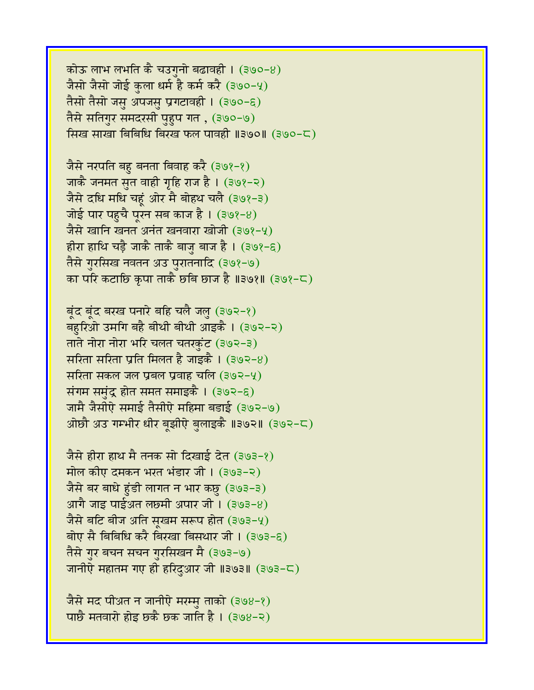कोऊ लाभ लभति कै चउगनो बढावही ।  $(390-8)$ जैसो जैसो जोई कुला धर्म है कर्म करै (३७०-५) तैसो तैसो जसु अपजसु प्रगटावही । (३७०-६) तैसे सतिगुर समदरसी पुहुप गत , (३७०-७) सिख साखा बिबिधि बिरख फल पावही ॥३७०॥ (३७०-८)

जैसे नरपति बहु बनता बिवाह करै (३७१-१) जाकै जनमत सुत वाही गृहि राज है । (३७१-२) जैसे दधि मधि चहूं ओर मै बोहथ चलै (३७१-३) जोई पार पहुचै पूरन सब काज है। (३७१-8) जैसे खानि खनत अनंत खनवारा खोजी (३७१-५) हीरा हाथि चड़ै जाकै ताकै बाजु बाज है। (३७१-६) तैसे गुरसिख नवतन अउ पुरातनादि (३७१-७) का परि कटाछि कृपा ताकै छबि छाज है ॥३७१॥ (३७१-८)

बूंद बूंद बरख पनारे बहि चलै जलु (३७२-१) बहरिओ उमगि बहै बीथी बीथी आइकै । (३७२-२) ताते नोरा नोरा भरि चलत चतरकुंट (३७२-३) सरिता सरिता प्रति मिलत है जाइकै । (३७२-४) सरिता सकल जल प्रबल प्रवाह चलि (३७२-५) संगम समंद्र होत समत समाइकै । (३७२-६) जामै जैसीऐ समाई तैसीऐ महिमा बडाई (३७२-७) ओछौ अउ गम्भीर धीर बूझीऐ बुलाइकै ॥३७२॥ (३७२-८)

जैसे हीरा हाथ मै तनक सो दिखाई देत (३७३-१) मोल कीए दमकन भरत भंडार जी। (३७३-२) जैसे बर बाधे हुंडी लागत न भार कछु (३७३-३) आगै जाइ पाईअत लछमी अपार जी।  $(393-8)$ जैसे बटि बीज अति सूखम सरूप होत (३७३-५) बोए सै बिबिधि करै बिरखा बिसथार जी । (३७३-६) तैसे गुर बचन सचन गुरसिखन मै (३७३-७) जानीऐ महातम गए ही हरिदुआर जी ॥३७३॥ (३७३-८)

जैसे मद पीअ़त न जानीऐ मरम्मु ताको (३७४-१) पाछै मतवारो होइ छकै छक जाति है। (३७४-२)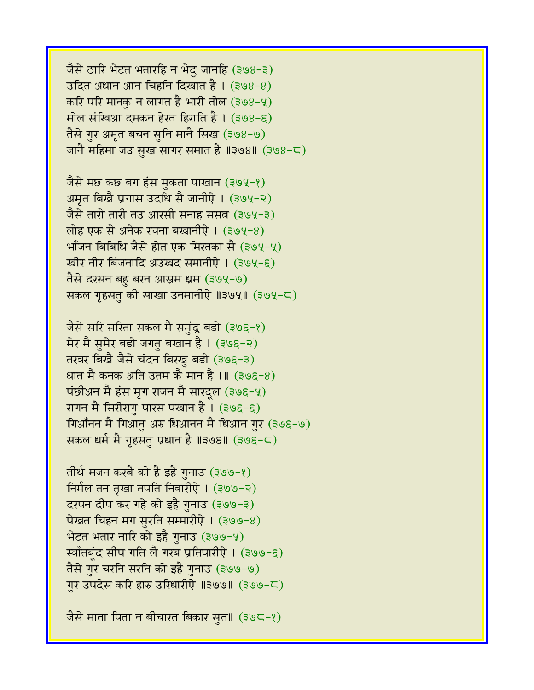जैसे ठारि भेटत भतारहि न भेदु जानहि (३७४-३)  $36\pi$  अधान आन चिहनि दिखात है। (३७४-४) करि परि मानकु न लागत है भारी तोल (३७४-५) मोल संखिआ दमकन हेरत हिराति है। (३७४-६) तैसे गुर अमृत बचन सुनि मानै सिख (३७४-७) जानै महिमा जउ सख सागर समात है ॥३७४॥ (३७४-८)

जैसे मछ कछ बग हंस मुकता पाखान (३७५-१) अमृत बिखै प्रगास उदधि सै जानीऐ। (३७५-२) जैसे तारो तारी तउ आरसी सनाह ससत्र (३७५-३) लोह एक से अनेक रचना बखानीऐ। (३७५-४) भाँजन बिबिधि जैसे होत एक मिरतका सै (३७५-५) खीर नीर बिंजनादि अउखद समानीऐ । (३७५-६) तैसे दरसन बहु बरन आस्रम ध्रम (३७५-७) सकल गृहसतु की साखा उनमानीऐ ॥३७५॥ (३७५-८)

जैसे सरि सरिता सकल मै समुंद्र बडो (३७६-१) मेर मै सुमेर बडो जगतु बखान है। (३७६-२) तरवर बिखै जैसे चंदन बिरखु बडो (३७६-३) धात मै कनक अति उतम कै मान है ।॥ (३७६-४) पंछीअन मै हंस मृग राजन मै सारदूल (३७६-५) रागन मै सिरीरागु पारस पखान है । (३७६-६) गिआँनन मै गिआनु अरु धिआनन मै धिआन गुर (३७६-७) सकल धर्म मै गृहसत प्रधान है ॥३७६॥ (३७६-८)

तीर्थ मजन करबै को है इहै गुनाउ (३७७-१) निर्मल तन तृखा तपति निवारीऐ । (३७७-२) दरपन दीप कर गहे को इहै गुनाउ (३७७-३) पेखत चिहन मग सुरति सम्मारीऐ ।  $(399-8)$ भेटत भतार नारि को इहै गुनाउ (३७७-५) र्स्वाँतबृंद सीप गति लै गरब प्रतिपारीऐ । (३७७-६) तैसे गुर चरनि सरनि को इहै गुनाउ (३७७-७) गुर उपदेस करि हारु उरिधारीऐ ॥३७७॥ (३७७-८)

जैसे माता पिता न बीचारत बिकार सत॥ (३७८-१)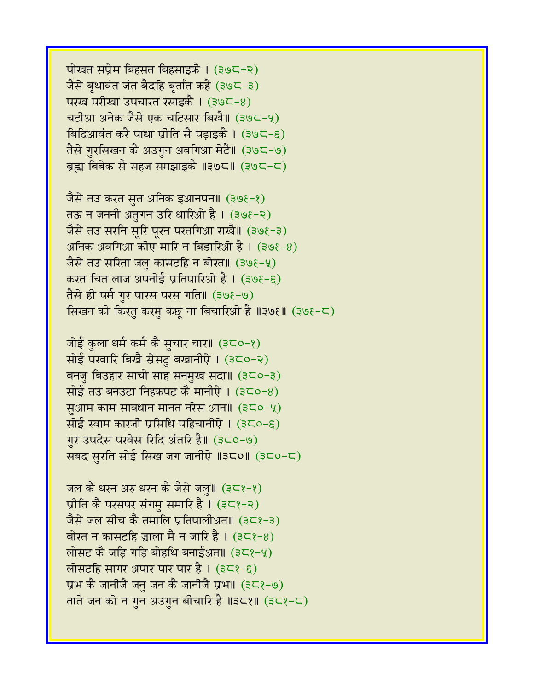पोखत सप्रेम बिहसत बिहसाइकै । (३७८-२) जैसे बृथावंत जंत बैदहि बृताँत कहै (३७८-३) परख परीखा उपचारत रसाइकै । (३७८-४) चटीआ अनेक जैसे एक चटिसार बिखै॥ (३७८-५) बिदिआवंत करै पाधा प्रीति सै पड़ाइकै । (३७८-६) तैसे गुरसिखन कै अउगुन अवगिआ मेटै॥ (३७८-७) ब्रह्म बिबेक सै सहज समझाइकै ॥३७८॥ (३७८-८)

जैसे तउ करत सुत अनिक इआनपन॥ (३७१-१) तऊ न जननी अतुगन उरि धारिओ है । (३७१-२) जैसे तउ सरनि सूरि पूरन परतगिआ राखै॥ (३७६-३) अनिक अवगिआ कीए मारि न बिडारिओ है।  $(398-8)$ जैसे तउ सरिता जल कासटहि न बोरत॥ (३७१-५) करत चित लाज अपनोई प्रतिपारिओ है। (३७ $\xi$ -६) तैसे ही पर्म गुर पारस परस गति॥ (३७६-७) सिखन को किरतु करमु कछू ना बिचारिओ है ॥३७६॥ (३७६-८)

जोई कुला धर्म कर्म कै सुचार चार॥  $(3C0-\ell)$ सोई परवारि बिखै स्रेसटु बखानीऐ । (३८०-२) बनजु बिउहार साचो साह सनमुख सदा॥ (३८०-३) सोई तउ बनउटा निहकपट कै मानीएे ।  $(3C0-8)$ सुआम काम सावधान मानत नरेस आन॥  $(3C_0-\gamma)$ सोई स्वाम कारजी प्रसिधि पहिचानीऐ। (३८०-९) गुर उपदेस परवेस रिदि अंतरि है॥ (३८०-७) सबद सुरति सोई सिख जग जानीऐ ॥३८०॥ (३८०-८)

जल कै धरन अरु धरन कै जैसे जल्॥ (३८१-१) प्रीति कै परसपर संगमु समारि है।  $(3C$ १-२) जैसे जल सीच कै तमालि प्रतिपालीअत॥ (३८१-३) बोरत न कासटहि ज्ञाला मै न जारि है। (३८१-४) लोसट कै जड़ि गड़ि बोहथि बनाईअत॥  $(3C - 4)$ लोसटहि सागर अपार पार पार है।  $(3\zeta)^2-\zeta$ प्रभ कै जानीजै जनु जन कै जानीजै प्रभा। (३८१-७) ताते जन को न गुन अउगुन बीचारि है ॥३८१॥  $(3C$ १-८)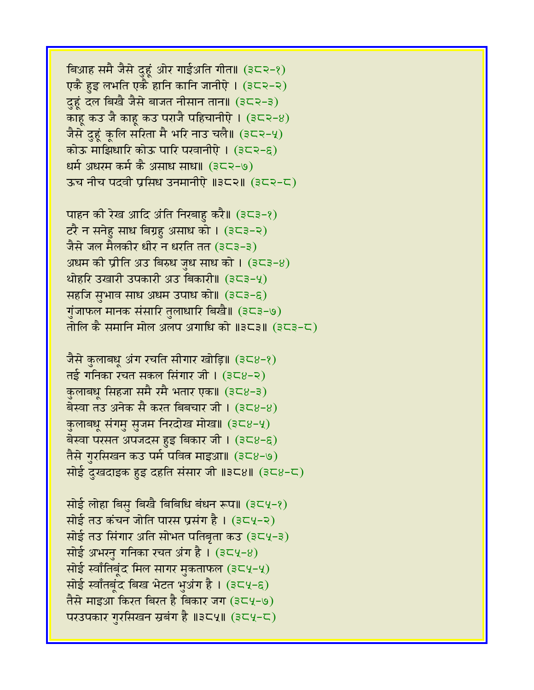विआह समै जैसे दुहूं ओर गाईअति गीत॥ (३८२-१) एकै हुइ लभति एकै हानि कानि जानीऐ। (३८२-२) दुहूं दल बिखै जैसे बाजत नीसान तान॥ (३८२-३) काहू कउ जै काहू कउ पराजै पहिचानीऐ ।  $(3\epsilon<2)$ जैसे दुहूं कूलि सरिता मै भरि नाउ चलै॥ (३८२-५) कोऊ माझिधारि कोऊ पारि परवानीऐ । (३८२-६) धर्म अधरम कर्म कै असाध साधा। (३८२-७) ऊच नीच पदवी प्रसिध उनमानीऐ ॥३८२॥ (३८२-८)

पाहन की रेख आदि अंति निखाहु करै॥ (३८३-१) टरै न सनेहु साध बिग्रहु असाध को । (३८३-२) जैसे जल मैलकीर धीर न धरति तत $(353-3)$ अधम की प्रीति अउ बिरुध जध साध को ।  $(353-8)$ थोहरि उखारी उपकारी अउ बिकारी॥ (३८३-५) सहजि सुभाव साध अधम उपाध को॥  $(323-6)$ गुंजाफल मानक संसारि तुलाधारि बिखै॥ (३८३-७) तोलि कै समानि मोल अलप अगाधि को ॥३८३॥ (३८३-८)

जैसे कुलाबधू अंग रचति सीगार खोड़ि॥ (३८४-१)  $\overline{q}$  नई गनिका रचत सकल सिंगार जी। (३८४-२) कुलाबधू सिंहजा समै रमै भतार एक॥ (३८४-३) बेस्वा तउ अनेक सै करत बिबचार जी । (३८४-४) कुलाबधू संगमु सुजम निरदोख मोख॥ (३८४-५) बेस्वा परसत अपजदस हुइ बिकार जी।  $(3\zeta_8-\zeta)$ तैसे गुरसिखन कउ पर्म पवित्न माइआ॥ (३८४-७) सोई दुखदाइक हुइ दहति संसार जी ॥३८४॥ (३८४-८)

सोई लोहा बिसु बिखै बिबिधि बंधन रूप॥ (३८५-१) सोई तउ कंचन जोति पारस प्रसंग है। (३८५-२) सोई तउ सिंगार अति सोभत पतिबृता कउ (३८५-३) सोई अभरनु गनिका रचत अंग है।  $(354-8)$ सोई स्वाँतिबूंद मिल सागर मुकताफल (३८५-५) सोई स्वाँतबंद बिख भेटत भुअंग है । (३८५-६) तैसे माइआ किरत बिरत है बिकार जग (३८५-७) परउपकार गुरसिखन स्रबंग है ॥३८५॥ (३८५-८)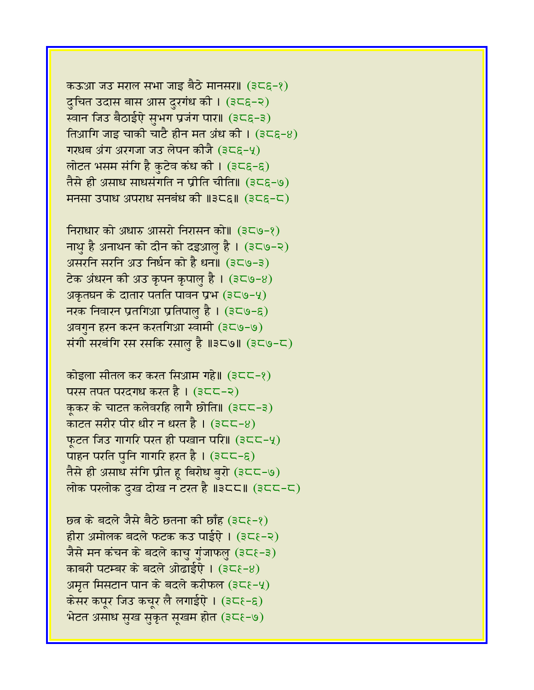कऊआ जउ मराल सभा जाइ बैठे मानसर॥ (३८६-१) दुचित उदास बास आस दुरगंध की ।  $(356-2)$ स्वान जिउ बैठाईऐ सुभग प्रजंग पार॥ (३८६-३) तिआगि जाइ चाकी चाटै हीन मत अंध की ।  $(356-8)$ गरधब अंग अरगजा जउ लेपन कीजै (३८९-५) लोटत भसम संगि है कुटेव कंध की । (३८६-६) तैसे ही असाध साधसंगति न प्रीति चीति॥ (३८६-७) मनसा उपाध अपराध सनबंध की ॥३८६॥ (३८६-८)

निराधार को अधारु आसरो निरासन को॥ (३८७-१) नाथु है अनाथन को दीन को दइआलु है। (३८७-२) असरनि सरनि अउ निर्धन को है धन॥ (३८७-३) टेक अंधरन की अउ कृपन कृपाल है । (३८७-४) अकृतघन के दातार पतति पावन प्रभ $(3C\Theta - 4)$ नरक निवारन प्रतगिआ प्रतिपालु है।  $(3C\Theta - \epsilon)$ अवगुन हरन करन करतगिआ स्वामी (३८७-७) संगी सरबंगि रस रसकि रसालु है ॥३८७॥ (३८७-८)

कोइला सीतल कर करत सिआम गहे॥ (३८८-१) परस तपत परदगध करत है । (३८८–२) कुकर के चाटत कलेवरहि लागै छोति॥ (३८८-३) काटत सरीर पीर धीर न धरत है।  $(3C-8)$ फुटत जिउ गागरि परत ही पखान परि। (३८८-५) पाहन परति पुनि गागरि हरत है।  $(3C<-\epsilon)$ तैसे ही असाध संगि प्रीत हू बिरोध बुरो (३८८-७) लोक परलोक दुख दोख न टरत है ॥३८८॥ (३८८-८)

 $\overline{B}$ छत्र के बदले जैसे बैठे छतना की छाँह (३८६-१) हीरा अमोलक बदले फटक कउ पाईऐ । (३८१-२) जैसे मन कंचन के बदले काचु गुंजाफलु (३८६-३) काबरी पटम्बर के बदले ओढाईऐ। (३८१-४) अमृत मिसटान पान के बदले करीफल (३८ $\xi$ -५) केसर कपूर जिउ कचूर लै लगाईएे ।  $(3\zeta\zeta-\zeta)$ भेटत असाध सुख सुकृत सुखम होत (३८६-७)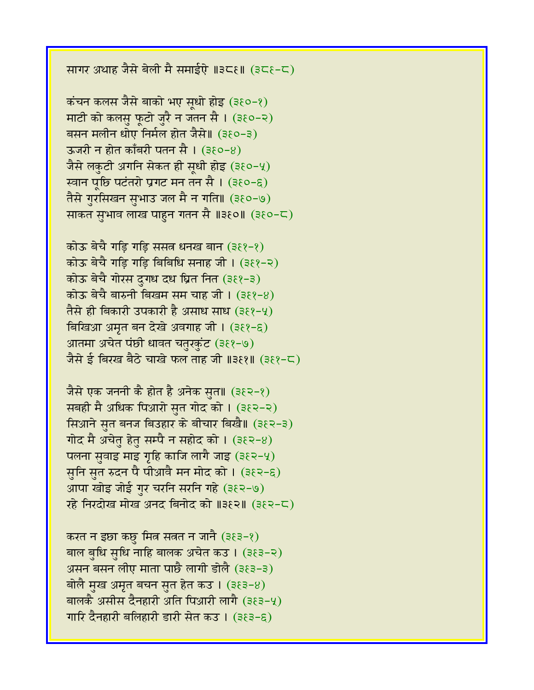सागर अथाह जैसे बेली मै समाईऐ ॥३८६॥ (३८६-८)

कंचन कलस जैसे बाको भए सृधो होइ (३६०-१) माटी को कलसु फूटो जुरै न जतन सै । (३६०-२) बसन मलीन धोए निर्मल होत जैसे॥ (३६०-३) ऊजरी न होत काँबरी पतन सै ।  $(380-8)$ जैसे लकुटी अगनि सेकत ही सूधी होइ (३६०-५) स्वान पूछि पटंतरो प्रगट मन तन सै । (३६०-६) तैसे गुरसिखन सुभाउ जल मै न गति॥ (३६०-७) साकत सुभाव लाख पाहुन गतन सै ॥३१०॥ (३१०-८)

कोऊ बेचै गड़ि गड़ि ससत्न धनख बान (३११-१) कोऊ बेचै गडि गडि बिबिधि सनाह जी । (३६१-२) कोऊ बेचै गोरस दुगध दध घ्रित नित (३६१-३) कोऊ बेचै बारुनी बिखम सम चाह जी । (३६१-४) तैसे ही बिकारी उपकारी है असाध साध (३६१-५) बिखिआ अमृत बन देखे अवगाह जी। (३६१-६) आतमा अचेत पंछी धावत चतुरकुंट (३६१-७) जैसे ई बिरख बैठे चाखे फल ताह जी ॥३६१॥ (३६१-८)

जैसे एक जननी कै होत है अनेक सुत॥ (३६२-१) सबही मै अधिक पिआरो सुत गोद को । (३१२-२) सिआने सुत बनज बिउहार के बीचार बिखै॥ (३६२-३) गोद मै अचेत हेत सम्पै न सहोद को ।  $(382-8)$ पलना स़वाइ माइ गृहि काजि लागै जाइ (३ $\xi$ २-५) सुनि सुत रुदन पै पीआवै मन मोद को । (३१२-६) आपा खोइ जोई गुर चरनि सरनि गहे (३६२-७) रहे निरदोख मोख अनंद बिनोंद को ॥३६२॥ (३६२-८)

करत न इछा कछु मित्र सत्रत न जानै (३६३-१) बाल बुधि सुधि नाहि बालक अचेत कउ। (३६३-२) असन बसन लीए माता पाछै लागी डोलै (३ $(35-3)$ बोलै मुख अमृत बचन सुत हेत कउ । (३६३-४) बालकै असीस दैनहारी अति पिआरी लागै (३१३-५) गारि दैनहारी बलिहारी डारी सेत कउ । (३६३-६)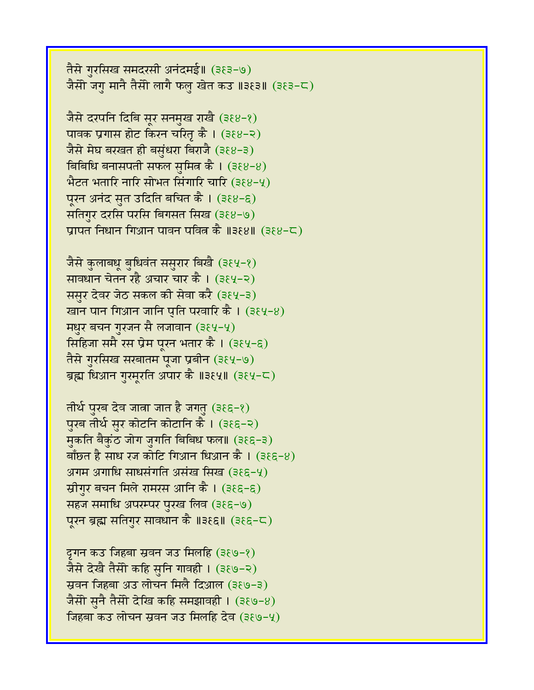तैसे गुरसिख समदरसी अनंदमई॥ (३६३-७) जैसेो जगु मानै तैसेो लागै फलु खेत कउ ॥३१३॥ (३१३-८)

जैसे दरपनि दिबि सूर सनमुख राखै (३६४-१) पावक प्रगास होट किरन चरित कै । (३६४-२) जैसे मेघ बरखत ही बसुंधरा बिराजै (३६४-३) बिबिधि बनासपती सफल सुमित्र कै।  $(388-8)$ भैटत भतारि नारि सोभत सिंगारि चारि (३६४-५) पूरन अनंद सुत उदिति बचित कै । (३६४-६) सतिगुर दरसि परसि बिगसत सिख (३६४-७) प्रापत निधान गिआन पावन पवित्न कै ॥३६४॥ (३६४-८)

जैसे कुलाबधू बुधिवंत ससुरार बिखै (३६५-१) सावधान चेतन रहै अचार चार कै । (३६५-२) ससुर देवर जेठ सकल की सेवा करै (३६५-३) खान पान गिआन जानि पुति परवारि कै।  $(384-8)$ मधुर बचन गुरजन सै लजावान (३६५-५) सिहिजा समै रस प्रेम पूरन भतार कै । (३६५-६) तैसे गुरसिख सरबातम पूजा प्रबीन (३६५-७) ब्रह्म धिआन गुरमूरति अपार कै ॥३६५॥ (३६५-८)

तीर्थ पुरब देव जात्रा जात है जगतु (३ $\epsilon$ ६-१) पुरब तीर्थ सुर कोटनि कोटानि कै। (३६६-२) मुकति बैकुंठ जोग जुगति बिबिध फल॥ (३६६-३) बाँछत है साध रज कोटि गिआन धिआन कै । (३६६-४) अगम अगाधि साधसंगति असंख सिख $(388-9)$ स्रीगुर बचन मिले रामरस आनि कै । (३६६-६) सहज समाधि अपरम्पर पुरख लिव (३६६-७) पूरन ब्रह्म सतिगुर सावधान कै ॥३६६॥ (३६६-८)

द्रगन कउ जिहवा स्रवन जउ मिलहि (३६७-१) जैसे देखै तैसेो कहि सुनि गावही । (३१७-२) स्रवन जिहबा अउ लोचन मिलै दिआल (३६७-३) जैसेी सुनै तैसी देखि कहि समझावही । (३६७-४) निहबा कउ लोचन स्रवन जउ मिलहि देव (३६७-५)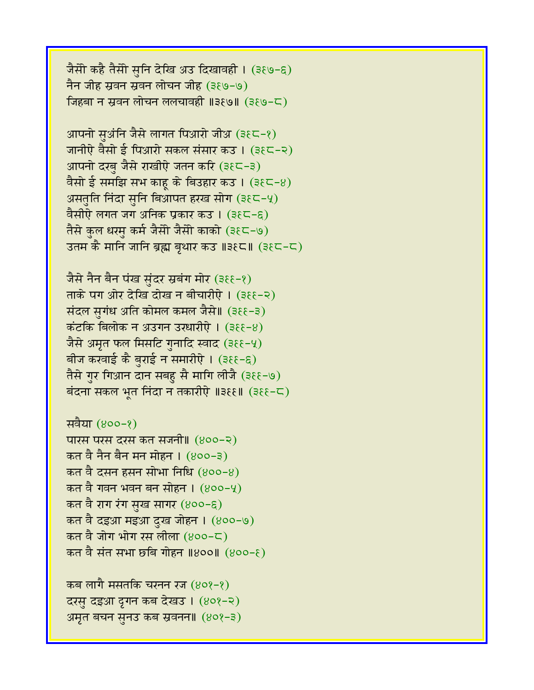जैसो कहै तैसो सुनि देखि अउ दिखावही । (३६७-६) नैन जीह स्रवन स्रवन लोचन जीह (३६७-७) जिहबा न स्रवन लोचन ललचावही ॥३ $\epsilon$ ७॥ (३ $\epsilon$ ७-८)

आपनो सुअंनि जैसे लागत पिआरो जीअ (३६८-१) जानीऐ वैसो ई पिआरो सकल संसार कउ । (३६८-२) आपनो दरबु जैसे राखीऐ जतन करि (३६८-३) वैसो ई समझि सभ काहू के बिउहार कउ ।  $(3\xi\zeta-\theta)$ असतुति निंदा सुनि बिआपत हरख सोग (३१८-५) वैसीऐ लगत जग अनिक प्रकार कउ। (३६८-६) तैसे कुल धरमु कर्म जैसी जैसी काको (३१८-७) उतम कै मानि जानि ब्रह्म बृथार कउ ॥३१८॥ (३१८-८)

जैसे नैन बैन पंख सुंदर स्रबंग मोर (३११-१) ताके पग ओर देखि दोख न बीचारीऐ। (३११-२) संदल सुगंध अति कोमल कमल जैसे॥ (३६६-३)  $\vec{a}$ टंकि बिलोक न अउगन उरधारीऐ। (३६६-४) जैसे अमृत फल मिसटि गुनादि स्वाद (३६६-५) बीज करवाई कै बुराई न समारीऐ । (३६६-६) तैसे गुर गिआन दान सबहु सै मागि लीजै (३११-७) बंदना सकल भूत निंदा न तकारीऐ ॥३६१॥ (३६६-८)

```
सवैया (४००-१)
पारस परस दरस कत संजनी॥ (४००-२)
कत वै नैन बैन मन मोहन । (४००-३)
कत वै दसन हसन सोभा निधि (४००-४)
कत वै गवन भवन बन सोहन । (४००-५)
कत वै राग रंग सुख सागर (४००-६)
कत वै दइआ मइआ दुख जोहन । (४००-७)
कत वै जोग भोग रस लीला (800-\mathsf{C})कत वै संत सभा छबि गोहन ॥४००॥ (४००-६)
```
कब लागै मसतकि चरनन रज  $(808-8)$ दरसु दइआ द्रगन कब देखउ। (४०१-२) अमृत बचन सुनउ कब स्रवनन॥ (४०१-३)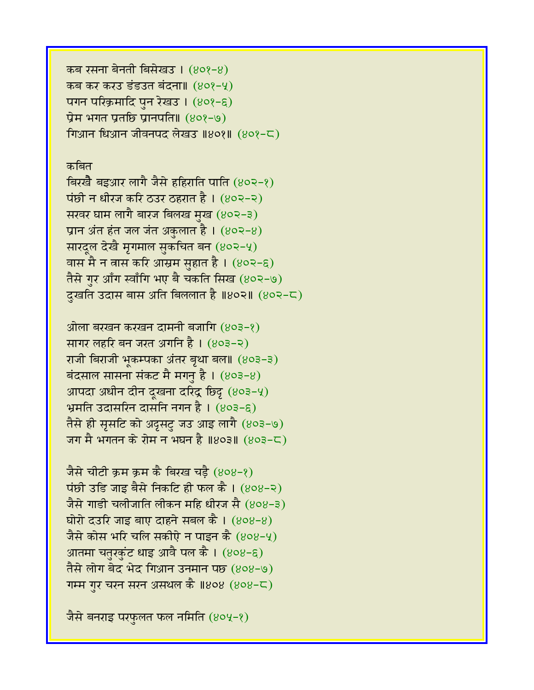कब रसना बेनती बिसेखउ। (४०१-४) कब कर करउ डंडउत बंदना॥  $(809-4)$ पगन परिक्रमादि पुन रेखउ।  $(808 - \epsilon)$ प्रेम भगत प्रतछि प्रानपति॥  $(808-9)$ गिआन धिआन जीवनपद लेखउ ॥४०१॥ (४०१-८)

## कबित

बिरखै बइआर लागै जैसे हहिराति पाति (४०२-१) पंछी न धीरज करि ठउर ठहरात है।  $(802-2)$ सरवर घाम लागै बारज बिलख मुख (४०२-३) प्रान अंत हंत जल जंत अकुलात है।  $(802-8)$ सारदूल देखै मृगमाल सुकचित बन (४०२-५) वास मै न वास करि आस्रम सुहात है ।  $(8$ ०२-९) तैसे गुर आँग स्वाँगि भए बै चकति सिख (४०२-७) दुखति उदास बास अति बिललात है ॥४०२॥ (४०२-८)

ओला बरखन करखन दामनी बजागि (४०३-१) सागर लहरि बन जरत अगनि है। (४०३-२) राजी बिराजी भुकम्पका अंतर बृथा बल॥ (४०३-३) बंदसाल सासना संकट मै मगनु है।  $(803-8)$ आपदा अधीन दीन दूखना दरिंद्र छिदृ (४०३-५) भ्रमति उदासरिन दासनि नगन है । (४०३-६) तैसे ही सृसटि को अदृसटु जउ आइ लागै (४०३-७) जग मै भगतन के रोम न भघन है ॥४०३॥ (४०३-८)

जैसे चीटी क्रम क्रम कै बिरख चड़ै (४०४-१)  $\vec{v}$ छी उडि जाइ बैसे निकटि ही फल कै। (४०४-२) जैसे गाड़ी चलीजाति लीकन महि धीरज सै (४०४-३) घोरो दउरि जाइ बाए दाहने सबल कै।  $(808-8)$ जैसे कोस भरि चलि सकीऐ न पाइन कै  $(808-4)$ आतमा चतुरकुंट धाइ आवै पल कै ।  $(808-6)$ तैसे लोग बेद भेद गिआन उनमान पछ (४०४-७) गम्म गुर चरन सरन असथल कै ॥४०४ (४०४-८)

जैसे बनराइ परफुलत फल नमिति (४०५-१)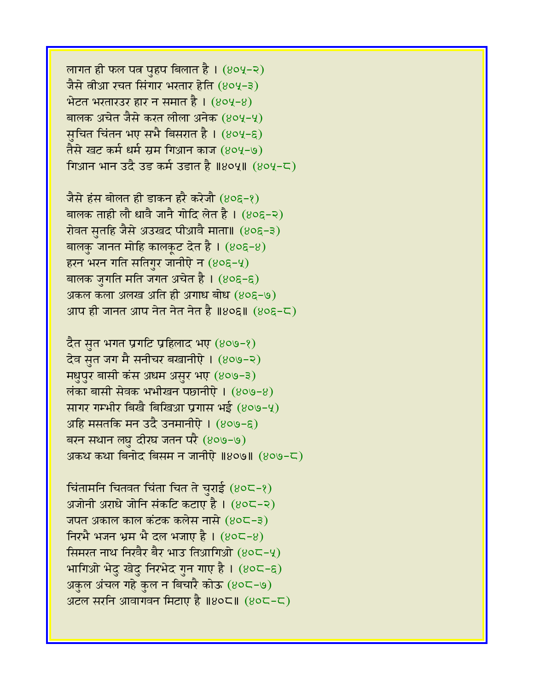लागत ही फल पत्न पुहप बिलात है।  $(804-2)$ जैसे वीआ रचत सिंगार भरतार हेति (४०५-३)  $\hat{B}$ टत भरतारउर हार न समात है। (४०५-४) बालक अचेत जैसे करत लीला अनेक (४०५-५) सुचित चिंतन भए सभै बिसरात है । (४०५-६) तैसे खट कर्म धर्म स्रम गिआन काज (४०५-७) गिआन भान उदै उड कर्म उडात है ॥४०५॥  $(804-5)$ 

जैसे हंस बोलत ही डाकन हरै करेजौ (४०६-१) बालक ताही लौ धावै जानै गोदि लेत है।  $(80\xi - \zeta)$ रोवत सतरहि जैसे अउखद पीआवै माता॥ (४०६-३) बालकु जानत मोहि कालकूट देत है ।  $(8$ ०६-8) हरन भरन गति सतिगुर जानीएे न  $(80\xi-\frac{1}{2})$ बालक जुगति मति जगत अचेत है।  $(80\xi - \xi)$ अकल कला अलख अति ही अगाध बोध  $(80\xi-\Theta)$ आप ही जानत आप नेत नेत नेत है ॥४०६॥  $(805-5)$ 

दैत सुत भगत प्रगटि प्रहिलाद भए  $(809-8)$ देव सुत जग मै सनीचर बखानीऐ । (४०७-२) मधुपुर बासी कंस अधम असुर भए (४०७-३)  $\overline{\text{m}}$ का बासी सेवक भभीखन पछानीऐ।  $(809-8)$ सागर गम्भीर बिखै बिखिआ प्रगास भई (४०७-५) अहि मसतकि मन उदै उनमानीऐ ।  $(809-8)$ बरन सथान लघु दीरघ जतन परै (४०७-७) अकथ कथा बिनोद बिसम न जानीऐ ॥४०७॥  $(809-5)$ 

चिंतामनि चितवत चिंता चित ते चुराई  $(80C-8)$ अजोनी अराधे जोनि संकटि कटाए है।  $(80C - 8)$ जपत अकाल काल कंटक कलेस नासे (४०८-३) निरभै भजन भ्रम भै दल भजाए है ।  $(80C - 8)$ र्सिमरत नाथ निरवैर बैर भाउ तिआगिओ (४०८-५) भागिओ भेदु खेदु निरभेद गुन गाए है।  $(80C - \xi)$ अकुल अंचल गहे कुल न बिचारै कोऊ (४०८-७) अटल सरनि आवागवन मिटाए है ॥४०८॥  $(805-5)$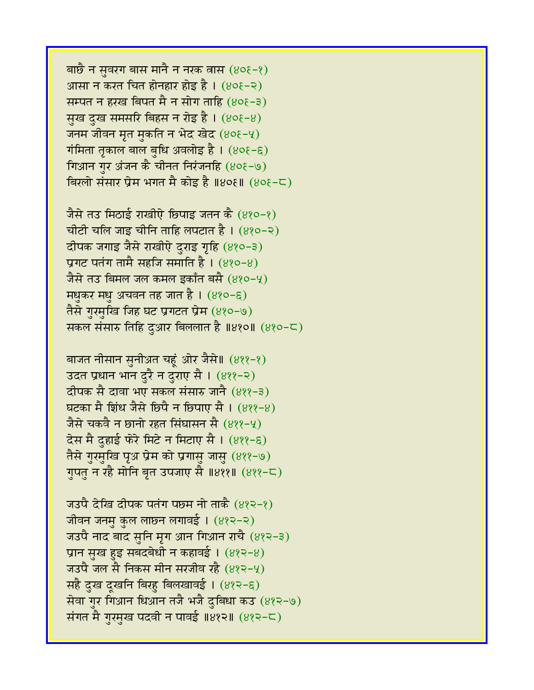बाछै न सुवरग बास मानै न नरक तास  $(808-8)$ आसा न करत चित होनहार होइ है ।  $(80\xi - 8)$ सम्पत न हरख बिपत मै न सोग ताहि  $(80\xi - \xi)$ सुख दुख समसरि बिहस न रोइ है।  $(80\xi - 8)$ जनम जीवन मृत मुकति न भेद खेद (४०६-५) गंमिता तृकाल बाल बुधि अवलोइ है।  $(80\xi - \xi)$ गिआन गुर अंजन कै चीनत निरंजनहि (४०६-७) बिरलो संसार प्रेम भगत मै कोइ है ॥४०६॥ (४०६-८)

जैसे तउ मिठाई राखीऐ छिपाइ जतन कै (४१०-१) चीटी चलि जाइ चीनि ताहि लपटात है।  $(880 - 8)$ दीपक जगाइ जैसे राखीऐ दुराइ गृहि (४१०-३) प्रगट पतंग तामै सहजि समाति है ।  $(880-8)$ जैसे तउ बिमल जल कमल इकाँत बसै (४१०-५) मधुकर मधु अचवन तह जात है। (४१०-६) तैसे गुरमुखि जिह घट प्रगटत प्रेम (४१०-७) सकल संसारु तिहि दुआर बिललात है ॥४१०॥  $(820 - \text{C})$ 

बाजत नीसान सुनीअत चहूं ओर जैसे॥ (४११-१) उदत प्रधान भान दुरै न दुराए सै । (४११-२) दीपक सै दावा भए सकल संसारु जानै (४११-३) घटका मै शिंध जैसे छिपै न छिपाए सै ।  $(822-8)$ जैसे चकवै न छानो रहत सिंघासन सै (४११-५) देस मै दहाई फरे मिटे न मिटाए सै । (४११-६) तैसे गुरमुखि पृअ प्रेम को प्रगासु जासु (४११-७) गुपतु न रहै मोनि बृत उपजाए सै ॥४११॥ (४११-८)

जउपै देखि दीपक पतंग पछम नो ताकै (४१२-१) जीवन जनमु कुल लाछ्न लगावई । (४१२-२) जउपै नाद बाद सुनि मृग आन गिआन राचै (४१२-३) प्रान सुख हुइ सबदबेधी न कहावई। (४१२-४) जउपै जल सै निकस मीन सरजीव रहै (४१२-५) सहै दुख दूखनि बिरहु बिलखावई। (४१२-६) सेवा गुर गिआन धिआन तजै भजै दुबिधा कउ (४१२-७) संगत मै गुरमुख पदवी न पावई ॥४१२॥ (४१२-८)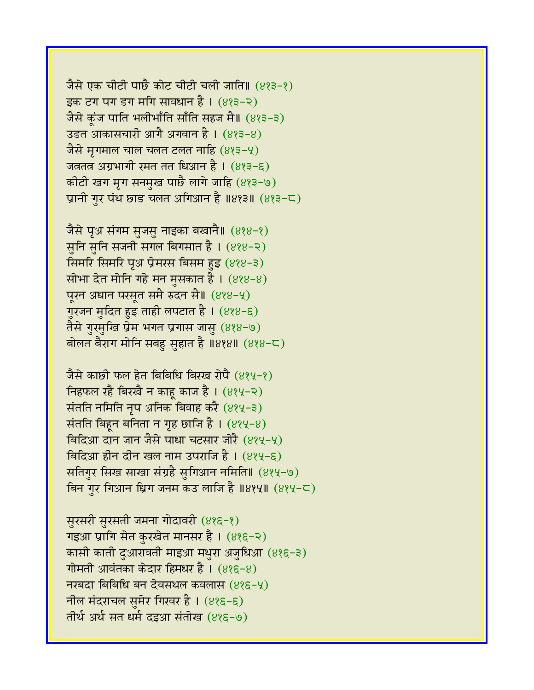जैसे एक चीटी पाछै कोट चीटी चली जाति॥ (४१३-१) इक टग पग डग मगि सावधान है।  $(823-2)$ जैसे कूंज पाति भलीभाँति साँति सहज मै॥ (४१३-३) उडत आकासचारी आगै अगवान है । (४१३-४) जैसे मृगमाल चाल चलत टलत नाहि  $(823-4)$ जत्रतत्र अग्रभागी रमत तत धिआन है । (४१३-६) कीटी खग मृग सनमुख पाछै लागे जाहि (४१३-७) प्रानी गुर पंथ छाड चलत अगिआन है ॥४१३॥  $(8,3-\mathsf{C})$ 

जैसे पृअ संगम सुजसु नाइका बखानै॥ (४१४-१) सुनि सुनि सजनी सगल बिगसात है । (४१४-२) सिमरि सिमरि पृअ प्रेमरस बिसम हुइ (४१४-३) सोभा देत मोनि गहे मन मुसकात है।  $(888-8)$ पूरन अधान परसूत समै रुदन सै॥ (४१४-५) गुरजन मुदित हुइ ताही लपटात है। (४१४-६) तैसे गुरमुखि प्रेम भगत प्रगास जासु (४१४-७) बोलत बैराग मोनि सबहु सुहात है ॥४१४॥ (४१४-८)

जैसे काछी फल हेत बिबिधि बिरख रोपै (४१५-१) निहफल रहै बिरखै न काह काज है ।  $(8\,$ 4-२) संतति नमिति नृप अनिक बिवाह करै (४१५-३) संतति बिहून बनिता न गृह छाजि है।  $(8, 4, -8)$ बिदिआ दान जान जैसे पाधा चटसार जोरै (४१५-५) बिदिआ हीन दीन खल नाम उपराजि है।  $(884-6)$ सतिगुर सिख साखा संग्रहै सुगिआन नमिति॥ (४१५-७) बिन गर गिआन धिग जनम कउ लाजि है ॥४१५॥ (४१५-८)

सुरसरी सुरसती जमना गोदावरी (४१६-१) गइआ प्रागि सेत कुरखेत मानसर है। (४१६-२) कासी काती दुआरावती माइआ मथुरा अजुधिआ (४१६-३) गोमती आवंतका केदार हिमधर है।  $(885-8)$ नखदा बिबिधि बन देवसथल कवलास  $(885-4)$ नील मंदराचल सुमेर गिरवर है।  $(885-6)$ तीर्थ अर्थ सत धर्म दइआ संतोख (४१६-७)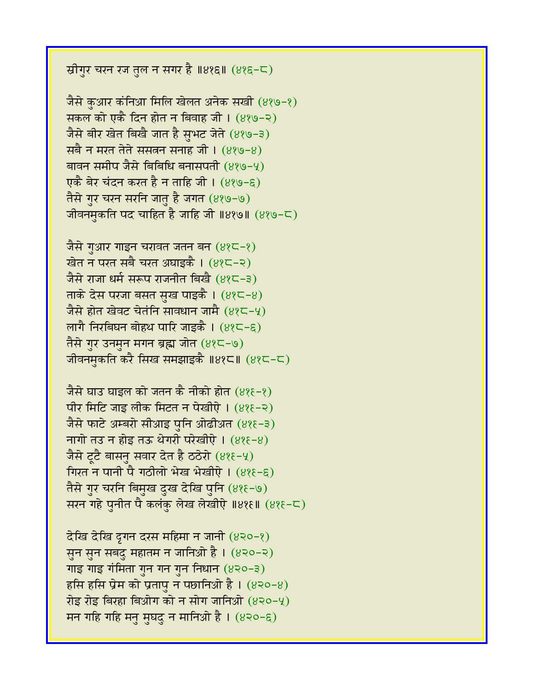स्रीगुर चरन रज तुल न सगर है ॥४१६॥  $(885-5)$ 

जैसे कुआर कंनिआ मिलि खेलत अनेक सखी (४१७-१) सकल को एकै दिन होत न बिवाह जी।  $(889-2)$ जैसे बीर खेत बिखै जात है सुभट जेते (४१७-३) सबै न मरत तेते ससतन सनाह जी।  $(889-8)$ बावन समीप जैसे बिबिधि बनासपती (४१७-५) एकै बेर चंदन करत है न ताहि जी । (४१७-६) तैसे गुर चरन सरनि जातु है जगत (४१७-७) जीवनमुकति पद चाहित है जाहि जी ॥४१७॥  $(839 - 5)$ 

जैसे गुआर गाइन चरावत जतन बन  $(82\zeta - 2)$ खेत न परत सबै चरत अघाइकै । (४१८-२) जैसे राजा धर्म सरूप राजनीत बिखै (४१८-३) ताके देस परजा बसत सुख पाइकै ।  $(82-8)$ जैसे होत खेवट चेतंनि सावधान जामै  $(82-4)$ लागै निरबिघन बोहथ पारि जाइकै ।  $(825-6)$ तैसे गुर उनमुन मगन ब्रह्म जोत (४१८-७) जीवनमुकति करै सिख समझाइकै ॥४१८॥ (४१८-८)

जैसे घाउ घाइल को जतन कै नीको होत (४१६-१) पीर मिटि जाइ लीक मिटत न पेखीऐ।  $(8\$ जैसे फाटे अम्बरो सीआइ पनि ओढीअत (४१६-३) नागो तउ न होइ तऊ थेगरी परेखीऐ।  $(8\$ 8-8) जैसे ट्टै बासन सवार देत है ठठेरो  $(8\$ s-4) गिरत न पानी पै गठीलो भेख भेखीऐ। (४१६-६) तैसे गुर चरनि बिमुख दुख देखि पुनि (४१६-७) सरन गहे पुनीत पै कलंकु लेख लेखीऐ ॥४१६॥ (४१६-८)

देखि देखि द्रगन दरस महिमा न जानी  $(830-8)$ सुन सुन सबदु महातम न जानिओ है। (४२०-२) गाइ गाइ गंमिता गुन गन गुन निधान  $(820-3)$ हसि हसि प्रेम को प्रतापु न पछानिओ है।  $(830-8)$ रोइ रोइ बिरहा बिओग को न सोग जानिओ  $(820-4)$ मन गहि गहि मनु मुघदु न मानिओ है।  $(820-6)$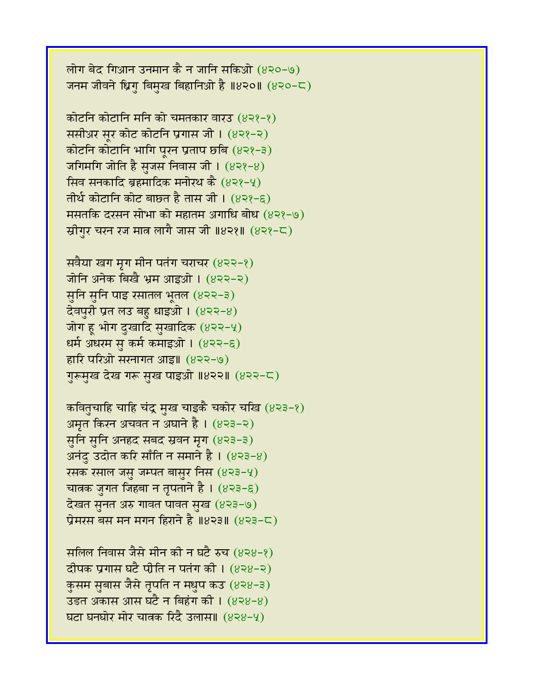लोग बेद गिआन उनमान कै न जानि सकिओ  $(820-9)$ जनम जीवने ध्रिग बिमुख बिहानिओ है ॥४२०॥ (४२०-८)

कोटनि कोटानि मनि को चमतकार वारउ (४२१-१) ससीअर सूर कोट कोटनि प्रगास जी। (४२१-२) कोटनि कोटानि भागि पूरन प्रताप छबि (४२१-३) जगिमगि जोति है सुजस निवास जी।  $(822-8)$ सिव सनकादि ब्रहमादिक मनोरथ कै  $(8\lambda^2-\mu)$ तीर्थ कोटानि कोट बाछत है तास जी।  $(832 - 6)$ मसतकि दरसन सोभा को महातम अगाधि बोध (४२१-७) स्रीगुर चरन रज मात्र लागै जास जी ॥४२१॥ (४२१-८)

सबैया खग मृग मीन पतंग चराचर  $(822-8)$ जोनि अनेक बिखै भ्रम आइओ । (४२२-२) सुनि सुनि पाइ रसातल भूतल (४२२-३) देवपुरी प्रत लउ बहु धाइओ।  $(822-8)$ जोग ह भोग दुखादि सुखादिक  $(822-4)$ धर्म अधरम सु कर्म कमाइओ । (४२२-६) हारि परिओ सरनागत आइ॥ (४२२-७) गुरूमुख देख गरू सुख पाइओ ॥४२२॥ (४२२-८)

कवितुचाहि चाहि चंद्र मुख चाइकै चकोर चखि (४२३-१) अमृत किरन अचवत न अघाने है। (४२३-२) सुनि सुनि अनहद सबद स्रवन मृग (४२३-३) अनंदु उदोत करि साँति न समाने है।  $(823-8)$ रसक रसाल जसु जम्पत बासुर निस  $(823-4)$ चात्रक जुगत जिहबा न तृपताने है ।  $(8\overline{2}3-\overline{6})$ देखत सनत अरु गावत पावत सुख  $(823-9)$ प्रेमरस बस मन मगन हिराने है ॥४२३॥ (४२३-८)

सलिल निवास जैसे मीन की न घटै रुच (४२४-१) दीपक प्रगास घटै पीति न पतंग की ।  $(838-2)$ कुसम सुबास जैसे तृपति न मधुप कउ (४२४-३) उड़त अकास आस घटै न बिहंग की।  $(828-8)$ घटा घनघोर मोर चात्रक रिंदै उलास॥ (४२४-५)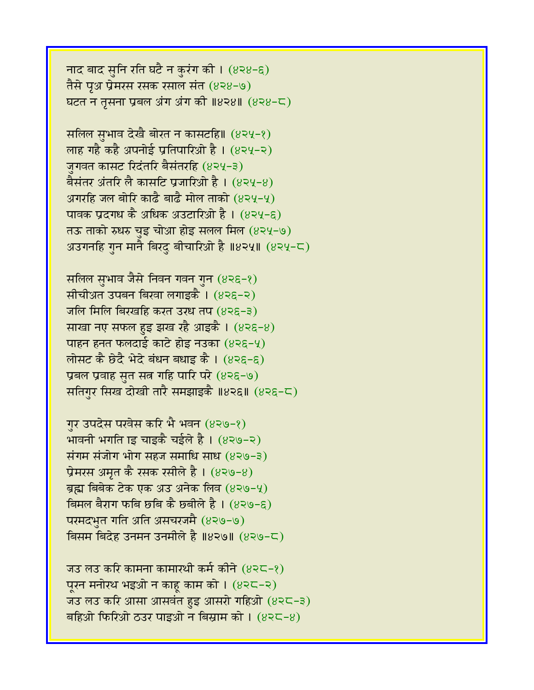नाद बाद सुनि रति घटै न कुरंग की।  $(838-6)$ तैसे पूअ प्रेमरस रसक रसाल संत (४२४-७) घटत न तृसना प्रबल अंग अंग की ॥४२४॥ (४२४-८)

सलिल सुभाव देखै बोरत न कासटहि॥ (४२५-१) लाह गहै कहै अपनोई प्रतिपारिओ है। (४२५-२) जगवत कासट रिदंतरि बैसंतरहि (४२५-३) बैसंतर अंतरि लै कासटि प्रजारिओ है । (४२५-४) अगरहि जल बोरि काढै बाढै मोल ताको (४२५-५) पावक प्रदगध कै अधिक अउटारिओ है। (४२५-६) तऊ ताको रुधरु चुइ चोआ होइ सलल मिल (४२५-७) अउगनहि गुन मानै बिरदु बीचारिओ है ॥४२५॥ (४२५-८)

सलिल सुभाव जैसे निवन गवन गुन (४२६-१) सीचीअत उपबन बिखा लगाइकै । (४२६-२) जलि मिलि बिरखहि करत उरध तप  $(82\xi - 3)$ साखा नए सफल हुइ झख रहै आइकै ।  $(82\xi - 8)$ पाहन हनत फलदाई काटे होइ नउका  $(825-4)$ लोसट कै छेदै भेदे बंधन बधाइ कै । (४२६-६) प्रबल प्रवाह सृत सत्न गहि पारि परे (४२६-७) सतिगर सिख दोखी तारै समझाइकै ॥४२६॥ (४२६-८)

गुर उपदेस परवेस करि भै भवन (४२७-१) भावनी भगति ाइ चाइकै चईले है।  $(839-2)$ संगम संजोग भोग सहज समाधि साध $(839-3)$ प्रेमरस अमृत कै रसक रसीले है ।  $(839-8)$ ब्रह्म बिबेक टेक एक अउ अनेक लिव (४२७-५) बिमल बैराग फबि छबि कै छबीले है। (४२७-९) परमदभुत गति अति असचरजमै (४२७-७) विसम बिदेह उनमन उनमीले है ॥४२७॥ (४२७-८)

जउ लउ करि कामना कामारथी कर्म कीने  $(825-8)$ पूरन मनोरथ भइओ न काहू काम को ।  $(825-2)$ जउ लउ करि आसा आसवंत हुइ आसरो गहिओ  $(8 \le -3)$ बहिओ फिरिओ ठउर पाइओ न बिस्राम को ।  $(825-8)$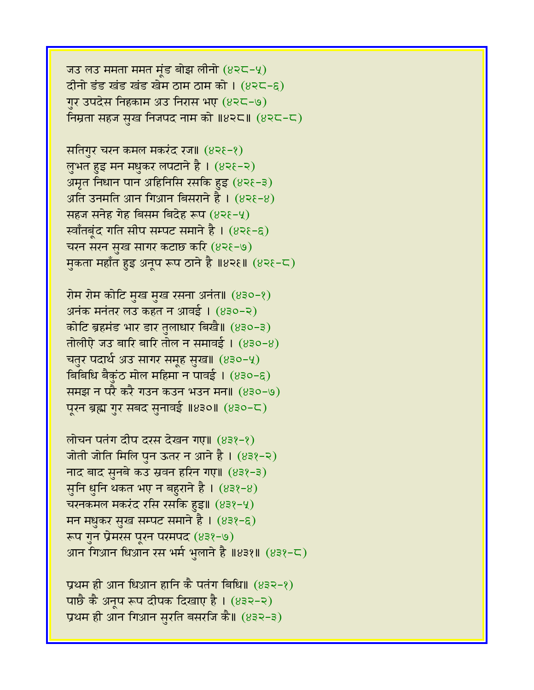प्रथम ही आन धिआन हानि कै पतंग बिधि॥  $(832-\text{?})$ पाछै कै अनूप रूप दीपक दिखाए है । (४३२-२) प्रथम ही आन गिआन सुरति बसरजि कै॥ (४३२-३)

लोचन पतंग दीप दरस देखन गए॥ (४३१-१) जोती जोति मिलि पुन ऊतर न आने है । (४३१-२) नाद बाद सुनबे कउ स्रवन हरिन गए॥ (४३१-३) सुनि धुनि थकत भए न बहुराने है।  $(832-8)$ चरनकमल मकरंद रसि रसकि हुइ॥  $(832-4)$ मन मधुकर सुख सम्पट समाने है। (४३१-६) रूप गुन प्रेमरस पूरन परमपद (४३१-७) आन गिआन धिआन रस भर्म भुलाने है ॥४३१॥ (४३१-८)

रोम रोम कोटि मुख मुख रसना अनंत॥ (४३०-१) अनंक मनंतर लउ कहत न आवई ।  $(830-2)$ कोटि ब्रहमंड भार डार तुलाधार बिखै॥ (४३०-३) तोलीऐ जउ बारि बारि तोल न समावई ।  $(830-8)$ चतुर पदार्थ अउ सागर समूह सुख॥ (४३०-५) बिबिधि बैकुंठ मोल महिमा न पावई ।  $(830-6)$ समझ न परै करै गउन कउन भउन मन॥ (४३०-७) पूरन ब्रह्म गुर सबद सुनावई ॥४३०॥ (४३०-८)

सतिगुर चरन कमल मकरंद रज॥ (४२६-१) लुभत हुइ मन मधुकर लपटाने है। (४२१-२) अमृत निधान पान अहिनिसि रसकि हुइ (४२१-३) अति उनमति आन गिआन बिसराने है ।  $(82\xi-8)$ सहज सनेह गेह बिसम बिदेह रूप  $(82\xi-\gamma)$ र्स्वाँतबूंद गति सीप सम्पट समाने है । (४२१-६) चरन सरन सुख सागर कटाछ करि (४२१-७) मुकता महाँत हुइ अनूप रूप ठाने है ॥४२६॥ (४२६-८)

जउ लउ ममता ममत मूंड बोझ लीनो  $(825-4)$ दीनो डंड खंड खंड खेम ठाम ठाम को ।  $(8 \, 2 \, - \, 6)$ गुर उपदेस निहकाम अउ निरास भए (४२८-७) निम्रता सहज सुख निजपद नाम को ॥४२८॥ (४२८-८)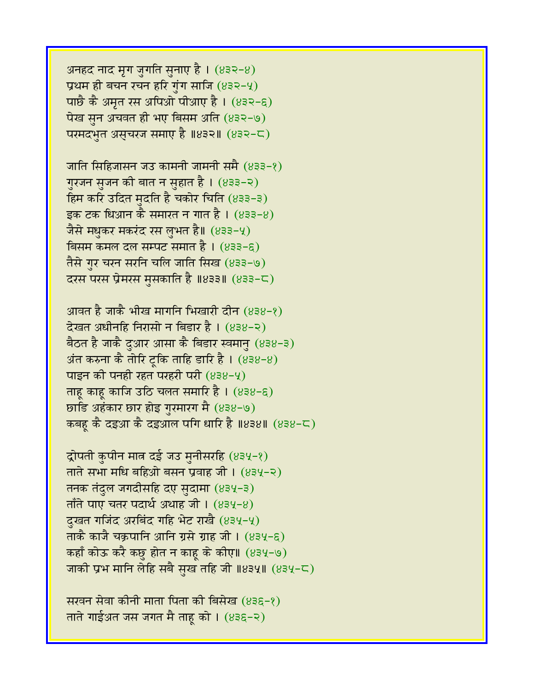अनहद नाद मृग जुगति सुनाए है। (४३२-४) प्रथम ही बचन रचन हरि गुंग साजि  $(832-4)$ पार्छै कै अमृत रस अपिओ पीआए है ।  $(832-6)$ पेख सुन अचवत ही भए बिसम अति  $(832-9)$ परमदभुत असुचरज समाए है ॥४३२॥  $(832-5)$ 

जाति सिहिजासन जउ कामनी जामनी समै (४३३-१) गुरजन सुजन की बात न सुहात है। (४३३-२) हिम करि उदित मदति है चकोर चिति (४३३-३) इक टक धिआन कै समारत न गात है।  $(833-8)$ जैसे मधुकर मकरंद रस लुभत है॥ (४३३-५) बिसम कमल दल सम्पट समात है।  $(833-6)$ तैसे गुर चरन सरनि चलि जाति सिख (४३३-७) दरस परस प्रेमरस मुसकाति है ॥४३३॥  $(833-\mathsf{C})$ 

आवत है जाकै भीख मार्गान भिखारी दीन (४३४-१)  $\vec{a}$ खत अधीनहि निरासो न बिडार है। (४३४-२) बैठत है जाकै दुआर आसा कै बिडार स्वमानु (४३४-३) अंत करुना कै तोरि टूकि ताहि डारि है ।  $(838-8)$ पाइन की पनही रहत परहरी परी  $(838-4)$ ताह काह काजि उठि चलत समारि है ।  $(838-6)$ छाडि अहंकार छार होइ गुरमारग मै (४३४-७) कबह कै दइआ कै दइआल पगि धारि है ॥४३४॥ (४३४-८)

द्रोपती कुपीन मात्र दई जउ मुनीसरहि (४३५-१) ताते सभा मधि बहिओ बसन प्रवाह जी।  $(834-2)$ तनक तंदुल जगदीसहि दए सुदामा (४३५-३)  $\pi$ ताँते पाए चतर पदार्थ अथाह जी। (83५-8) दुखत गजिंद अरबिंद गहि भेट राखै (४३५-५) ताकै काजै चक्रपानि आनि ग्रसे ग्राह जी । (४३५-६) कहाँ कोऊ करै कछु होत न काहू के कीए॥ (४३५-७) जाकी प्रभ मानि लेहि सबै सुख तहि जी  $\text{II}834\text{II}$  (834-८)

सरवन सेवा कीनी माता पिता की बिसेख (४३६-१) ताते गाईअत जस जगत मै ताहू को । (४३६-२)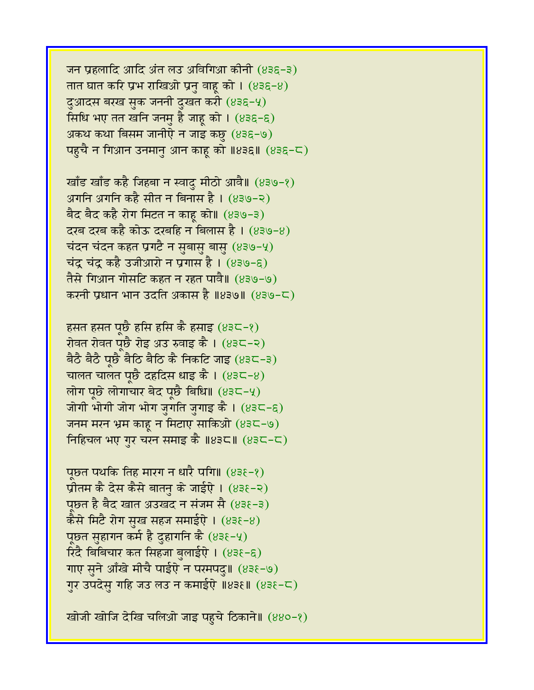जन प्रहलादि आदि अंत लउ अविगिआ कीनी (४३६-३) तात घात करि प्रभ राखिओ प्रनु वाहू को ।  $(836-8)$ दुआदस बरख सुक जननी दुखत करी (४३६-५) र्सिधि भए तत खनि जनमु है जाहू को । (४३६-६) अकथ कथा बिसम जानीऐ न जाइ कछु (४३६-७) पहुचै न गिआन उनमानु आन काहू को ॥४३६॥ (४३६-८)

खाँड खाँड कहै जिहबा न स्वादु मीठो आवै॥  $(839-2)$ अगनि अगनि कहै सीत न बिनास है। (४३७-२) बैद बैद कहै रोग मिटत न काह को॥ (४३७-३) दरब दरब कहै कोऊ दरबहि न बिलास है ।  $(839-8)$ चंदन चंदन कहत प्रगटै न सुबासु बासु (४३७-५) चंद्र चंद्र कहै उजीआरो न प्रगास है ।  $(839-6)$ तैसे गिआन गोसटि कहत न रहत पावै॥ (४३७-७) करनी प्रधान भान उदति अकास है ॥४३७॥ (४३७-८)

हसत हसत पूछै हसि हसि कै हसाइ  $(83\zeta - 8)$ रोवत रोवत पूछै रोइ अउ रुवाइ कै । (४३८-२) बैठै बैठै पूछै बैठि बैठि कै निकटि जाइ  $(835-3)$ चालत चालत पूछै दहदिस धाइ कै।  $(835-8)$ लोग पूछे लोगाचार बेद पूछै बिधि॥  $(83C-4)$ जोगी भोगी जोग भोग जुगति जुगाइ कै ।  $(83C - 8)$ जनम मरन भ्रम काहू न मिटाए साकिओ (४३८-७) निहिचल भए गुर चरन समाइ कै ॥४३८॥  $(83<sup>2</sup> - c)$ 

पूछत पर्थाक तिह मारग न धारै पगि॥ (४३१-१) प्रीतम कै देस कैसे बातनु के जाईऐ ।  $(838-2)$ पछत है बैद खात अउखद न संजम सै (४३६-३) कैसे मिटै रोग सुख सहज समाईऐ ।  $(838-8)$ पूछत सुहागन कर्म है दुहागनि कै  $(83\xi-\gamma)$ रिंदै बिबिचार कत सिहजा बुलाईऐ । (४३१-६) गाए सुने आँखे मीचै पाईऐ न परमपदु॥ (४३६-७) गुर उपदेसु गहि जउ लउ न कमाईऐ ॥४३६॥ (४३६-८)

खोजी खोजि देखि चलिओ जाइ पहचे ठिकाने॥ (४४०-१)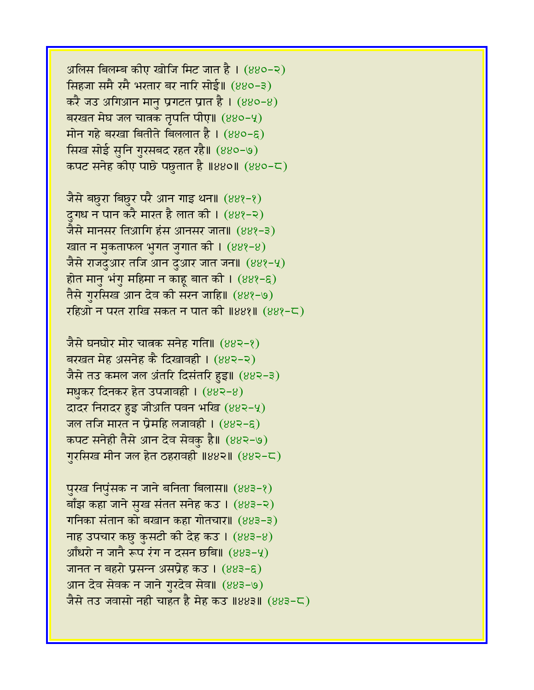अलिस बिलम्ब कीए खोजि मिट जात है।  $(880-2)$ सिंहजा समै रमै भरतार बर नारि सोई॥ (४४०-३)  $\frac{1}{2}$  ज $\frac{1}{2}$  अगिआन मान प्रगटत प्रांत है। (880-8) बरखत मेघ जल चात्रक तृपति पीए॥  $(880 - 4)$  $\overline{H}$ मोन गहे बरखा बितीते बिललात है। (४४०-६) सिख सोई सुनि गुरसबद रहत रहै॥ (४४०-७) कपट सनेह कीए पाछे पछुतात है ॥४४०॥ (४४०-८)

जैसे बछुरा बिछुर परै आन गाइ थन॥  $(88$ १-१) दुगध न पान करै मारत है लात की । (88१-२) जैसे मानसर तिआगि हंस आनसर जात॥ (४४१-३) खात न मुकताफल भुगत जुगात की। (88१-8) जैसे राजदुआर तजि आन दुआर जात जन॥ (88१-५) होत मानु भंगु महिमा न काहू बात की।  $(88$  - ६) तैसे गुरसिख आन देव की सरन जाहि॥ (४४१-७) रहिओ न परत राखि सकत न पात की ॥४४१॥ (४४१-८)

जैसे घनघोर मोर चात्रक सनेह गति॥  $(883-8)$ बरखत मेह असनेह कै दिखावही । (४४२-२) जैसे तउ कमल जल अंतरि दिसंतरि हुइ॥ (४४२-३) **मधकर दिनकर हेत उपजावही। (88२-8)** दादर निरादर हुइ जीअति पवन भखि (४४२-५) जल तजि मारत न प्रेमहि लजावही ।  $(882-6)$ कपट सनेही तैसे आन देव सेवक है॥ (४४२-७) गरसिख मीन जल हेत ठहरावही ॥४४२॥ (४४२-८)

पुरख निपुंसक न जाने बनिता बिलास॥ (४४३-१) बाँझ कहा जाने सुख संतत सनेह कउ ।  $(883-2)$ गनिका संतान को बखान कहा गोतचार॥ (४४३-३) नाह उपचार कछु कुसटी की देह कउ।  $(883-8)$  $3$ आँधरो न जानै रूप रंग न दसन छबि॥  $(883-9)$ जानत न बहरो प्रसन्न असप्रेह कउ ।  $(883-6)$ आन देव सेवक न जाने गुरदेव सेव॥ (४४३-७) जैसे तउ जवासो नही चाहत है मेह कउ ॥४४३॥ (४४३-८)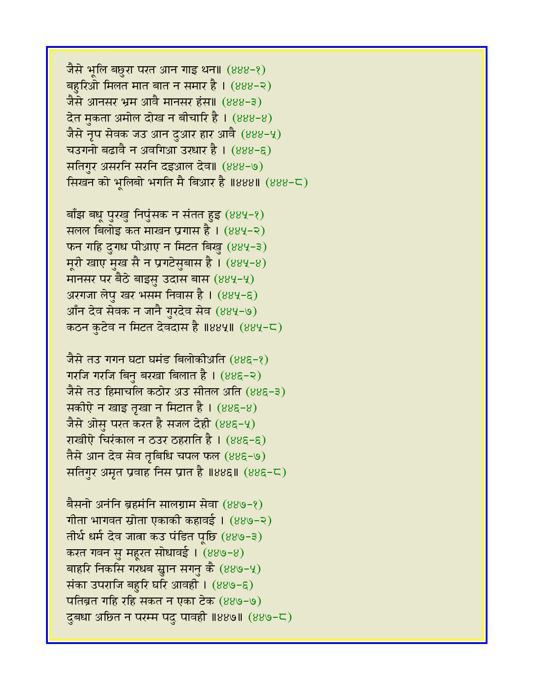जैसे भूलि बछुरा परत आन गाइ थन॥ (४४४-१) बहरिओ मिलत मात बात न समार है।  $(888-2)$ जैसे आनसर भ्रम आवै मानसर हंस॥ (४४४-३) देत मुकता अमोल दोख न बीचारि है।  $(888-8)$ जैसे नृप सेवक जउ आन दुआर हार आवै (888-५) चउगनो बढावै न अवगिआ उरधार है ।  $(888-6)$ सतिगुर असरनि सरनि दइआल देव॥ (888-७) सिखन को भूलिबो भगति मै बिआर है ॥४४४॥  $(888-\zeta)$ 

बाँझ बधू पुरखु निपुंसक न संतत हुइ (४४५-१) सलल बिलोइ कत माखन प्रगास है ।  $(884-2)$ फन गहि दुगध पीआए न मिटत बिखु (४४५-३) मूरी खाए मुख सै न प्रगटेसुबास है।  $(884-8)$ मानसर पर बैठे बाइसु उदास बास  $(884-4)$ अरगजा लेपु खर भसम निवास है। (४४५-६) आँन देव सेवक न जानै गुरदेव सेव (४४५-७) कठन कुटेव न मिटत देवदास है ॥४४५॥ (४४५-८)

जैसे तउ गगन घटा घमंड बिलोकीअति (४४६-१) गरजि गरजि बिन बरखा बिलात है। (885-२) जैसे तउ हिमाचलि कठोर अउ सीतल अति (४४६-३) सकीऐ न खाइ तृखा न मिटात है। (४४६-४) जैसे ओसु परत करत है सजल देही (885-4) राखीऐ चिरंकाल न ठउर ठहराति है। (४४६-६) तैसे आन देव सेव तबिधि चपल फल (४४६-७) सतिगुर अमृत प्रवाह निस प्रांत है ॥४४६॥ (४४६-८)

बैसनो अनंनि ब्रहमंनि सालग्राम सेवा (४४७-१) गीता भागवत स्रोता एकाकी कहावई ।  $(889-2)$ तीर्थ धर्म देव जात्रा कउ पंडित पृष्ठि (४४७-३) करत गवन सु महूरत सोधावई । (४४७-४) बाहरि निकसि गरधब स्नान सगनु कै  $(889-4)$ संका उपराजि बहुरि घरि आवही। (४४७-६)  $\pi$ तिब्रत गहि रहि सकत न एका टेक (889-9) दुबधा अछित न परम्म पदु पावही ॥४४७॥ (४४७-८)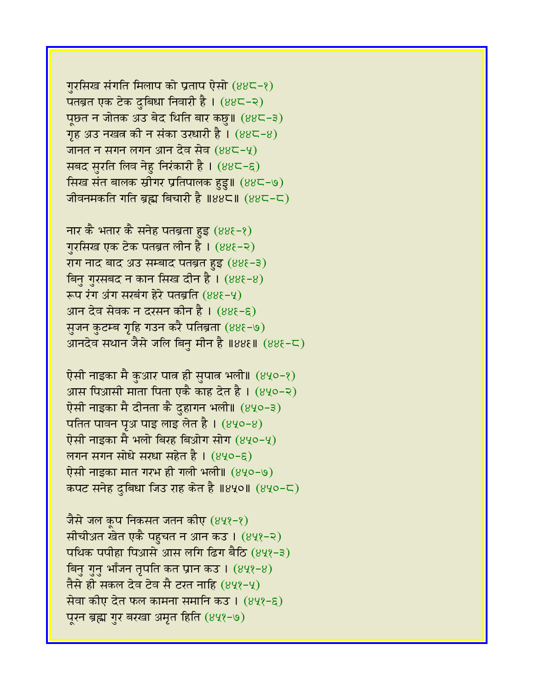गुरसिख संगति मिलाप को प्रताप ऐसो  $(88\zeta - 8)$ पतब्रत एक टेक दुबिधा निवारी है। (४४८-२) पूछत न जोतक अउ बेद थिति बार कछु॥ (४४८-३) गृह अउ नखत्र की न संका उरधारी है।  $(88C-8)$ जानत न सगन लगन आन देव सेव (४४८-५) सबद सुरति लिव नेहु निरंकारी है । (४४८-६) र्सिख संत बालक स्रीगर प्रतिपालक हुडु॥ (४४८-७) जीवनमकति गति ब्रह्म बिचारी है ॥४४८॥  $(88<sup>2</sup>-<sup>2</sup>)$ 

नार कै भतार कै सनेह पतब्रता हुइ  $(88\xi - \xi)$ गुरसिख एक टेक पतब्रत लीन है। (४४६-२)  $77$  नाद बाद अउ सम्बाद पतब्रत हुइ (888-3) बिन गुरसबद न कान सिख दीन है।  $(88\xi - 8)$ रूप रंग अंग सरबंग हेरे पतब्रति (४४६-५) आन देव सेवक न दरसन कीन है। (888-8) सजन कटम्ब गृहि गउन करै पतिब्रता (४४६-७) आनदेव सथान जैसे जलि बिनु मीन है ॥४४६॥ (४४६-८)

ऐसी नाइका मै कुआर पात्र ही सुपात्र भली॥ (४५०-१) आस पिआसी माता पिता एकै काह देत है।  $(8\sqrt{2}-2)$ ऐसी नाइका मै दीनता कै दुहागन भली॥ (४५०-३) पतित पावन पृथ पाइ लाइ लेत है।  $(840-8)$ ऐसी नाइका मै भलो बिरह बिओग सोग  $(840-4)$ लगन सगन सोधे सरधा सहेत है ।  $(840-6)$ ऐसी नाइका मात गरभ ही गली भली॥ (४५०-७) कपट सनेह दुबिधा जिउ राह केत है ॥४५०॥ (४५०-८)

जैसे जल कूप निकसत जतन कीए (४५१-१) सीचीअत खेत एकै पहुचत न आन कउ । (४५१-२)  $\overline{u}$ थिक पपीहा पिआसे आस लगि ढिग बैठि (४५१-३) बिनु गुनु भाँजन तृपति कत प्रान कउ ।  $(848-8)$ तैसे ही सकल देव टेव सै टरत नाहि (४५१-५) सेवा कीए देत फल कामना समानि कउ । (४५१-६) पुरन ब्रह्म गुर बरखा अमृत हिति (४५१-७)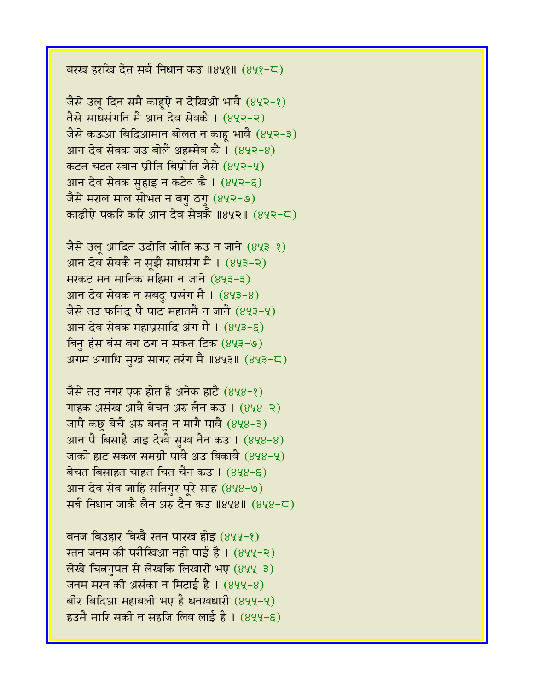बरख हरखि देत सर्ब निधान कउ ॥४५१॥ (४५१-८)

जैसे उलु दिन समै काहुऐ न देखिओ भावै (४५२-१) तैसे साधसंगति मै आन देव सेवकै । (४५२-२) जैसे कऊआ बिदिआमान बोलत न काहू भावै (४५२-३) आन देव सेवक जउ बोलै अहम्मेव कै ।  $(842-8)$ कटत चटत स्वान प्रीति बिप्रीति जैसे (४५२-५) आन देव सेवक सुहाइ न कटेव कै। (४५२-६) जैसे मराल माल सोभत न बगु ठगु (४५२-७) काढीऐ पकरि करि आन देव सेवकै ॥४५२॥ (४५२-८)

जैसे उलू आदित उदोति जोति कउ न जाने (४५३-१) आन देव सेवकै न सूझै साधसंग मै। (४५३-२)  $\overline{H}$ मरकट मन मानिक महिमा न जाने (843-3) आन देव सेवक न सबदु प्रसंग मै। (४५३-४) जैसे तउ फनिंदू पै पाठ महातमै न जानै (४५३-५) आन देव सेवक महाप्रसादि अंग मै $\,$ । (४५३-६) बिनु हंस बंस बग ठग न सकत टिक (४५३-७) अगम अगाधि सुख सागर तरंग मै ॥४५३॥ (४५३-८)

जैसे तउ नगर एक होत है अनेक हाटै (४५४-१) गाहक असंख आवै बेचन अरु लैन कउ । (४५४-२) जापै कछु बेचै अरु बनजु न मागै पावै (848-3) आन पै बिसाहै जाइ देखै सुख नैन कउ ।  $(848-8)$ जाकी हाट सकल समग्री पावै अउ बिकावै (848-4) बेचत बिसाहत चाहत चित चैन कउ।  $(848-6)$ आन देव सेव जाहि सतिगुर पूरे साह (४५४-७) सर्व निधान जाकै लैन अरु दैन कउ ॥४५४॥ (४५४-८)

बनज बिउहार बिखै रतन पारख होइ (४५५-१)  $\bar{x}$ रतन जनम की परीखिआ नही पाई है। (४५५-२) लेखे चित्रगुपत से लेखकि लिखारी भए (४५५-३) जनम मरन की असंका न मिटाई है। (४५५-४) बीर बिदिआ महाबली भए है धनखधारी  $(844-4)$ हउमै मारि सकी न सहजि लिव लाई है । (४५५-६)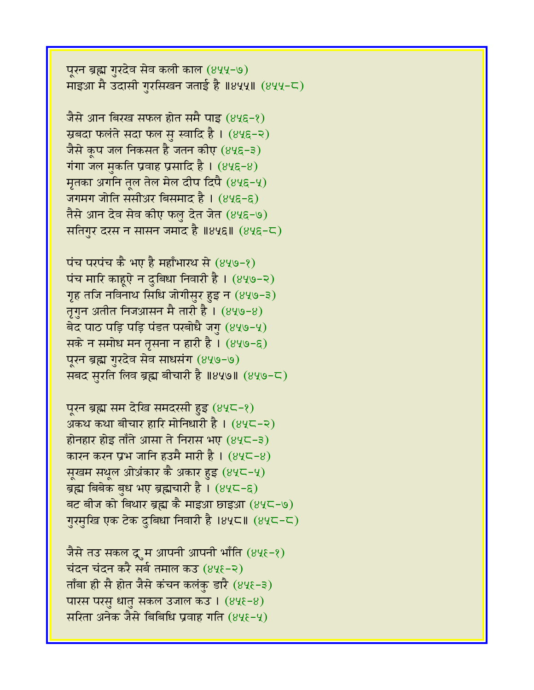पूरन ब्रह्म गुरदेव सेव कली काल (४५५-७) माइआ मै उदासी गुरसिखन जताई है ॥४५५॥ (४५५-८)

जैसे आन बिरख सफल होत समै पाइ (४५६-१) स्रबंदा फलंते सदा फल सु स्वादि है। (४५६-२) जैसे कृप जल निकसत है जतन कीए (४५६-३) गंगा जल मुकति प्रवाह प्रसादि है।  $(84\xi - 8)$ मृतका अगनि तूल तेल मेल दीप दिपै (8५६-५) जगमग जोति ससीअर बिसमाद है । (४५६-६) तैसे आन देव सेव कीए फलु देत जेत (४५६-७) सतिगुर दरस न सासन जमाद है ॥४५६॥  $(845-5)$ 

पंच परपंच कै भए है महाँभारथ से (४५७-१) पंच मारि काहुऐ न दुबिधा निवारी है।  $(849-2)$ गृह तजि नविनाथ सिधि जोगीसुर हुइ न (४५७-३) तृगुन अतीत निजआसन मै तारी है।  $(849-8)$ बेद पाठ पड़ि पड़ि पंडत परबोधै जगु  $(849-4)$ सके न समोध मन तृसना न हारी है। (४५७-६) पूरन ब्रह्म गुरदेव सेव साधसंग (४५७-७) सबद सुरति लिव ब्रह्म बीचारी है ॥४५७॥ (४५७-८)

पूरन ब्रह्म सम देखि समदरसी हुइ (४५८-१) अकथ कथा बीचार हारि मोनिधारी है।  $(84C-2)$ होनहार होइ ताँते आसा ते निरास भए  $(84\zeta - 3)$ कारन करन प्रभ जानि हउमै मारी है।  $(84\zeta - 8)$ सूखम सथूल ओअंकार कै अकार हुइ (४५८-५) ब्रह्म बिबेक बुध भए ब्रह्मचारी है। (४५८-६) बट बीज को बिथार ब्रह्म कै माइआ छाइआ (४५८-७) गुरमुखि एक टेक दुबिधा निवारी है ।४५८॥ (४५८-८)

जैसे तउ सकल द्र्म आपनी आपनी भाँति (४५६-१) चंदन चंदन करै सर्ब तमाल कउ (४५६-२) ताँबा ही सै होत जैसे कंचन कलंकु डारै (४५६-३) पारस परसु धातु सकल उजाल कउ ।  $(84\xi - 8)$ सरिता अनेक जैसे बिबिधि प्रवाह गति (४५६-५)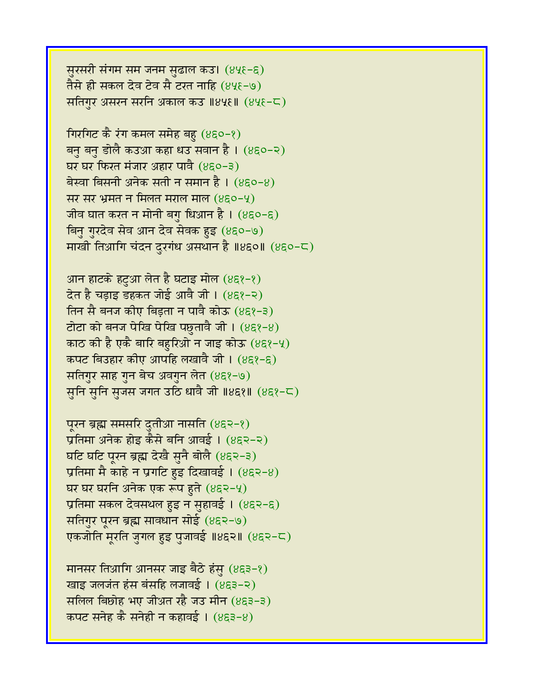सुरसरी संगम सम जनम सुढाल कउ। (४५६-६) तैसे ही सकल देव टेव सै टरत नाहि (४५६-७) सतिगर असरन सरनि अकाल कउ ॥४५६॥ (४५६-८)

गिरगिट कै रंग कमल समेह बहु  $(850-8)$ बनु बनु डोलै कउआ कहा धउ सवान है । (४६०-२) घर घर फिरत मंजार अहार पावै (४६०-३) बेस्वा बिसनी अनेक सती न समान है ।  $(8\xi 0-8)$ सर सर भ्रमत न मिलत मराल माल (४६०-५) जीव घात करत न मोनी बगु धिआन है।  $(8\epsilon$ ०-६) बिनु गुरदेव सेव आन देव सेवक हुइ (४६०-७) माखी तिआगि चंदन दुरगंध असथान है ॥४६०॥ (४६०-८)

आन हाटके हटुआ लेत है घटाइ मोल (४६१-१)  $\overline{a}$ त है चड़ाइ डहकत जोई आवै जी। (४६१-२) तिन सै बनज कीए बिड़ता न पावै कोऊ (४६१-३) टोटा को बनज पेखि पेखि पछुतावै जी।  $(8\xi\{-8})$ काठ की है एकै बारि बहुरिओ न जाइ कोऊ  $(8\epsilon\mathcal{R}-4)$ कपट बिउहार कीए आपहि लखावै जी । (४६१-६) सतिगुर साह गुन बेच अवगुन लेत (४६१-७) सुनि सुनि सुजस जगत उठि धावै जी ॥४६१॥ (४६१-८)

पूरन ब्रह्म समसरि दुतीआ नासति (४६२-१) प्रतिमा अनेक होइ कैसे बनि आवई । (४६२-२) घटि घटि पुरन ब्रह्म देखै सुनै बोलै (४६२-३) प्रतिमा मै काहे न प्रगटि हुइ दिखावई ।  $(8\xi - 8)$ घर घर घरनि अनेक एक रूप हुते  $(852-4)$ प्रतिमा सकल देवसथल हुइ न सुहावई। (४६२-६) सतिगुर पूरन ब्रह्म सावधान सोई (४६२-७) एकजोति मूरति जुगल हुइ पुजावई ॥४६२॥ (४६२-८)

मानसर तिआगि आनसर जाइ बैठे हंसु  $(853-8)$ खाइ जलजंत हंस बंसहि लजावई । (४६३-२) सलिल बिछोह भए जीअत रहै जउ मीन (४६३-३) कपट सनेह कै सनेही न कहावई ।  $(853-8)$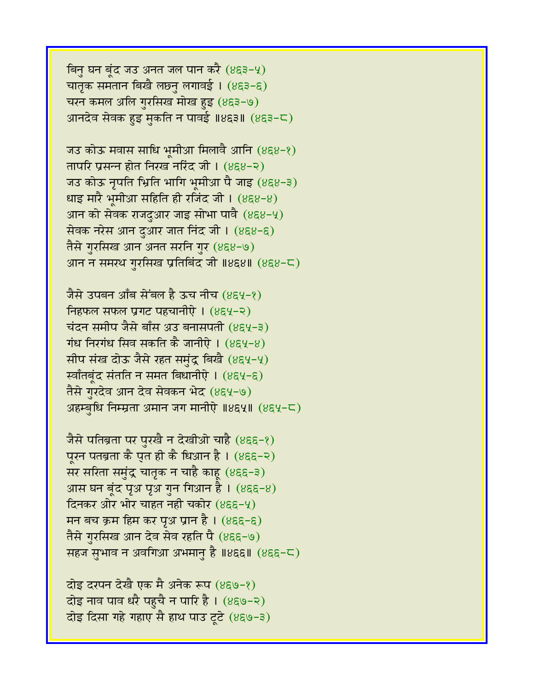बिनु घन बूंद जउ अनत जल पान करै  $(853-4)$ चातृक समतान बिखै लछ्नु लगावई। (४६३-६) चरन कमल अलि गुरसिख मोख हुइ (४६३-७) आनदेव सेवक हुइ मुकति न पावई ॥४६३॥ (४६३-८)

जउ कोऊ मवास साधि भूमीआ मिलावै आनि (४६४-१) तापरि प्रसन्न होत निरख नरिंद जी।  $(858-2)$ जउ कोऊ नृपति भिति भागि भूमीआ पै जाइ (४६४-३)  $\frac{1}{2}$ धाइ मारै भूमीआ सहिति ही रजिंद जी । (४६४-४) आन को सेवक राजदुआर जाइ सोभा पावै $(888-9)$ सेवक नरेस आन दुआर जात निंद जी । (४६४-६) तैसे गुरसिख आन अनत सरनि गुर (४६४-७) आन न समरथ गुरसिख प्रतिबिंद जी ॥४६४॥ (४६४-८)

जैसे उपबन आँब सेंबल है ऊच नीच (४६५-१) fing final phase of the phase phase is equined. चंदन समीप जैसे बाँस अउ बनासपती (४९५-३) गंध निरगंध सिव सकति कै जानीऐ ।  $(854-8)$ सीप संख दोऊ जैसे रहत समुंद्र बिखै (४६५-५) र्स्वॉतबृंद संतति न समत बिधानीऐ । (४६५-६) तैसे गुरदेव आन देव सेवकन भेद (४६५-७) अहम्बुधि निम्म्रता अमान जग मानीऐ ॥४६५॥ (४६५-८)

जैसे पतिब्रता पर पुरखै न देखीओ चाहै (४६६-१) पुरन पतब्रता कै पुत ही कै धिआन है। (४६६-२) सर सरिता समुंद्र चातृक न चाहै काहू (४६६-३) आस घन बूंद पृअ पृअ गुन गिआन है ।  $(855-8)$ दिनकर ओर भोर चाहत नही चकोर ( $855-9$ ) मन बच क्रम हिम कर पृथ प्रान है। (४६६-६) तैसे गुरसिख आन देव सेव रहति पै (४६६-७) सहज सुभाव न अवगिआ अभमानु है ॥४६६॥  $(855-\sqrt{2})$ 

दोइ दरपन देखै एक मै अनेक रूप (४६७-१) दोइ नाव पाव धरै पहुचै न पारि है। (४६७-२) दोइ दिसा गहे गहाए सै हाथ पाउ टूटे (४६७-३)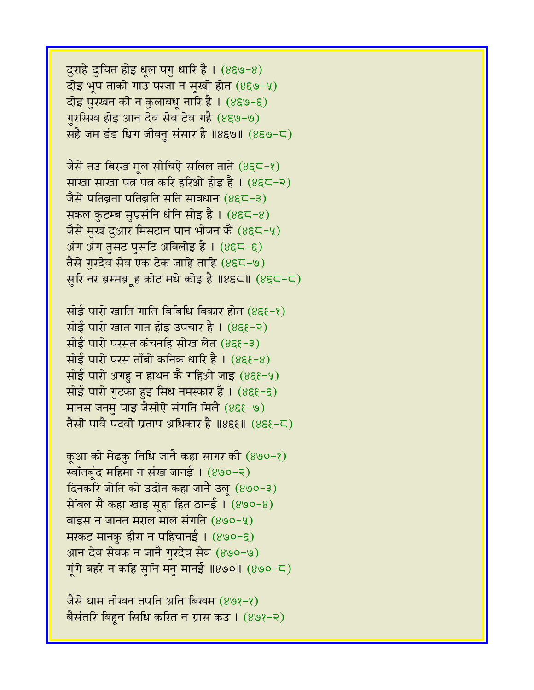दुराहे दुचित होइ धूल पगु धारि है।  $(8) - 8)$  $\vec{a}$ इ भूप ताको गाउ परजा न सुखी होत (४६७-५) दोइ पुरखन की न कुलाबधू नारि है। (४६७-६) गुरसिख होइ आन देव सेव टेव गहै (४६७-७) सहै जम डंड ध्रिग जीवनु संसार है ॥४६७॥ (४६७-८)

जैसे तउ बिरख मूल सीचिऐ सलिल ताते (४६८-१) साखा साखा पत्न पत्न करि हरिओ होइ है । (४६८-२) जैसे पतिब्रता पतिब्रति सति सावधान (४६८-३) सकल कुटम्ब सुप्रसंनि धंनि सोइ है। (४६८-४) जैसे मुख दुआर मिसटान पान भोजन कै (४६८-५) अंग अंग तुसट पुसटि अविलोइ है। (४६८-६) तैसे गुरदेव सेव एक टेक जाहि ताहि (४६८-७) सुरि नर ब्रम्मब्रूह कोट मधे कोइ है ॥४६८॥ (४६८-८)

सोई पारो खाति गाति बिबिधि बिकार होत  $(8\xi - \xi)$ सोई पारो खात गात होइ उपचार है।  $(85 - 2)$ सोई पारो परसत कंचनहि सोख लेत (४६९-३) सोई पारो परस ताँबो कनिक धारि है ।  $(8\xi - 8)$ सोई पारो अगह न हाथन कै गहिओ जाइ  $(8\xi - 4)$ सोई पारो गुटका हुइ सिध नमस्कार है । (४६१-६) मानस जनमु पाइ जैसीऐ संगति मिलै (४६६-७) तैसी पावै पदवी प्रताप अधिकार है ॥४६६॥ (४६६-८)

कुआ को मेढकु निधि जानै कहा सागर की  $(890-8)$ स्वाँतबूंद महिमा न संख जानई । (४७०-२) दिनकरि जोति को उदोत कहा जानै उल (४७०-३) सेंबल सै कहा खाइ सहा हित ठानई।  $(890-8)$ बाइस न जानत मराल माल संगति  $(890-9)$ मरकट मानकु हीरा न पहिचानई ।  $(890 - 5)$ आन देव सेवक न जानै गुरदेव सेव (४७०-७) गूंगे बहरे न कहि सुनि मनु मानई ॥४७०॥ (४७०-८)

जैसे घाम तीखन तपति अति बिखम (४७१-१) बैसंतरि बिहून सिधि करित न ग्रास कउ । (४७१-२)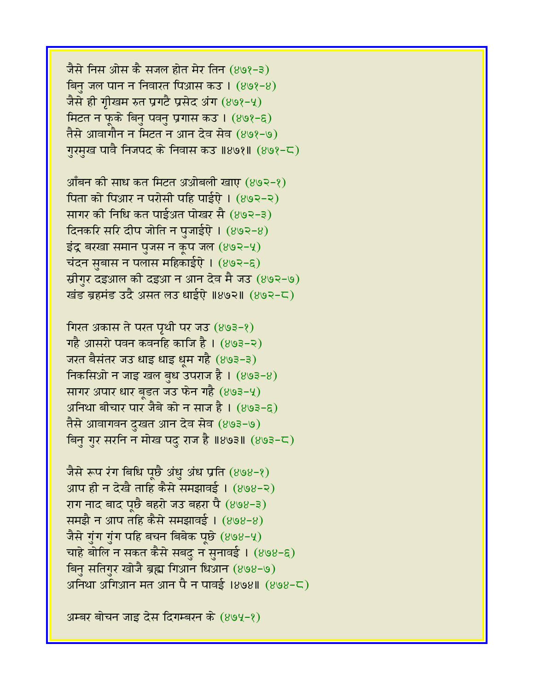जैसे निस ओस कै सजल होत मेर तिन (४७१-३) बिन जल पान न निवारत पिआस कउ।  $(898-8)$ जैसे ही गृीखम रुत प्रगटै प्रसेद अंग (४७१-५) मिटत न फूके बिनु पवनु प्रगास कउ। (४७१-६) तैसे आवागौन न मिटत न आन देव सेव (४७१-७) ग़रमुख पावै निजपद के निवास कउ ॥४७१॥ (४७१-८)

आँबन की साध कत मिटत अओबली खाए  $(893-8)$ पिता को पिआर न परोसी पहि पाईऐ।  $(892-2)$ सागर की निधि कत पाईअत पोखर सै (४७२-३) दिनकरि सरि दीप जोति न पुजाईऐ।  $(893-8)$ इंद्र बरखा समान पुजस न कूप जल (४७२-५) चंदन सुबास न पलास महिकाईऐ ।  $(893-6)$ स्रीगुर दइआल की दइआ न आन देव मै जउ (४७२-७) खंड ब्रहमंड उदै असत लउ धाईऐ ॥४७२॥ (४७२-८)

गिरत अकास ते परत पृथी पर जउ (४७३-१) गहै आसरो पवन कवनहि काजि है।  $(893-2)$ जरत बैसंतर जउ धाइ धाइ धूम गहै (४७३-३) निकसिओ न जाइ खल बुध उपराज है।  $(893-8)$ सागर अपार धार बुडत जउ फेन गहै $(893-4)$ अनिथा बीचार पार जैबे को न साज है।  $(893-6)$ तैसे आवागवन दुखत आन देव सेव (४७३-७) बिनु गुर सरनि न मोख पदु राज है ॥४७३॥  $(893-\mathsf{C})$ 

जैसे रूप रंग बिधि पूछै अंधु अंध प्रति (४७४-१) आप ही न देखै ताहि कैसे समझावई । (४७४-२) राग नाद बाद पछै बहरो जउ बहरा पै (४७४-३) समझै न आप तहि कैसे समझावई। (४७४-४) जैसे गुंग गुंग पहि बचन बिबेक पूछे  $(898-4)$ चाहे बोलि न सकत कैसे सबदु न सुनावई।  $(898-6)$ बिनु सतिगुर खोजै ब्रह्म गिआन धिआन (४७४-७) अनिथा अगिआन मत आन पै न पावई ।४७४॥ (४७४-८)

अम्बर बोचन जाइ देस दिगम्बरन के (४७५-१)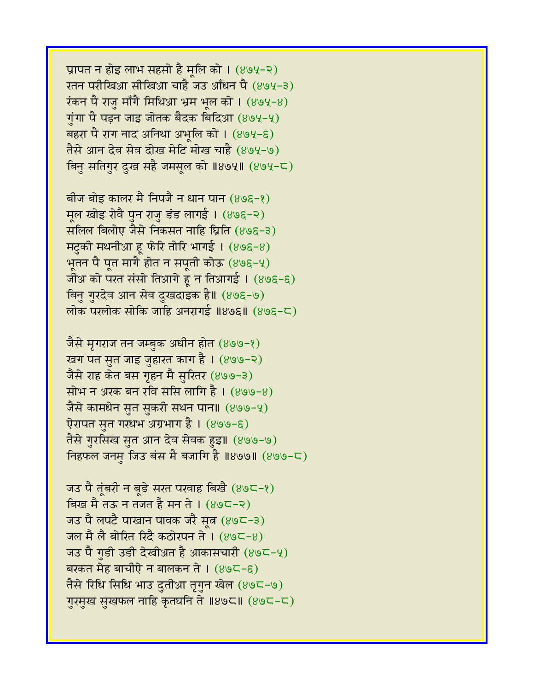प्रापत न होइ लाभ सहसो है मूलि को । (४७५-२) रतन परीखिआ सीखिआ चाहै जउ आँधन पै (४७५-३)  $\frac{1}{2}$ रंकन पै राज माँगै मिथिआ भ्रम भल को । (४७५-४) गुंगा पै पड़न जाइ जोतक बैदक बिदिआ (४७५-५) बहरा पै राग नांद अनिथा अभूलि को ।  $(894-6)$ तैसे आन देव सेव दोख मेटि मोख चाहै (४७५-७) बिनु सतिगुर दुख सहै जमसूल को ॥४७५॥ (४७५-८)

बीज बोइ कालर मै निपजै न धान पान (४७६-१) मूल खोइ रोवै पुन राजु डंड लागई। (४७६-२) सलिल बिलोए जैसे निकसत नाहि घ्रिति (४७६-३) मटुकी मथनीआ हू फेरि तोरि भागई।  $(89\xi - 8)$ भूतन पै पूत मागै होत न सपूती कोऊ  $(898-9)$ जोअ को परत संसो तिआगे हूं न तिआगई।  $(898-6)$ बिनु गुरदेव आन सेव दुखदाइक है॥ (४७६-७) लोक परलोक सोकि जाहि अनरागई ॥४७६॥  $(898-5)$ 

जैसे मृगराज तन जम्बुक अधीन होत (४७७-१) खग पत सुत जाइ जुहारत काग है। (४७७-२) जैसे राह केत बस गृहन मै सुरितर (४७७-३) सोभ न अरक बन रवि ससि लागि है।  $(899-8)$ जैसे कामधेन सुत सुकरी सथन पान॥ (४७७-५) ऐरापत सुत गरधभ अग्रभाग है । (४७७-६) तैसे गुरसिख सुत आन देव सेवक हुइ॥ (४७७-७) निहफल जनम् जिउ बंस मै बजागि है ॥४७७॥  $(899-5)$ 

जउ पै तूंबरी न बूडे सरत परवाह बिखै (४७८-१) बिख मै तऊ न तजत है मन ते ।  $(89C-2)$ जउ पै लपटै पाखान पावक जरै सूत्र (४७८-३) जल मै लै बोरित रिंदै कठोरपन ते ।  $(89C-8)$ जउ पै गुडी उडी देखीअत है आकासचारी (४७८-५) बरकत मेह बाचीऐ न बालकन ते ।  $(89C - \xi)$ तैसे रिधि सिधि भाउ दुतीआ तृगुन खेल (४७८-७) गुरमुख सुखफल नाहि कृतघनि ते ॥४७८॥ (४७८-८)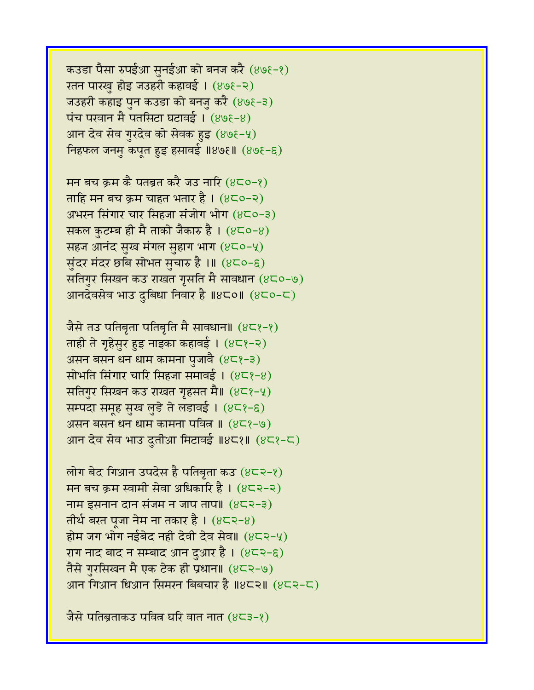कउडा पैसा रुपईआ सुनईआ को बनज करै (४७१-१) रतन पारखु होइ जउहरी कहावई। (४७६-२) जउहरी कहाइ पुन कउडा को बनजु करै (४७१-३)  $\overline{u}$ च परवान मै पतसिटा घटावई। (४७१-४) आन देव सेव गुरदेव को सेवक हुइ  $(898-4)$ निहफल जनम् कपूत हुइ हसावई ॥४७६॥ (४७१-६)

मन बच क्रम कै पतब्रत करै जउ नारि  $(8C_0-\ell)$ ताहि मन बच क्रम चाहत भतार है।  $(8C_0-2)$ अभरन सिंगार चार सिंहजा संजोग भोग  $(8C_0-3)$ सकल कुटम्ब ही मै ताको जैकारु है ।  $(8C_0-8)$ सहज आनंद सुख मंगल सुहाग भाग (४८०-५) सुंदर मंदर छबि सोभत सुचारु है ।॥  $(8C_0-\epsilon)$ सतिगुर सिखन कउ राखत गुसति मै सावधान (४८०-७) आनदेवसेव भाउ दुबिधा निवार है ॥४८०॥ (४८०-८)

जैसे तउ पतिबृता पतिबृति मै सावधान॥  $(8\zeta\zeta-\zeta)$ ताही ते गृहेसुर हुइ नाइका कहावई।  $(8\zeta - \zeta)$ असन बसन धन धाम कामना पुजावै  $(8\sqrt{2}-3)$ सोभति सिंगार चारि सिंहजा समावई ।  $(8\zeta\$ -8) सतिगुर सिखन कउ राखत गृहसत मै॥ (४८१-५) सम्पदा समूह सुख लुडे ते लडावई । (४८१-६) असन बसन धन धाम कामना पवित्न ॥  $(8\zeta^2-\zeta)$ आन देव सेव भाउ दुतीआ मिटावई ॥४८१॥ (४८१-८)

लोग बेद गिआन उपदेस है पतिबृता कउ  $(8\epsilon$ २-१) मन बच क्रम स्वामी सेवा अधिकारि है।  $(8\overline{\smash{z}}\hspace{-0.25cm}=\hspace{-0.25cm}8\overline{\smash{z}}\hspace{-0.25cm}=\hspace{-0.25cm}\sqrt{2\overline{\smash{z}}}$ नाम इसनान दान संजम न जाप ताप॥  $(822-3)$ तीर्थ बरत पूजा नेम ना तकार है।  $(8\epsilon$ २-8) होम जग भोग नईबेद नही देवी देव सेव॥  $(8\epsilon$ २-५) राग नाद बाद न सम्बाद आन दुआर है।  $(8\epsilon$ २-६) तैसे गुरसिखन मै एक टेक ही प्रधान॥ (४८२-७) आन गिआन धिआन सिमरन बिबचार है ॥४८२॥ (४८२-८)

जैसे पतिब्रताकउ पवित्र घरि वात नात  $(8\leq 3-\epsilon)$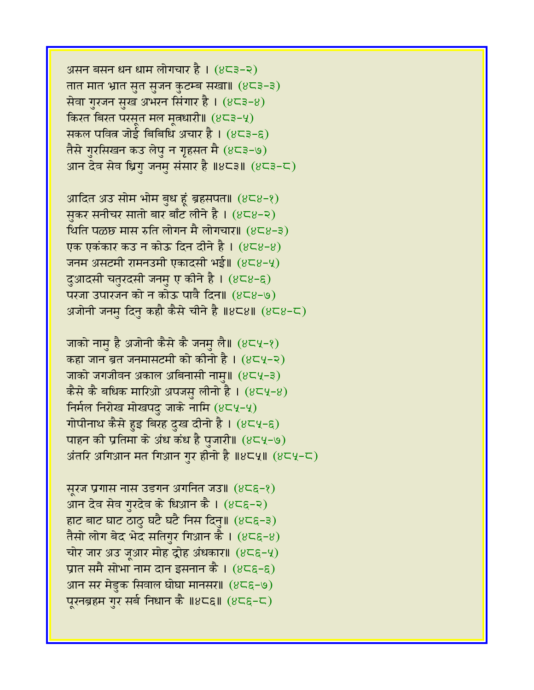असन बसन धन धाम लोगचार है। (४८३-२) तात मात भ्रात सुत सुजन कुटम्ब सखा॥ (४८३-३) सेवा गुरजन सुख अभरन सिंगार है। (४८३-४) किरत बिरत परसूत मल मुत्रधारी॥  $(8\epsilon_3-\epsilon_1)$ सकल पवित्र जोई बिबिधि अचार है ।  $(8\zeta^3-\zeta)$ तैसे गुरसिखन कउ लेपु न गृहसत मै (४८३-७) आन देव सेव ध्रिगु जनमु संसार है ॥४८३॥  $(8$ ८३-८)

आदित अउ सोम भोम बुध हूं ब्रहसपत॥  $(8\epsilon_8-\epsilon)$ सकर सनीचर सातो बार बाँट लीने है ।  $(8\sqrt{3} - 8)$ थिति पळछ मास रुति लोगन मै लोगचार॥  $(8\leq 8-3)$ एक एकंकार कउ न कोऊ दिन दीने है ।  $(8\overline{6}8-8)$ जनम असटमी रामनउमी एकादसी भई॥ (४८४-५) दुआदसी चतुरदसी जनमु ए कीने है । (४८४-६) परजा उपारजन को न कोऊ पावै दिन॥  $(8\leq 8-9)$ अजोनी जनमु दिनु कहौ कैसे चीने है ॥४८४॥ (४८४-८)

जाको नामु है अजोनी कैसे कै जनमु लै॥ (४८५-१) कहा जान ब्रत जनमासटमी को कीनो है।  $(8\overline{\phantom{a}}\mathsf{C}\mathsf{V}-2)$ जाको जगजीवन अकाल अबिनासी नाम॥ (४८५-३) कैसे कै बधिक मारिओ अपजस् लीनो है।  $(8\zeta\zeta\zeta\!-\!8)$ निर्मल निरोख मोखपदु जाके नामि  $(8\zeta\psi-\zeta)$ गोपीनाथ कैसे हुइ बिरह दुख दीनो है । (४८५-६) पाहन की प्रतिमा के अंध कंध है पुजारी॥ (४८५-७) अंतरि अगिआन मत गिआन गुर हीनो है ॥४८५॥  $(8)$ ८५-८)

सूरज प्रगास नास उडगन अगनित जउ॥  $(8\zeta\zeta-\zeta)$ आन देव सेव गुरदेव के धिआन कै।  $(8\zeta\zeta-\zeta)$ हाट बाट घाट ठाठु घटै घटै निस दिनु॥  $(8\zeta\zeta-3)$ तैसो लोग बेद भेद सतिगुर गिआन कै ।  $(8\zeta\zeta-8)$ चोर जार अउ जूआर मोह द्रोह अंधकार॥  $(8\epsilon\epsilon-\gamma)$ प्रात समै सोभा नाम दान इसनान कै।  $(8\zeta \xi - \xi)$ आन सर मेडुक सिवाल घोघा मानसर॥  $(8\zeta\zeta-\zeta)$ पूरनब्रहम गुर सर्ब निधान कै ॥४८६॥ (४८६-८)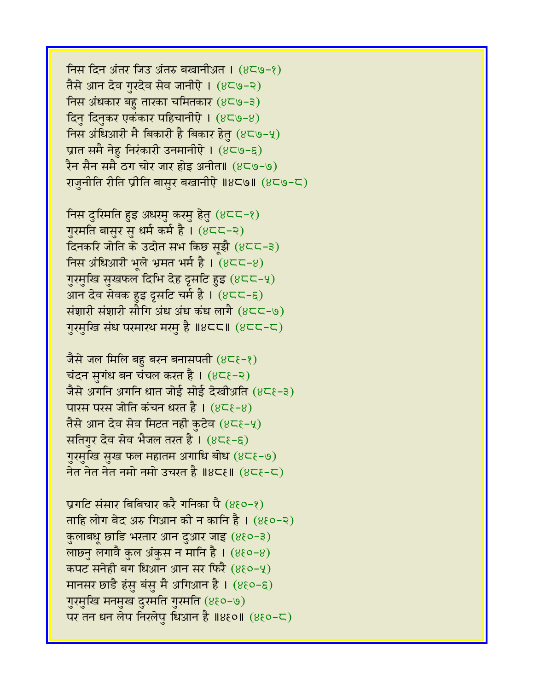निस दिन अंतर जिउ अंतरु बखानीअत ।  $(8\zeta\Theta - 8)$ तैसे आन देव गुरदेव सेव जानीऐ । (४८७-२) निस अंधकार बहु तारका चमितकार  $(8\overline{\text{C}}\text{O}-3)$ दिनु दिनुकर एकंकार पहिचानीऐ । (४८७-४) निस अंधिआरी मै बिकारी है बिकार हेतु (४८७-५) प्रात समै नेह निरंकारी उनमानीऐ ।  $(8\zeta\zeta\zeta\zeta)$ रैन सैन समै ठग चोर जार होइ अनीत॥ (४८७-७) राजुनीति रीति प्रीति बासुर बखानीऐ ॥४८७॥ (४८७-८)

निस दुरिमति हुइ अधरमु करमु हेतु (४८८-१) गुरमति बासुर सु धर्म कर्म है । (४८८-२) दिनकरि जोति के उदोत सभ किछ सूझै (४८८-३) निस अंधिआरी भूले भ्रमत भर्म है।  $(8C<sup>-8</sup>)$ गुरमुखि सुखफल दिभि देह दृसटि हुइ (४८८-५) आन देव सेवक हुइ दृसटि चर्म है।  $(8\overline{\phantom{a}}\overline{\phantom{a}}\overline{\phantom{a}}\hspace{0.1cm}c\overline{\phantom{a}}\hspace{0.1cm}c\overline{\phantom{a}}\hspace{0.1cm}c\overline{\phantom{a}}\hspace{0.1cm}c\overline{\phantom{a}}\hspace{0.1cm}c\overline{\phantom{a}}\hspace{0.1cm}c\overline{\phantom{a}}\hspace{0.1cm}c\overline{\phantom{a}}\hspace{0.1cm}c\overline{\phantom{a}}\hspace{0.1$ संशारी संशारी सौगि अंध अंध कंध लागै  $(8<\zeta<0)$ गुरमुखि संध परमारथ मरमु है ॥४८८॥  $(8<sup>2</sup> - c)$ 

जैसे जल मिलि बहु बरन बनासपती  $(8\zeta\zeta-\zeta)$ चंदन सुगंध बन चंचल करत है।  $(8\zeta-2)$ जैसे अगनि अगनि धात जोई सोई देखीअति (४८६-३) पारस परस जोति कंचन धरत है ।  $(8\zeta - 8)$ तैसे आन देव सेव मिटत नही कुटेव (४८६-५) सतिगर देव सेव भैजल तरत है ।  $(8\zeta-\xi)$ गुरमुखि सुख फल महातम अगाधि बोध (४८६-७) नेत नेत नेत नमो नमो उचरत है ॥४८६॥  $(8\zeta-\zeta)$ 

प्रगटि संसार बिबिचार करै गनिका पै (४६०-१) ताहि लोग बेद अरु गिआन की न कानि है ।  $(8\xi 0-2)$ कुलाबधू छाडि भरतार आन दुआर जाइ (४६०-३) लाछ्नु लगावै कुल अंकुस न मानि है।  $(880-8)$ कपट सनेही बग धिआन आन सर फिरै (४६०-५) मानसर छाडै हंसु बंसु मै अगिआन है ।  $(8\xi 0-\xi)$ गुरमुखि मनमुख दुरमति गुरमति (४६०-७) पर तन धन लेप निरलेप धिआन है ॥४६०॥  $(860-5)$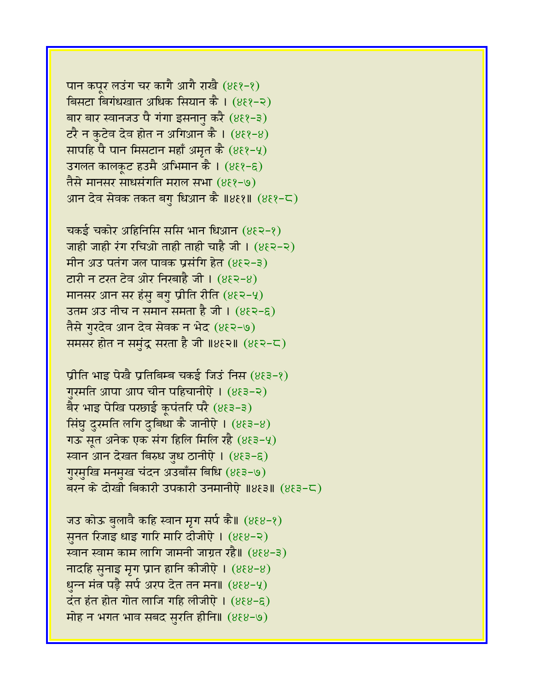पान कपुर लउंग चर कागै आगै राखै (४६१-१) बिसटा बिगंधखात अधिक सियान कै। (४६१-२) बार बार स्वानजउ पै गंगा इसनानु करै  $(883-3)$  $\overline{c}$ रै न कुटेव देव होत न अगिआन कै ।  $(8\epsilon\bar{\epsilon}-8)$ सापहि पै पान मिसटान महाँ अमृत कै  $(8\xi - 4)$ उगलत कालकूट हउमै अभिमान कै । (४६१-६) तैसे मानसर साधसंगति मराल सभा (४६१-७) आन देव सेवक तकत बगु धिआन कै ॥४६१॥ (४६१-८)

चकई चकोर अहिनिसि ससि भान धिआन  $(8\xi$ २-१) जाही जाही रंग रचिओ ताही ताही चाहै जी।  $(8\xi > -\xi)$ मीन अउ पतंग जल पावक प्रसंगि हेत  $(882-3)$ टारी न टरत टेव ओर निखाहै जी।  $(8\xi$ २-8) मानसर आन सर हंस बगु प्रीति रीति  $(8\xi$ २-५) उतम अउ नीच न समान समता है जी ।  $(8\xi$ २-६) तैसे गुरदेव आन देव सेवक न भेद (४६२-७) समसर होत न समुंद्र सरता है जी ॥४६२॥  $(8\xi$ २-८)

प्रीति भाइ पेखै प्रतिबिम्ब चकई जिउं निस  $(883-8)$ गुरमति आपा आप चीन पहिचानीऐ।  $(8\xi$ ३-२) बैर भाइ पेखि परछाई कूपंतरि परै (४६३-३) सिंघु दुरमति लगि दुबिधा कै जानीऐ ।  $(8\xi$ ३-8) गऊ सत अनेक एक संग हिलि मिलि रहै  $(8\xi$ ३-५) रवान आन देखत बिरुध जुध ठानीऐ । (४६३-६) गुरमुखि मनमुख चंदन अउबाँस बिधि (४६३-७) बरन के दोखी बिकारी उपकारी उनमानीऐ ॥४६३॥ (४६३-८)

जउ कोऊ बुलावै कहि स्वान मृग सर्प कै॥ (४६४-१) सुनत रिजाइ धाइ गारि मारि दीजीऐ। (४६४-२) स्वान स्वाम काम लागि जामनी जाग्रत रहै॥ (४६४-३) नादहि सुनाइ मृग प्रान हानि कीजीऐ।  $(888-8)$ धुन्न मंत्र पड़ै सर्प अरप देत तन मन॥ (४६४-५)  $\vec{a}$ त हंत होत गोत लाजि गहि लीजीऐ।  $(888-6)$ मोह न भगत भाव सबद सुरति हीनि॥ (४६४-७)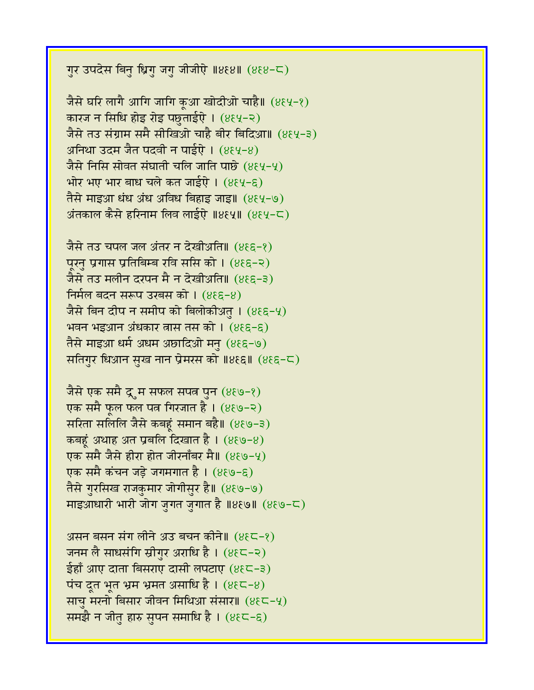गुर उपदेस बिनु ध्रिगु जगु जीजीऐ ॥४६४॥ (४६४-८)

जैसे घरि लागै आगि जागि कूआ खोदीओ चाहै॥ (४६५-१) कारज न सिधि होइ रोइ पलुताईऐ। (४६५-२) जैसे तउ संग्राम समै सीखिओ चाहै बीर बिदिआ॥ (४६५-३) अनिथा उदम जैत पदवी न पाईऐ ।  $(8\xi\gamma - 8)$ जैसे निसि सोवत संघाती चलि जाति पाछे (४६५-५) भोर भए भार बाध चले कत जाईएे।  $(8\xi\zeta-\xi)$ तैसे माइआ धंध अंध अविध बिहाइ जाइ॥ (४६५-७) अंतकाल कैसे हरिनाम लिव लाईऐ ॥४६५॥ (४६५-८)

जैसे तउ चपल जल अंतर न देखीअति॥ (४९६-१) पूरनु प्रगास प्रतिबिम्ब रवि ससि को । (४९६-२) जैसे तउ मलीन दरपन मै न देखीअति॥  $(8\xi \xi - \xi)$ निर्मल बदन सरूप उरबस को । (४६६-४) जैसे बिन दीप न समीप को बिलोकीअत् ।  $(8\epsilon\epsilon-\gamma)$ भवन भइआन अंधकार वास तस को । (४६६-६) तैसे माइआ धर्म अधम अछादिओ मनु (४६६-७) सतिगुर धिआन सुख नान प्रेमरस को ॥४९६॥  $(885-5)$ 

जैसे एक समै द्रूम सफल सपत्न पुन (४६७-१) एक समै फूल फल पत्न गिरजात है । (४६७-२) सरिता सलिलि जैसे कबहूं समान बहै॥ (४६७-३) कबहं अथाह अत प्रबलि दिखात है।  $(8\xi\zeta-8)$ एक समै जैसे हीरा होत जीरनाँबर मै॥ (४६७-५) एक समै कंचन जड़े जगमगात है । (४६७-६) तैसे गुरसिख राजकुमार जोगीसुर है॥ (४६७-७) माइआधारी भारी जोग जुगत जुगात है ॥४६७॥  $(889-<)$ 

असन बसन संग लीने अउ बचन कीने॥ (४६८-१) जनम लै साधसंगि स्रीगुर अराधि है । (४६८-२) ईहाँ आए दाता बिसराए दासी लपटाए (४९८-३) पंच दूत भूत भ्रम भ्रमत असाधि है ।  $(8\xi\zeta - 8)$ साचु मरनो बिसार जीवन मिथिआ संसार॥ (४९८-५) समझै न जीत हारु सुपन समाधि है ।  $(8\xi\subset-\xi)$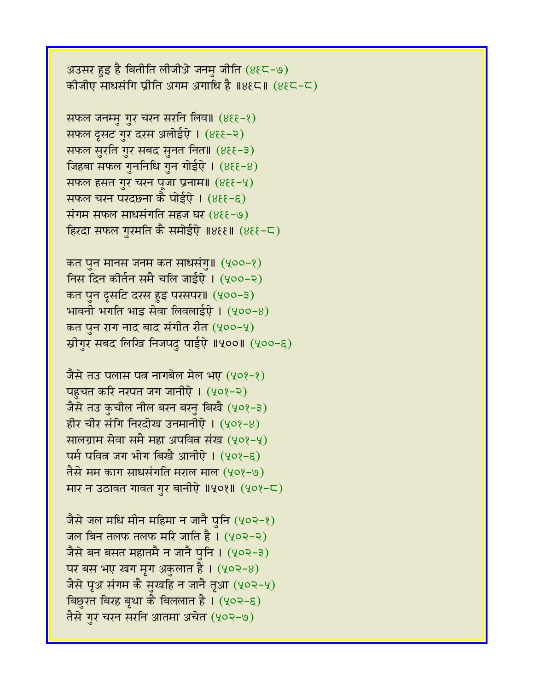अउसर हुइ है बितीति लीजीओ जनमु जीति (४६८-७) कोजीए साधसंगि प्रीति अगम अगाधि है ॥४६८॥ (४६८-८)

सफल जनम्मु गुर चरन सरनि लिव॥ (४६६-१) सफल दूसट गुर दरस अलोईऐ । (४६६-२) सफल सुरति गुर सबद सुनत नित॥ (४६६-३) जिहबा सफल गुननिधि गुन गोईऐ।  $(8\epsilon\epsilon-\epsilon)$ सफल हसत गुर चरन पूजा प्रनाम॥ (४६६-५) सफल चरन परदछना कै पोईऐ। (४६६-६) संगम सफल साधसंगति सहज घर  $(8\xi - 9)$ हिरदा सफल गुरमति कै समोईऐ ॥४६६॥ (४६६-८)

कत पुन मानस जनम कत साधसंगु॥ (५००-१) निस दिन कीर्तन समै चलि जाईऐ।  $(400-2)$ कत पुन दृसटि दरस हुइ परसपर॥ (५००-३) भावनी भगति भाइ सेवा लिवलाईऐ।  $(400-8)$ कत पुन राग नाद बाद संगीत रीत  $(yoo-y)$ स्रीगुर सबद लिखि निजपदु पाईऐ ॥५००॥ (५००-६)

जैसे तउ पलास पत्न नागबेल मेल भए (५०१-१) पहचत करि नरपत जग जानीऐ। (५०१-२) जैसे तउ कुचील नील बरन बरनु बिखै (५०१-३) हीर चीर संगि निरदोख उनमानीऐ।  $(408-8)$ सालग्राम सेवा समै महा अपवित्न संख (५०१-५)  $\overline{u}$ म पवित्र जग भोग बिखै आनीऐ। (५०१-९) तैसे मम काग साधसंगति मराल माल (५०१-७) मार न उठावत गावत गुर बानीऐ ॥५०१॥ (५०१-८)

जैसे जल मधि मीन महिमा न जानै पुनि (५०२-१) जल बिन तलफ तलफ मरि जाति है ।  $(402-2)$ जैसे बन बसत महातमै न जानै पनि । (५०२-३) पर बस भए खग मृग अकुलात है।  $(402-8)$ जैसे पृअ संगम कै सुखहि न जानै तृआ (५०२-५) बिछुरत बिरह बृथा कै बिललात है । (५०२-६) तैसे गुर चरन सरनि आतमा अचेत (५०२-७)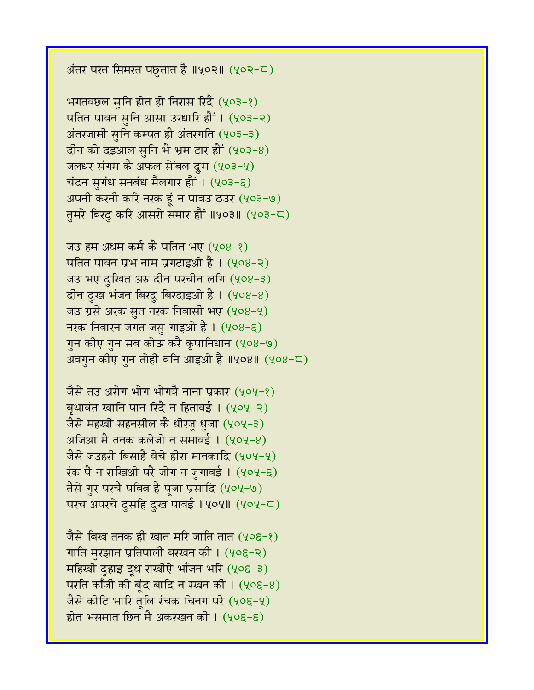अंतर परत सिमरत पछुतात है ॥५०२॥ (५०२-८)

भगतवछल सृनि होत हो निरास रिंदै (५०३-१) पतित पावन सुनि आसा उरधारि हों । (५०३-२) अंतरजामी सुनि कम्पत हौ अंतरगति (५०३-३) दीन को दइआल सनि भै भ्रम टार हौं  $(403-8)$ जलधर संगम कै अफल सेंबल दूम (५०३-५) चंदन सुगंध सनबंध मैलगार हौं । (५०३-६) अपनी करनी करि नरक हूं न पावउ ठउर (५०३-७) तमरे बिरद करि आसरो समार हौं ॥५०३॥ (५०३-८)

जउ हम अधम कर्म कै पतित भए (५०४-१) पतित पावन प्रभ नाम प्रगटाइओ है । (५०४-२) जउ भए दुखित अरु दीन परचीन लगि (५०४-३) दीन दुख भंजन बिरदु बिरदाइओ है। (५०४-४) जउ ग्रसे अरक सुत नरक निवासी भए (५०४-५) नरक निवारन जगत जसु गाइओ है।  $(408-6)$ गुन कीए गुन सब कोऊ करै कृपानिधान (५०४-७) अवगुन कीए गुन तोही बनि आइओ है ॥५०४॥ (५०४-८)

जैसे तउ अरोग भोग भोगवै नाना प्रकार (५०५-१) बृथावंत खानि पान रिंदै न हितावई । (५०५-२) जैसे महखी सहनसील कै धीरजु धुजा (५०५-३) अजिआ मै तनक कलेजो न समावई ।  $(yoy-8)$ जैसे जउहरी बिसाहै वेचे हीरा मानकादि (५०५-५) रंक पै न राखिओ परै जोग न जुगावई। (५०५-६) तैसे गुर परचै पवित्न है पूजा प्रसादि (५०५-७) परच अपरचे दुसहि दुख पावई ॥५०५॥ (५०५-८)

जैसे बिख तनक ही खात मरि जाति तात (५०६-१) गाति मुरझात प्रतिपाली बरखन की । (५०६-२) महिखी दुहाइ दूध राखीऐ भाँजन भरि (५०६-३) परति काँजी की बूंद बादि न रखन की।  $(406-8)$ जैसे कोटि भारि तूलि रंचक चिनग परे  $(405-4)$ होत भसमात छिन मै अकरखन की ।  $(405-6)$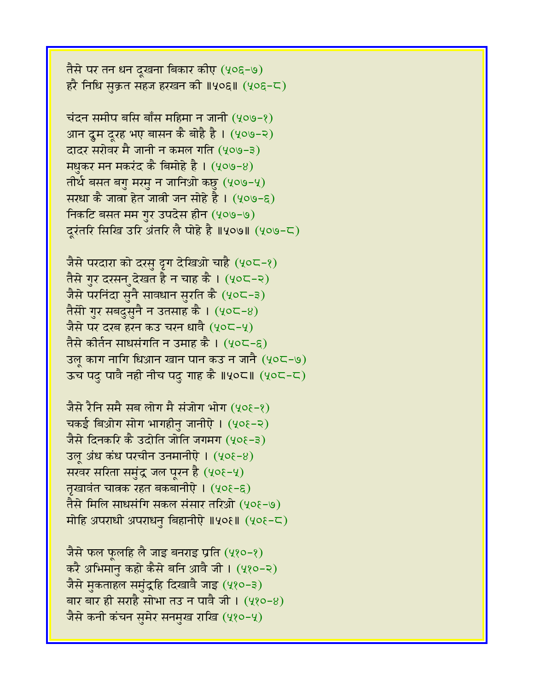तैसे पर तन धन दूखना बिकार कीए (५०६-७) हरै निधि सक्रत सहज हरखन की ॥५०६॥ (५०६-८)

चंदन समीप बसि बाँस महिमा न जानी  $(409-8)$ आन दूम दूरह भए बासन कै बोहै है । (५०७-२) वादर सरोवर मै जानी न कमल गति (५०७-३) मधुकर मन मकरंद कै बिमोहे है ।  $(409-8)$ तीर्थ बसत बगु मरमु न जानिओ कछु (५०७-५) सरधा कै जाता हेत जाती जन सोहे है ।  $(y \circ s - \epsilon)$ निकटि बसत मम गुर उपदेस हीन (५०७-७) दूरंतरि सिखि उरि अंतरि लै पोहे है ॥५०७॥ (५०७-८)

जैसे परदारा को दरसु दृग देखिओ चाहै (५०८-१) तैसे गुर दरसन देखत है न चाह कै ।  $(40C-2)$ जैसे परनिंदा सुनै सावधान सुरति कै (५०८-३) तैसी गुर सबदुसुनै न उतसाह कै । (५०८-४) जैसे पर दरब हरन कउ चरन धावै (५०८-५) तैसे कीर्तन साधसंगति न उमाह कै। (५०८-६) उल् काग नागि धिआन खान पान कउ न जानै (५०८-७) उच पदु पावै नही नीच पदु गाह कै ॥५०८॥ (५०८-८)

जैसे रैनि समै सब लोग मै संजोग भोग (५०६-१) चकई बिओग सोग भागहीनु जानीऐ। (५०१-२) जैसे दिनकरि कै उदोति जोति जगमग (५०१-३) उल् अंध कंध परचीन उनमानीऐ।  $(408-8)$ सरवर सरिता समुंद्र जल पूरन है (५०६-५) तृखावंत चात्रक रहत बकबानीऐ। (५०६-६) तैसे मिलि साधसंगि सकल संसार तरिओ (५०६-७) मोहि अपराधी अपराधनु बिहानीऐ ॥५०६॥ (५०६-८)

जैसे फल फुलहि लै जाइ बनराइ प्रति (५१०-१) करै अभिमानु कहो कैसे बनि आवै जी। (५१०-२) जैसे मुकताहल समुंद्रहि दिखावै जाइ (५१०-३) बार बार ही सराहै सोभा तउ न पावै जी ।  $(480-8)$ जैसे कनी कंचन समेर सनमुख राखि (५१०-५)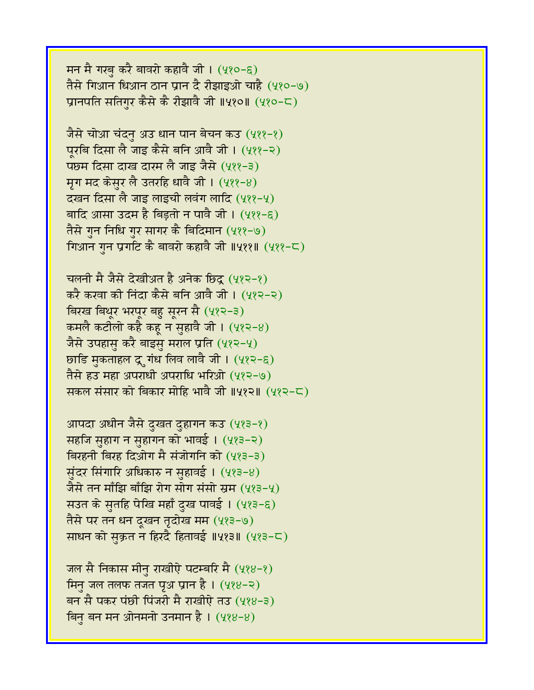मन मै गरबु करै बावरो कहावै जी। (५१०-६) तैसे गिआन धिआन ठान प्रान दै रीझाइओ चाहै (५१०-७) प्रानपति सतिगर कैसे कै रीझावै जी ॥५१०॥ (५१०-८)

जैसे चोआ चंदनु अउ धान पान बेचन कउ  $(488-8)$ पुरबि दिसा लै जाइ कैसे बनि आवै जी। (५११-२) पछम दिसा दाख दारम लै जाइ जैसे (५११-३) मृग मद केसुर लै उतरहि धावै जी। (५११-४) दखन दिसा लै जाइ लाइची लवंग लादि (५११-५) बादि आसा उदम है बिड़तो न पावै जी। (५११-६) तैसे गुन निधि गुर सागर कै बिदिमान (५११-७) गिआन गुन प्रगटि कै बावरो कहावै जी ॥५११॥ (५११-८)

चलनी मै जैसे देखीअत है अनेक छिदू (५१२-१) करै करवा की निंदा कैसे बनि आवै जी। (५१२-२) विरख बिथूर भरपूर बहु सूरन सै (५१२-३) कमलै कटीलो कहै कह न सहावै जी।  $(482-8)$ जैसे उपहासु करै बाइसु मराल प्रति (५१२-५) छाडि मुकताहल द्रुगंध लिव लावै जी। (५१२-६) तैसे हउ महा अपराधी अपराधि भरिओ (५१२-७) सकल संसार को बिकार मोहि भावै जी ॥५१२॥ (५१२-८)

आपदा अधीन जैसे दुखत दुहागन कउ (५१३-१) सहजि सुहाग न सुहागन को भावई। (५१३-२) बिरहनी बिरह दिओग मै संजोगनि को (५१३-३) सुंदर सिंगारि अधिकारु न सुहावई।  $(483-8)$ जैसे तन माँझि बाँझि रोग सोग संसो स्रम (५१३-५) सउत के सुतहि पेखि महाँ दुख पावई। (५१३-६) तैसे पर तन धन दुखन तृदोख मम (५१३-७) साधन को सुक्रत न हिरदै हितावई ॥५१३॥ (५१३-८)

जल सै निकास मीनु राखीऐ पटम्बरि मै  $(488-8)$ मिनु जल तलफ तजत पूथ प्रान है ।  $(488-2)$ बन सै पकर पंछी पिंजरी मै राखीऐ तउ (५१४-३) बिन बन मन ओनमनो उनमान है।  $(488-8)$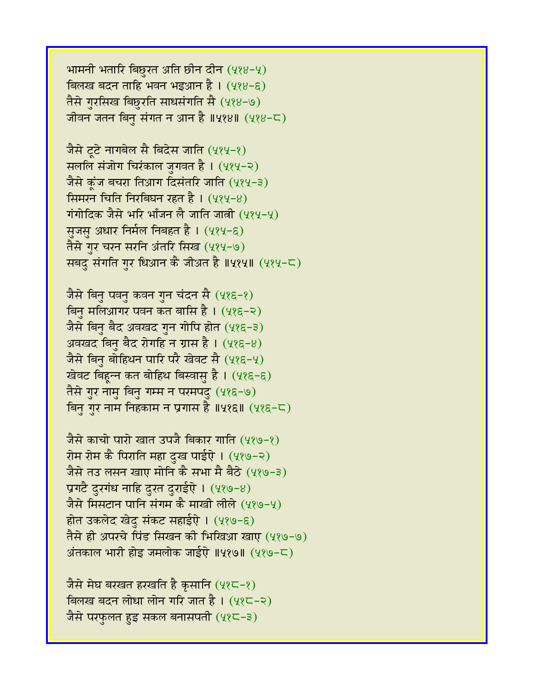भामनी भतारि बिछुरत अति छीन दीन  $(488-4)$ बिलख बदन ताहि भवन भइआन है।  $(488-6)$ तैसे गुरसिख बिछुरति साधसंगति सै (५१४-७) जीवन जतन बिनु संगत न आन है ॥५१४॥ (५१४-८)

जैसे टूटे नागबेल सै बिदेस जाति (५१५-१) सललि संजोग चिरंकाल जुगवत है। (५१५-२) जैसे कुंज बचरा तिआग दिसंतरि जाति (५१५-३) सिमरन चिति निरबिघन रहत है ।  $(484-8)$ गंगोदिक जैसे भरि भाँजन लै जाति जात्री (५१५-५) सुजसु अधार निर्मल निबहत है । (५१५-६) तैसे गुर चरन सरनि अंतरि सिख (५१५-७) सबदु संगति गुर धिआन कै जीअत है ॥५१५॥ (५१५-८)

जैसे बिनु पवनु कवन गुन चंदन सै (५१६-१) बिन मलिआगर पवन कत बासि है।  $(485-2)$ जैसे बिनु बैद अवखद गुन गोपि होत (५१६-३) अवखद बिनु बैद रोगहि न ग्रास है।  $(4,85-8)$ जैसे बिनु बोहिथन पारि परै खेवट सै (५१६-५) खेवट बिहून्न कत बोहिथ बिस्वासु है। (५१६-६) तैसे गुर नामु बिनु गम्म न परमपदु (५१६-७) बिनु गुर नाम निहकाम न प्रगास है ॥५१६॥ (५१६-८)

जैसे काचो पारो खात उपजै बिकार गाति (५१७-१) रोम रोम कै पिराति महा दख पाईऐ । (५१७-२) जैसे तउ लसन खाए मोनि कै सभा मै बैठे (५१७-३) प्रगटै दुरगंध नाहि दुरत दुराईऐ।  $(489-8)$ जैसे मिसटान पानि संगम कै माखी लीले (५१७-५) होत उकलेद खेदु संकट सहाईऐ। (५१७-६) तैसे ही अपरचे पिंड सिखन की भिखिआ खाए (५१७-७) अंतकाल भारी होड़ जमलोक जाईऐ ॥५१७॥ (५१७-८)

जैसे मेघ बरखत हरखति है कुसानि (५१८-१) विलख बदन लोधा लोन गरि जात है। (५१८-२) जैसे परफुलत हुइ सकल बनासपती  $(4,8\overline{6}-3)$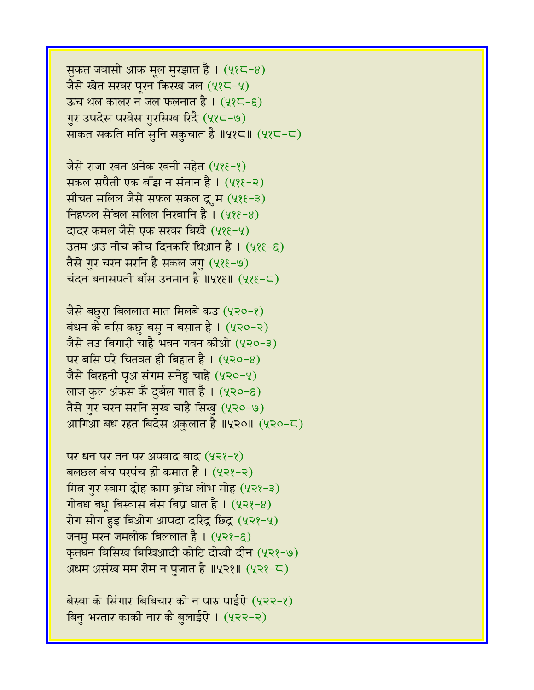सुकत जवासो आक मूल मुरझात है।  $(48<sup>2</sup>-8)$ जैसे खेत सरवर पूरन किरख जल (५१८-५) ऊच थल कालर न जल फलनात है।  $(425 - 6)$ गुर उपदेस परवेस गुरसिख रिंदै (५१८-७) साकत सकति मति सुनि सकुचात है ॥५१८॥ (५१८-८)

जैसे राजा रवत अनेक रवनी सहेत (५१६-१) सकल सपैती एक बाँझ न संतान है । (५१६-२) सीचत सलिल जैसे सफल सकल दूम (५१६-३) निहफल सेंबल सलिल निरबानि है।  $(48\varepsilon - 8)$ दादर कमल जैसे एक सखर बिखै (५१६-५) उतम अउ नीच कीच दिनकरि धिआन है । (५१६-६) तैसे गुर चरन सरनि है सकल जगु (५१६-७) चंदन बनासपती बाँस उनमान है ॥५१६॥  $(485-5)$ 

जैसे बछुरा बिललात मात मिलबे कउ (५२०-१) बंधन कै बसि कछु बसु न बसात है।  $(420-2)$ जैसे तउ बिगारी चाहै भवन गवन कीओ (५२०-३)  $n = \sqrt{2}$  पर बसि परे चितवत ही बिहात है ।  $(430-8)$ जैसे बिरहनी पृअ संगम सनेहु चाहे (५२०-५) लाज कुल अंकस कै दुर्बल गात है । (५२०-६) तैसे गुर चरन सरनि सुख चाहै सिखु (५२०-७) आगिआ बध रहत बिदेस अकुलात है ॥५२०॥ (५२०-८)

पर धन पर तन पर अपवाद बाद  $(422-2)$ बलछल बंच परपंच ही कमात है।  $(4,2)$ -२) मित्र गुर स्वाम द्रोह काम क्रोध लोभ मोह (५२१-३) गोबध बधू बिस्वास बंस बिप्र घात है।  $(4\sqrt{3}-8)$ रोग सोग हुइ बिओग आपदा दरिंद्र छिंद्र (५२१-५) जनमु मरन जमलोक बिललात है । (५२१-६) कृतघन बिसिख बिखिआदी कोटि दोखी दीन (५२१-७) अधम असंख मम रोम न पुजात है ॥५२१॥ (५२१-८)

बेस्वा के सिंगार बिबिचार को न पारु पाईऐ (५२२-१) बिन भरतार काकी नार कै बलाईऐ । (५२२-२)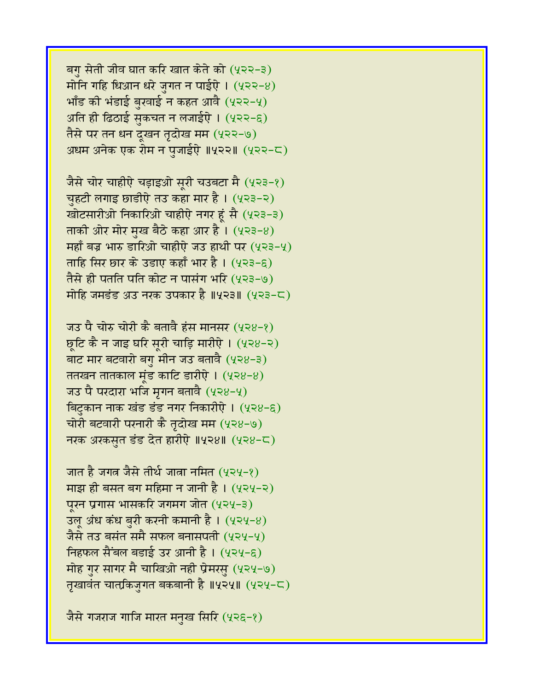बगु सेती जीव घात करि खात केते को (५२२-३) मोनि गहि धिआन धरे जुगत न पाईऐ।  $(422-8)$ भाँड की भंडाई बुखाई न कहत आवै $(4$ २२-५) अति ही ढिठाई सुकचत न लजाईऐ।  $(422-6)$ तैसे पर तन धन दूखन तृदोख मम (५२२-७) अधम अनेक एक रोम न पजाईऐ ॥५२२॥ (५२२-८)

जैसे चोर चाहीऐ चड़ाइओ सूरी चउबटा मै (५२३-१) चुहटी लगाइ छाडीऐ तउ कहा मार है। (५२३-२) खोटसारीओ निकारिओ चाहीऐ नगर हूं सै (५२३-३) ताकी ओर मोर मुख बैठे कहा आर है।  $(4 \times 3 - 8)$ महाँ बज्र भारु डारिओ चाहीऐ जउ हाथी पर  $(4,23-4)$ ताहि सिर छार के उडाए कहाँ भार है। (५२३-६) तैसे ही पतति पति कोट न पासंग भरि (५२३-७) मोहि जमडंड अउ नरक उपकार है ॥५२३॥ (५२३-८)

जउ पै चोरु चोरी कै बतावै हंस मानसर (५२४-१) छूटि कै न जाइ घरि सूरी चाड़ि मारीऐ। (५२४-२) बाट मार बटवारो बगु मीन जउ बतावै (५२४-३) ततखन तातकाल मुंड काटि डारीऐ।  $(428-8)$ जउ पै परदारा भजि मृगन बतावै (५२४-५) बिटुकान नाक खंड डंड नगर निकारीऐ । (५२४-६) चोरी बटवारी परनारी कै तृदोख मम (५२४-७) नरक अरकसत डंड देत हारीऐ ॥५२४॥ (५२४-८)

जात है जगत्न जैसे तीर्थ जात्रा नमित (५२५-१) माझ ही बसत बग महिमा न जानी है।  $(4,2,4,-2)$ परन प्रगास भासकरि जगमग जोत (५२५-३) उल् अंध कंध बुरी करनी कमानी है।  $(424-8)$ जैसे तउ बसंत समै सफल बनासपती (५२५-५) निहफल सैंबल बडाई उर आनी है।  $(424-6)$ मोह गुर सागर मै चाखिओ नही प्रेमरसु (५२५-७) तृखावंत चात्त्रिकजुगत बकबानी है ॥५२५॥ (५२५-८)

जैसे गजराज गाजि मारत मनुख सिरि (५२६-१)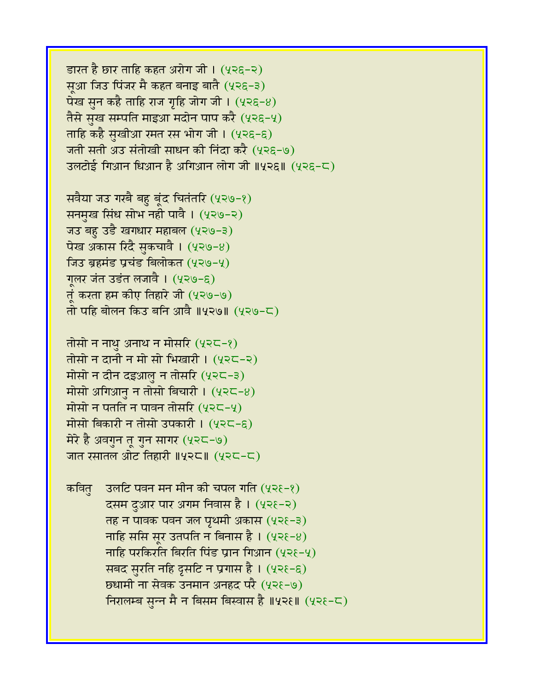$\overline{\text{SFR}}$  है छार ताहि कहत अरोग जी। (५२६-२) सुआ जिउ पिंजर मै कहत बनाइ बातै (५२६-३) पेख सुन कहै ताहि राज गृहि जोग जी।  $(4,8,8,0)$ तैसे सुख सम्पति माइआ मदोन पाप करै (५२६-५) ताहि कहै सुखीआ रमत रस भोग जी । (५२६-६) जती सती अउ संतोखी साधन की निंदा करै (५२६-७) उलटोई गिआन धिआन है अगिआन लोग जी ॥५२६॥ (५२६-८)

सवैया जउ गरबै बहु बूंद चितंतरि (५२७-१) सनमुख सिंध सोभ नही पावै । (५२७-२) जउ बहु उडै खगधार महाबल (५२७-३) पेख अकास रिंदै सुकचावै ।  $(4 \times 9 - 8)$ जिउ ब्रहमंड प्रचंड बिलोकत (५२७-५) गलर जंत उडंत लजावै । (५२७-६) तुं करता हम कीए तिहारे जी (५२७-७) तो पहि बोलन किउ बनि आवै ॥५२७॥ (५२७-८)

तोसो न नाथु अनाथ न मोसरि (५२८-१) तोसो न दानी न मो सो भिखारी ।  $(425-2)$ मोसो न दीन दइआलु न तोसरि (५२८-३) मोसो अगिआन न तोसो बिचारी ।  $(425-8)$ मोसो न पतति न पावन तोसरि (५२८-५) मोसो बिकारी न तोसो उपकारी । (५२८-६) मेरे है अवगुन तू गुन सागर (५२८-७) जात रसातल ओट तिहारी  $\parallel$ पूरद $\parallel$  (पूरद-द)

कवित  $\overline{\phantom{a}}$  उलटि पवन मन मीन की चपल गति (५२१-१) दसम दुआर पार अगम निवास है। (५२६-२)  $\overline{q}$  तह न पावक पवन जल पृथमी अकास (५२१-३) नाहि ससि सूर उतपति न बिनास है ।  $(4\epsilon - 8)$ नाहि परकिरति बिरति पिंड प्रान गिआन  $(42\epsilon - 4)$ सबद सुरति नहि दृसटि न प्रगास है। (५२१-६) छधामी ना सेवक उनमान अनहद परै (५२१-७) निरालम्ब सुन्न मै न बिसम बिस्वास है ॥५२१॥ (५२१-८)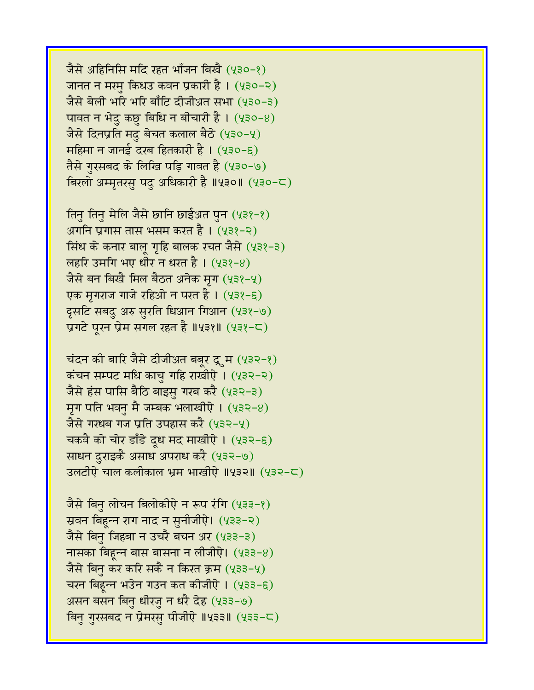जैसे अहिनिसि मंदि रहत भाँजन बिखै (५३०-१) जानत न मरम किधउ कवन प्रकारी है । (५३०-२) जैसे बेली भरि भरि बाँटि दीजीअ़त सभा (५३०-३) पावत न भेदु कछु बिधि न बीचारी है।  $(430-8)$ जैसे दिनप्रति मदु बेचत कलाल बैठे (५३०-५)  $\overline{\text{H}}$ हिमा न जानई दरब हितकारी है। (५३०-६) तैसे गुरसबद के लिखि पड़ि गावत है (५३०-७) विरलो अम्मृतरसु पदु अधिकारी है ॥५३०॥ (५३०-८)

तिनु तिनु मेलि जैसे छानि छाईअत पुन (५३१-१) अगनि प्रगास तास भसम करत है । (५३१-२) सिंध के कनार बालू गृहि बालक रचत जैसे (५३१-३) लहरि उमगि भए धीर न धरत है ।  $(438-8)$ जैसे बन बिखै मिल बैठत अनेक मृग (५३१-५) एक मृगराज गाजे रहिओ न परत है । (५३१-६) दूसटि सबदु अरु सुरति धिआन गिआन (५३१-७) प्रगटे पूरन प्रेम सगल रहत है ॥५३१॥ (५३१-८)

चंदन की बारि जैसे दीजीअत बबूर द्र्म (५३२-१) कंचन सम्पट मधि काचु गहि राखीऐ।  $(432-2)$ जैसे हंस पासि बैठि बाइसु गरब करै (५३२-३) मृग पति भवनु मै जम्बक भलाखीऐ ।  $(432-8)$ जैसे गरधब गज प्रति उपहास करै (५३२-५) चकवै को चोर डाँडे दूध मद माखीऐ । (५३२-६) साधन दुराइकै असाध अपराध करै (५३२-७) उलटीऐ चाल कलीकाल भ्रम भाखीऐ ॥५३२॥ (५३२-८)

जैसे बिनु लोचन बिलोकीऐ न रूप रंगि (५३३-१) स्रवन बिहुन्न राग नाद न सुनीजीऐ। (५३३-२) जैसे बिनु जिहबा न उचरै बचन अर (५३३-३) नासका बिहन्न बास बासना न लीजीऐ।  $(433-8)$ जैसे बिनु कर करि सकै न किरत क्रम (५३३-५) चरन बिहून्न भउेन गउन कत कीजीऐ । (५३३-६) असन बसन बिनु धीरजु न धरै देह (५३३-७) बिनु गुरसबद न प्रेमरसु पीजीऐ ॥५३३॥ (५३३-८)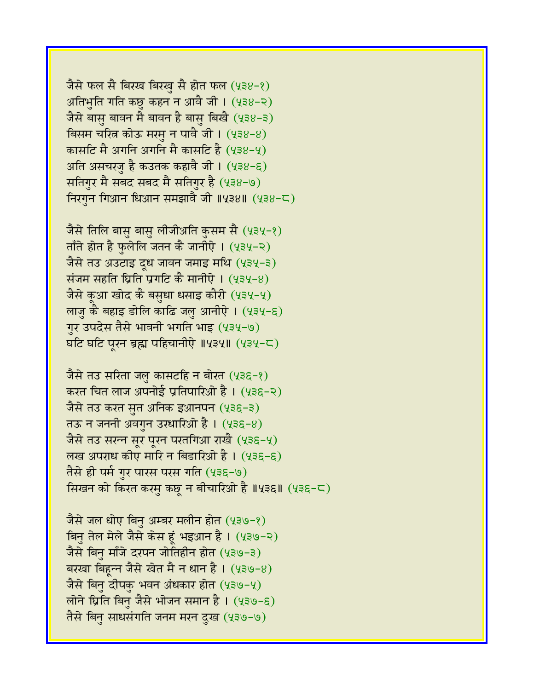जैसे फल सै बिरख बिरखु सै होत फल (५३४-१) अतिभुति गति कछु कहन न आवै जी।  $(438-2)$ जैसे बासु बावन मै बावन है बासु बिखै (५३४-३) बिसम चरित्न कोऊ मरमु न पावै जी।  $(438-8)$ कासटि मै अगनि अगनि मै कासटि है (५३४-५) अति असचरजु है कउतक कहावै जी।  $(438-6)$ सतिगुर मै सबद सबद मै सतिगुर है (५३४-७) त्तिरगुन गिआन धिआन समझावै जी ॥५३४॥ (५३४-८)

जैसे तिलि बासु बासु लीजीअति कुसम सै (५३५-१) ताँते होत है फुलेलि जतन कै जानीऐ।  $(434-2)$ जैसे तउ अउटाइ दूध जावन जमाइ मथि (५३५-३) संजम सहति घ्रिति प्रगटि कै मानीऐ ।  $(434-8)$ जैसे कूआ खोद कै बसुधा धसाइ कौरी (५३५-५) लाजु कै बहाइ डोलि काढि जलु आनीऐ । (५३५-६) गुर उपदेस तैसे भावनी भगति भाइ (५३५-७) घटि घटि पुरन ब्रह्म पहिचानीऐ ॥५३५॥ (५३५-८)

जैसे तउ सरिता जल कासटहि न बोरत (५३६-१) करत चित लाज अपनोई प्रतिपारिओ है । (५३६-२) जैसे तउ करत सुत अनिक इआनपन (५३६-३) तऊ न जननी अवगुन उरधारिओ है । (५३६-४) जैसे तउ सरन्न सूर पूरन परतगिआ राखै (५३६-५) लख अपराध कीए मारि न बिडारिओ है।  $(435-6)$ तैसे ही पर्म गुर पारस परस गति (५३६-७) सिखन को किरत करमु कछु न बीचारिओ है ॥५३६॥ (५३६-८)

जैसे जल धोए बिनु अम्बर मलीन होत (५३७-१) विनु तेल मेले जैसे केस हूं भइआन है। (५३७-२) जैसे बिनु माँजे दरपन जोतिहीन होत (५३७-३) बरखा बिहुन्न जैसे खेत मै न धान है।  $(439-8)$ जैसे बिनु दीपकु भवन अंधकार होत (५३७-५) लोने ध्रिति बिनु जैसे भोजन समान है। (५३७-६) तैसे बिन साधसंगति जनम मरन दुख (५३७-७)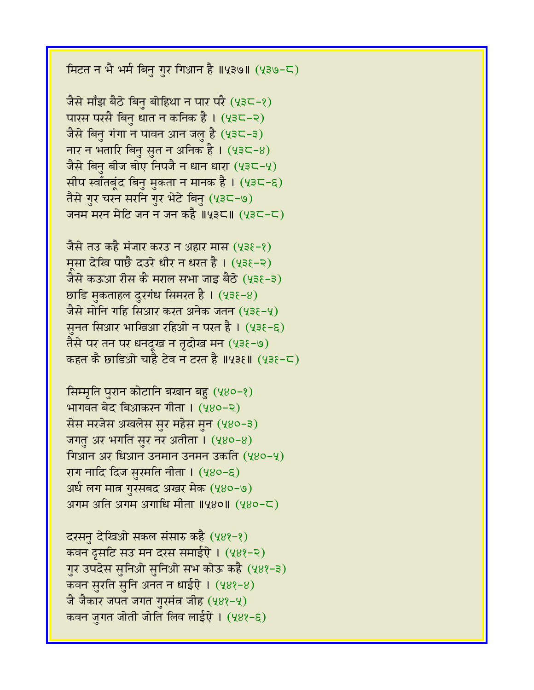मिटत न भै भर्म बिनु गुर गिआन है ॥५३७॥ (५३७-८)

जैसे माँझ बैठे बिनु बोहिथा न पार परै (५३८-१) पारस परसै बिनु धात न कनिक है। (५३८-२) जैसे बिनु गंगा न पावन आन जलु है (५३८-३) नार न भतारि बिनु सुत न अनिक है।  $(435-8)$ जैसे बिनु बीज बोए निपजै न धान धारा  $(232-2)$ सीप स्वाँतबूंद बिनु मुकता न मानक है । (५३८-६) तैसे गुर चरन सरनि गुर भेटे बिनु (५३८-७) जनम मरन मेटि जन न जन कहै ॥५३८॥ (५३८-८)

जैसे तउ कहै मंजार करउ न अहार मास (५३६-१) मसा देखि पार्छै दउरे धीर न धरत है। (५३६-२) जैसे कऊआ रीस कै मराल सभा जाइ बैठे (५३६-३) छाडि मुकताहल दुरगंध सिमरत है।  $(438-8)$ जैसे मोनि गहि सिआर करत अनेक जतन (५३६-५) सूनत सिआर भाखिआ रहिओ न परत है।  $(43\xi - \xi)$ तैसे पर तन पर धनदुख न तृदोख मन (५३६-७) कहत कै छाडिओ चाहै टेव न टरत है ॥५३६॥ (५३६-८)

सिम्मृति पुरान कोटानि बखान बहु (५४०-१) भागवत बेद बिआकरन गीता । (५४०-२) सेस मरजेस अखलेस सुर महेस मुन (५४०-३) जगतु अर भगति सुर नर अतीता । (५४०-४) गिआन अर धिआन उनमान उनमन उकति (५४०-५) राग नादि दिज सुरमति नीता । (५४०-६) अर्ध लग मात्र गुरसबद अखर मेक (५४०-७) 3ागम अति अगम अगाधि मीता ॥५४०॥ (५४०-८)

दरसनु देखिओ सकल संसारु कहै (५४१-१) कवन द्रसटि सउ मन दरस समाईऐ। (५४१-२) गुर उपदेस सुनिओ सुनिओ सभ कोऊ कहै (५४१-३) कवन सुरति सुनि अनत न धाईऐ। (५४१-४) जै जैकार जपत जगत गुरमंत्र जीह (५४१-५) कवन जगत जोती जोति लिव लाईऐ । (५४१-६)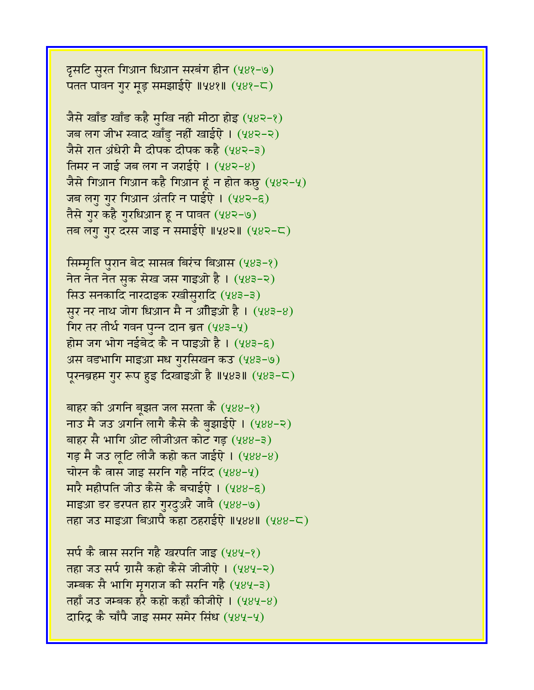दूसटि सुरत गिआन धिआन सरबंग हीन (५४१-७) पतत पावन गुर मुड़ समझाईऐ ॥५४१॥ (५४१-८)

जैसे खाँड खाँड कहै मुखि नही मीठा होइ (५४२-१) जब लग जीभ स्वाद खाँडु नहीं खाईऐ। (५४२-२) जैसे रात अंधेरी मै दीपक दीपक कहै (५४२-३) तिमर न जाई जब लग न जराईऐ ।  $(482-8)$ जैसे गिआन गिआन कहै गिआन हूं न होत कछु (५४२-५) जब लगु गुर गिआन अंतरि न पाईऐ । (५४२-६) तैसे गुर कहै गुरधिआन हू न पावत (५४२-७) तब लगु गुर दरस जाइ न समाईऐ ॥५४२॥ (५४२-८)

सिम्मृति पुरान बेद सासत्र बिरंच बिआस (५४३-१) नेत नेत नेत सुक सेख जस गाइओ है। (५४३-२) सिउ सनकादि नारदाइक रखीसुरादि (५४३-३) सूर नर नाथ जोग धिआन मै न आँडिओ है।  $(483-8)$ गिर तर तीर्थ गवन पुन्न दान ब्रत (५४३-५) होम जग भोग नईबेद कै न पाइओ है। (५४३-६) अस वडभागि माइआ मध गुरसिखन कउ (५४३-७) पुरनब्रहम गुर रूप हुइ दिखाइओ है ॥५४३॥ (५४३-८)

बाहर की अगनि बूझत जल सरता कै  $(488-2)$ नाउ मै जउ अगनि लागै कैसे कै बुझाईऐ । (५४४-२) बाहर सै भागि ओट लीजीअत कोट गड़ (५४४-३) गड़ मै जउ लृटि लीजै कहो कत जाईऐ।  $(488-8)$ चोरन कै तास जाइ सरनि गहै नरिंद (५४४-५) मारै महीपति जीउ कैसे कै बचाईऐ। (५४४-६) माइआ डर डरपत हार गुरदुअरै जावै (५४४-७) तहा जउ माइआ बिआपै कहा ठहराईऐ ॥५४४॥ (५४४-८)

सर्प कै वास सरनि गहै खरपति जाइ (५४५-१) तहा जउ सर्प ग्रासै कहो कैसे जीजीऐ । (५४५-२) जम्बक सै भागि मृगराज की सरनि गहै (५४५-३) तहाँ जउ जम्बक हरै कहो कहाँ कीजीऐ ।  $(484-8)$ दारिंदू कै चाँपै जाइ समर समेर सिंध (५४५-५)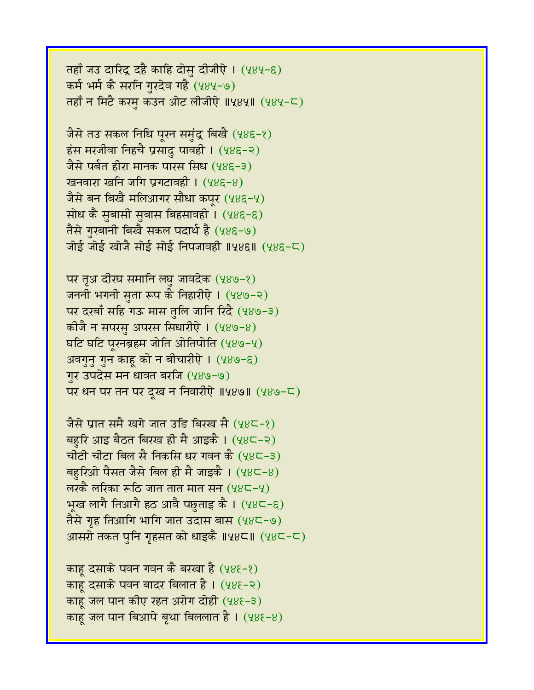तहाँ जउ दारिद्र दहै काहि दोसु दीजीऐ। (५४५-६) कर्म भर्म कै सरनि गुरदेव गहै (५४५-७) तहाँ न मिटै करम कउन ओट लीजीऐ ॥५४५॥ (५४५-८)

जैसे तउ सकल निधि पूरन समुंद्र बिखै (५४६-१)  $5x$ संस मरजीवा निहचै प्रसादु पावही । (५४६-२) जैसे पर्बत हीरा मानक पारस सिध (५४६-३) खनवारा खनि जगि प्रगटावही । (५४६-४) जैसे बन बिखै मलिआगर सौधा कपूर  $(48\epsilon - 4)$ सोध कै सुबासी सुबास बिहसावही । (५४६-६) तैसे गुरबानी बिखै सकल पदार्थ है (५४६-७) जोई जोई खोजै सोई सोई निपजावही ॥५४६॥  $(485-5)$ 

पर तृअ दीरघ समानि लघु जावदेक (५४७-१) जननी भगनी सुता रूप कै निहारीऐ । (५४७-२) पर दरबाँ सहि गऊ मास तुलि जानि रिंदै (५४७-३) कीजै न सपरसु अपरस सिधारीऐ । (५४७-४) घटि घटि पूरनब्रहम जोति ओतिपोति (५४७-५) अवगुनु गुन काहू को न बीचारीऐ। (५४७-६) गुर उपदेस मन धावत बरजि (५४७-७) पर धन पर तन पर दूख न निवारीऐ ॥५४७॥ (५४७-८)

जैसे प्रात समै खगे जात उडि बिरख सै (५४८-१) बहरि आइ बैठत बिरख ही मै आइकै । (५४८-२) चीटी चीटा बिल सै निकसि धर गवन कै (५४८-३) बहुरिओ पैसत जैसे बिल ही मै जाइकै ।  $(48C-8)$ लरकै लरिका रूठि जात तात मात सन  $(48C - 4)$ भूख लागै तिआगै हठ आवै पछुताइ कै । (५४८-६) तैसे गृह तिआगि भागि जात उदास बास  $(48\zeta - 9)$ आसरो तकत पुनि गृहसत को धाइकै ॥५४८॥ (५४८-८)

काह दसाके पवन गवन कै बरखा है  $(48\xi - \xi)$ काहू दसाके पवन बादर बिलात है। (५४६-२) काहू जल पान कीए रहत अरोग दोही (५४६-३) काह जल पान बिआपे बृथा बिललात है।  $(48\xi - 8)$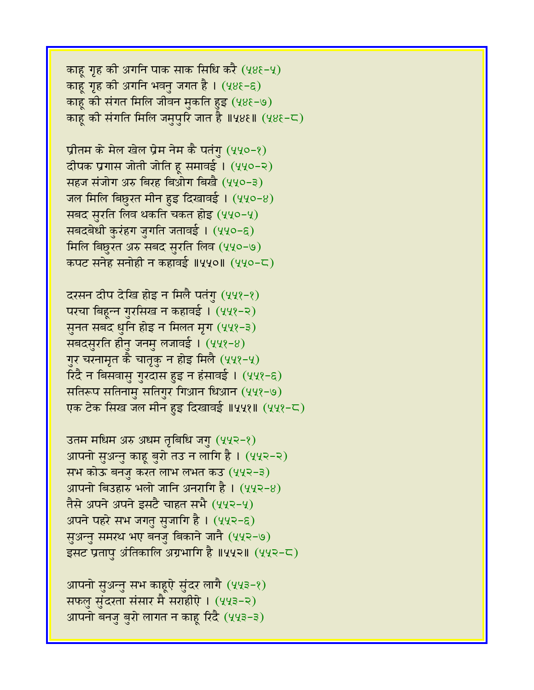काहू गृह की अगनि पाक साक सिधि करै (५४६-५) काहू गृह की अगनि भवनु जगत है । (५४६-६) काह की संगत मिलि जीवन मुकति हुइ (५४६-७) काहू की संगति मिलि जमुपुरि जात है ॥५४६॥ (५४६-८)

प्रीतम के मेल खेल प्रेम नेम कै पतंगु (५५०-१) दीपक प्रगास जोती जोति हू समावई । (५५०-२) सहज संजोग अरु बिरह बिओग बिखै (५५०-३) जल मिलि बिछुरत मीन हुइ दिखावई ।  $(440-8)$ सबद सुरति लिव थकति चकत होइ (५५०-५) सबदबेधी कुरंहग जुगति जतावई । (५५०-६) मिलि बिछुरत अरु सबद सुरति लिव (५५०-७) कपट सनेह सनोही न कहावई ॥५५०॥ (५५०-८)

दरसन दीप देखि होइ न मिलै पतंगु (५५१-१) परचा बिहून्न गुरसिख न कहावई । (५५१-२) सुनत सबद धुनि होइ न मिलत मृग (५५१-३) सबदसुरति हीनु जनमु लजावई। (५५१-४) गुर चरनामृत कै चातृकु न होइ मिलै (५५१-५) रिंदै न बिसवासु गुरदास हुइ न हंसावई । (५५१-६) सतिरूप सतिनामु सतिगुर गिआन धिआन (५५१-७) एक टेक सिख जल मीन हुइ दिखावई ॥५५१॥ (५५१-८)

उतम मधिम अरु अधम तृबिधि जगु (५५२-१) आपनो सुअन्नु काहू बुरो तउ न लागि है । (५५२-२) सभ कोऊ बनजु करत लाभ लभत कउ (५५२-३) आपनो बिउहारु भलो जानि अनरागि है ।  $(442-8)$ तैसे अपने अपने इसटै चाहत सभै (५५२-५) अपने पहरे सभ जगतु सुजागि है । (५५२-६) सुअन्नु समरथ भए बनजु बिकाने जानै (५५२-७) इसट प्रतापु अंतिकालि अग्रभागि है ॥५५२॥ (५५२-८)

आपनो सुअन्नु सभ काहूऐ सुंदर लागै (५५३-१) सफलु सुंदरता संसार मै सराहीऐ । (५५३-२) आपनो बनजु बुरो लागत न काहू रिंदै (५५३-३)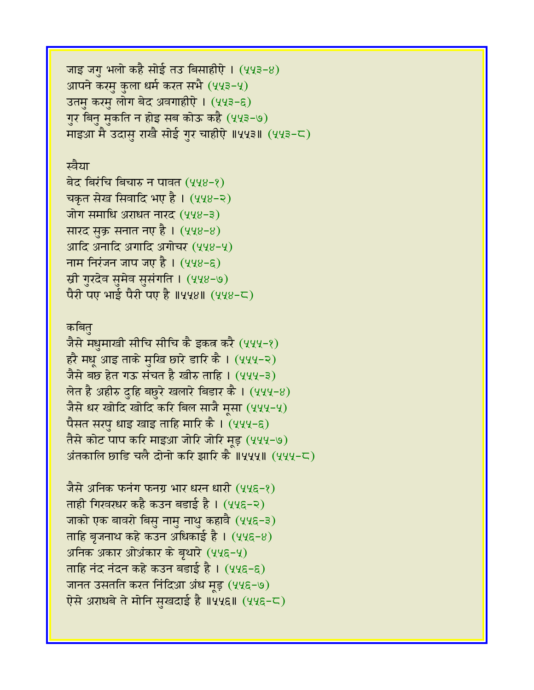```
जाइ जगु भलो कहै सोई तउ बिसाहीऐ। (443-8)आपने करमु कुला धर्म करत सभै (५५३-५)
उतमु करमु लोग बेद अवगाहीऐ । (५५३-६)
गुर बिनु मुकति न होइ सब कोऊ कहै (५५३-७)
माइआ मै उदास राखै सोई गुर चाहीऐ ॥५५३॥ (५५३-८)
```
## स्वैया

बेद बिरंचि बिचारु न पावत (५५४-१) चकृत सेख सिवादि भए है। (५५४-२) जोग समाधि अराधत नारद (५५४-३) सारद सुक्र सनात नए है। (५५४-४) आदि अनादि अगादि अगोचर (५५४-५) नाम निरंजन जाप जए है।  $(448-6)$ स्री गुरदेव सुमेव सुसंगति । (५५४-७) पैरी पए भाई पैरी पए है ॥५५४॥ (५५४-८)

## कबित

जैसे मधुमाखी सीचि सीचि कै इकत्र करै (५५५-१) हरै मधू आइ ताके मुखि छारे डारि कै । (५५५-२) जैसे बछ हेत गऊ संचत है खीरु ताहि । (५५५-३) लेत है अहीरु दुहि बछुरे खलारे बिडार कै ।  $(444-8)$ जैसे धर खोदि खोदि करि बिल साजै मूसा (५५५-५) पैसत सरपु धाइ खाइ ताहि मारि कै । (५५५-६) तैसे कोट पाप करि माइआ जोरि जोरि मड़ (५५५-७) अंतकालि छाडि चलै दोनो करि झारि कै ॥५५५॥ (५५५-८)

जैसे अनिक फनंग फनग्र भार धरन धारी (५५६-१) ताही गिरवरधर कहै कउन बड़ाई है। (५५६-२) जाको एक बावरो बिसु नामु नाथु कहावै (५५६-३) ताहि बृजनाथ कहे कउन अधिकाई है ।  $(44\epsilon$ –8) अनिक अकार ओअंकार के बृथारे (५५६-५) ताहि नंद नंदन कहे कउन बडाई है । (५५६-६) जानत उसतति करत निंदिआ अंध मूड़ (५५६-७) ऐसे अराधबे ते मोनि सुखदाई है ॥५५६॥ (५५६-८)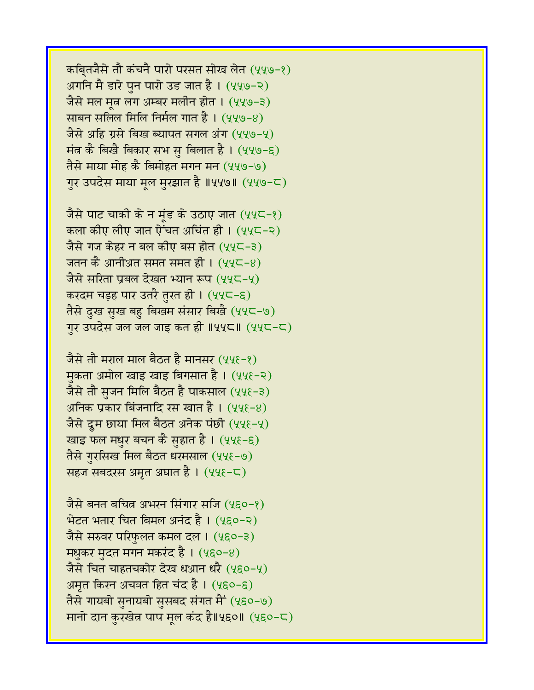कबि्तजैसे तौ कंचनै पारो परसत सोख लेत (५५७-१) अगनि मै डारे पुन पारो उड जात है। (५५७-२) जैसे मल मत्न लग अम्बर मलीन होत । (५५७-३) साबन सलिल मिलि निर्मल गात है। (५५७-४) जैसे अहि ग्रसे बिख ब्यापत सगल अंग (५५७-५) मंत्र कै बिखै बिकार सभ सु बिलात है। (५५७-६) तैसे माया मोह कै बिमोहत मगन मन (५५७-७) गुर उपदेस माया मूल मुरझात है ॥५५७॥ (५५७-८)

जैसे पाट चाकी के न मंड के उठाए जात (५५८-१) कला कीए लीए जात ऐंचत अचिंत ही । (५५८-२) जैसे गज केहर न बल कीए बस होत (५५८-३) जतन कै आनीअत समत समत ही ।  $(44\zeta - 8)$ जैसे सरिता प्रबल देखत भ्यान रूप (५५८-५) करदम चड़ह पार उतरै तुरत ही । (५५८-६) तैसे दुख सुख बहु बिखम संसार बिखै (५५८-७) गुर उपदेस जल जल जाइ कत ही ॥५५८॥  $(44C - C)$ 

जैसे तौ मराल माल बैठत है मानसर (५५६-१) मकता अमोल खाइ खाइ बिगसात है। (५५६-२) जैसे तौ स़जन मिलि बैठत है पाकसाल (५५१-३) अनिक प्रकार बिंजनादि रस खात है।  $(44\xi - 8)$ जैसे दूम छाया मिल बैठत अनेक पंछी (५५६-५) खाइ फल मधुर बचन कै सुहात है । (५५६-६) तैसे गुरसिख मिल बैठत धरमसाल (५५६-७) सहज सबदरस अमृत अघात है । (५५६-८)

जैसे बनत बचित्र अभरन सिंगार सजि (५६०-१)  $\hat{B}$ टत भतार चित बिमल अनंद है। (५६०-२) जैसे सरुवर परिफुलत कमल दल । (५६०-३) मधुकर मुदत मगन मकरंद है।  $(480-8)$ जैसे चित चाहतचकोर देख धआन धरै (५६०-५) अमृत किरन अचवत हित चंद है। (५६०-६) तैसे गायबो सुनायबो सुसबद संगत मैं (५६०-७) मानो दान कुरखेत्र पाप मूल कंद है॥५६०॥ (५६०-८)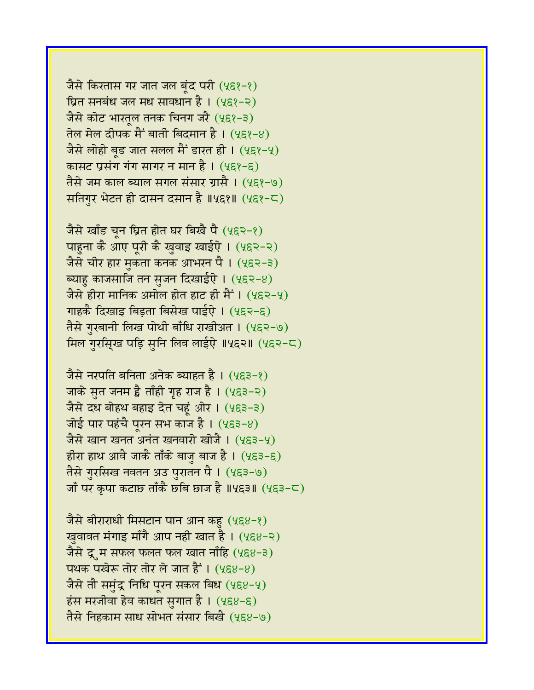जैसे किरतास गर जात जल बूंद परी (५६१-१) घ्रित सनबंध जल मध सावधान है।  $(458-2)$ जैसे कोट भारतूल तनक चिनग जरै (५६१-३) तेल मेल दीपक मैं<sup>•</sup> बाती बिदमान है। (५६१-४) जैसे लोहो बृड जात सलल मैं डारत ही ।  $(4\xi^2-\xi)$ कासट प्रसंग गंग सागर न मान है।  $(4\xi)^{-\xi}$ तैसे जम काल ब्याल संगल संसार ग्रासै । (५६१-७) सतिगुर भेटत ही दासन दसान है ॥५६१॥ (५६१-८)

जैसे खाँड चून घ्रित होत घर बिखै पै (५६२-१) पाहुना कै आए पूरी कै खुवाइ खाईऐ। (५६२-२) जैसे चीर हार मुकता कनक आभरन पै । (५६२-३) ब्याह काजसाजि तन सुजन दिखाईऐ। (५६२-४) जैसे हीरा मानिक अमोल होत हाट ही मैं । (५६२-५) गाहकै दिखाइ बिड़ता बिसेख पाईऐ । (५६२-६) तैसे गुरबानी लिख पोथी बाँधि राखीअत । (५६२-७) मिल गुरसि्ख पड़ि सुनि लिव लाईऐ ॥५६२॥ (५६२-८)

जैसे नरपति बनिता अनेक ब्याहत है। (५६३-१) जाके सुत जनम है ताँही गृह राज है। (५६३-२) जैसे दध बोहथ बहाइ देत चहूं ओर । (५६३-३) जोई पार पहंचै पूरन सभ काज है।  $(453-8)$ जैसे खान खनत अनंत खनवारो खोजै । (५६३-५) हीरा हाथ आवै जाकै ताँके बाजु बाज है। (५६३-६) तैसे गुरसिख नवतन अउ पुरातन पै । (५६३-७) जाँ पर कृपा कटाछ ताँकै छबि छाज है ॥५६३॥ (५६३-८)

जैसे बीराराधी मिसटान पान आन कहु (५६४-१) खुवावत मंगाइ माँगै आप नही खात है। (५६४-२) जैसे द्रूम सफल फलत फल खात नाँहि (५६४-३) पथक पखेरू तोर तोर ले जात हैं। (५६४-४) जैसे तौ समुंद्र निधि पूरन सकल बिध  $(488-4)$ हंस मरजीवा हेव काधत सुगात है।  $(488-6)$ तैसे निहकाम साध सोभत संसार बिखै (५६४-७)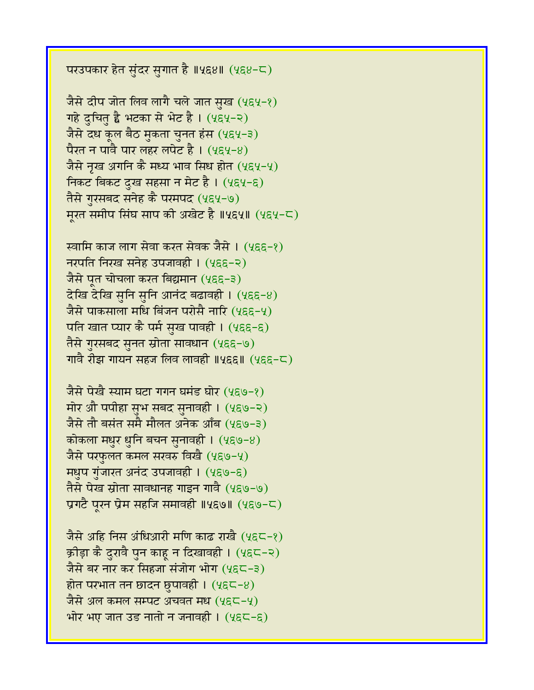परउपकार हेत सुंदर सुगात है ॥५६४॥ (५६४-८)

जैसे दीप जोत लिव लागै चले जात सुख (५६५-१) गहे दुचितु है भटका से भेट है। (५६५-२) जैसे दध कूल बैठ मुकता चुनत हंस (५६५-३) पैरत न पावै पार लहर लपेट है। (५९५-४) जैसे नृख अगनि कै मध्य भाव सिध होत  $(4\xi4-\xi)$ निकट बिकट दुख सहसा न मेट है। (५६५-६) तैसे गुरसबद सनेह कै परमपद (५६५-७) मुरत समीप सिंघ साप की अखेट है ॥५६५॥ (५६५-८)

स्वामि काज लाग सेवा करत सेवक जैसे । (५६६-१) नरपति निरख सनेह उपजावही । (५६६-२) जैसे पत चोचला करत बिद्यमान (५६६-३)  $\overline{\mathcal{C}}$ खि देखि सुनि सुनि आनंद बढावही । (५६६-४) जैसे पाकसाला मधि बिंजन परोसै नारि (५६६-५) पति खात प्यार कै पर्म सुख पावही। (५६६-६) तैसे गुरसबद सुनत स्रोता सावधान (५६६-७) गावै रीझ गायन सहज लिव लावही ॥५६६॥  $(4\xi \xi - \zeta)$ 

जैसे पेखै स्याम घटा गगन घमंड घोर (५६७-१) मोर औ पपीहा सुभ सबद सुनावही । (५६७-२) जैसे तौ बसंत समै मौलत अनेक आँब (५९७-३) कोकला मधुर धुनि बचन सुनावही ।  $(4\xi \Theta - 8)$ जैसे परफुलत कमल सरवरु विखै (५६७-५) **मधुप गुंजारत अनंद उपजावही । (५६७-६)** तैसे पेख स्रोता सावधानह गाइन गावै (५६७-७) प्रगटै पुरन प्रेम सहजि समावही ॥५६७॥ (५६७-८)

जैसे अहि निस अंधिआरी मणि काढ राखै (५६८-१) क्रीड़ा कै दुरावै पुन काहू न दिखावही । (५६८-२) जैसे बर नार कर सिंहजा संजोग भोग (५६८-३) होत परभात तन छादन छुपावही ।  $(4 \epsilon\zeta - 8)$ जैसे अल कमल सम्पट अचवत मध $(4$ ह $\subset$ -4) भोर भए जात उड नातो न जनावही ।  $(4\xi\zeta-\xi)$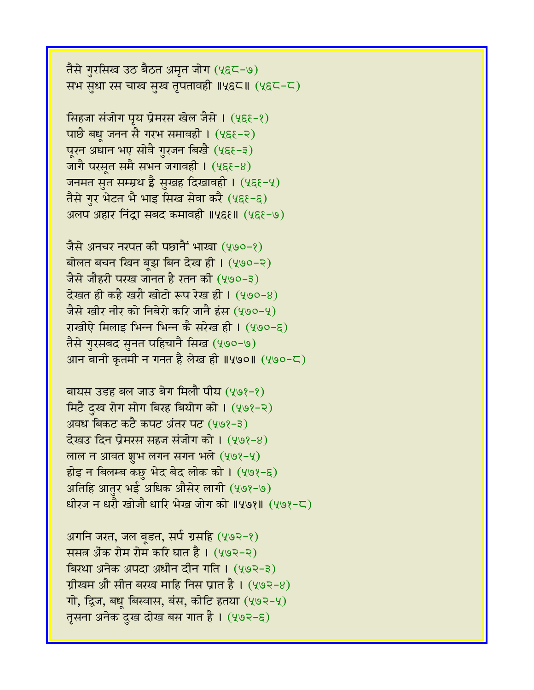तैसे गुरसिख उठ बैठत अमृत जोग (५६८-७) सभ सुधा रस चाख सुख तृपतावही ॥५६८॥ (५६८-८)

सिंहजा संजोग पृय प्रेमरस खेल जैसे । (५६६-१) पाछै बधू जनन सै गरभ समावही ।  $(4\xi - \xi)$ पूरन अधान भए सोवै गुरजन बिखै (५६६-३) जागै परसृत समै सभन जगावही ।  $(4\xi\xi-8)$ जनमत सुत सम्म्रथ है सुखह दिखावही । (५६६-५) तैसे गुर भेटत भै भाइ सिख सेवा करै (५६१-६) अलप अहार निंद्रा सबद कमावही ॥५६६॥ (५६६-७)

जैसे अनचर नरपत की पछानैं भाखा (५७०-१) बोलत बचन खिन बूझ बिन देख ही। (५७०-२) जैसे जौहरी परख जानत है रतन की (५७०-३) देखत ही कहै खरौ खोटो रूप रेख ही। (५७०-४) जैसे खीर नीर को निबेरो करि जानै हंस (५७०-५) राखीऐ मिलाइ भिन्न भिन्न कै सरेख ही। (५७०-६) तैसे गुरसबद सुनत पहिचानै सिख (५७०-७) आन बानी कृतमी न गनत है लेख ही ॥५७०॥  $(490 - 5)$ 

बायस उडह बल जाउ बेग मिलौ पीय (५७१-१) मिटै दुख रोग सोग बिरह बियोग को । (५७१-२) अवध बिकट कटै कपट अंतर पट (५७१-३)  $\overline{c}$ खउ दिन प्रेमरस सहज संजोग को । (५७१-४) लाल न आवत शुभ लगन सगन भले  $(408-4)$ होइ न बिलम्ब कछु भेद बेद लोक को ।  $(408-6)$ अतिहि आतर भई अधिक औसेर लागी (५७१-७) धीरज न धरौ खोजौ धारि भेख जोग को ॥५७१॥ (५७१-८)

अगनि जरत, जल बूडत, सर्प ग्रसहि (५७२-१) ससत अैंक रोम रोम करि घात है। (५७२-२) बिरथा अनेक अपदा अधीन दीन गति । (५७२-३) ग्रीखम औ सीत बरख माहि निस प्रात है।  $(403-8)$ गो, द्विज, बधू बिस्वास, बंस, कोटि हतया (५७२-५) तृसना अनेक दुख दोख बस गात है । (५७२-६)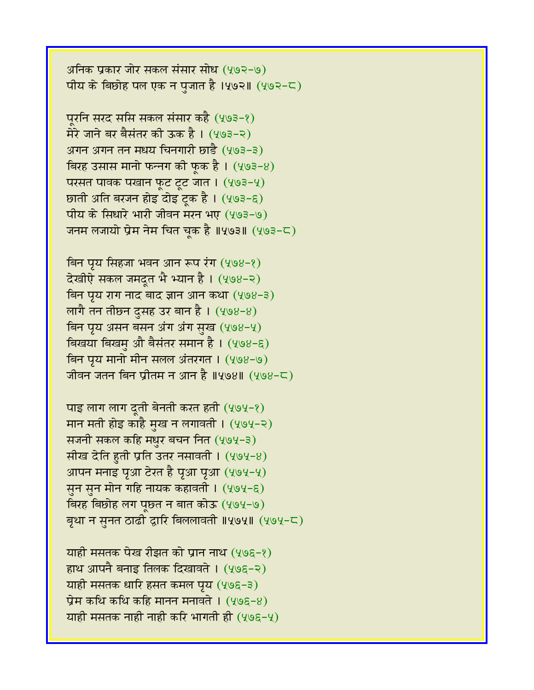अनिक प्रकार जोर सकल संसार सोध (५७२-७) पीय के बिछोह पल एक न पुजात है ।५७२॥  $(493-5)$ 

पूरनि सरद ससि सकल संसार कहै (५७३-१) मेरे जाने बर बैसंतर की ऊक है। (५७३-२) अगन अगन तन मधय चिनगारी छाडै (५७३-३) बिरह उसास मानो फन्नग की फूक है।  $(403-8)$ परसत पावक पखान फूट टूट जात । (५७३-५) छाती अति बरजन होइ दोइ ट्रक है। (५७३-६) पीय के सिधारे भारी जीवन मरन भए (५७३-७) जनम लजायो प्रेम नेम चित चूक है ॥५७३॥ (५७३-८)

बिन पृय सिंहजा भवन आन रूप रंग (५७४-१) देखीऐ सकल जमदूत भै भ्यान है। (५७४-२)  $\overline{a}$ न पृय राग नाद बाद ज्ञान आन कथा (५७४-३) लागै तन तीछ्न दुसह उर बान है ।  $(408-8)$ बिन पृय असन बसन अंग अंग सुख (५७४-५) बिखया बिखमु औे बैसंतर समान है । (५७४-६) बिन पृय मानो मीन सलल अंतरगत । (५७४-७) जीवन जतन बिन प्रीतम न आन है ॥५७४॥  $(498 - 5)$ 

पाइ लाग लाग दूती बेनती करत हती  $(404-2)$ मान मती होइ काहै मुख न लगावती । (५७५-२) सजनी सकल कहि मधुर बचन नित (५७५-३) सीख देति हुती प्रति उतर नसावती ।  $(4.94-8)$ आपन मनाइ पृआ टेरत है पृआ पृआ (५७५-५) सुन सुन मोन गहि नायक कहावती । (५७५-६) विरह बिछोह लग पूछत न बात कोऊ (५७५-७) बृथा न सुनत ठाढी द्वारि बिललावती ॥५७५॥ (५७५-८)

याही मसतक पेख रीझत को प्रान नाथ (५७९-१) हाथ आपनै बनाइ तिलक दिखावते । (५७६-२) याही मसतक धारि हसत कमल पूर्य (५७६-३) प्रेम कथि कथि कहि मानन मनावते ।  $(y \circ g - 8)$ याही मसतक नाही नाही करि भागती ही  $(y \circ g - y)$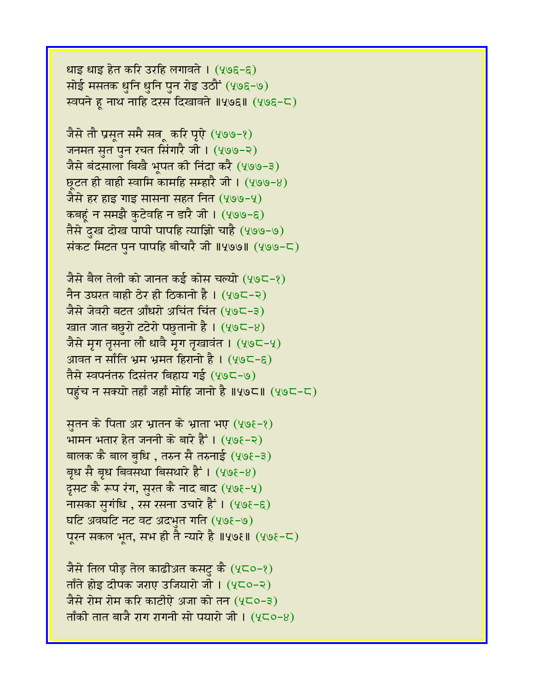धाइ धाइ हेत करि उरहि लगावते । (५७६-६) सोई मसतक धुनि धुनि पुन रोइ उठौं (५७६-७) रवपने हू नाथ नाहि दरस दिखावते ॥५७६॥ (५७६-८)

जैसे तौ प्रसूत समै सत्रू करि पूऐ (५७७-१) जनमत सृत पुन रचत सिंगारै जी । (५७७-२) जैसे बंदसाला बिखै भूपत की निंदा करै (५७७-३)  $527$  ही वाही स्वामि कामहि सम्हारै जी। (५७७-४) जैसे हर हाइ गाइ सासना सहत नित (५७७-५) कबहुं न समझै कुटेवहि न डारै जी। (५७७-६) तैसे दुख दोख पापी पापहि त्याज्ञिो चाहै (५७७-७) संकट मिटत पुन पापहि बीचारै जी ॥५७७॥ (५७७-८)

जैसे बैल तेली को जानत कई कोस चल्यो (५७८-१) नैन उघरत वाही ठेर ही ठिकानो है।  $(495-2)$ जैसे जेवरी बटत आँधरो अचिंत चिंत (५७८-३) खात जात बछुरो टटेरो पछुतानो है।  $(49C-8)$ जैसे मृग तृसना लौ धावै मृग तृखावंत । (५७८-५) आवत न साँति भ्रम भ्रमत हिरानो है । (५७८-९) तैसे स्वपनंतरु दिसंतर बिहाय गई (५७८-७) पहंच न सक्यो तहाँ जहाँ मोहि जानो है ॥५७८॥ (५७८-८)

सुतन के पिता अर भ्रातन के भ्राता भए  $(40\epsilon - 8)$ भामन भतार हेत जननी के बारे हैं ।  $(408-2)$ बालक कै बाल बृधि , तरुन सै तरुनाई (५७१-३) बृध सै बृध बिवसथा बिसथारे हैं ।  $(40\epsilon-8)$ दृसट कै रूप रंग, सुरत कै नाद बाद (५७१-५) नासका सुगंधि , रस रसना उचारे हैं ।  $(408-6)$ घटि अवघटि नट वट अदभुत गति  $(4, 96, -9)$ पूरन सकल भूत, सभ ही तै न्यारे है ॥५७६॥ (५७६-८)

जैसे तिल पीड़ तेल काढीअत कसटु कै (५८०-१) ताँते होड़ दीपक जराए उजियारो जी ।  $(4C_0 - 2)$ जैसे रोम रोम करि काटीऐ अजा को तन (५८०-३) ताँकी तात बाजै राग रागनी सो पयारो जी ।  $(4\zeta_0-8)$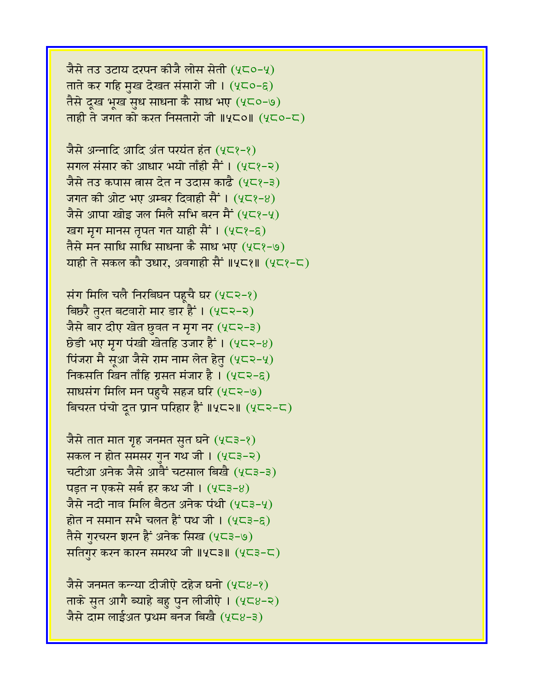जैसे तउ उटाय दरपन कीजै लोस सेती (५८०-५) ताते कर गहि मुख देखत संसारो जी।  $(4C_0-\epsilon)$ तैसे दुख भूख सृध साधना कै साध भए (५८०-७) ताही ते जगत को करत निसतारो जी ॥५८०॥ (५८०-८)

जैसे अन्नादि आदि अंत परयंत हंत (५८१-१) सगल संसार को आधार भयो ताँही सैं । (५८१-२) जैसे तउ कपास वास देत न उदास काढै (५८१-३) जगत की ओट भए अम्बर दिवाही सैं । (५८१-४) जैसे आपा खोइ जल मिलै सभि बरन मैं  $(4\zeta^2-\zeta)$ खग मृग मानस तृपत गत याही सैं । (५८१-६) तैसे मन साधि साधि साधना कै साध भए (५८१-७) याही ते सकल कौ उधार, अवगाही सैं ॥५८१॥ (५८१-८)

संग मिलि चलै निरबिघन पहूचै घर  $(4\zeta\zeta\ll -2)$ बिछरै तुरत बटवारो मार डार हैं । (५८२-२) जैसे बार दीए खेत छुवत न मृग नर  $(4\zeta$ २-३)  $\overline{6}$ डी भए मृग पंखी खेतहि उजार हैं ।  $(4\zeta - 8)$ पिंजरा मै सूआ जैसे राम नाम लेत हेतु (५८२-५) निकसति खिन ताँहि ग्रसत मंजार है।  $(4\zeta - \xi)$ साधसंग मिलि मन पहुचै सहज घरि (५८२-७) बिचरत पंचो दूत प्रान परिहार हैं ॥५८२॥ (५८२-८)

जैसे तात मात गृह जनमत सुत घने  $(4\zeta$ ३-१) सकल न होत समसर गन गथ जी।  $(4\sqrt{3}-2)$ चटीआ अनेक जैसे आवैं चटसाल बिखै (५८३-३) पड़त न एकसे सर्ब हर कथ जी। (५८३-४) जैसे नदी नाव मिलि बैठत अनेक पंथी (५८३-५) होत न समान सभै चलत हैं पथ जी।  $(4\zeta^2-\zeta)$ तैसे गुरचरन शरन हैं अनेक सिख (५८३-७) सतिगुर करन कारन समस्थ जी ॥५८३॥ (५८३-८)

जैसे जनमत कन्न्या दीजीऐ दहेज घनो (५८४-१) ताके सुत आगै ब्याहे बहु पुन लीजीऐ।  $(4\epsilon 8-2)$ जैसे दाम लाईअत प्रथम बनज बिखै (५८४-३)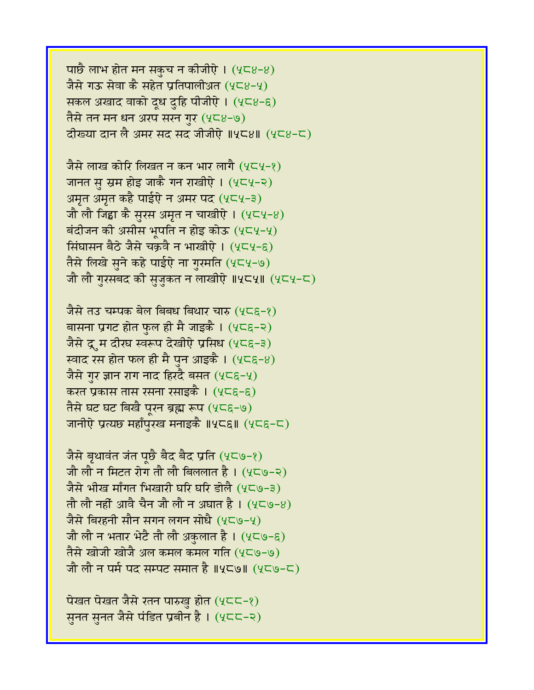पाछै लाभ होत मन सकुच न कीजीऐ।  $(4\zeta_8-8)$ जैसे गऊ सेवा कै सहेत प्रतिपालीअत (५८४-५) सकल अखाद वाको दूध दुहि पीजीऐ। (५८४-६) तैसे तन मन धन अरप सरन गुर (५८४-७) दीख्या दान लै अमर सद सद जीजीऐ ॥५८४॥ (५८४-८)

जैसे लाख कोरि लिखत न कन भार लागै (५८५-१) जानत सु स्रम होइ जाकै गन राखीऐ। (५८५-२) अमृत अमृत कहै पाईऐ न अमर पद (५८५-३) जौ लौ जिड्डा कै सुरस अमृत न चाखीऐ ।  $(4\zeta\sqrt{2}+8)$ बंदीजन की असीस भूपति न होइ कोऊ  $(4C4-4)$ सिंघासन बैठे जैसे चक्रवै न भाखीऐ । (५८५-६) तैसे लिखे सुने कहे पाईऐ ना गुरमति (५८५-७) जौ लौ गुरसबद की सुजुकत न लाखीऐ ॥५८५॥ (५८५-८)

जैसे तउ चम्पक बेल बिबध बिथार चारु (५८६-१) बासना प्रगट होत फुल ही मै जाइकै । (५८६-२) जैसे द्रूम दीख स्वरूप देखीऐ प्रसिध (५८६-३) स्वाद रस होत फल ही मै पुन आइकै ।  $(25\varepsilon-8)$ जैसे गर ज्ञान राग नाद हिरदै बसत (५८६-५) करत प्रकास तास रसना रसाइकै । (५८६-६) तैसे घट घट बिखै पूरन ब्रह्म रूप (५८६-७) जानीऐ प्रत्यछ महाँपुरख मनाइकै ॥५८६॥ (५८६-८)

जैसे बृथावंत जंत पूछै बैद बैद प्रति (५८७-१) जौ लौ न मिटत रोग तौ लौ बिललात है।  $(4\zeta - 2)$ जैसे भीख माँगत भिखारी घरि घरि डोलै (५८७-३) तौ लौ नहीं आवै चैन जौ लौ न अघात है।  $(4\zeta\phi - 8)$ जैसे बिरहनी सौन सगन लगन सोधै (५८७-५) जौ लौ न भतार भेटै तौ लौ अकुलात है ।  $(4\zeta\zeta)$ -६) तैसे खोजी खोजै अल कमल कमल गति (५८७-७) जौ लौ न पर्म पद सम्पट समात है ॥५८७॥  $(4C\Theta - C)$ 

पेखत पेखत जैसे रतन पारुखु होत (५८८-१) सुनत सुनत जैसे पंडित प्रबीन है। (५८८-२)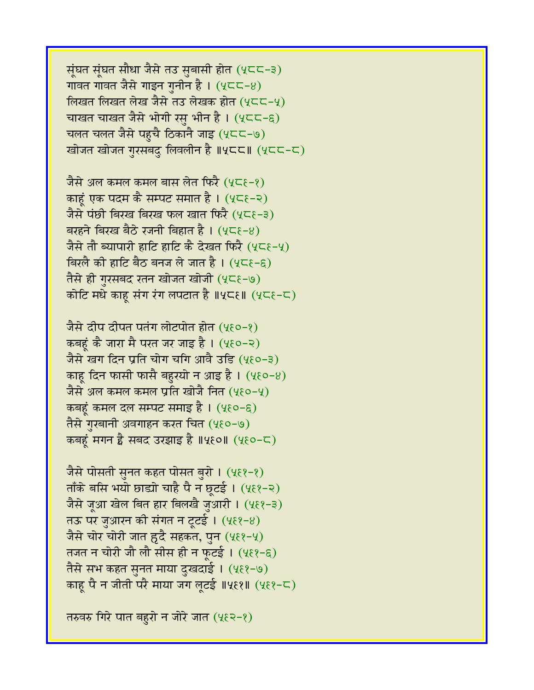सूंघत सूंघत सौधा जैसे तउ सुबासी होत (५८८-३) गावत गावत जैसे गाइन गनीन है ।  $(4C<sup>2</sup>-8)$ लिखत लिखत लेख जैसे तउ लेखक होत (५८८-५) चाखत चाखत जैसे भोगी रसु भीन है। (५८८-६) चलत चलत जैसे पहुचै ठिकानै जाइ (५८८-७) खोजत खोजत गुरसबदु लिवलीन है ॥५८८॥ (५८८-८)

जैसे अल कमल कमल बास लेत फिरै (५८६-१) काहूं एक पदम कै सम्पट समात है। (५८६-२) जैसे पंछी बिरख बिरख फल खात फिरै (५८६-३) बरहने बिरख बैठे रजनी बिहात है ।  $(4\zeta - 8)$ जैसे तौ ब्यापारी हाटि हाटि कै देखत फिरै (५८६-५) विरलै की हाटि बैठ बनज ले जात है। (५८६-६) तैसे ही गुरसबद रतन खोजत खोजी (५८६-७) कोटि मधे काहू संग रंग लपटात है ॥५८६॥  $(4C\varepsilon - C)$ 

जैसे दीप दीपत पतंग लोटपोत होत (५६०-१) कबहूं कै जारा मै परत जर जाइ है। (५६०-२) जैसे खग दिन प्रति चोग चगि आवै उडि (५६०-३) काह दिन फासी फासै बहुरयो न आइ है।  $(4\xi 0-8)$ जैसे अल कमल कमल प्रति खोजै नित (५६०-५) कबहं कमल दल सम्पट समाइ है ।  $(4\xi o - \xi)$ तैसे गुरबानी अवगाहन करत चित (५६०-७) कबहूं मगन है सबद उरझाइ है ॥५६०॥ (५६०-८)

जैसे पोसती सुनत कहत पोसत बुरो । (५६१-१) ताँके बसि भयो छाड्यो चाहै पै न छूटई ।  $(4\epsilon$ १-२) जैसे जूआ खेल बित हार बिलखै जुआरी । (५६१-३) तऊ पर जुआरन की संगत न टूटई ।  $(4\xi - 8)$ जैसे चोर चोरी जात हुदै सहकत, पुन (५६१-५) तजत न चोरी जौ लौ सीस ही न फुटई ।  $(4\xi)^{-\xi}$ तैसे सभ कहत सुनत माया दुखदाई । (५६१-७) काहू पै न जीती परै माया जग लूटई ॥५६१॥ (५६१-८)

तरुवरु गिरे पात बहरो न जोरे जात (५६२-१)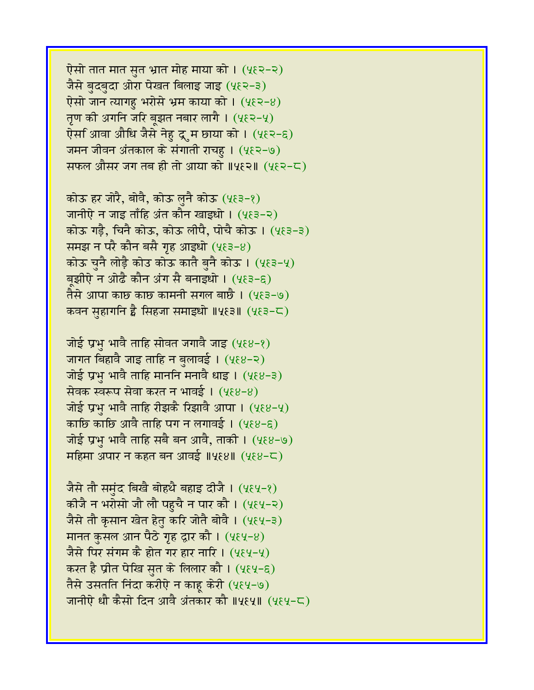ऐसो तात मात सुत भ्रात मोह माया को । (५६२-२) जैसे बुदबुदा ओरा पेखत बिलाइ जाइ (५६२-३) ऐसो जान त्यागहु भरोसे भ्रम काया को ।  $(4\xi - 8)$ तृण की अगनि जरि बृझत नबार लागै ।  $(4\xi$ २-५) ऐस िआवा औधि जैसे नेहु द्रूम छाया को । (५६२-६) जमन जीवन अंतकाल के संगाती राचहू । (५६२-७) सफल औसर जग तब ही तो आया को ॥५६२॥ (५६२-८)

कोऊ हर जोरै, बोवै, कोऊ लुनै कोऊ (५६३-१) जानीऐ न जाइ ताँहि अंत कौन खाइधो । (५६३-२) कोऊ गड़ै, चिनै कोऊ, कोऊ लीपै, पोचै कोऊ । (५१३-३) समझ न परै कौन बसै गृह आइधो (५६३-४) कोऊ चुनै लोड़ै कोउ कोऊ कातै बुनै कोऊ । (५६३-५) बृझीऐ न ओढै कौन अंग सै बनाइधो । (५६३-६) तैसे आपा काछ काछ कामनी सगल बाछै । (५६३-७) कवन सहागनि है सिहजा समाइधो ॥५६३॥ (५६३-८)

जोई प्रभु भावै ताहि सोवत जगावै जाइ  $(488-8)$ जागत बिहावै जाइ ताहि न बुलावई । (५६४-२) जोई प्रभु भावै ताहि माननि मनावै धाइ।  $(488-3)$ सेवक स्वरूप सेवा करत न भावई ।  $(488-8)$ जोई प्रभु भावै ताहि रीझकै रिझावै आपा ।  $(2\epsilon8-2)$ काछि काछि आवै ताहि पग न लगावई ।  $(4\xi8-\xi)$ जोई प्रभ भावै ताहि सबै बन आवै, ताकी । (५६४-७) महिमा अपार न कहत बन आवई ॥५६४॥ (५६४-८)

जैसे तौ समंद बिखै बोहथै बहाइ दीजै । (५६५-१) कीजै न भरोसो जौ लौ पहुचै न पार कौ । (५६५-२) जैसे तौ कृसान खेत हेतु करि जोतै बोवै । (५६५-३) मानत कुसल आन पैठे गृह द्वार कौ ।  $(4\xi4-8)$ जैसे पिर संगम कै होत गर हार नारि ।  $(484-4)$ करत है प्रीत पेखि सुत के लिलार कौ । (५६५-६) तैसे उसतति निंदा करीऐ न काहू केरी (५६५-७) जानीऐ धौ कैसो दिन आवै अंतकार कौ ॥५६५॥ (५६५-८)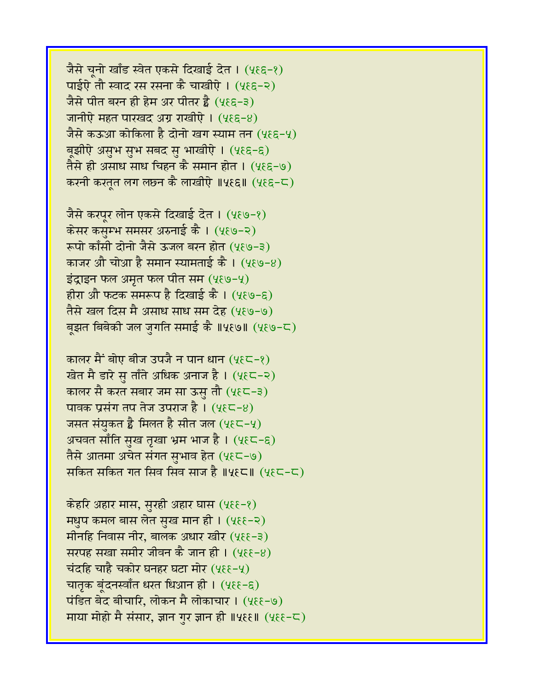जैसे चनो खाँड स्वेत एकसे दिखाई देत । (५१६-१) पाईऐ तौ स्वाद रस रसना कै चाखीऐ । (५६६-२) जैसे पीत बरन ही हेम अर पीतर है $(488-3)$ जानीऐ महत पारखद अग्र राखीऐ। (५६६-४) जैसे कऊआ कोकिला है दोनो खग स्याम तन (५९६-५) बूझीऐ असुभ सुभ सबद सु भाखीऐ। (५६६-६) तैसे ही असाध साध चिहन कै समान होत । (५६६-७) करनी करतूत लग लछ्न कै लाखीऐ ॥५६६॥ (५६६-८)

जैसे करपूर लोन एकसे दिखाई देत । (५६७-१) केसर कसुम्भ समसर अरुनाई कै । (५६७-२) रूपो काँसी दोनो जैसे ऊजल बरन होत (५६७-३) काजर औ चोआ है समान स्यामताई कै ।  $(4\xi\theta - 8)$ इंद्राइन फल अमृत फल पीत सम $(4\xi\omega-\xi)$ हीरा औ फटक समरूप है दिखाई कै ।  $(4\xi\theta-\xi)$ तैसे खल दिस मै असाध साध सम देह (५६७-७) बझत बिबेकी जल जगति समाई कै ॥५६७॥ (५६७-८)

कालर मैं बोए बीज उपजै न पान धान (५ $\xi$ ८-१) खेत मै डारे सु ताँते अधिक अनाज है। (५६८-२) कालर सै करत सबार जम सा ऊस तौ (५६८-३) पावक प्रसंग तप तेज उपराज है।  $(4\xi\zeta - 8)$ जसत संयुकत है मिलत है सीत जल  $(4\xi\zeta-\zeta)$ अचवत साँति सुख तृखा भ्रम भाज है। (५६८-६) तैसे आतमा अचेत संगत सुभाव हेत (५६८-७) सकित सकित गत सिव सिव साज है ॥५९८॥  $(485-5)$ 

केहरि अहार मास, सुरही अहार घास (५६६-१) मधुप कमल बास लेत सुख मान ही। (५६६-२) मीनहि निवास नीर, बालक अधार खीर (५६६-३) सरपह सखा समीर जीवन कै जान ही ।  $(4\xi - 8)$ चंदहि चाहै चकोर घनहर घटा मोर (५६६-५) चातृक बूंदनस्वाँत धरत धिआन ही। (५६६-६)  $\vec{a}$ दित बेद बीचारि, लोकन मै लोकाचार। (५६६-७) माया मोहो मै संसार, ज्ञान गुर ज्ञान ही ॥५६६॥  $(4\epsilon \epsilon - \epsilon)$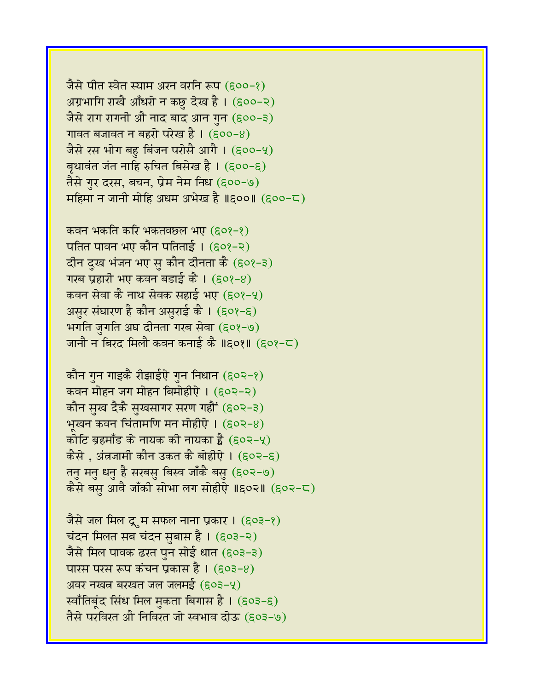जैसे पीत स्वेत स्याम अरन वरनि रूप (६००-१) अग्रभागि राखै आँधरो न कछु देख है। (६००-२) जैसे राग रागनी औ नाद बाद आन गुन (६००-३) गावत बजावत न बहरो परेख है।  $(600-8)$ जैसे रस भोग बहु बिंजन परोसै आगै ।  $(500-4)$ बृथावंत जंत नाहि रुचित बिसेख है।  $(600-6)$ तैसे गुर दरस, बचन, प्रेम नेम निध (६००-७) महिमा न जानी मोहि अधम अभेख है ॥६००॥  $(600-\mathsf{C})$ 

कवन भकति करि भकतवछल भए (९०१-१) पतित पावन भए कौन पतिताई ।  $(508-2)$ दीन दुख भंजन भए सु कौन दीनता कै (६०१-३) गरब प्रहारी भए कवन बडाई कै।  $(60?-8)$ कवन सेवा कै नाथ सेवक सहाई भए (६०१-५) असुर संघारण है कौन असुराई कै । (६०१-६) भगति जुगति अघ दीनता गरब सेवा (६०१-७) जानौ न बिरद मिलौ कवन कनाई कै ॥६०१॥ (६०१-८)

कौन गुन गाइकै रीझाईऐ गुन निधान (६०२-१) कवन मोहन जग मोहन बिमोहीऐ। (६०२-२) कौन सुख दैकै सुखसागर सरण गहौं (६०२-३) भूखन कवन चिंतामणि मन मोहीऐ।  $(602-8)$ कोटि ब्रहमाँड के नायक की नायका है  $(502-4)$ कैसे , अंतजामी कौन उकत कै बोहीऐ ।  $(\epsilon \circ \epsilon - \epsilon)$ तनु मनु धनु है सरबसु बिस्व जाँकै बसु (६०२-७) कैसे बस आवै जाँकी सोभा लग सोहीऐ ॥६०२॥  $(602-5)$ 

जैसे जल मिल द्रूम सफल नाना प्रकार ।  $(503-2)$ चंदन मिलत सब चंदन सुबास है । (६०३-२) जैसे मिल पावक ढरत पुन सोई धात (६०३-३) पारस परस रूप कंचन प्रकास है ।  $(603-8)$ अवर नखत बरखत जल जलमई (६०३-५) र्स्वाँतिबूंद सिंध मिल मुकता बिगास है। (६०३-६) तैसे परविरत औे निविरत जो स्वभाव दोऊ (६०३-७)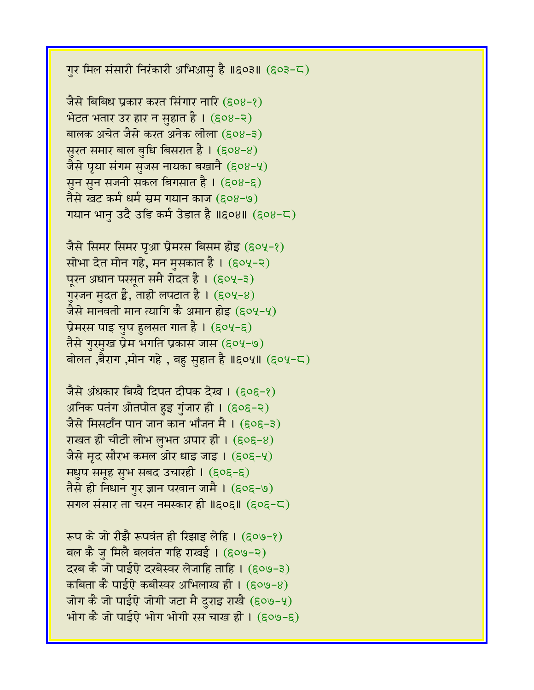गुर मिल संसारी निरंकारी अभिआसु है ॥६०३॥ (६०३-८)

जैसे बिबिध प्रकार करत सिंगार नारि (६०४-१) भेटत भतार उर हार न सुहात है। (६०४-२) बालक अचेत जैसे करत अनेक लीला (६०४-३) सुरत समार बाल बुधि बिसरात है। (६०४-४) जैसे प्र्या संगम सुजस नायका बखानै (६०४-५) सुन सुन सजनी सकल बिगसात है। (६०४-६) तैसे खट कर्म धर्म सम गयान काज (६०४-७)  $\overline{u}$ गयान भानु उदै उडि कर्म उेडात है ॥६०४॥ (६०४-८)

जैसे सिमर सिमर पृआ प्रेमरस बिसम होइ (६०५-१) सोभा देत मोन गहे, मन मुसकात है।  $(\epsilon$ ०५-२) पूरन अधान परसूत समै रोदत है। (६०५-३) गुरजन मुदत है, ताही लपटात है।  $(\epsilon \circ \nu - 8)$ जैसे मानवती मान त्यागि कै अमान होइ (६०५-५) प्रेमरस पाइ चुप हुलसत गात है।  $(\epsilon 04-\epsilon)$ तैसे गुरमुख प्रेम भगति प्रकास जास (६०५-७) बोलत ,बैराग ,मोन गहे , बहु सुहात है ॥६०५॥ (६०५-८)

जैसे अंधकार बिखै दिपत दीपक देख । (६०६-१) अनिक पतंग ओतपोत हुइ गुंजार ही। (६०६-२) जैसे मिसटाँन पान जान कान भाँजन मै । (९०९-३) राखत ही चीटी लोभ लुभत अपार ही ।  $(606-8)$ जैसे मृद सौरभ कमल ओर धाइ जाइ।  $(606-4)$ **मधुप समूह सुभ सबद उचारही। (६०६-६)** तैसे ही निधान गुर ज्ञान परवान जामै । (६०६-७) सगल संसार ता चरन नमस्कार ही ॥६०६॥ (६०६-८)

रूप के जो रीझै रूपवंत ही रिझाइ लेहि । (६०७-१) बल कै ज मिलै बलवंत गहि राखई । (६०७-२) दरब कै जो पाईऐ दरबेस्वर लेजाहि ताहि । (६०७-३) कबिता कै पाईऐ कबीस्वर अभिलाख ही । (६०७-४) जोग कै जो पाईऐ जोगी जटा मै दुराइ राखै (६०७-५) भोग कै जो पाईऐ भोग भोगी रस चाख ही ।  $(609-6)$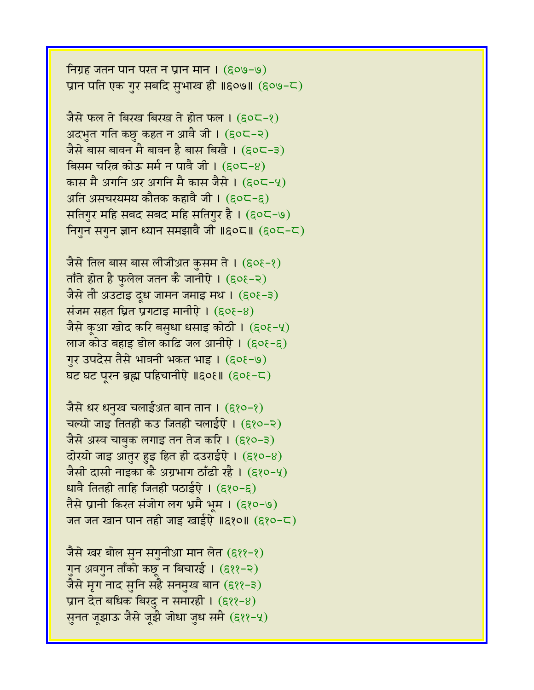निग्रह जतन पान परत न प्रान मान ।  $(609-9)$ प्रान पति एक गुर सबदि सुभाख ही ॥६०७॥ (६०७-८)

जैसे फल ते बिरख बिरख ते होत फल । (६०८-१) अदभुत गति कछु कहत न आवै जी। (६०८-२) जैसे बास बावन मै बावन है बास बिखै।  $(50C-3)$ बिसम चरित्र कोऊ मर्म न पावै जी ।  $($ ६०८-४) कास मै अगनि अर अगनि मै कास जैसे । (६०८-५) अति असचरयमय कौतक कहावै जी । (९०८-६) सतिगुर महि सबद सबद महि सतिगुर है। (६०८-७) निगुन सगुन ज्ञान ध्यान समझावै जी ॥६०८॥ (६०८-८)

जैसे तिल बास बास लीजीअत कुसम ते ।  $(\epsilon$ ०१-१) ताँते होत है फुलेल जतन कै जानीऐ ।  $(606-2)$ जैसे तौ अउटाइ दूध जामन जमाइ मथ ।  $(606-3)$ संजम सहत घ्रित प्रगटाइ मानीऐ $(60\xi - 8)$ जैसे कुआ खोद करि बसुधा धसाइ कोठी।  $(608-4)$ लाज कोउ बहाइ डोल काढि जल आनीऐ ।  $(60\xi - \xi)$ गुर उपदेस तैसे भावनी भकत भाइ। (६०६-७) घट घट पूरन ब्रह्म पहिचानीऐ ॥६०१॥ (६०१-८)

जैसे धर धनुख चलाईअत बान तान । (६१०-१) चल्यो जाइ तितही कउ जितही चलाईऐ।  $(680-8)$ जैसे अस्व चाबुक लगाइ तन तेज करि ।  $(880-3)$ दोरयो जाइ आतुर हुइ हित ही दउराईऐ।  $($ ६१०-४) जैसी दासी नाइका कै अग्रभाग ठाँढी रहै । (६१०-५) धावै तितही ताहि जितही पठाईऐ ।  $(5,0-5)$ तैसे प्रानी किरत संजोग लग भ्रमै भम । (६१०-७) जत जत खान पान तही जाइ खाईऐ ॥६१०॥ (६१०-८)

जैसे खर बोल सुन सगुनीआ मान लेत (६११-१) गुन अवगुन ताँको कछू न बिचारई । (६११-२) जैसे मृग नाद सुनि सहै सनमुख बान (६११-३) प्रान देत बधिक बिरदु न समारही ।  $(8, 8, -8)$ सुनत जूझाऊ जैसे जूझै जोधा जुध समै (६११-५)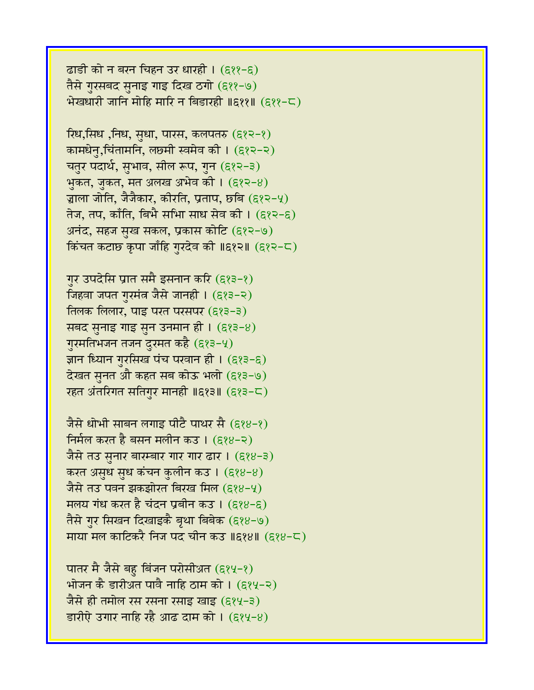ढाडी को न बरन चिहन उर धारही । (६११-६) तैसे गुरसबद सुनाइ गाइ दिख ठगो (६११-७)  $\hat{B}$ खधारी जानि मोहि मारि न बिडारही ॥६११॥ (६११-८)

रिध,सिंध ,निंध, सुधा, पारस, कलपतरु (६१२-१) कामधेन्,चिंतामनि, लछमी स्वमेव की। (६१२-२) चतुर पदार्थ, सुभाव, सील रूप, गुन (६१२-३) भुकत, जुकत, मत अलख अभेव की ।  $(8, 8-8)$ ज्जाला जोति, जैजैकार, कीरति, प्रताप, छबि (६१२-५) तेज, तप, काँति, बिभै सभाि साध सेव की । (६१२-६) अनंद, सहज सुख सकल, प्रकास कोटि (६१२-७) किंचत कटाछ कृपा जाँहि गुरदेव की ॥६१२॥ (६१२-८)

गुर उपदेसि प्रांत समै इसनान करि (६१३-१) जिहवा जपत गुरमंत्र जैसे जानही । (६१३-२) तिलक लिलार, पाइ परत परसपर  $(8,8-3)$ सबद सनाइ गाइ सन उनमान ही।  $(8,8-8)$ गुरमतिभजन तजन दुरमत कहै (६१३-५) ज्ञान ध्यान गुरसिख पंच परवान ही ।  $(g\overline{g}-g)$ देखत सुनत औ कहत सब कोऊ भलो (६१३-७) रहत अंतरिगत सतिगुर मानही  $\text{II6}$ १३॥ (६१३-८)

जैसे धोभी साबन लगाइ पीटै पाथर सै (६१४-१) निर्मल करत है बसन मलीन कउ । (६१४-२) जैसे तउ सुनार बारम्बार गार गार ढार । (६१४-३) करत असुध सुध कंचन कुलीन कउ । (६१४-४) जैसे तउ पवन झकझोरत बिरख मिल (६१४-५) मलय गंध करत है चंदन प्रबीन कउ । (६१४-६) तैसे गुर सिखन दिखाइकै बृथा बिबेक (६१४-७) माया मल काटिकरै निज पद चीन कउ ॥६१४॥ (६१४-८)

पातर मै जैसे बहु बिंजन परोसीअत (६१५-१) भोजन कै डारीअत पावै नाहि ठाम को । (६१५-२) जैसे ही तमोल रस रसना रसाइ खाइ (६१५-३)  $\overline{\text{snil}}$  उगार नाहि रहै आढ दाम को । (६१५-४)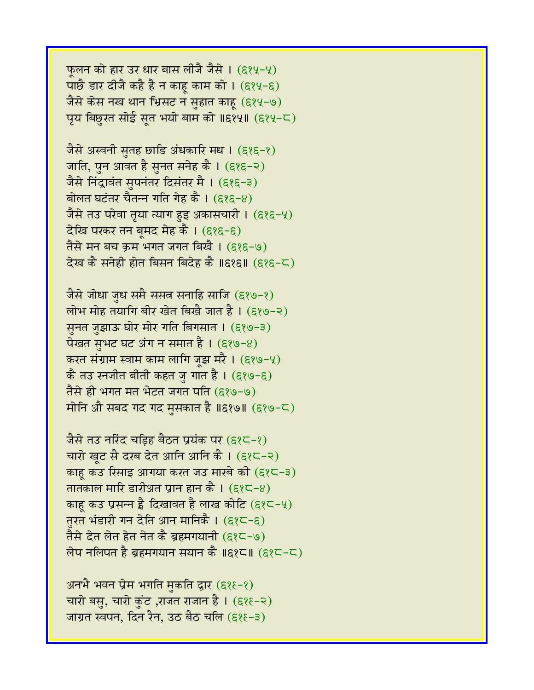फूलन को हार उर धार बास लीजै जैसे । (६१५-५) पाछै डार दीजै कहै है न काहू काम को ।  $(\epsilon_2\ell_2-\epsilon_2)$ जैसे केस नख थान भ्रिसट न सुहात काहू (६१५-७) पृय बिछुरत सोई सूत भयो बाम को ॥६१५॥ (६१५-८)

जैसे अस्वनी सुतह छाडि अंधकारि मध । (६१६-१) जाति, पुन आवत है सुनत सनेह कै । (६१६-२) जैसे निंद्रावंत सुपनंतर दिसंतर मै । (६१६-३) बोलत घटंतर चैतन्न गति गेह कै ।  $(888-8)$ जैसे तउ परेवा तृया त्याग हुइ अकासचारी ।  $(\epsilon \wr \epsilon - \vee)$ देखि परकर तन बूमद मेह कै । (६१६-६) तैसे मन बच क्रम भगत जगत बिखै । (६१६-७) देख कै सनेही होत बिसन बिदेह कै ॥६१६॥ (६१६-८)

जैसे जोधा जुध समै ससत सनाहि साजि (६१७-१) लोभ मोह तयागि बीर खेत बिखै जात है। (६१७-२) सुनत जुझाऊ घोर मोर गति बिगसात । (६१७-३) पेखत सुभट घट अंग न समात है ।  $(8,89-8)$ करत संग्राम स्वाम काम लागि जूझ मरै। (६१७-५) कै तउ रनजीत बीती कहत जु गात है। (६१७-६) तैसे ही भगत मत भेटत जगत पति (६१७-७) मोनि औे सबद गद गद मुसकात है ॥६१७॥ (६१७-८)

जैसे तउ नरिंद चडिह बैठत प्रयंक पर (६१८-१) चारो खूट सै दरब देत आनि आनि कै। (६१८-२) काह कउ रिसाइ आगया करत जउ मारबे की  $(\epsilon \wr \epsilon - \epsilon)$ तातकाल मारि डारीअत प्रान हान कै ।  $(\epsilon \chi - \epsilon)$ काहू कउ प्रसन्न है दिखावत है लाख कोटि (६१८-५) तुरत भंडारी गन देति आन मानिकै । (६१८-६) तैसे देत लेत हेत नेत कै ब्रहमगयानी (६१८-७) लेप नलिपत है ब्रहमगयान सयान कै ॥६१८॥  $(82<sup>2</sup>-C)$ 

अनभै भवन प्रेम भगति मुकति द्वार (६१६-१) चारो बसु, चारो कुंट ,राजत राजान है ।  $($ ६१६-२ $)$ जाग्रत स्वपन, दिन रैन, उठ बैठ चलि (६१६-३)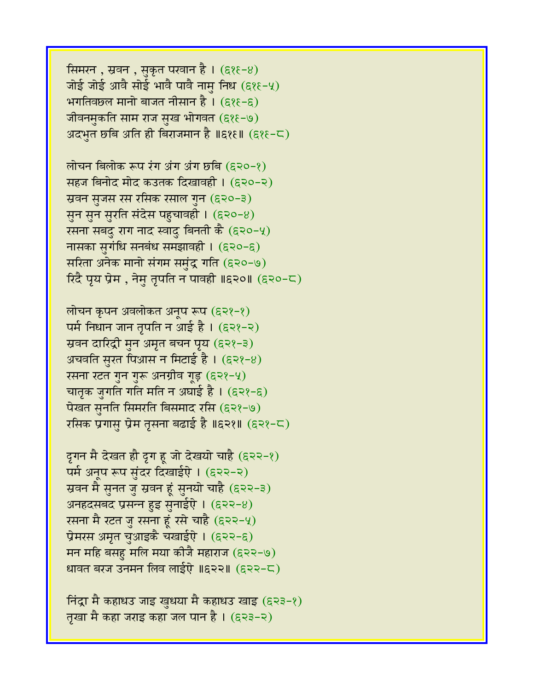सिमरन , स्रवन , सुकृत परवान है । (६१६-४) जोई जोई आवै सोई भावै पावै नामु निध (६१६-५) भगतिवछल मानो बाजत नीसान है।  $(88-6)$ जीवनमुकति साम राज सुख भोगवत (६१६-७) अदभुत छबि अति ही बिराजमान है ॥६१६॥  $($ ६१६-८)

लोचन बिलोक रूप रंग अंग अंग छबि (६२०-१) सहज बिनोद मोद कउतक दिखावही । (६२०-२) स्रवन सुजस रस रसिक रसाल गुन (६२०-३) सुन सुन सुरति संदेस पहुचावही । (६२०-४) रसना सबदु राग नाद स्वादु बिनती कै (६२०-५) नासका सुगंधि सनबंध समझावही । (६२०-६) सरिता अनेक मानो संगम समुंद्र गति (६२०-७)  $\widehat{\mathcal{R}}$ दै पृय प्रेम , नेमु तृपति न पावही ॥६२०॥ (६२०-८)

लोचन कृपन अवलोकत अनूप रूप (६२१-१) पर्म निधान जान तृपति न आई है। (६२१-२) स्रवन दारिद्री मुन अमृत बचन पृय (६२१-३) अचवति सुरत पिआस न मिटाई है । (६२१-४) रसना रटत गुन गुरू अनग्रीव गूड़ (६२१-५) चातृक जुगति गति मति न अघाई है । (६२१-६) पेखत सुनति सिमरति बिसमाद रसि (६२१-७) रसिक प्रगासु प्रेम तृसना बढाई है ॥६२१॥ (६२१-८)

दृगन मै देखत हौ दृग हू जो देखयो चाहै (६२२-१) पर्म अनूप रूप सुंदर दिखाईऐ। (६२२-२) स्रवन मै सुनत जु स्रवन हूं सुनयो चाहै (६२२-३) अनहदसबद प्रसन्न हुइ सुनाईऐ।  $(622-8)$ रसना मै रटत जु रसना हूं रसे चाहै (६२२-५) प्रेमरस अमृत चुआइकै चखाईऐ । (६२२-६) मन महि बसहु मलि मया कीजै महाराज (६२२-७) धावत बरज उनमन लिव लाईऐ ॥६२२॥ (६२२-८)

निंद्रा मै कहाधउ जाइ खुधया मै कहाधउ खाइ (६२३-१) तृखा मै कहा जराइ कहा जल पान है । (६२३-२)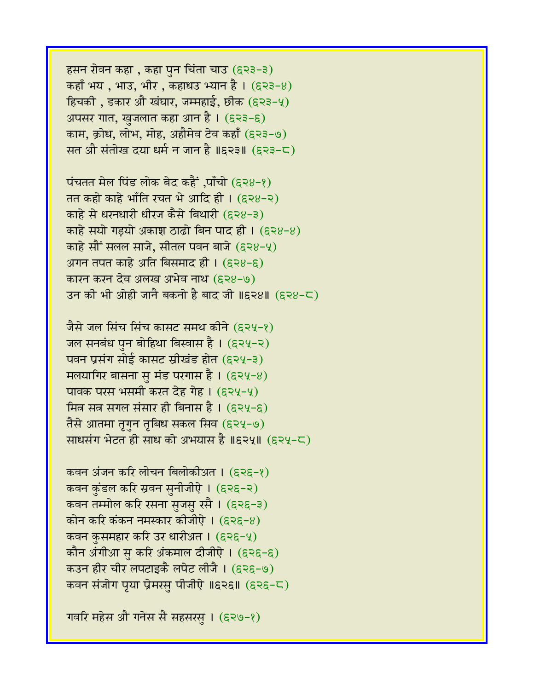हसन रोवन कहा, कहा पुन चिंता चाउ (६२३-३) कहाँ भय , भाउ, भीर , कहाधउ भ्यान है ।  $(533-8)$ हिचकी, डकार औ खंघार, जम्महाई, छीक (६२३-५) अपसर गात, खुजलात कहा आन है । (६२३-६) काम, क्रोध, लोभ, मोह, अहौमेव टेव कहाँ (६२३-७) सत औ संतोख दया धर्म न जान है ॥६२३॥ (६२३-८)

पंचतत मेल पिंड लोक बेद कहैं ,पाँचो (६२४-१) तत कहो काहे भाँति रचत भे आदि ही। (६२४-२) काहे से धरनधारी धीरज कैसे बिथारी (६२४-३) काहे सयो गड़यो अकाश ठाढो बिन पाद ही । (६२४-४) काहे सौं सलल साजे, सीतल पवन बाजे (६२४-५) अगन तपत काहे अति बिसमाद ही । (ER8-E) कारन करन देव अलख अभेव नाथ (६२४-७) उन की भी ओही जानै बकनो है बाद जी ॥६२४॥ (६२४-८)

जैसे जल सिंच सिंच कासट समथ कीने (६२५-१) जल सनबंध पुन बोहिथा बिस्वास है। (६२५-२) पवन प्रसंग सोई कासट स्रीखंड होत (६२५-३) **मलयागिर बासना स मंड परगास है। (६२५-४)** पावक परस भसमी करत देह गेहू। (६२५-५) मित्र सत्र सगल संसार ही बिनास है । (६२५-६) तैसे आतमा तृगुन तृबिध सकल सिव (६२५-७) र्साधसंग भेटत ही साध को अभयास है ॥६२५॥ (६२५-८)

कवन अंजन करि लोचन बिलोकीअत । (६२६-१) कवन कुंडल करि स्रवन सुनीजीऐ । (६२६-२) कवन तम्मोल करि रसना स़जस़ रसै । (६२६-३) कोन करि कंकन नमस्कार कीजीऐ $\,$ । (६२६-४) कवन कुसमहार करि उर धारीअत । (६२६-५) कौन अंगीआ सु करि अंकमाल दीजीऐ । (ह२ह-ह) कउन हीर चीर लपटाइकै लपेट लीजै । (६२६-७) कवन संजोग पृया प्रेमरसु पीजीऐ ॥६२६॥ (६२६-८)

गवरि महेस औ गनेस सै सहसरस् । (६२७-१)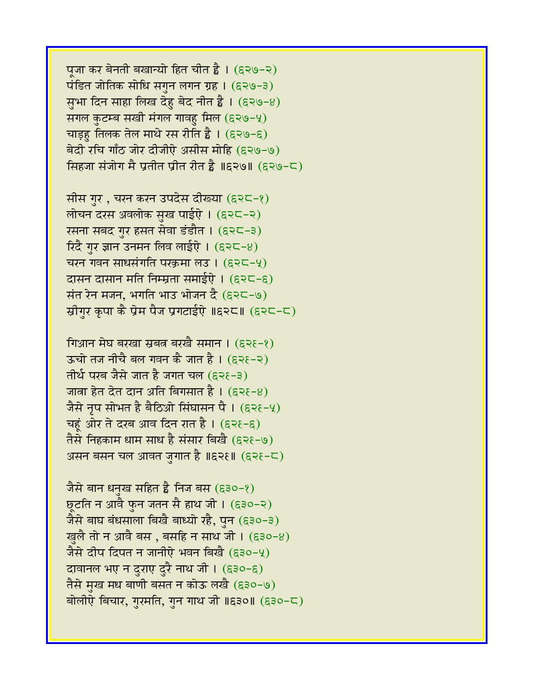पूजा कर बेनती बखान्यो हित चीत है । (६२७-२) पंडित जोतिक सोधि संगुन लगन ग्रह।  $(5,80-3)$ सुभा दिन साहा लिख देहु बेद नीत है। (६२७-8) सगल कुटम्ब सखी मंगल गावह मिल (६२७-५) चाड़ह तिलक तेल माथे रस रीति है ।  $(539-5)$ बेदी रचि गाँठ जोर दीजीऐ असीस मोहि (६२७-७) सिंहजा संजोग मै प्रतीत प्रीत रीत है ॥६२७॥ (६२७-८)

सीस गुर, चरन करन उपदेस दीख्या (६२८-१) लोचन दरस अवलोक सुख पाईऐ । (६२८-२) रसना सबद गुर हसत सेवा डंडौत । (६२८-३) रिंदै गुर ज्ञान उनमन लिव लाईऐ ।  $(5, 25, 6)$ चरन गवन साधसंगति परक्रमा लउ । (६२८-५) दासन दासान मति निम्म्रता समाईऐ । (६२८-६) संत रेन मजन, भगति भाउ भोजन दै $(5, 2, -9)$ स्रीगुर कृपा कै प्रेम पैज प्रगटाईऐ ॥६२८॥ (६२८-८)

गिआन मेघ बरखा स्रबत बरखै समान ।  $(536-8)$ ऊंचो तज नीचै बल गवन कै जात है। (६२१-२) तीर्थ परब जैसे जात है जगत चल (६२६-३) जात्रा हेत देत दान अति बिगसात है ।  $(536-8)$ जैसे नृप सोभत है बैठिओ सिंघासन पै। (६२१-५) चहूं ओर ते दरब आव दिन रात है । (६२१-६) तैसे निहकाम धाम साध है संसार बिखै (६२१-७) असन बसन चल आवत जुगात है ॥६२१॥ (६२१-८)

जैसे बान धनख सहित है निज बस (६३०-१) छूटति न आवै फुन जतन सै हाथ जी । (६३०-२)  $\frac{1}{2}$ से बाघ बंधसाला बिखै बाध्यो रहै, पुन (६३०-३) खुलै तो न आवै बस , बसहि न साथ जी । (६३०-४) जैसे दीप दिपत न जानीऐ भवन बिखै (६३०-५) दावानल भए न दुराए दुरै नाथ जी। (६३०-६) तैसे मुख मध बाणी बसत न कोऊ लखै (६३०-७) बोलीऐ बिचार, गुरमति, गुन गाथ जी ॥६३०॥ (६३०-८)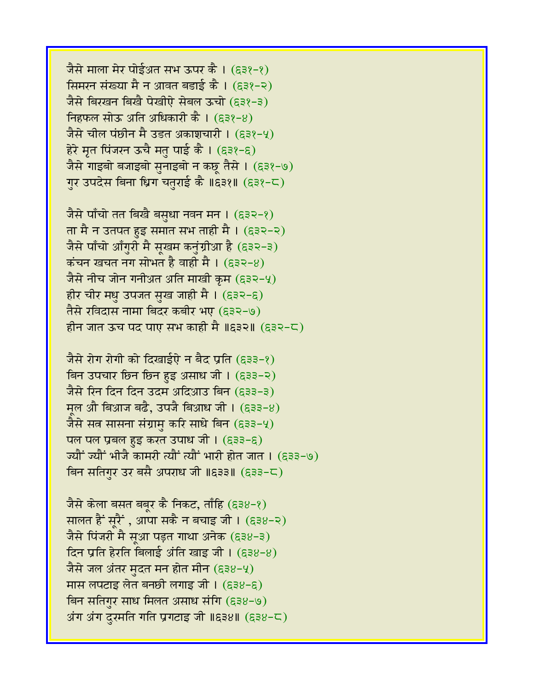जैसे माला मेर पोईअत सभ ऊपर कै। (६३१-१) सिमरन संख्या मै न आवत बडाई कै । (६३१-२) जैसे बिरखन बिखै पेखीऐ सेबल ऊंचो (९३१-३) निहफल सोऊ अति अधिकारी कै ।  $(53?-8)$ जैसे चील पंछीन मै उडत अकाशचारी । (६३१-५) हेरे मृत पिंजरन ऊचै मतु पाई कै । (६३१-६) जैसे गाइबो बजाइबो सुनाइबो न कछू तैसे । (६३१-७) गुर उपदेस बिना ध्रिग चतुराई कै ॥६३१॥ (६३१-८)

जैसे पाँचो तत बिखै बसुधा नवन मन । (६३२-१) ता मै न उतपत हुइ समात सभ ताही मै। (६३२-२) जैसे पाँचो आँगुरी मै सूखम कनुंग्रीआ है (६३२-३) कंचन खचत नग सोभत है वाही मै।  $(532-8)$ जैसे नीच जोन गनीअत अति माखी क्रम (६३२-५) हीर चीर मधु उपजत सुख जाही मै । (ह३२-६) तैसे रविदास नामा बिदर कबीर भए (६३२-७) हीन जात ऊंच पद पाए सभ काही मै ॥६३२॥ (६३२-८)

जैसे रोग रोगी को दिखाईऐ न बैद प्रति (६३३-१)  $\overline{a}$ न उपचार छिन छिन हुइ असाध जी। (६३३-२) जैसे रिन दिन दिन उदम अदिआउ बिन (६३३-३)  $\overline{H}$ ल औ बिआज बढै, उपजै बिआध जी। (६३३-४) जैसे सत्र सासना संग्रामु करि साधे बिन (६३३-५) पल पल प्रबल हुइ करत उपाध जी।  $(533-5)$ .<br>ज्यौं ज्यौं भीजै कामरी त्यौं त्यौं भारी होत जात । (633-७) बिन सतिगर उर बसै अपराध जी ॥६३३॥ (६३३-८)

जैसे केला बसत बबुर कै निकट, ताँहि (६३४-१) सालत हैं सूरैं , आपा सकै न बचाइ जी ।  $($ ६३४-२) जैसे पिंजरी मै सुआ पड़त गाथा अनेक (६३४-३) दिन प्रति हेरति बिलाई अंति खाइ जी।  $(538-8)$ जैसे जल अंतर मुदत मन होत मीन (६३४-५) मास लपटाइ लेत बनछी लगाइ जी।  $(538-5)$ बिन सतिगुर साध मिलत असाध संगि (६३४-७) अंग अंग दरमति गति प्रगटाइ जी ॥६३४॥ (६३४-८)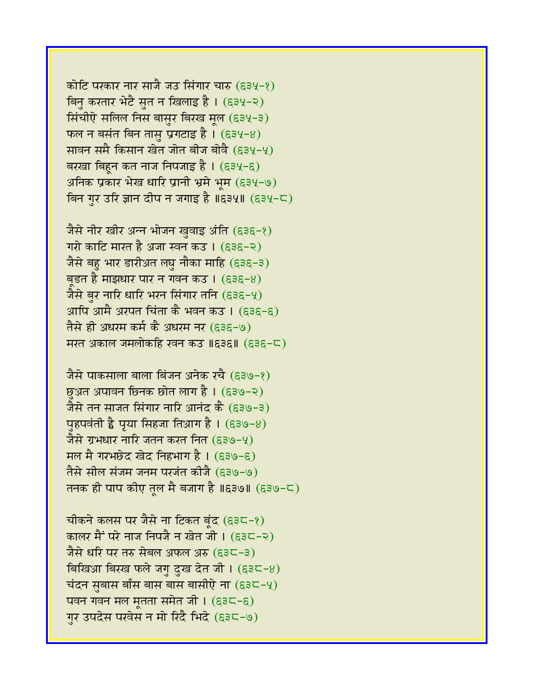कोटि परकार नार साजै जउ सिंगार चारु (६३५-१) बिनु करतार भेटै सुत न खिलाइ है। (६३५-२) सिंचीऐ सलिल निस बासुर बिरख मूल (६३५-३) फल न बसंत बिन तासु प्रगटाइ है।  $($ ६३५-४) सावन समै किसान खेत जोत बीज बोवै (६३५-५) बरखा बिहुन कत नाज निपजाइ है। (६३५-६) अनिक प्रकार भेख धारि प्रानी भ्रमे भूम (६३५-७) बिन गुर उरि ज्ञान दीप न जगाइ है ॥६३५॥ (६३५-८)

जैसे नीर खीर अन्न भोजन खुवाइ अंति (६३६-१) गरो काटि मारत है अजा स्वन कउ । (६३६-२) जैसे बहु भार डारीअत लघु नौका माहि (६३६-३) बड़त है माझधार पार न गवन कउ ।  $($ ६३६-४) जैसे बुर नारि धारि भरन सिंगार तनि (६३६-५) आपि आमै अरपत चिंता कै भवन कउ । (ह३ह-ह) तैसे ही अधरम कर्म कै अधरम नर (E3E-७) मरत अकाल जमलोकहि खन कउ ॥६३६॥ (६३६-८)

जैसे पाकसाला बाला बिंजन अनेक रचै (६३७-१) छुअत अपावन छिनक छोत लाग है । (६३७-२) जैसे तन साजत सिंगार नारि आनंद कै (६३७-३) पुहपवंती है प्रया सिहजा तिआग है।  $($ ह३७-8) जैसे ग्रभधार नारि जतन करत नित (६३७-५) मल मै गरभछेद खेद निहभाग है।  $(539-5)$ तैसे सील संजम जनम परजंत कीजै (६३७-७) तनक ही पाप कीए तल मै बजाग है ॥६३७॥ (६३७-८)

चीकने कलस पर जैसे ना टिकत बूंद (६३८-१) कालर मैं परे नाज निपजै न खेत जी । (ह३८-२) जैसे धरि पर तरु सेबल अफल अरु (६३८-३) बिखिआ बिरख फले जगु दुख देत जी।  $($ ६३८-४) चंदन सुबास बाँस बास बास बासीऐ ना  $(s_3c - 4)$ पवन गवन मल मृतता समेत जी।  $(535 - 5)$ गुर उपदेस परवेस न मो रिंदै भिंदे (६३८-७)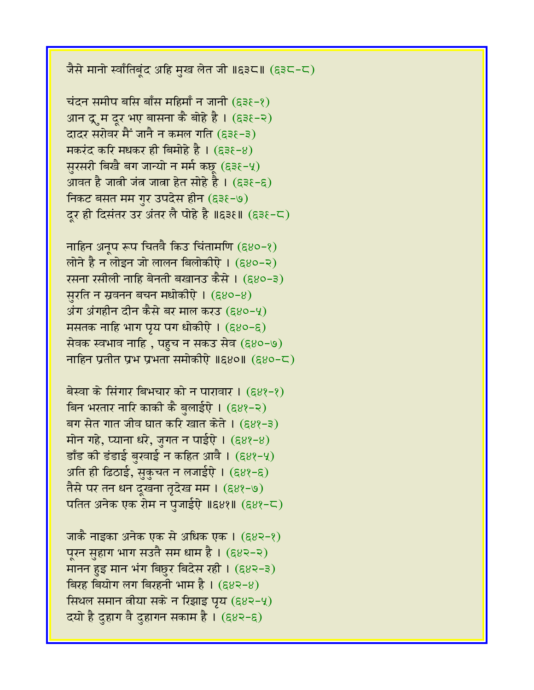जैसे मानो स्वाँतिबूंद अहि मुख लेत जी ॥६३८॥ (६३८-८)

चंदन समीप बसि बाँस महिमाँ न जानी  $(538-8)$ आन द्रूम दूर भए बासना कै बोहे है। (६३१-२) दादर सरोवर मैं जानै न कमल गति (६३६-३)  $\overline{H}$ करंद करि मधकर ही बिमोहे है। (६३६-४) सुरसरी बिखै बग जान्यो न मर्म कछ (६३१-५) आवत है जात्री जंत जात्रा हेत सोहे है । (६३१-६) निकट बसत मम गुर उपदेस हीन (६३६-७) दूर ही दिसंतर उर अंतर लै पोहे है ॥६३६॥ (६३६-८)

नाहिन अनूप रूप चितवै किउ चिंतामणि (६४०-१) लोने है न लोइन जो लालन बिलोकीऐ । (६४०-२) रसना रसीली नाहि बेनती बखानउ कैसे । (६४०-३) सुरति न स्रवनन बचन मधोकीएे ।  $(880-8)$ अंग अंगहीन दीन कैसे बर माल करउ (६४०-५) मसतक नाहि भाग प्रय पग धोकीऐ।  $(880-6)$ सेवक स्वभाव नाहि, पहुच न सकउ सेव (६४०-७) नाहिन प्रतीत प्रभ प्रभंता समोकीऐ ॥६४०॥ (६४०-८)

बेस्वा के सिंगार बिभचार को न पारावार ।  $(68?-2)$ बिन भरतार नारि काकी कै बुलाईऐ । (६४१-२) बग सेत गात जीव घात करि खात केते । (६४१-३) मोन गहे, प्याना धरे, जगत न पाईएे।  $(588-8)$  $\frac{1}{3}$  हाँड बंडाई बुखाई न कहित आवै। (६४१-५) अति ही ढिठाई, सुकुचत न लजाईऐ।  $(68$ १-६) तैसे पर तन धन दुखना तृदेख मम । (६४१-७) पतित अनेक एक रोम न पजाईऐ ॥६४१॥ (६४१-८)

जाकै नाइका अनेक एक से अधिक एक । (६४२-१) पूरन सुहाग भाग सउतै सम धाम है।  $(682-2)$ मानन हुइ मान भंग बिछुर बिदेस रही। (६४२-३) बिरह बियोग लग बिरहनी भाम है।  $(683-8)$ सिथल समान लीया सके न रिझाइ पृय  $(s_8e - 4)$ दयो है दहाग वै दहागन सकाम है ।  $(883-6)$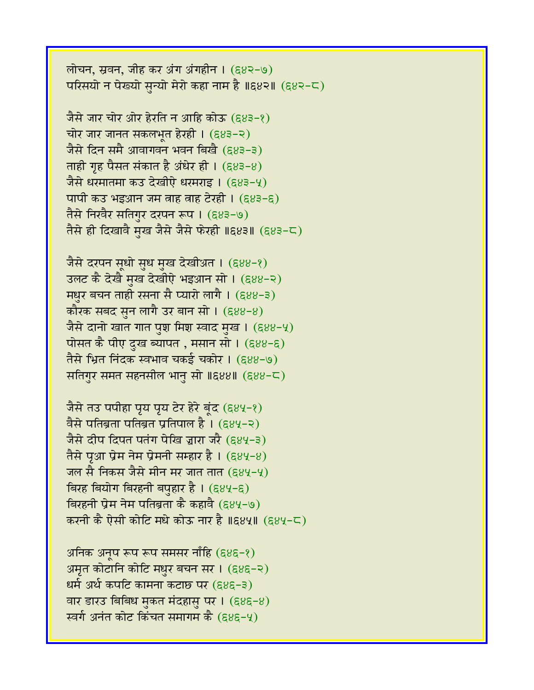लोचन, स्रवन, जीह कर अंग अंगहीन ।  $(682-9)$ परिसयो न पेख्यो सुन्यो मेरो कहा नाम है ॥६४२॥ (६४२-८)

जैसे जार चोर ओर हेरति न आहि कोऊ (६४३-१) चोर जार जानत सकलभूत हेरही । (६४३-२) जैसे दिन समै आवागवन भवन बिखै (६४३-३) ताही गृह पैसत संकात है अंधेर ही।  $(683-8)$ जैसे धरमातमा कउ देखीऐ धरमराइ । (६४३-५) पापी कउ भइआन जम वाह वाह टेरही ।  $(883-8)$ तैसे निखैर सतिगर दरपन रूप । (६४३-७) तैसे ही दिखावै मुख जैसे जैसे फेरही ॥६४३॥ (६४३-८)

जैसे दरपन सूधो सुध मुख देखीअत । (६४४-१) 3लट कै देखै मुख देखीऐ भइआन सो । (६४४-२) **मधुर बचन ताही रसना सै प्यारो लागै। (**६४४-३) कौरक सबद सुन लागै उर बान सो ।  $(888-8)$ जैसे दानो खात गात पुश मिश स्वाद मुख । (६४४-५) पोसत कै पीए दुख ब्यापत , मसान सो ।  $(888-8)$ तैसे भ्रित निंदक स्वभाव चकई चकोर । (६४४-७) सतिगुर समत सहनसील भानु सो ॥६४४॥ (६४४-८)

जैसे तउ पपीहा पूय पूय टेर हेरे बूंद (६४५-१) वैसे पतिब्रता पतिब्रत प्रतिपाल है।  $(684-2)$ जैसे दीप दिपत पतंग पेखि ज्ञारा जरै (६४५-३) तैसे पूआ प्रेम नेम प्रेमनी सम्हार है। (६४५-४) जल सै निकस जैसे मीन मर जात तात (६४५-५) बिरह बियोग बिरहनी बपहार है।  $($ ६४५-६) बिरहनी प्रेम नेम पतिब्रता कै कहावै (६४५-७) करनी कै ऐसी कोटि मधे कोऊ नार है ॥६४५॥ (६४५-८)

अनिक अनुप रूप रूप समसर नाँहि (६४६-१) अमृत कोटानि कोटि मधुर बचन सर। (६४६-२) धर्म अर्थ कपटि कामना कटाछ पर (६४६-३) वार डारउ बिबिध मुकत मंदहासु पर।  $(686-8)$ स्वर्ग अनंत कोट किंचत समागम कै (६४६-५)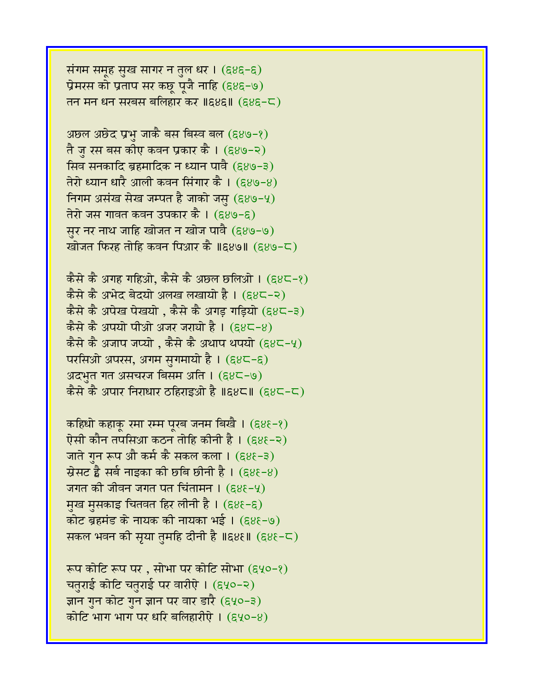संगम समूह सुख सागर न तुल धर । (६४६-६) प्रेमरस को प्रताप सर कछू पूजै नाहि (६४६-७) तन मन धन सरबस बलिहार कर ॥६४६॥  $(885-5)$ 

अछल अछेद प्रभु जाकै बस बिस्व बल  $(889-8)$ तै जु रस बस कीए कवन प्रकार कै । (६४७-२) सिव सनकादि ब्रहमादिक न ध्यान पावै (६४७-३) तेरो ध्यान धारै आली कवन सिंगार कै। (६४७-४) निगम असंख सेख जम्पत है जाको जस  $(g_8 - 4)$ तेरो जस गावत कवन उपकार कै । (६४७-६) सुर नर नाथ जाहि खोजत न खोज पावै (६४७-७) खोजत फिरह तोहि कवन पिआर कै ॥६४७॥ (६४७-८)

कैसे कै अगह गहिओ, कैसे कै अछल छलिओ । (६४८-१)  $\frac{1}{2}$ कैसे कै अभेद बेदयो अलख लखायो है। (६४८-२) कैसे कै अपेख पेखयो , कैसे कै अगड़ गड़ियो (६४८-३) कैसे कै अपयो पीओ अजर जरायो है।  $(68\zeta - 8)$ कैसे कै अजाप जप्यो , कैसे कै अथाप थपयो  $($ ६४८-५) परसिओ अपरस, अगम सुगमायो है । (६४८-६) अदभत गत असचरज बिसम अति ।  $(88-9)$ कैसे कै अपार निराधार ठहिराइओ है ॥६४८॥ (६४८-८)

कहिधो कहाकू रमा रम्म पूरब जनम बिखै ।  $(888-8)$ ऐसी कौन तपसिआ कठन तोहि कीनी है। (६४६-२) जाते गुन रूप औ कर्म कै सकल कला । (६४१-३)  $\vec{B}$ सट है सर्ब नाइका की छबि छीनी है। (६४१-४) जगत की जीवन जगत पत चिंतामन  $I$  (६४१-५) मुख मुसकाइ चितवत हिर लीनी है। (६४६-६) कोट ब्रहमंड के नायक की नायका भई। (६४६-७) सकल भवन की सृया तुमहि दीनी है ॥६४६॥ (६४६-८)

रूप कोटि रूप पर, सोभा पर कोटि सोभा (६५०-१) चतुराई कोटि चतुराई पर वारीऐ। (६५०-२) ज्ञान गुन कोट गुन ज्ञान पर वार डारै (६५०-३) कोटि भाग भाग पर धरि बलिहारीऐ।  $($ ६५०-४)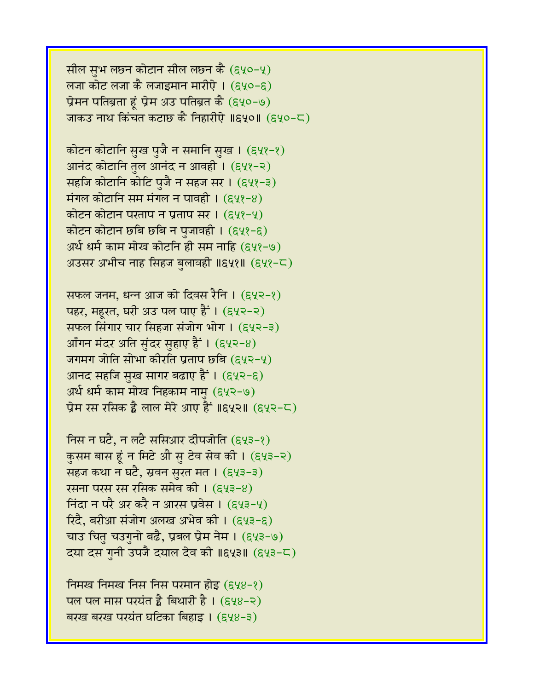सील सुभ लछन कोटान सील लछन कै  $(gyo-y)$ लजा कोट लजा कै लजाइमान मारीऐ $\pm$  (६५०-६) प्रेमन पतिब्रता हूं प्रेम अउ पतिब्रत कै (६५०-७) जाकउ नाथ किंचत कटाछ कै निहारीऐ ॥६५०॥ (६५०-८)

कोटन कोटानि सुख पुजै न समानि सुख । (६५१-१) आनंद कोटानि तुल आनंद न आवही। (६५१-२) सहजि कोटानि कोटि पुजै न सहज सर। (६५१-३) मंगल कोटानि सम मंगल न पावही ।  $(548-8)$ कोटन कोटान परताप न प्रताप सर। (६५१-५) कोटन कोटान छबि छबि न पुजावही ।  $(g\gamma - \xi)$ अर्थ धर्म काम मोख कोटनि ही सम नाहि (६५१-७) अउसर अभीच नाह सिंहज बलावही ॥६५१॥  $($ ६५१-८)

सफल जनम, धन्न आज को दिवस रैनि ।  $(g\gamma\gamma-\gamma)$ पहर, महरत, घरी अउ पल पाए हैं । (६५२-२) सफल सिंगार चार सिंहजा संजोग भोग। (६५२-३) आँगन मंदर अति सुंदर सुहाए हैं। (६५२-8) जगमग जोति सोभा कीरति प्रताप छबि (६५२-५) आनद सहजि सुख सागर बढाए हैं । (६५२-६) अर्थ धर्म काम मोख निहकाम नाम (६५२-७) प्रेम रस रसिक है लाल मेरे आए हैं ॥६५२॥ (६५२-८)

निस न घटै, न लटै ससिआर दीपजोति (६५३-१) कुसम बास हूं न मिटे औ सू टेव सेव की । (६५३-२) सहज कथा न घटै, स्रवन सुरत मत । (६५३-३) रसना परस रस रसिक समेव की । (६५३-४) निंदा न परै अर करै न आरस प्रवेस ।  $(643-4)$ रिदै, बरीआ संजोग अलख अभेव की । (६५३-६) चाउ चितु चउगुनो बढै, प्रबल प्रेम नेम । (६५३-७) दया दस गुनी उपजै दयाल देव की ॥६५३॥ (६५३-८)

निमख निमख निस निस परमान होड़ (६५४-१) पल पल मास परयंत है बिथारी है।  $(648-2)$ बरख बरख परयंत घटिका बिहाइ। (६५४-३)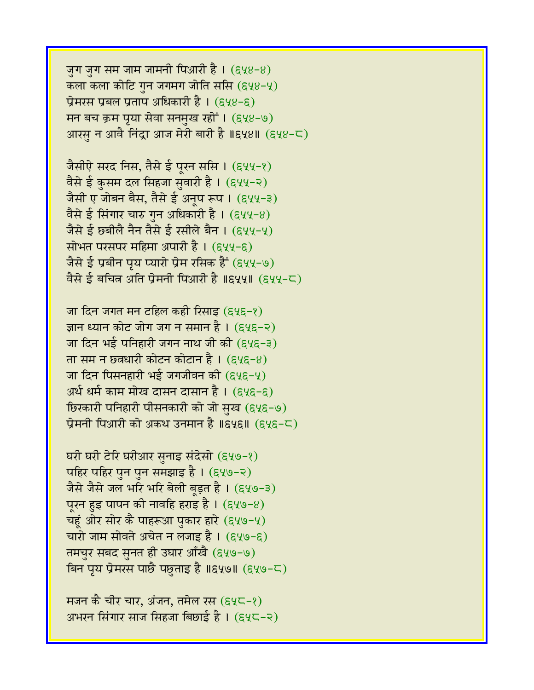जुग जुग सम जाम जामनी पिआरी है।  $($ ६५४-४) कला कला कोटि गुन जगमग जोति ससि (६५४-५) प्रेमरस प्रबल प्रताप अधिकारी है।  $(548-5)$ मन बच क्रम प्रया सेवा सनमुख रहों । (६५४-७) आरसु न आवै निंद्रा आज मेरी बारी है ॥६५४॥ (६५४-८)

जैसीऐ सरद निस, तैसे ई पूरन ससि । (६५५-१) वैसे ई कुसम दल सिहजा सुवारी है। (६५५-२) जैसी ए जोबन बैस, तैसे ई अनूप रूप । (६५५-३) वैसे ई सिंगार चारु गुन अधिकारी है । (६५५-४) जैसे ई छ्बीलै नैन तैसे ई रसीले बैन । (६५५-५) सोभत परसपर महिमा अपारी है।  $($ ६५५-६) जैसे ई प्रबीन पृय प्यारो प्रेम रसिक हैं (६५५-७) वैसे ई बचित्र अति प्रेमनी पिआरी है ॥६५५॥ (६५५-८)

जा दिन जगत मन टहिल कही रिसाइ (६५६-१) ज्ञान ध्यान कोट जोग जग न समान है। (६५६-२) जा दिन भई पनिहारी जगन नाथ जी की  $(g\chi_{\overline{5}-3})$ ता सम न छतधारी कोटन कोटान है। (६५६-४) जा दिन पिसनहारी भई जगजीवन की  $(848-4)$ अर्थ धर्म काम मोख दासन दासान है। (६५६-६) <u>छिरकारी पनिहारी पीसनकारी को जो सुख (६५६-७)</u> प्रेमनी पिआरी को अकथ उनमान है ॥६५६॥ (६५६-८)

घरी घरी टेरि घरीआर सुनाइ संदेसो (६५७-१) पहिर पहिर पुन पुन समझाइ है । (६५७-२) जैसे जैसे जल भरि भरि बेली बड़त है । (६५७-३) पूरन हुइ पापन की नावहि हराइ है।  $(gy_9-8)$ चहुं ओर सोर कै पाहरूआ पुकार हारे (६५७-५) चारो जाम सोवते अचेत न लजाइ है । (६५७-६) तमचुर सबद सुनत ही उघार आँखै (६५७-७) बिन पृय प्रेमरस पाछै पछुताइ है ॥६५७॥ (६५७-८)

मजन कै चीर चार, अंजन, तमेल रस  $(g\chi\zeta-\chi)$ अभरन सिंगार साज सिंहजा बिछाई है । (६५८-२)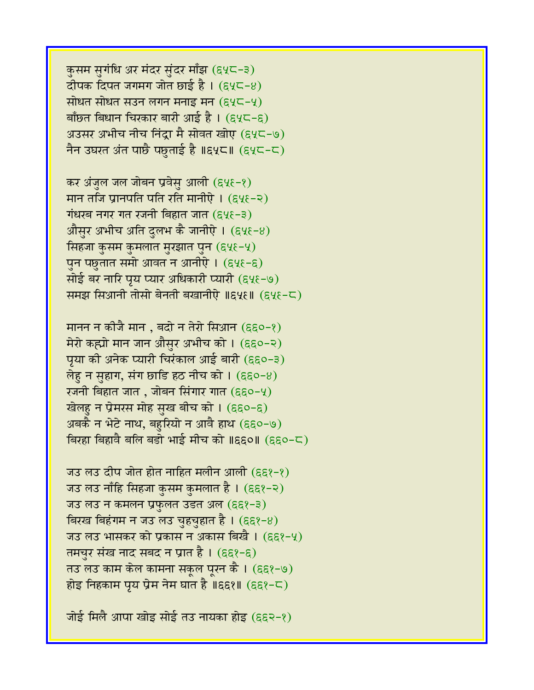कुसम सुगंधि अर मंदर सुंदर माँझ (६५८-३) दीपक दिपत जगमग जोत छाई है।  $(g\chi-\gamma)$ सोधत सोधत सउन लगन मनाइ मन (९५८-५) बाँछत बिधान चिरकार बारी आई है । (६५८-६) अउसर अभीच नीच निंद्रा मै सोवत खोए (६५८-७) नैन उघरत अंत पाछै पछताई है ॥६५८॥ (६५८-८)

कर अंजुल जल जोबन प्रवेसु आली (६५६-१) मान तजि प्रानपति पति रति मानीऐ $(64\xi - 2)$  gzDrb ngr gq rjnI ibhwq jwq (659-3) औसुर अभीच अति दुलभ कै जानीऐ ।  $(\epsilon \psi - 8)$ सिंहजा कुसम कुमलात मुरझात पुन (६५६-५) पुन पछुतात समो आवत न आनीऐ ।  $(g\chi_{\xi} - \xi)$ सोई बर नारि पृय प्यार अधिकारी प्यारी (६५६-७) रममझ सिआनी तोसो बेनती बखानीऐ ॥६५६॥ (६५६-८)

मानन न कीजै मान , बदो न तेरो सिआन (६६०-१) मेरो कह्यो मान जान औसुर अभीच को । (६६०-२) पृया की अनेक प्यारी चिरंकाल आई बारी (हद्द0-3)  $\vec{n}$ ह न सुहाग, संग छाडि हठ नीच को। (६६०-४) रजनी बिहात जात , जोबन सिंगार गात (६६०-५) खेलहु न प्रेमरस मोह सुख बीच को । (६६०-६) अबकै न भेटे नाथ, बहुरियो न आवै हाथ (६६०-७) बिरहा बिहावै बलि बड़ो भाई मीच को ॥६६०॥ (६६०-८)

ज़उ लउ दीप जोत होत नाहित मलीन आली ( $\varepsilon$ ६१-१) जउ लउ नाँहि सिहजा कुसम कुमलात है । (६६१-२) जउ लउ न कमलन प्रफुलत उडत अल (६६१-३) बिरख बिहंगम न जउ लउ चुहचुहात है। (६६१-४) जउ लउ भासकर को प्रकास न अकास बिखै । (६६१-५) तमचुर संख नाद सबद न प्रात है। (६६१-६) तउ लउ काम केल कामना सकूल पूरन कै । (६६१-७) होइ निहकाम पृय प्रेम नेम घात है ॥६६१॥ (६६१-८)

जोई मिलै आपा खोइ सोई तउ नायका होइ (६६२-१)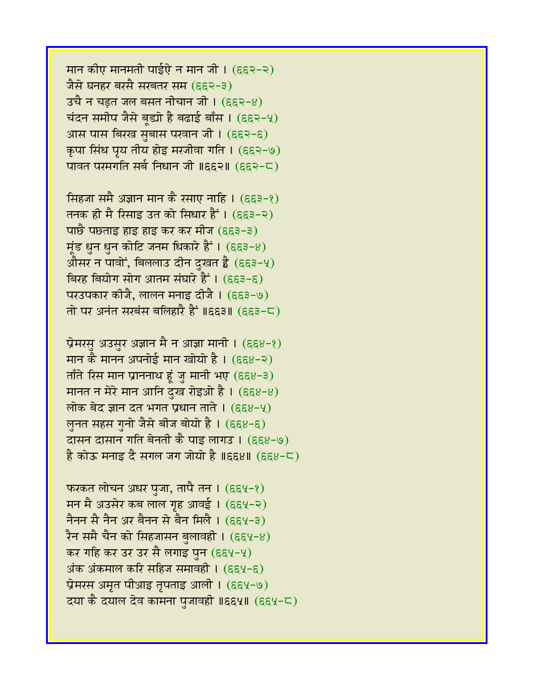मान कीए मानमती पाईऐ न मान जी।  $(552-2)$ जैसे घनहर बरसै सरबतर सम (६६२-३)  $3\pi$  न चडत जल बसत नीचान जी। (६६२-४) चंदन समीप जैसे बूड्यो है बढाई बाँस ।  $(552-4)$ आस पास बिरख सुबास परवान जी। (६६२-६) कृपा सिंध पृय तीय होइ मरजीवा गति । (६६२-७) पावत परमगति सर्ब निधान जी ॥६६२॥ (६६२-८)

सिंहजा समै अज्ञान मान कै रसाए नाहि । (६६३-१) तनक ही मै रिसाइ उत को सिधार हैं । (६६३-२) पाछै पछताइ हाइ हाइ कर कर मीज (हद्द3-3) मूंड धुन धुन कोटि जनम धिकारे हैं ।  $($ ६६३-४) औसर न पावों, बिललाउ दीन दुखत है  $($ ६६३-५) बिरह बियोग सोग आतम संघारे हैं ।  $(653-6)$ परउपकार कीजै, लालन मनाइ दीजै। (ह्र्इ-७) तो पर अनंत सरबंस बलिहारै हैं ॥६६३॥ (६६३-८)

प्रेमरसु अउसुर अज्ञान मै न आज्ञा मानी । (हद्द8-१) मान कै मानन अपनोई मान खोयो है। (६६४-२) ताँते रिस मान प्राननाथ हूं जु मानी भए (६६४-३) मानत न मेरे मान आनि दुख रोइओ है। (६६४-४) लोक बेद ज्ञान दत भगत प्रधान ताते ।  $(\epsilon \epsilon \epsilon \epsilon - 4)$ लुनत सहस गुनो जैसे बीज बोयो है । (६६४-६) दासन दासान गति बेनती कै पाइ लागउ। (६६४-७)  $\frac{1}{6}$  कोऊ मनाइ दै सगल जग जोयो है ॥६६४॥ (६६४-८)

फरकत लोचन अधर पुजा, तापै तन ।  $(\epsilon \epsilon \mathcal{Y}-\epsilon)$ मन मै अउसेर कब लाल गृह आवई। (६६५-२) नैनन सै नैन अर बैनन से बैन मिलै । (६६५-३) रैन समै चैन को सिहजासन बुलावही । (६६५-४) कर गहि कर उर उर सै लगाइ पुन (हद्दपू-पू) अंक अंकमाल करि सहिज समावही ।  $(\epsilon \epsilon \gamma - \epsilon)$ प्रेमरस अमृत पीआइ तृपताइ आली ।  $($ ६६५-७) दया कै दयाल देव कामना पुजावही ॥६६५॥ (६६५-८)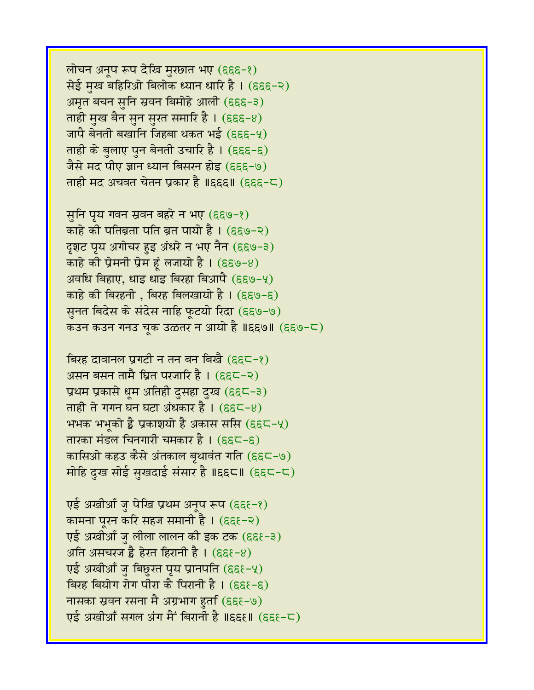लोचन अनूप रूप देखि मुरछात भए (हद्द-१) सेई मुख बहिरिओ बिलोक ध्यान धारि है। (हद्द-२) अमृत बचन सुनि स्रवन बिमोहे आली (६६६-३) ताही मुख बैन सुन सुरत समारि है।  $($ ६६६-४) जापै बेनती बखानि जिहबा थकत भई (६६६-५) ताही के बुलाए पुन बेनती उचारि है। (हहह-ह) जैसे मद पीए ज्ञान ध्यान बिसरन होइ (६६६-७) ताही मद अचवत चेतन प्रकार है ॥६६६॥ (६६६-८)

सुनि पृय गवन स्रवन बहरे न भए (६६७-१) काहे की पतिब्रता पति ब्रत पायो है । (६६७-२) दृशट पृय अगोचर हुइ अंधरे न भए नैन (हद्द७-३) काहे की प्रेमनी प्रेम हूं लजायो है ।  $(\epsilon \epsilon \Theta - 8)$ अवधि बिहाए, धाइ धाइ बिरहा बिआपै (६६७-५) काहे की बिरहनी , बिरह बिलखायो है ।  $(\epsilon \epsilon \Theta - \epsilon)$ सुनत बिदेस के संदेस नाहि फूटयो रिदा (६६७-७) कउन कउन गनउ चुक उळतर न आयो है ॥६६७॥ (६६७-८)

बिरह दावानल प्रगटी न तन बन बिखै (६६८-१) असन बसन तामै घ्रित परजारि है।  $(665-2)$ प्रथम प्रकासे धुम अतिही दुसहा दुख (६६८-३) ताही ते गगन घन घटा अंधकार है ।  $(\epsilon \epsilon \zeta - 8)$ भभक भभूको ह्वै प्रकाशयो है अकास ससि  $(\epsilon \epsilon \epsilon - 4)$ तारका मंडल चिनगारी चमकार है। (६६८-६) कासिओ कहउ कैसे अंतकाल बृथावंत गति (६६८-७) मोहि दुख सोई सुखदाई संसार है ॥६६८॥ (६६८-८)

एई अखीआँ जु पेखि प्रथम अनुप रूप (६६१-१) कामना पूरन करि सहज समानी है । (हह $-$ २) एई अखीआँ ज़ लीला लालन की इक टक (हहत-३) अति असचरज है हेरत हिरानी है। ( $\epsilon \epsilon$ 8) एई अखीआँ जु बिछुरत पृय प्रानपति (हहह-५) बिरह बियोग रोग पीरा कै पिरानी है।  $(555 - 5)$ नासका स्रवन रसना मै अग्रभाग हुर्ता (६६१-७) एई अखीआँ सगल अंग मैं बिरानी है ॥६६१॥ (६६१-८)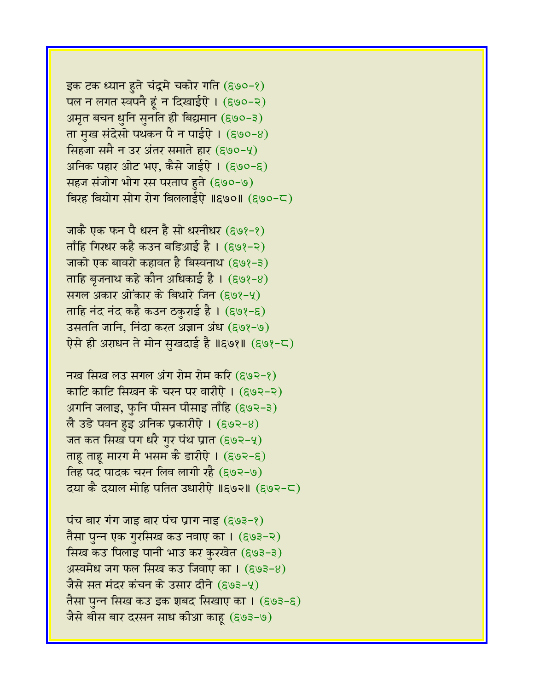इक टक ध्यान हुते चंद्रमे चकोर गति (६७०-१) पल न लगत स्वपनै हूं न दिखाईऐ। (६७०-२) अमृत बचन धुनि सुनति ही बिद्यमान (६७०-३) ता मुख संदेसो पथकन पै न पाईऐ ।  $($ ६७०-४) सिंहजा समै न उर अंतर समाते हार (९७०-५) अनिक पहार ओट भए, कैसे जाईऐ । (६७०-६) सहज संजोग भोग रस परताप हुते (६७०-७) बिरह बियोग सोग रोग बिललाईऐ ॥६७०॥ (६७०-८)

जाकै एक फन पै धरन है सो धरनीधर (६७१-१)  $\pi$ ाँहि गिरधर कहै कउन बडिआई है। (६७१-२) जाको एक बावरो कहावत है बिस्वनाथ (६७१-३) ताहि बृजनाथ कहे कौन अधिकाई है । (६७१-४) सगल अकार ओंकार के बिथारे जिन (९७१-५) ताहि नंद नंद कहै कउन ठकुराई है । (६७१-६) उसतति जानि, निंदा करत अज्ञान अंध (६७१-७) एेसे ही अराधन ते मोन सुखदाई है ॥६७१॥ (६७१-८)

नख सिख लउ सगल अंग रोम रोम करि (६७२-१) काटि काटि सिखन के चरन पर वारीऐ। (६७२-२) अगनि जलाइ, फुनि पीसन पीसाइ ताँहि (६७२-३) लै उडे पवन हुइ अनिक प्रकारीऐ ।  $($ ६७२-४) जत कत सिख पग धरै गुर पंथ प्रात (६७२-५) ताह ताह मारग मै भसम कै डारीऐ ।  $($ ६७२-६ $)$ तिह पद पादक चरन लिव लागी रहै (६७२-७) दया कै दयाल मोहि पतित उधारीऐ ॥६७२॥ (६७२-८)

पंच बार गंग जाइ बार पंच प्राग नाइ  $(g \circ s - g)$ तैसा पुन्न एक गुरसिख कउ नवाए का । (६७३-२) सिख कउ पिलाइ पानी भाउ कर कुरखेत (६७३-३) अस्वमेध जग फल सिख कउ जिवाए का ।  $(693-8)$ जैसे सत मंदर कंचन के उसार दीने (६७३-५) तैसा पुन्न सिख कउ इक शबद सिखाए का । (६७३-६) जैसे बीस बार दरसन साध कीआ काहू (६७३-७)